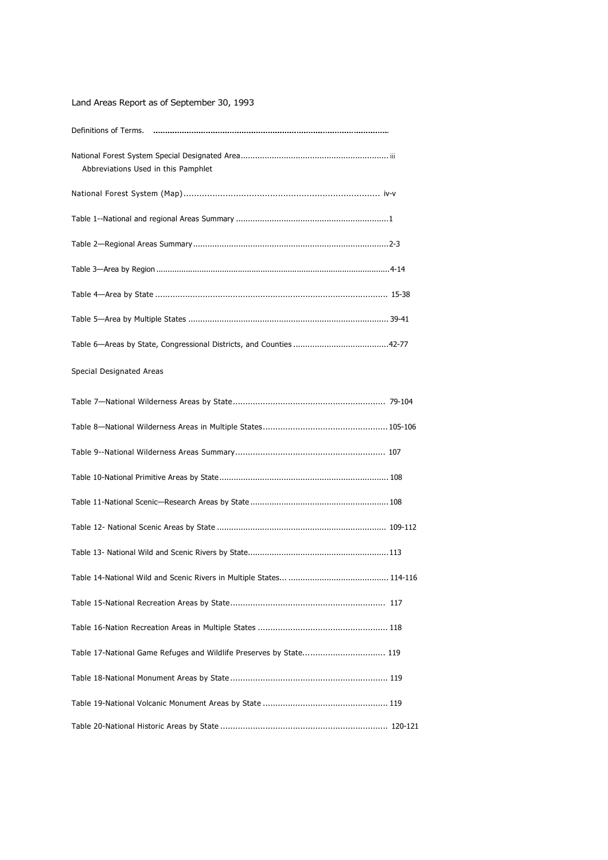| Land Areas Report as of September 30, 1993                         |
|--------------------------------------------------------------------|
|                                                                    |
| Abbreviations Used in this Pamphlet                                |
|                                                                    |
|                                                                    |
|                                                                    |
|                                                                    |
|                                                                    |
|                                                                    |
|                                                                    |
| Special Designated Areas                                           |
|                                                                    |
|                                                                    |
|                                                                    |
|                                                                    |
|                                                                    |
|                                                                    |
| Table 13- National Wild and Scenic Rivers by State<br>. 113        |
|                                                                    |
|                                                                    |
|                                                                    |
| Table 17-National Game Refuges and Wildlife Preserves by State 119 |
|                                                                    |
|                                                                    |
|                                                                    |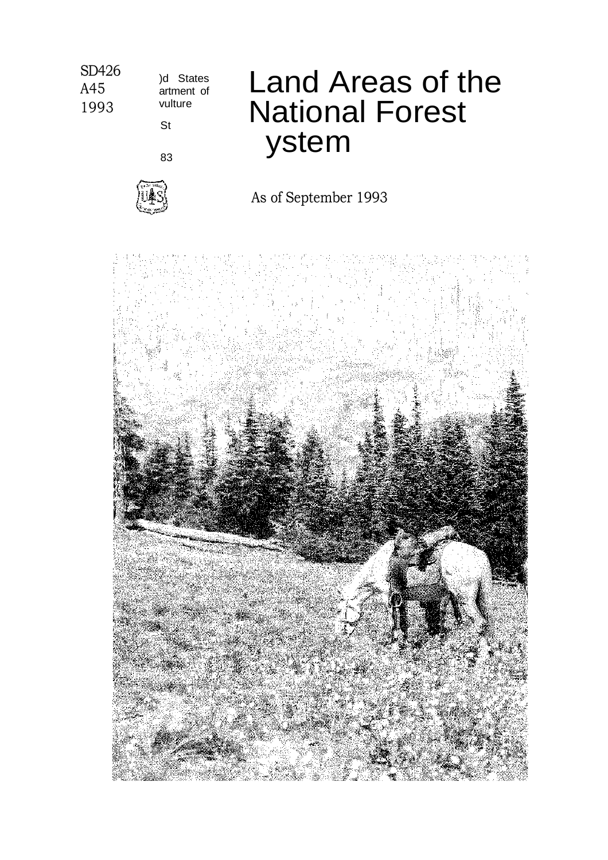### SD426 1993 )d States artment of vulture St 83 Land Areas of the National Forest ystem As of September 1993

A45

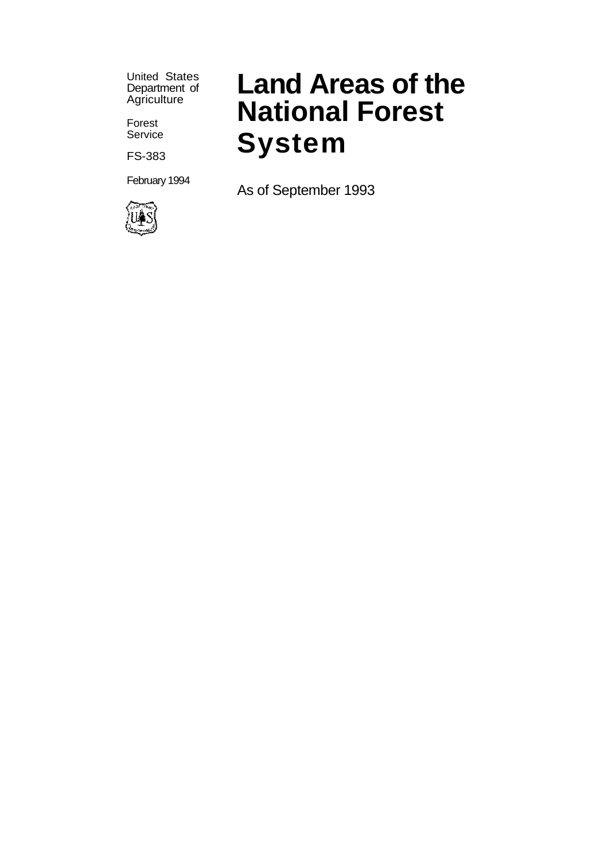United States Department of Agriculture

Forest **Service** 

FS-383

February 1994



# **Land Areas of the National Forest System**

As of September 1993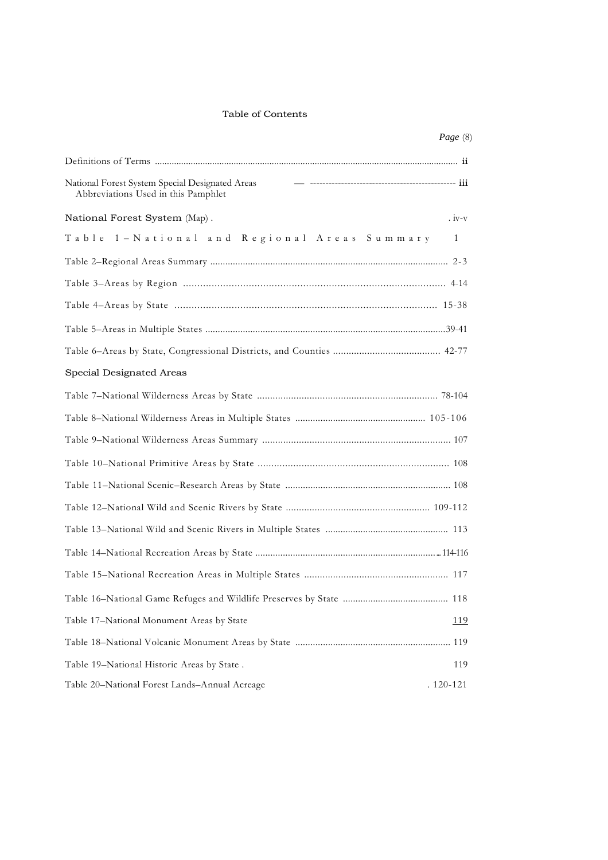### Table of Contents

|                                                                                        | Page (8)    |
|----------------------------------------------------------------------------------------|-------------|
|                                                                                        |             |
| National Forest System Special Designated Areas<br>Abbreviations Used in this Pamphlet |             |
| National Forest System (Map).                                                          | $iv-v$      |
| Table 1 - National and Regional Areas Summary                                          | 1           |
|                                                                                        |             |
|                                                                                        |             |
|                                                                                        |             |
|                                                                                        |             |
|                                                                                        |             |
| Special Designated Areas                                                               |             |
|                                                                                        |             |
|                                                                                        |             |
|                                                                                        |             |
|                                                                                        |             |
|                                                                                        |             |
|                                                                                        |             |
|                                                                                        |             |
|                                                                                        |             |
|                                                                                        |             |
|                                                                                        |             |
| Table 17-National Monument Areas by State                                              | <u> 119</u> |
|                                                                                        |             |
| Table 19-National Historic Areas by State.                                             | 119         |
| Table 20-National Forest Lands-Annual Acreage                                          | . 120-121   |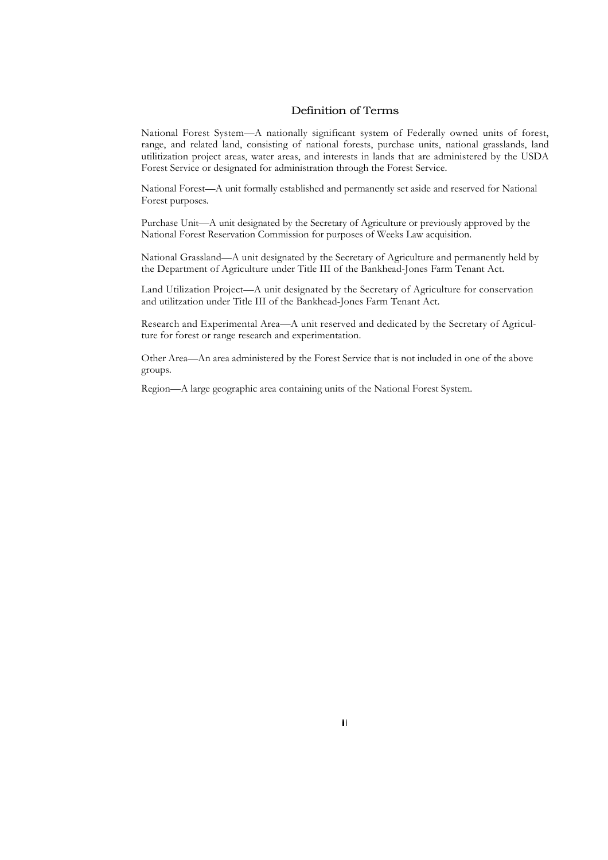### Definition of Terms

National Forest System—A nationally significant system of Federally owned units of forest, range, and related land, consisting of national forests, purchase units, national grasslands, land utilitization project areas, water areas, and interests in lands that are administered by the USDA Forest Service or designated for administration through the Forest Service.

National Forest—A unit formally established and permanently set aside and reserved for National Forest purposes.

Purchase Unit—A unit designated by the Secretary of Agriculture or previously approved by the National Forest Reservation Commission for purposes of Weeks Law acquisition.

National Grassland—A unit designated by the Secretary of Agriculture and permanently held by the Department of Agriculture under Title III of the Bankhead-Jones Farm Tenant Act.

Land Utilization Project—A unit designated by the Secretary of Agriculture for conservation and utilitzation under Title III of the Bankhead-Jones Farm Tenant Act.

Research and Experimental Area—A unit reserved and dedicated by the Secretary of Agriculture for forest or range research and experimentation.

Other Area—An area administered by the Forest Service that is not included in one of the above groups.

Region—A large geographic area containing units of the National Forest System.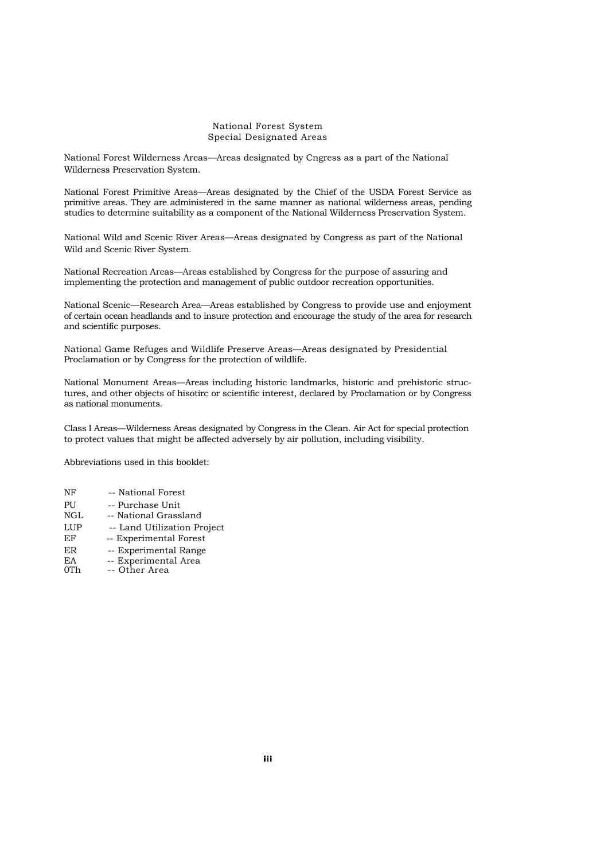#### National Forest System Special Designated Areas

National Forest Wilderness Areas—Areas designated by Cngress as a part of the National Wilderness Preservation System.

National Forest Primitive Areas—Areas designated by the Chief of the USDA Forest Service as primitive areas. They are administered in the same manner as national wilderness areas, pending studies to determine suitability as a component of the National Wilderness Preservation System.

National Wild and Scenic River Areas—Areas designated by Congress as part of the National Wild and Scenic River System.

National Recreation Areas—Areas established by Congress for the purpose of assuring and implementing the protection and management of public outdoor recreation opportunities.

National Scenic—Research Area—Areas established by Congress to provide use and enjoyment of certain ocean headlands and to insure protection and encourage the study of the area for research and scientific purposes.

National Game Refuges and Wildlife Preserve Areas—Areas designated by Presidential. Proclamation or by Congress for the protection of wildlife.

National Monument Areas—Areas including historic landmarks, historic and prehistoric structures, and other objects of hisotirc or scientific interest, declared by Proclamation or by Congress as national monuments.

Class I Areas—Wilderness Areas designated by Congress in the Clean. Air Act for special protection to protect values that might be affected adversely by air pollution, including visibility.

Abbreviations used in this booklet:

- PU -- Purchase Unit NGL -- National Grassland
- LUP -- Land Utilization Project EF -- Experimental Forest
- ER -- Experimental Range
- EA -- Experimental Area<br>
OTh -- Other Area
- -- Other Area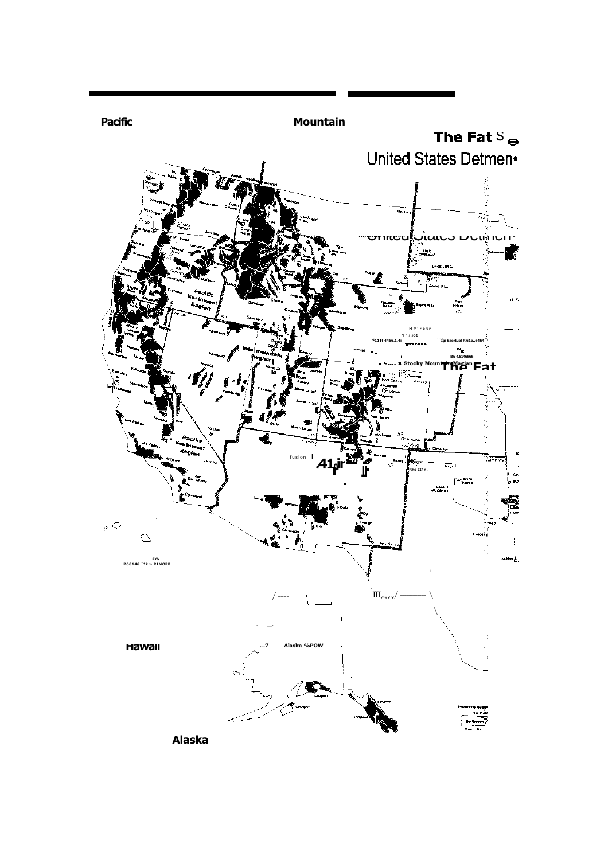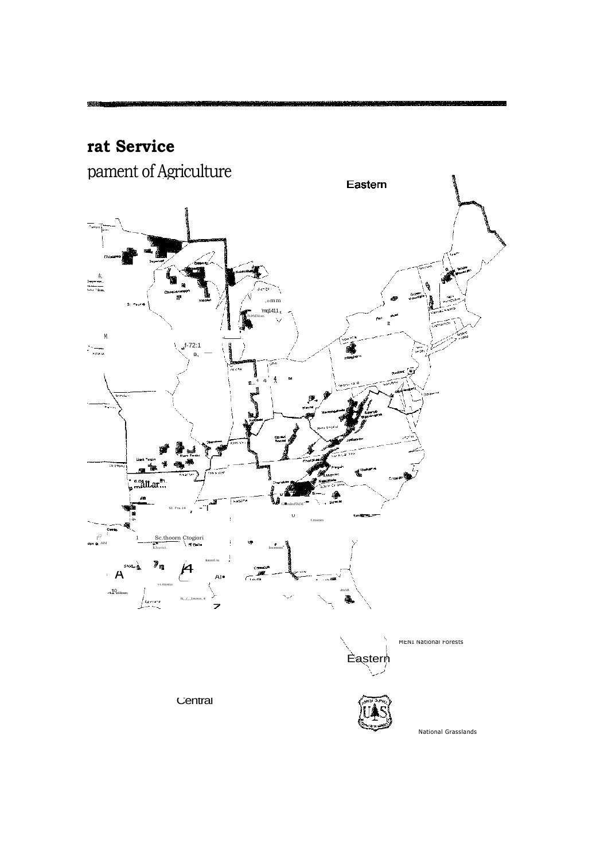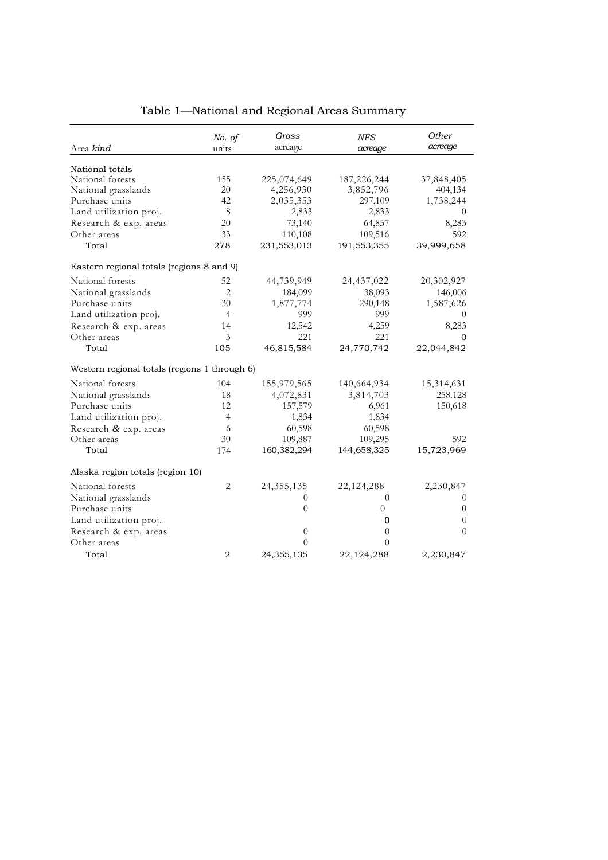|                                               | No. of<br>units | Gross<br>acreage | <b>NFS</b>     | Other<br>acreage |
|-----------------------------------------------|-----------------|------------------|----------------|------------------|
| Area kind                                     |                 |                  | acreage        |                  |
| National totals                               |                 |                  |                |                  |
| National forests                              | 155             | 225,074,649      | 187,226,244    | 37,848,405       |
| National grasslands                           | 20              | 4,256,930        | 3,852,796      | 404,134          |
| Purchase units                                | 42              | 2,035,353        | 297,109        | 1,738,244        |
| Land utilization proj.                        | 8               | 2,833            | 2,833          | $\theta$         |
| Research & exp. areas                         | 20              | 73,140           | 64,857         | 8,283            |
| Other areas                                   | 33              | 110,108          | 109,516        | 592              |
| Total                                         | 278             | 231,553,013      | 191,553,355    | 39,999,658       |
| Eastern regional totals (regions 8 and 9)     |                 |                  |                |                  |
| National forests                              | 52              | 44,739,949       | 24,437,022     | 20,302,927       |
| National grasslands                           | 2               | 184,099          | 38,093         | 146,006          |
| Purchase units                                | 30              | 1,877,774        | 290,148        | 1,587,626        |
| Land utilization proj.                        | 4               | 999              | 999            | $\theta$         |
| Research & exp. areas                         | 14              | 12,542           | 4,259          | 8,283            |
| Other areas                                   | 3               | 221              | 221            | $\Omega$         |
| Total                                         | 105             | 46,815,584       | 24,770,742     | 22,044,842       |
| Western regional totals (regions 1 through 6) |                 |                  |                |                  |
| National forests                              | 104             | 155,979,565      | 140,664,934    | 15,314,631       |
| National grasslands                           | 18              | 4,072,831        | 3,814,703      | 258.128          |
| Purchase units                                | 12              | 157,579          | 6,961          | 150,618          |
| Land utilization proj.                        | 4               | 1,834            | 1,834          |                  |
| Research & exp. areas                         | 6               | 60,598           | 60,598         |                  |
| Other areas                                   | 30              | 109,887          | 109,295        | 592              |
| Total                                         | 174             | 160,382,294      | 144,658,325    | 15,723,969       |
| Alaska region totals (region 10)              |                 |                  |                |                  |
| National forests                              | 2               | 24, 355, 135     | 22, 124, 288   | 2,230,847        |
| National grasslands                           |                 | 0                | $\Omega$       | $\Omega$         |
| Purchase units                                |                 | $\overline{0}$   | $\overline{0}$ | $\theta$         |
| Land utilization proj.                        |                 |                  | 0              | $\theta$         |
| Research & exp. areas                         |                 | $\overline{0}$   | $\theta$       | $\theta$         |
| Other areas                                   |                 | $\Omega$         | $\theta$       |                  |
| Total                                         | $\overline{2}$  | 24,355,135       | 22,124,288     | 2,230,847        |

# Table 1—National and Regional Areas Summary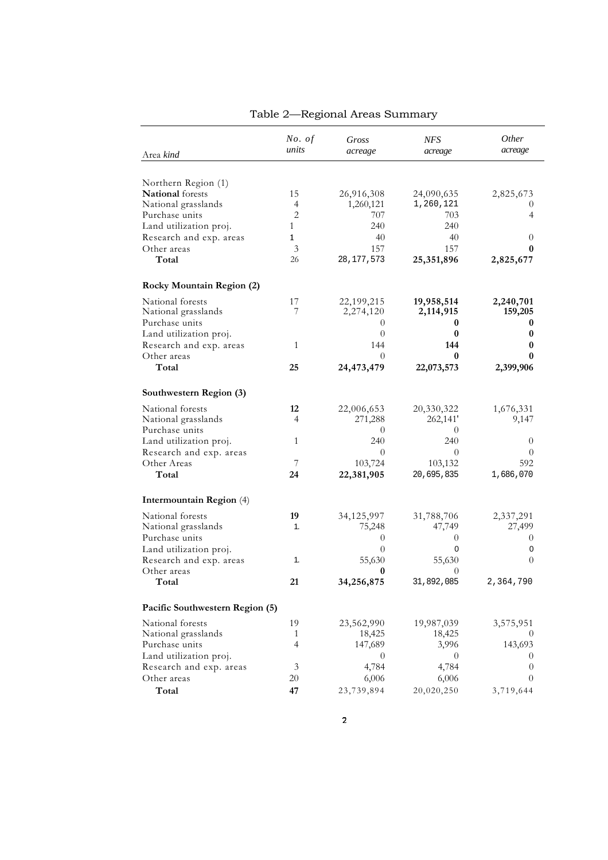| Area kind                        | No. of<br>units | Gross<br>acreage | NFS<br>acreage | <i>Other</i><br>acreage |
|----------------------------------|-----------------|------------------|----------------|-------------------------|
|                                  |                 |                  |                |                         |
| Northern Region (1)              |                 |                  |                |                         |
| National forests                 | 15              | 26,916,308       | 24,090,635     | 2,825,673               |
| National grasslands              | 4               | 1,260,121        | 1,260,121      | $\theta$                |
| Purchase units                   | $\mathbf{2}$    | 707              | 703            | 4                       |
| Land utilization proj.           | $\mathbf{1}$    | 240              | 240            |                         |
| Research and exp. areas          | $\mathbf{1}$    | 40               | 40             | $\theta$                |
| Other areas                      | 3               | 157              | 157            | 0                       |
| Total                            | 26              | 28, 177, 573     | 25,351,896     | 2,825,677               |
| <b>Rocky Mountain Region (2)</b> |                 |                  |                |                         |
| National forests                 | 17              | 22,199,215       | 19,958,514     | 2,240,701               |
| National grasslands              | 7               | 2,274,120        | 2,114,915      | 159,205                 |
| Purchase units                   |                 | $\theta$         | 0              | 0                       |
| Land utilization proj.           |                 | $\theta$         | $\bf{0}$       | 0                       |
| Research and exp. areas          | 1               | 144              | 144            | 0                       |
| Other areas                      |                 | $\Omega$         | 0              | 0                       |
| Total                            | 25              | 24,473,479       | 22,073,573     | 2,399,906               |
| Southwestern Region (3)          |                 |                  |                |                         |
| National forests                 | 12              | 22,006,653       | 20,330,322     | 1,676,331               |
| National grasslands              | 4               | 271,288          | 262,141'       | 9,147                   |
| Purchase units                   |                 | $\theta$         | 0              |                         |
| Land utilization proj.           | 1               | 240              | 240            | $\overline{0}$          |
| Research and exp. areas          |                 | $\theta$         | $\Omega$       | $\theta$                |
| Other Areas                      | 7               | 103,724          | 103,132        | 592                     |
| Total                            | 24              | 22,381,905       | 20,695,835     | 1,686,070               |
| Intermountain Region (4)         |                 |                  |                |                         |
| National forests                 | 19              | 34,125,997       | 31,788,706     | 2,337,291               |
| National grasslands              | 1.              | 75,248           | 47,749         | 27,499                  |
| Purchase units                   |                 | $\theta$         | $\theta$       | $\theta$                |
| Land utilization proj.           |                 | $\theta$         | $\mathbf 0$    | 0                       |
| Research and exp. areas          | 1.              | 55,630           | 55,630         | $\Omega$                |
| Other areas                      |                 | 0                | $\theta$       |                         |
| Total                            | 21              | 34,256,875       | 31,892,085     | 2,364,790               |
|                                  |                 |                  |                |                         |
| Pacific Southwestern Region (5)  |                 |                  |                |                         |
| National forests                 | 19              | 23,562,990       | 19,987,039     | 3,575,951               |
| National grasslands              | 1               | 18,425           | 18,425         | $\theta$                |
| Purchase units                   | 4               | 147,689          | 3,996          | 143,693                 |
| Land utilization proj.           |                 | $\theta$         | $\theta$       | $\theta$                |
| Research and exp. areas          | 3               | 4,784            | 4,784          | $\theta$                |
| Other areas                      | 20              | 6,006            | 6,006          | $\theta$                |
| Total                            | 47              | 23,739,894       | 20,020,250     | 3,719,644               |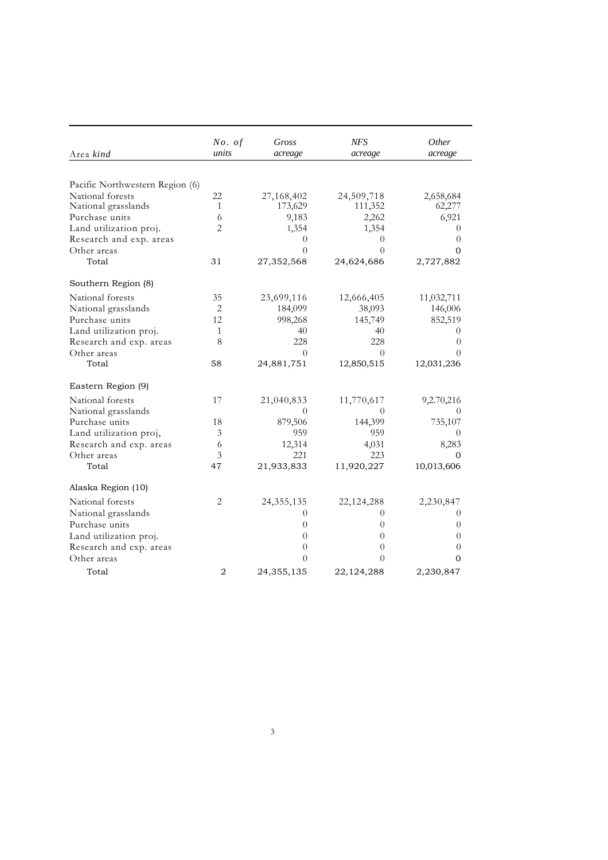| Area kind                       | No. of<br>units | Gross<br>acreage | <b>NFS</b><br>acreage | <i>Other</i><br>acreage |
|---------------------------------|-----------------|------------------|-----------------------|-------------------------|
|                                 |                 |                  |                       |                         |
| Pacific Northwestern Region (6) |                 |                  |                       |                         |
| National forests                | 22              | 27,168,402       | 24,509,718            | 2,658,684               |
| National grasslands             | 1               | 173,629          | 111,352               | 62,277                  |
| Purchase units                  | 6               | 9,183            | 2,262                 | 6,921                   |
| Land utilization proj.          | $\overline{2}$  | 1,354            | 1,354                 | 0                       |
| Research and exp. areas         |                 | $\theta$         | 0                     | $\theta$                |
| Other areas                     |                 | $\Omega$         | $\Omega$              | $\Omega$                |
| Total                           | 31              | 27,352,568       | 24,624,686            | 2,727,882               |
| Southern Region (8)             |                 |                  |                       |                         |
| National forests                | 35              | 23,699,116       | 12,666,405            | 11,032,711              |
| National grasslands             | 2               | 184,099          | 38,093                | 146,006                 |
| Purchase units                  | 12              | 998,268          | 145,749               | 852,519                 |
| Land utilization proj.          | $\mathbf{1}$    | 40               | 40                    | 0                       |
| Research and exp. areas         | 8               | 228              | 228                   | $\theta$                |
| Other areas                     |                 | $\Omega$         | 0                     | 0                       |
| Total                           | 58              | 24,881,751       | 12,850,515            | 12,031,236              |
| Eastern Region (9)              |                 |                  |                       |                         |
| National forests                | 17              | 21,040,833       | 11,770,617            | 9,2.70,216              |
| National grasslands             |                 | $\theta$         | $\theta$              |                         |
| Purchase units                  | 18              | 879,506          | 144,399               | 735,107                 |
| Land utilization proj,          | $\mathfrak{Z}$  | 959              | 959                   | 0                       |
| Research and exp. areas         | 6               | 12,314           | 4,031                 | 8,283                   |
| Other areas                     | 3               | 221              | 223                   | 0                       |
| Total                           | 47              | 21,933,833       | 11,920,227            | 10,013,606              |
| Alaska Region (10)              |                 |                  |                       |                         |
| National forests                | 2               | 24, 355, 135     | 22,124,288            | 2,230,847               |
| National grasslands             |                 | $\theta$         | $\theta$              | 0                       |
| Purchase units                  |                 | $\theta$         | $\theta$              | $\theta$                |
| Land utilization proj.          |                 | $\overline{0}$   | 0                     | $\theta$                |
| Research and exp. areas         |                 | $\theta$         | $\overline{0}$        | $\theta$                |
| Other areas                     |                 | $\theta$         | $\theta$              | $\Omega$                |
| Total                           | $\overline{2}$  | 24,355,135       | 22,124,288            | 2,230,847               |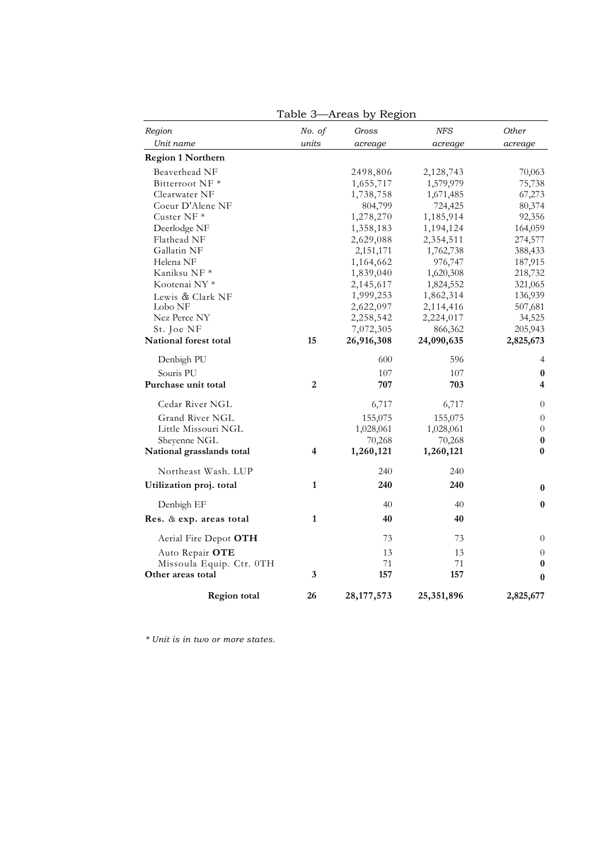| Region                    | No. of         | Gross        | NFS        | Other          |
|---------------------------|----------------|--------------|------------|----------------|
| Unit name                 | units          | acreage      | acreage    | acreage        |
| <b>Region 1 Northern</b>  |                |              |            |                |
| Beaverhead NF             |                | 2498,806     | 2,128,743  | 70,063         |
| Bitterroot NF*            |                | 1,655,717    | 1,579,979  | 75,738         |
| Clearwater NF             |                | 1,738,758    | 1,671,485  | 67,273         |
| Coeur D'Alene NF          |                | 804,799      | 724,425    | 80,374         |
| Custer NF $*$             |                | 1,278,270    | 1,185,914  | 92,356         |
| Deerlodge NF              |                | 1,358,183    | 1,194,124  | 164,059        |
| Flathead NF               |                | 2,629,088    | 2,354,511  | 274,577        |
| Gallatin NF               |                | 2,151,171    | 1,762,738  | 388,433        |
| Helena NF                 |                | 1,164,662    | 976,747    | 187,915        |
| Kaniksu NF *              |                | 1,839,040    | 1,620,308  | 218,732        |
| Kootenai NY <sup>*</sup>  |                | 2,145,617    | 1,824,552  | 321,065        |
| Lewis & Clark NF          |                | 1,999,253    | 1,862,314  | 136,939        |
| Lobo NF                   |                | 2,622,097    | 2,114,416  | 507,681        |
| Nez Perce NY              |                | 2,258,542    | 2,224,017  | 34,525         |
| St. Joe NF                |                | 7,072,305    | 866,362    | 205,943        |
| National forest total     | 15             | 26,916,308   | 24,090,635 | 2,825,673      |
| Denbigh PU                |                | 600          | 596        | 4              |
| Souris PU                 |                | 107          | 107        | 0              |
| Purchase unit total       | $\overline{2}$ | 707          | 703        | 4              |
| Cedar River NGL           |                | 6,717        | 6,717      | $\overline{0}$ |
| Grand River NGL           |                | 155,075      | 155,075    | $\overline{0}$ |
| Little Missouri NGL       |                | 1,028,061    | 1,028,061  | $\overline{0}$ |
| Sheyenne NGL              |                | 70,268       | 70,268     | 0              |
| National grasslands total | 4              | 1,260,121    | 1,260,121  | $\bf{0}$       |
| Northeast Wash. LUP       |                | 240          | 240        |                |
| Utilization proj. total   | 1              | 240          | 240        | $\bf{0}$       |
| Denbigh EF                |                | 40           | 40         | $\bf{0}$       |
| Res. & exp. areas total   | $\mathbf{1}$   | 40           | 40         |                |
| Aerial Fire Depot OTH     |                | 73           | 73         | $\theta$       |
| Auto Repair OTE           |                | 13           | 13         | $\overline{0}$ |
| Missoula Equip. Ctr. 0TH  |                | 71           | 71         | $\bf{0}$       |
| Other areas total         | 3              | 157          | 157        | $\bf{0}$       |
| <b>Region total</b>       | 26             | 28, 177, 573 | 25,351,896 | 2,825,677      |

Table 3—Areas by Region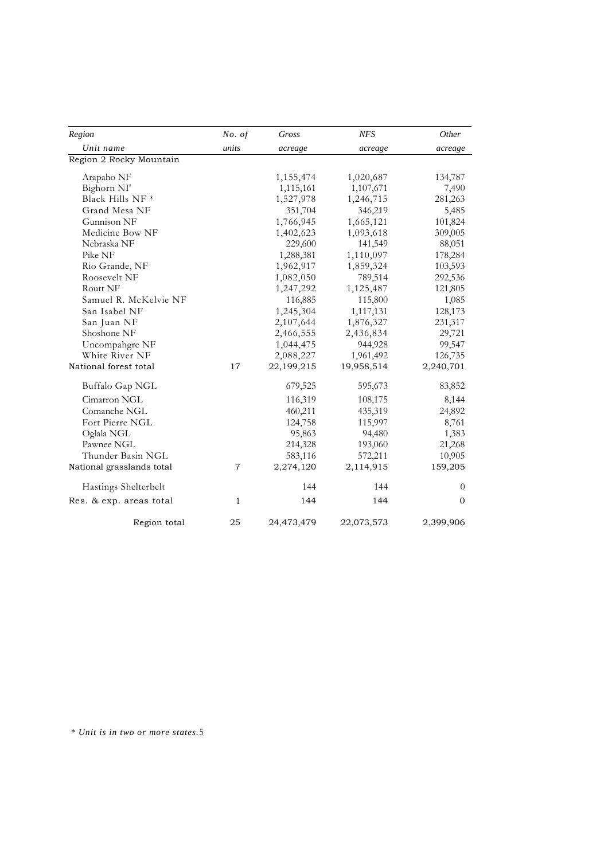| Region                    | No. of         | Gross      | <b>NFS</b> | Other        |
|---------------------------|----------------|------------|------------|--------------|
| Unit name                 | units          | acreage    | acreage    | acreage      |
| Region 2 Rocky Mountain   |                |            |            |              |
| Arapaho NF                |                | 1,155,474  | 1,020,687  | 134,787      |
| Bighorn NI'               |                | 1,115,161  | 1,107,671  | 7,490        |
| Black Hills NF *          |                | 1,527,978  | 1,246,715  | 281,263      |
| Grand Mesa NF             |                | 351,704    | 346,219    | 5,485        |
| Gunnison NF               |                | 1,766,945  | 1,665,121  | 101,824      |
| Medicine Bow NF           |                | 1,402,623  | 1,093,618  | 309,005      |
| Nebraska NF               |                | 229,600    | 141,549    | 88,051       |
| Pike NF                   |                | 1,288,381  | 1,110,097  | 178,284      |
| Rio Grande, NF            |                | 1,962,917  | 1,859,324  | 103,593      |
| Roosevelt NF              |                | 1,082,050  | 789,514    | 292,536      |
| Routt NF                  |                | 1,247,292  | 1,125,487  | 121,805      |
| Samuel R. McKelvie NF     |                | 116,885    | 115,800    | 1,085        |
| San Isabel NF             |                | 1,245,304  | 1,117,131  | 128,173      |
| San Juan NF               |                | 2,107,644  | 1,876,327  | 231,317      |
| Shoshone NF               |                | 2,466,555  | 2,436,834  | 29,721       |
| Uncompahgre NF            |                | 1,044,475  | 944,928    | 99,547       |
| White River NF            |                | 2,088,227  | 1,961,492  | 126,735      |
| National forest total     | 17             | 22,199,215 | 19,958,514 | 2,240,701    |
| Buffalo Gap NGL           |                | 679,525    | 595,673    | 83,852       |
| Cimarron NGL              |                | 116,319    | 108,175    | 8,144        |
| Comanche NGL              |                | 460,211    | 435,319    | 24,892       |
| Fort Pierre NGL           |                | 124,758    | 115,997    | 8,761        |
| Oglala NGL                |                | 95,863     | 94,480     | 1,383        |
| Pawnee NGL                |                | 214,328    | 193,060    | 21,268       |
| Thunder Basin NGL         |                | 583,116    | 572,211    | 10,905       |
| National grasslands total | $\overline{7}$ | 2,274,120  | 2,114,915  | 159,205      |
| Hastings Shelterbelt      |                | 144        | 144        | $\theta$     |
| Res. & exp. areas total   | 1              | 144        | 144        | $\mathbf{0}$ |
| Region total              | 25             | 24,473,479 | 22,073,573 | 2,399,906    |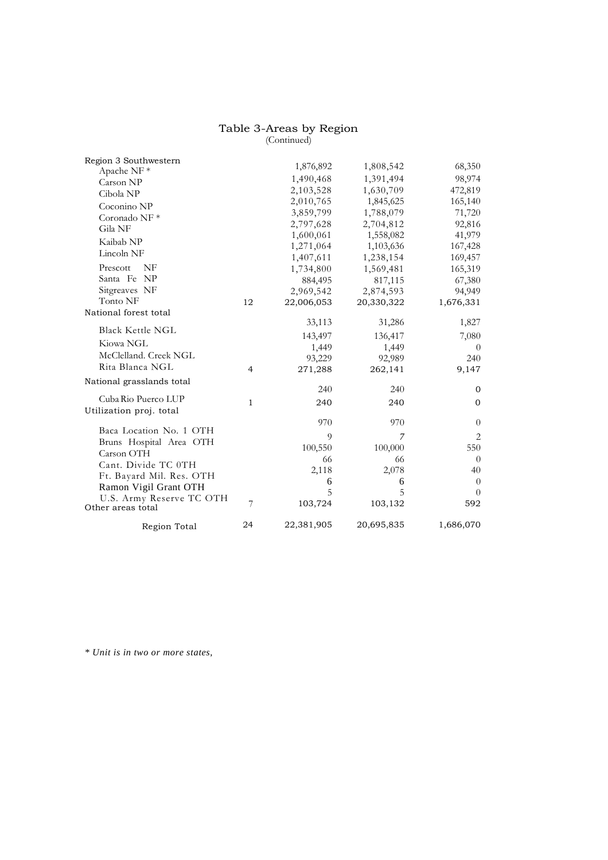#### Table 3-Areas by Region (Continued)

| Region 3 Southwestern                         |                | 1,876,892  | 1,808,542  | 68,350         |
|-----------------------------------------------|----------------|------------|------------|----------------|
| Apache NF <sup>*</sup>                        |                |            |            |                |
| Carson NP                                     |                | 1,490,468  | 1,391,494  | 98,974         |
| Cibola NP                                     |                | 2,103,528  | 1,630,709  | 472,819        |
| Coconino NP                                   |                | 2,010,765  | 1,845,625  | 165,140        |
| Coronado NF <sup>*</sup>                      |                | 3,859,799  | 1,788,079  | 71,720         |
| Gila NF                                       |                | 2,797,628  | 2,704,812  | 92,816         |
| Kaibab NP                                     |                | 1,600,061  | 1,558,082  | 41,979         |
| Lincoln NF                                    |                | 1,271,064  | 1,103,636  | 167,428        |
|                                               |                | 1,407,611  | 1,238,154  | 169,457        |
| <b>NF</b><br>Prescott                         |                | 1,734,800  | 1,569,481  | 165,319        |
| Santa Fe NP                                   |                | 884,495    | 817,115    | 67,380         |
| Sitgreaves NF                                 |                | 2,969,542  | 2,874,593  | 94,949         |
| Tonto NF                                      | 12             | 22,006,053 | 20,330,322 | 1,676,331      |
| National forest total                         |                |            |            |                |
| <b>Black Kettle NGL</b>                       |                | 33,113     | 31,286     | 1,827          |
|                                               |                | 143,497    | 136,417    | 7,080          |
| Kiowa NGL                                     |                | 1,449      | 1,449      | $\theta$       |
| McClelland. Creek NGL                         |                | 93,229     | 92,989     | 240            |
| Rita Blanca NGL                               | $\overline{4}$ | 271,288    | 262,141    | 9,147          |
| National grasslands total                     |                |            |            |                |
|                                               |                | 240        | 240        | $\mathbf{0}$   |
| Cuba Rio Puerco LUP                           | $\mathbf{1}$   | 240        | 240        | $\mathbf{0}$   |
| Utilization proj. total                       |                |            |            |                |
| Baca Location No. 1 OTH                       |                | 970        | 970        | $\theta$       |
|                                               |                | 9          | 7          | $\overline{2}$ |
| Bruns Hospital Area OTH<br>Carson OTH         |                | 100,550    | 100,000    | 550            |
|                                               |                | 66         | 66         | $\theta$       |
| Cant. Divide TC 0TH                           |                | 2,118      | 2,078      | 40             |
| Ft. Bayard Mil. Res. OTH                      |                | 6          | 6          | $\theta$       |
| Ramon Vigil Grant OTH                         |                | 5          | 5          | 0              |
| U.S. Army Reserve TC OTH<br>Other areas total | 7              | 103,724    | 103,132    | 592            |
| Region Total                                  | 24             | 22,381,905 | 20,695,835 | 1,686,070      |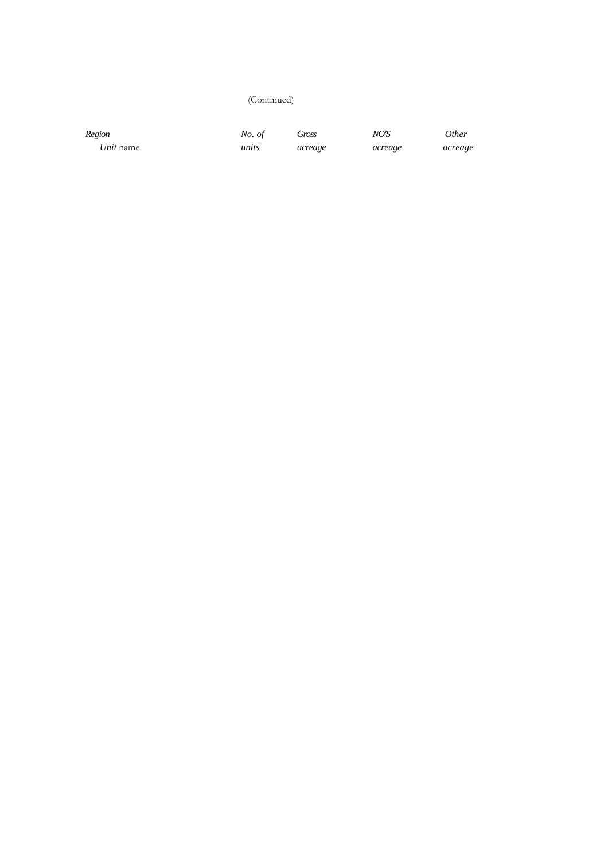### (Continued)

*Region No. of Gross NO'S Other Unit* name *units acreage acreage acreage*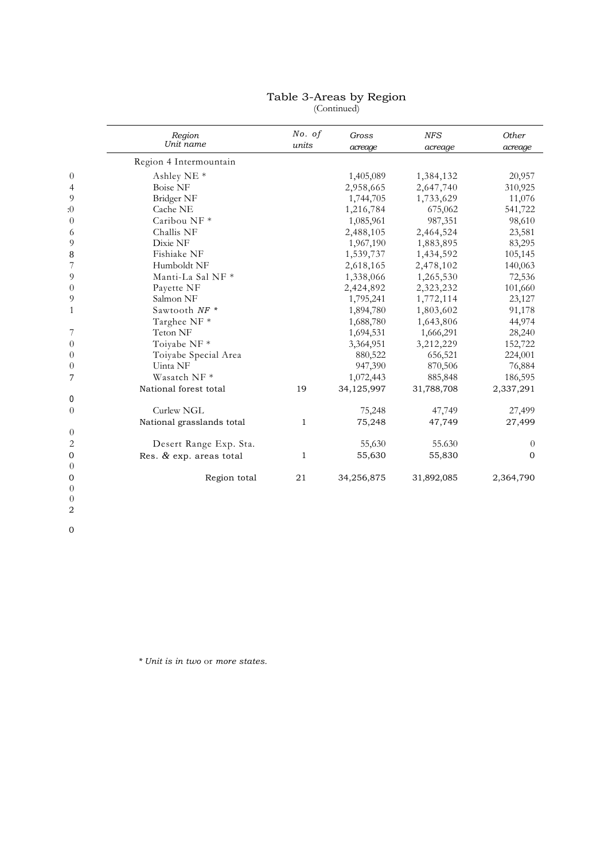#### Table 3-Areas by Region (Continued)

| Region<br>Unit name       | No. of<br>units | Gross<br>acreage | <b>NFS</b><br>acreage | Other<br>acreage |
|---------------------------|-----------------|------------------|-----------------------|------------------|
| Region 4 Intermountain    |                 |                  |                       |                  |
| Ashley NE <sup>*</sup>    |                 | 1,405,089        | 1,384,132             | 20,957           |
| <b>Boise NF</b>           |                 | 2,958,665        | 2,647,740             | 310,925          |
| Bridger NF                |                 | 1,744,705        | 1,733,629             | 11,076           |
| Cache NE                  |                 | 1,216,784        | 675,062               | 541,722          |
| Caribou NF*               |                 | 1,085,961        | 987,351               | 98,610           |
| Challis NF                |                 | 2,488,105        | 2,464,524             | 23,581           |
| Dixie NF                  |                 | 1,967,190        | 1,883,895             | 83,295           |
| Fishiake NF               |                 | 1,539,737        | 1,434,592             | 105,145          |
| Humboldt NF               |                 | 2,618,165        | 2,478,102             | 140,063          |
| Manti-La Sal NF *         |                 | 1,338,066        | 1,265,530             | 72,536           |
| Payette NF                |                 | 2,424,892        | 2,323,232             | 101,660          |
| Salmon NF                 |                 | 1,795,241        | 1,772,114             | 23,127           |
| Sawtooth NF *             |                 | 1,894,780        | 1,803,602             | 91,178           |
| Targhee NF *              |                 | 1,688,780        | 1,643,806             | 44,974           |
| Teton NF                  |                 | 1,694,531        | 1,666,291             | 28,240           |
| Toiyabe NF <sup>*</sup>   |                 | 3,364,951        | 3,212,229             | 152,722          |
| Toiyabe Special Area      |                 | 880,522          | 656,521               | 224,001          |
| Uinta NF                  |                 | 947,390          | 870,506               | 76,884           |
| Wasatch NF <sup>*</sup>   |                 | 1,072,443        | 885,848               | 186,595          |
| National forest total     | 19              | 34,125,997       | 31,788,708            | 2,337,291        |
|                           |                 |                  |                       |                  |
| Curlew NGL                |                 | 75,248           | 47,749                | 27,499           |
| National grasslands total | $\mathbf{1}$    | 75,248           | 47,749                | 27,499           |
|                           |                 |                  |                       |                  |
| Desert Range Exp. Sta.    |                 | 55,630           | 55.630                | $\theta$         |
| Res. & exp. areas total   | 1               | 55,630           | 55,830                | $\mathbf{0}$     |
|                           |                 |                  |                       |                  |
| Region total              | 21              | 34,256,875       | 31,892,085            | 2,364,790        |
|                           |                 |                  |                       |                  |
|                           |                 |                  |                       |                  |

*\* Unit is in two* or *more states.*

2 0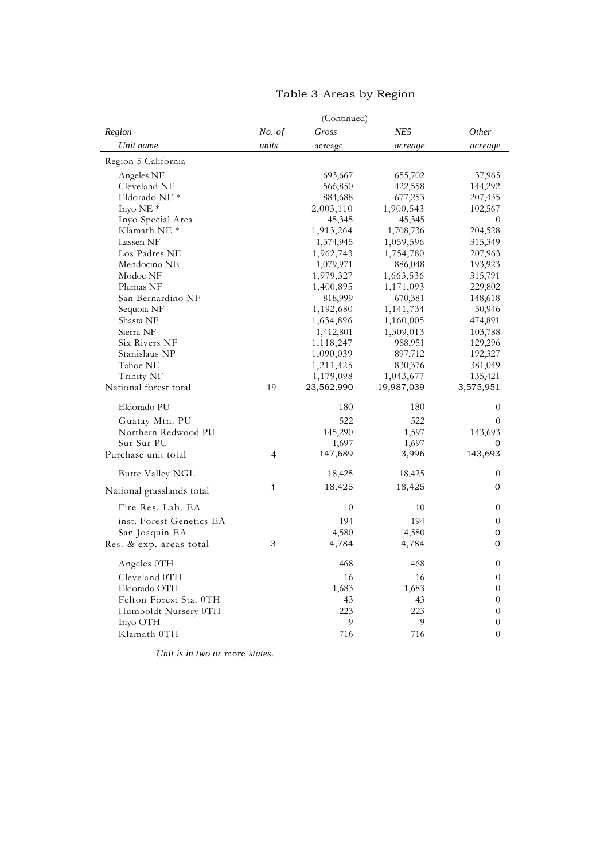|                           | (Continued) |            |             |                |
|---------------------------|-------------|------------|-------------|----------------|
| Region                    | No. of      | Gross      | NE5         | Other          |
| Unit name                 | units       | acreage    | acreage     | acreage        |
| Region 5 California       |             |            |             |                |
| Angeles NF                |             | 693,667    | 655,702     | 37,965         |
| Cleveland NF              |             | 566,850    | 422,558     | 144,292        |
| Eldorado NE <sup>*</sup>  |             | 884,688    | 677,253     | 207,435        |
| Inyo NE $*$               |             | 2,003,110  | 1,900,543   | 102,567        |
| Inyo Special Area         |             | 45,345     | 45,345      | $\theta$       |
| Klamath NE <sup>*</sup>   |             | 1,913,264  | 1,708,736   | 204,528        |
| Lassen NF                 |             | 1,374,945  | 1,059,596   | 315,349        |
| Los Padres NE             |             | 1,962,743  | 1,754,780   | 207,963        |
| Mendocino NE              |             | 1,079,971  | 886,048     | 193,923        |
| Modoc NF                  |             | 1,979,327  | 1,663,536   | 315,791        |
| Plumas NF                 |             | 1,400,895  | 1,171,093   | 229,802        |
| San Bernardino NF         |             | 818,999    | 670,381     | 148,618        |
| Sequoia NF                |             | 1,192,680  | 1, 141, 734 | 50,946         |
| Shasta NF                 |             | 1,634,896  | 1,160,005   | 474,891        |
| Sierra NF                 |             | 1,412,801  | 1,309,013   | 103,788        |
| Six Rivers NF             |             | 1,118,247  | 988,951     | 129,296        |
| Stanislaus NP             |             | 1,090,039  | 897,712     | 192,327        |
| Tahoe NE                  |             | 1,211,425  | 830,376     | 381,049        |
| Trinity NF                |             | 1,179,098  | 1,043,677   | 135,421        |
| National forest total     | 19          | 23,562,990 | 19,987,039  | 3,575,951      |
|                           |             |            |             |                |
| Eldorado PU               |             | 180        | 180         | $\theta$       |
| Guatay Mtn. PU            |             | 522        | 522         | $\theta$       |
| Northern Redwood PU       |             | 145,290    | 1,597       | 143,693        |
| Sur Sur PU                |             | 1,697      | 1,697       | 0              |
| Purchase unit total       | 4           | 147,689    | 3,996       | 143,693        |
| Butte Valley NGL          |             | 18,425     | 18,425      | $\overline{0}$ |
|                           | 1           | 18,425     | 18,425      | $\mathbf 0$    |
| National grasslands total |             |            |             |                |
| Fire Res. Lab. EA         |             | 10         | 10          | 0              |
| inst. Forest Genetics EA  |             | 194        | 194         | $\overline{0}$ |
| San Joaquin EA            |             | 4,580      | 4,580       | $\mathbf 0$    |
| Res. & exp. areas total   | 3           | 4,784      | 4,784       | $\mathbf{O}$   |
| Angeles 0TH               |             | 468        | 468         | 0              |
| Cleveland 0TH             |             | 16         | 16          | $\overline{0}$ |
| Eldorado OTH              |             | 1,683      | 1,683       | $\theta$       |
| Felton Forest Sta. 0TH    |             | 43         | 43          | $\overline{0}$ |
| Humboldt Nursery 0TH      |             | 223        | 223         | $\overline{0}$ |
| Inyo OTH                  |             | 9          | 9           | 0              |
| Klamath 0TH               |             | 716        | 716         | $\theta$       |
|                           |             |            |             |                |

# Table 3-Areas by Region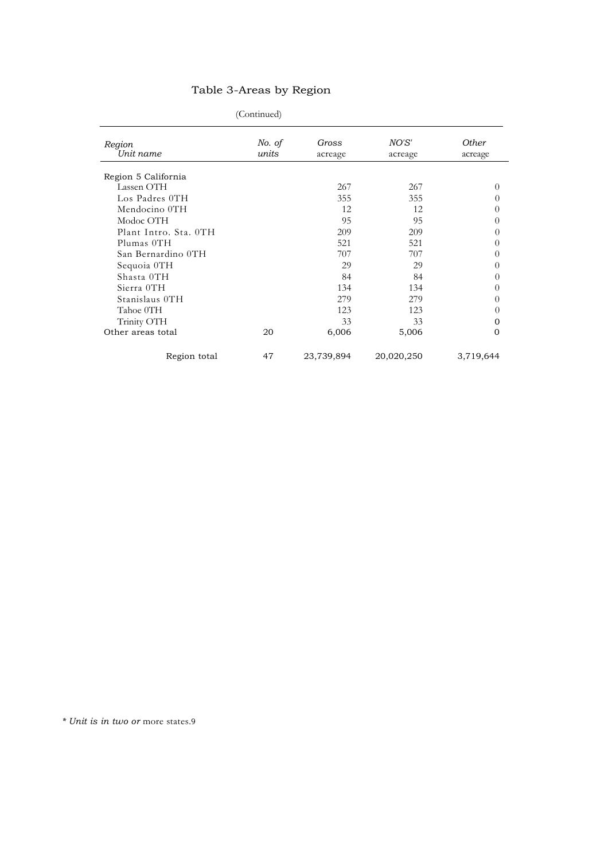# Table 3-Areas by Region

| (Continued) |  |
|-------------|--|
|             |  |

| (Continued)           |                 |                  |                  |                         |  |
|-----------------------|-----------------|------------------|------------------|-------------------------|--|
| Region<br>Unit name   | No. of<br>units | Gross<br>acreage | NO'S'<br>acreage | <b>Other</b><br>acreage |  |
| Region 5 California   |                 |                  |                  |                         |  |
| Lassen OTH            |                 | 267              | 267              | $\Omega$                |  |
| Los Padres 0TH        |                 | 355              | 355              | $\Omega$                |  |
| Mendocino 0TH         |                 | 12               | 12               | 0                       |  |
| Modoc OTH             |                 | 95               | 95               | 0                       |  |
| Plant Intro. Sta. 0TH |                 | 209              | 209              | $\Omega$                |  |
| Plumas 0TH            |                 | 521              | 521              | $\Omega$                |  |
| San Bernardino 0TH    |                 | 707              | 707              | 0                       |  |
| Sequoia 0TH           |                 | 29               | 29               | 0                       |  |
| Shasta OTH            |                 | 84               | 84               | $\Omega$                |  |
| Sierra OTH            |                 | 134              | 134              | 0                       |  |
| Stanislaus OTH        |                 | 279              | 279              | $\Omega$                |  |
| Tahoe 0TH             |                 | 123              | 123              | $\Omega$                |  |
| Trinity OTH           |                 | 33               | 33               | $\mathbf{0}$            |  |
| Other areas total     | 20              | 6,006            | 5,006            | $\mathbf{0}$            |  |
| Region total          | 47              | 23,739,894       | 20,020,250       | 3,719,644               |  |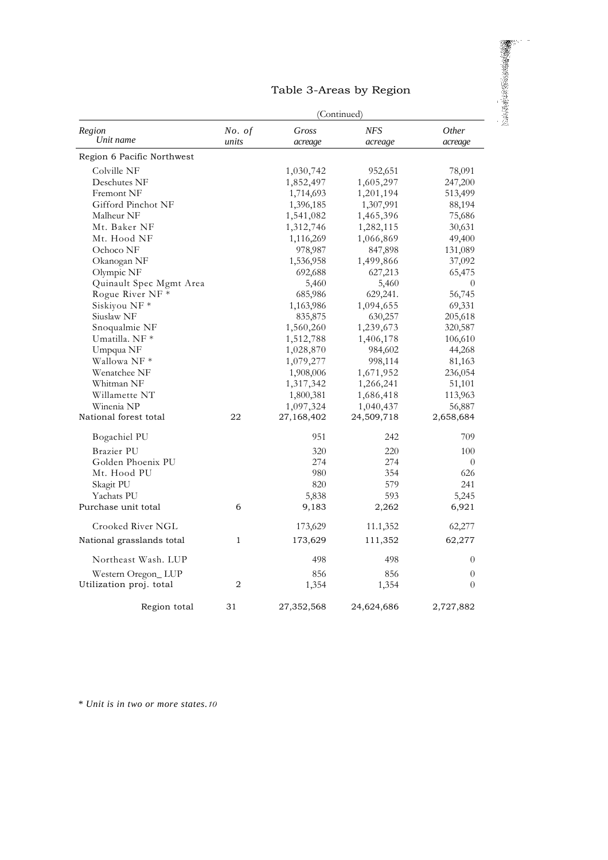| Table 3-Areas by Region |  |  |
|-------------------------|--|--|
|-------------------------|--|--|

 $\overline{\phantom{a}}$ 

|                            | (Continued)    |            |            |           |  |  |  |
|----------------------------|----------------|------------|------------|-----------|--|--|--|
| Region                     | No. of         | Gross      | <b>NFS</b> | Other     |  |  |  |
| Unit name                  | units          | acreage    | acreage    | acreage   |  |  |  |
| Region 6 Pacific Northwest |                |            |            |           |  |  |  |
| Colville NF                |                | 1,030,742  | 952,651    | 78,091    |  |  |  |
| Deschutes NF               |                | 1,852,497  | 1,605,297  | 247,200   |  |  |  |
| Fremont NF                 |                | 1,714,693  | 1,201,194  | 513,499   |  |  |  |
| Gifford Pinchot NF         |                | 1,396,185  | 1,307,991  | 88,194    |  |  |  |
| Malheur NF                 |                | 1,541,082  | 1,465,396  | 75,686    |  |  |  |
| Mt. Baker NF               |                | 1,312,746  | 1,282,115  | 30,631    |  |  |  |
| Mt. Hood NF                |                | 1,116,269  | 1,066,869  | 49,400    |  |  |  |
| Ochoco NF                  |                | 978,987    | 847,898    | 131,089   |  |  |  |
| Okanogan NF                |                | 1,536,958  | 1,499,866  | 37,092    |  |  |  |
| Olympic NF                 |                | 692,688    | 627,213    | 65,475    |  |  |  |
| Quinault Spec Mgmt Area    |                | 5,460      | 5,460      | $\theta$  |  |  |  |
| Rogue River NF *           |                | 685,986    | 629,241.   | 56,745    |  |  |  |
| Siskiyou NF *              |                | 1,163,986  | 1,094,655  | 69,331    |  |  |  |
| Siuslaw NF                 |                | 835,875    | 630,257    | 205,618   |  |  |  |
| Snoqualmie NF              |                | 1,560,260  | 1,239,673  | 320,587   |  |  |  |
| Umatilla. NF *             |                | 1,512,788  | 1,406,178  | 106,610   |  |  |  |
| Umpqua NF                  |                | 1,028,870  | 984,602    | 44,268    |  |  |  |
| Wallowa NF *               |                | 1,079,277  | 998,114    | 81,163    |  |  |  |
| Wenatchee NF               |                | 1,908,006  | 1,671,952  | 236,054   |  |  |  |
| Whitman NF                 |                | 1,317,342  | 1,266,241  | 51,101    |  |  |  |
| Willamette NT              |                | 1,800,381  | 1,686,418  | 113,963   |  |  |  |
| Winenia NP                 |                | 1,097,324  | 1,040,437  | 56,887    |  |  |  |
| National forest total      | 22             | 27,168,402 | 24,509,718 | 2,658,684 |  |  |  |
| Bogachiel PU               |                | 951        | 242        | 709       |  |  |  |
| <b>Brazier PU</b>          |                | 320        | 220        | 100       |  |  |  |
| Golden Phoenix PU          |                | 274        | 274        | $\theta$  |  |  |  |
| Mt. Hood PU                |                | 980        | 354        | 626       |  |  |  |
| Skagit PU                  |                | 820        | 579        | 241       |  |  |  |
| Yachats PU                 |                | 5,838      | 593        | 5,245     |  |  |  |
| Purchase unit total        | 6              | 9,183      | 2,262      | 6,921     |  |  |  |
| Crooked River NGL          |                | 173,629    | 11.1,352   | 62,277    |  |  |  |
| National grasslands total  | $\mathbf{1}$   | 173,629    | 111,352    | 62,277    |  |  |  |
| Northeast Wash. LUP        |                | 498        | 498        | $\theta$  |  |  |  |
| Western Oregon_LUP         |                | 856        | 856        | $\theta$  |  |  |  |
| Utilization proj. total    | $\overline{2}$ | 1,354      | 1,354      | $\theta$  |  |  |  |
| Region total               | 31             | 27,352,568 | 24,624,686 | 2,727,882 |  |  |  |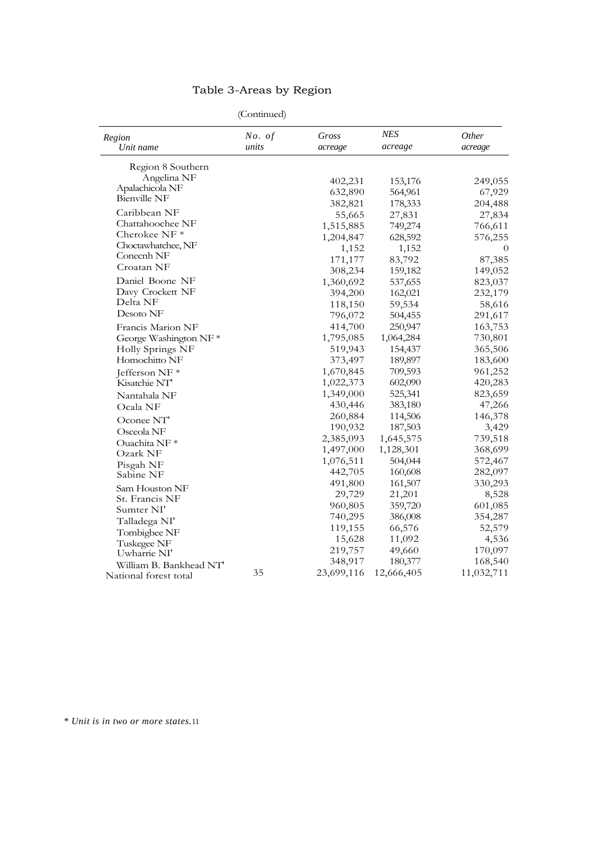# Table 3-Areas by Region

| (Continued) |  |
|-------------|--|
|             |  |

| (Continued)                                     |        |            |            |            |  |
|-------------------------------------------------|--------|------------|------------|------------|--|
| Region                                          | No. of | Gross      | <b>NES</b> | Other      |  |
| Unit name                                       | units  | acreage    | acreage    | acreage    |  |
| Region 8 Southern                               |        |            |            |            |  |
| Angelina NF                                     |        | 402,231    | 153,176    | 249,055    |  |
| Apalachicola NF                                 |        | 632,890    | 564,961    | 67,929     |  |
| <b>Bienville NF</b>                             |        | 382,821    | 178,333    | 204,488    |  |
| Caribbean NF                                    |        | 55,665     | 27,831     | 27,834     |  |
| Chattahoochee NF                                |        | 1,515,885  | 749,274    | 766,611    |  |
| Cherokee NF <sup>*</sup>                        |        | 1,204,847  | 628,592    | 576,255    |  |
| Choctawhatchee, NF                              |        | 1,152      | 1,152      | $\theta$   |  |
| Conecnh NF                                      |        | 171,177    | 83,792     | 87,385     |  |
| Croatan NF                                      |        | 308,234    | 159,182    | 149,052    |  |
| Daniel Boone NF                                 |        | 1,360,692  | 537,655    | 823,037    |  |
| Davy Crockett NF                                |        | 394,200    | 162,021    | 232,179    |  |
| Delta NF                                        |        | 118,150    | 59,534     | 58,616     |  |
| Desoto NF                                       |        | 796,072    | 504,455    | 291,617    |  |
| Francis Marion NF                               |        | 414,700    | 250,947    | 163,753    |  |
| George Washington NF*                           |        | 1,795,085  | 1,064,284  | 730,801    |  |
| Holly Springs NF                                |        | 519,943    | 154,437    | 365,506    |  |
| Homochitto NF                                   |        | 373,497    | 189,897    | 183,600    |  |
| Jefferson NF <sup>*</sup>                       |        | 1,670,845  | 709,593    | 961,252    |  |
| Kisatchie NT                                    |        | 1,022,373  | 602,090    | 420,283    |  |
| Nantahala NF                                    |        | 1,349,000  | 525,341    | 823,659    |  |
| Ocala NF                                        |        | 430,446    | 383,180    | 47,266     |  |
|                                                 |        | 260,884    | 114,506    | 146,378    |  |
| Oconee NT                                       |        | 190,932    | 187,503    | 3,429      |  |
| Osceola NF                                      |        | 2,385,093  | 1,645,575  | 739,518    |  |
| Ouachita NF <sup>*</sup>                        |        | 1,497,000  | 1,128,301  | 368,699    |  |
| Ozark NF                                        |        | 1,076,511  | 504,044    | 572,467    |  |
| Pisgah NF                                       |        | 442,705    | 160,608    | 282,097    |  |
| Sabine NF                                       |        | 491,800    | 161,507    | 330,293    |  |
| Sam Houston NF                                  |        | 29,729     | 21,201     | 8,528      |  |
| St. Francis NF                                  |        | 960,805    | 359,720    | 601,085    |  |
| Sumter NI'                                      |        | 740,295    | 386,008    | 354,287    |  |
| Talladega NI'                                   |        | 119,155    | 66,576     | 52,579     |  |
| Tombigbee NF                                    |        | 15,628     | 11,092     | 4,536      |  |
| Tuskegee NF                                     |        | 219,757    | 49,660     | 170,097    |  |
| Uwharne NI'                                     |        | 348,917    | 180,377    | 168,540    |  |
| William B. Bankhead NT<br>National forest total | 35     | 23,699,116 | 12,666,405 | 11,032,711 |  |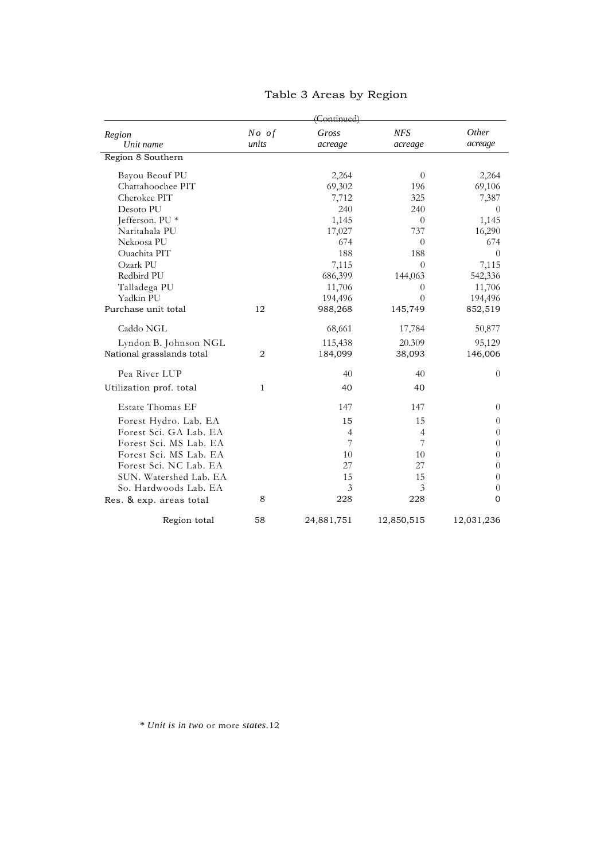| Region<br>Unit name       | No of<br>units | Gross<br>acreage | <b>NFS</b><br>acreage | Other<br>acreage |
|---------------------------|----------------|------------------|-----------------------|------------------|
| Region 8 Southern         |                |                  |                       |                  |
| Bayou Beouf PU            |                | 2,264            | $\theta$              | 2,264            |
| Chattahoochee PIT         |                | 69,302           | 196                   | 69,106           |
| Cherokee PIT              |                | 7,712            | 325                   | 7,387            |
| Desoto PU                 |                | 240              | 240                   | $\Omega$         |
| Jefferson. PU *           |                | 1,145            | $\theta$              | 1,145            |
| Naritahala PU             |                | 17,027           | 737                   | 16,290           |
| Nekoosa PU                |                | 674              | $\theta$              | 674              |
| Ouachita PIT              |                | 188              | 188                   | $\overline{0}$   |
| Ozark PU                  |                | 7,115            | $\theta$              | 7,115            |
| Redbird PU                |                | 686,399          | 144,063               | 542,336          |
| Talladega PU              |                | 11,706           | $\theta$              | 11,706           |
| Yadkin PU                 |                | 194,496          | $\Omega$              | 194,496          |
| Purchase unit total       | 12             | 988,268          | 145,749               | 852,519          |
| Caddo NGL                 |                | 68,661           | 17,784                | 50,877           |
| Lyndon B. Johnson NGL     |                | 115,438          | 20.309                | 95,129           |
| National grasslands total | 2              | 184,099          | 38,093                | 146,006          |
| Pea River LUP             |                | 40               | 40                    | $\overline{0}$   |
| Utilization prof. total   | 1              | 40               | 40                    |                  |
| Estate Thomas EF          |                | 147              | 147                   | $\theta$         |
| Forest Hydro. Lab. EA     |                | 15               | 15                    | $\theta$         |
| Forest Sci. GA Lab. EA    |                | 4                | $\overline{4}$        | $\theta$         |
| Forest Sci. MS Lab. EA    |                | 7                | 7                     | $\boldsymbol{0}$ |
| Forest Sci. MS Lab. EA    |                | 10               | 10                    | $\boldsymbol{0}$ |
| Forest Sci. NC Lab. EA    |                | 27               | 27                    | $\overline{0}$   |
| SUN. Watershed Lab. EA    |                | 15               | 15                    | $\overline{0}$   |
| So. Hardwoods Lab. EA     |                | 3                | 3                     | $\boldsymbol{0}$ |
| Res. & exp. areas total   | 8              | 228              | 228                   | 0                |
| Region total              | 58             | 24,881,751       | 12,850,515            | 12,031,236       |

# Table 3 Areas by Region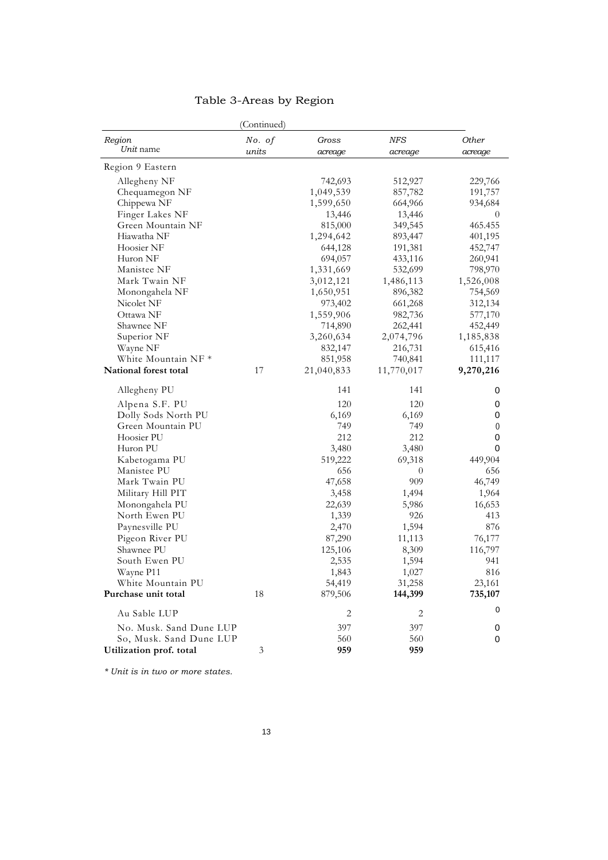# Table 3-Areas by Region

|                         | (Continued) |            |            |           |
|-------------------------|-------------|------------|------------|-----------|
| Region                  | No. of      | Gross      | <b>NFS</b> | Other     |
| Unit name               | units       | acreage    | acreage    | acreage   |
| Region 9 Eastern        |             |            |            |           |
| Allegheny NF            |             | 742,693    | 512,927    | 229,766   |
| Chequamegon NF          |             | 1,049,539  | 857,782    | 191,757   |
| Chippewa NF             |             | 1,599,650  | 664,966    | 934,684   |
| Finger Lakes NF         |             | 13,446     | 13,446     | 0         |
| Green Mountain NF       |             | 815,000    | 349,545    | 465.455   |
| Hiawatha NF             |             | 1,294,642  | 893,447    | 401,195   |
| Hoosier NF              |             | 644,128    | 191,381    | 452,747   |
| Huron NF                |             | 694,057    | 433,116    | 260,941   |
| Manistee NF             |             | 1,331,669  | 532,699    | 798,970   |
| Mark Twain NF           |             | 3,012,121  | 1,486,113  | 1,526,008 |
| Monongahela NF          |             | 1,650,951  | 896,382    | 754,569   |
| Nicolet NF              |             | 973,402    | 661,268    | 312,134   |
| Ottawa NF               |             | 1,559,906  | 982,736    | 577,170   |
| Shawnee NF              |             | 714,890    | 262,441    | 452,449   |
| Superior NF             |             | 3,260,634  | 2,074,796  | 1,185,838 |
| Wayne NF                |             | 832,147    | 216,731    | 615,416   |
| White Mountain NF *     |             | 851,958    | 740,841    | 111,117   |
| National forest total   | 17          | 21,040,833 | 11,770,017 | 9,270,216 |
| Allegheny PU            |             | 141        | 141        | 0         |
| Alpena S.F. PU          |             | 120        | 120        | 0         |
| Dolly Sods North PU     |             | 6,169      | 6,169      | 0         |
| Green Mountain PU       |             | 749        | 749        | 0         |
| Hoosier PU              |             | 212        | 212        | 0         |
| Huron PU                |             | 3,480      | 3,480      | 0         |
| Kabetogama PU           |             | 519,222    | 69,318     | 449,904   |
| Manistee PU             |             | 656        | $\theta$   | 656       |
| Mark Twain PU           |             | 47,658     | 909        | 46,749    |
| Military Hill PIT       |             | 3,458      | 1,494      | 1,964     |
| Monongahela PU          |             | 22,639     | 5,986      | 16,653    |
| North Ewen PU           |             | 1,339      | 926        | 413       |
| Paynesville PU          |             | 2,470      | 1,594      | 876       |
| Pigeon River PU         |             | 87,290     | 11,113     | 76,177    |
| Shawnee PU              |             | 125,106    | 8,309      | 116,797   |
| South Ewen PU           |             | 2,535      | 1,594      | 941       |
| Wayne P11               |             | 1,843      | 1,027      | 816       |
| White Mountain PU       |             | 54,419     | 31,258     | 23,161    |
| Purchase unit total     | 18          | 879,506    | 144,399    | 735,107   |
| Au Sable LUP            |             | 2          | 2          | 0         |
| No. Musk. Sand Dune LUP |             | 397        | 397        | 0         |
| So, Musk. Sand Dune LUP |             | 560        | 560        | 0         |
| Utilization prof. total | 3           | 959        | 959        |           |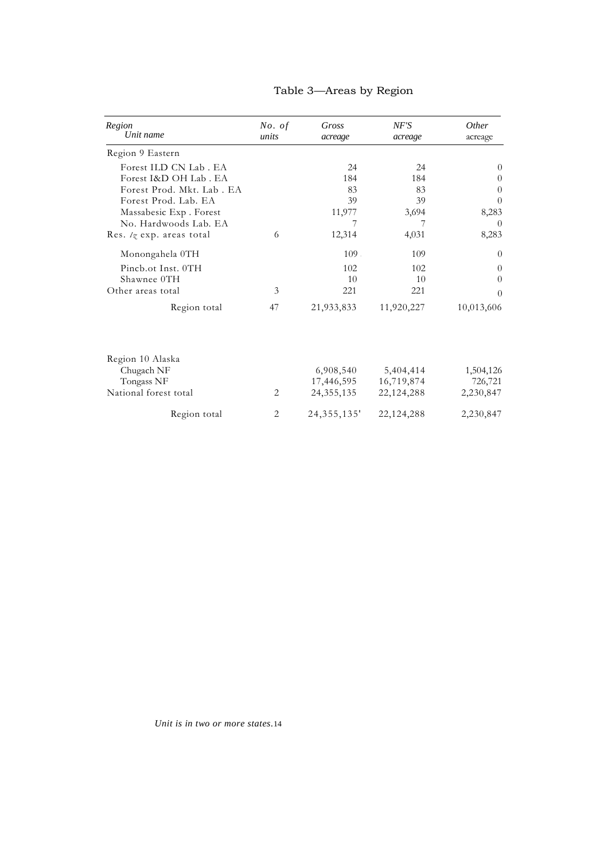| Region<br>Unit name              | No. of<br>units | Gross<br>acreage | NF'S<br>acreage | <i>Other</i><br>acreage |
|----------------------------------|-----------------|------------------|-----------------|-------------------------|
| Region 9 Eastern                 |                 |                  |                 |                         |
| Forest ILD CN Lab. EA            |                 | 24               | 24              | $\Omega$                |
| Forest I&D OH Lab. EA            |                 | 184              | 184             | 0                       |
| Forest Prod. Mkt. Lab. EA        |                 | 83               | 83              | 0                       |
| Forest Prod. Lab. EA             |                 | 39               | 39              | 0                       |
| Massabesic Exp. Forest           |                 | 11,977           | 3,694           | 8,283                   |
| No. Hardwoods Lab. EA            |                 | 7                | 7               | 0                       |
| Res. $\sqrt{z}$ exp. areas total | 6               | 12,314           | 4,031           | 8,283                   |
| Monongahela 0TH                  |                 | 109.             | 109             | $\theta$                |
| Pincb.ot Inst. 0TH               |                 | 102              | 102             | $\Omega$                |
| Shawnee 0TH                      |                 | 10               | 10              | $\theta$                |
| Other areas total                | 3               | 221              | 221             | $\Omega$                |
| Region total                     | 47              | 21,933,833       | 11,920,227      | 10,013,606              |
| Region 10 Alaska                 |                 |                  |                 |                         |
| Chugach NF                       |                 | 6,908,540        | 5,404,414       | 1,504,126               |
| Tongass NF                       |                 | 17,446,595       | 16,719,874      | 726,721                 |
| National forest total            | 2               | 24, 355, 135     | 22, 124, 288    | 2,230,847               |
| Region total                     | 2               | 24, 355, 135'    | 22,124,288      | 2,230,847               |

# Table 3—Areas by Region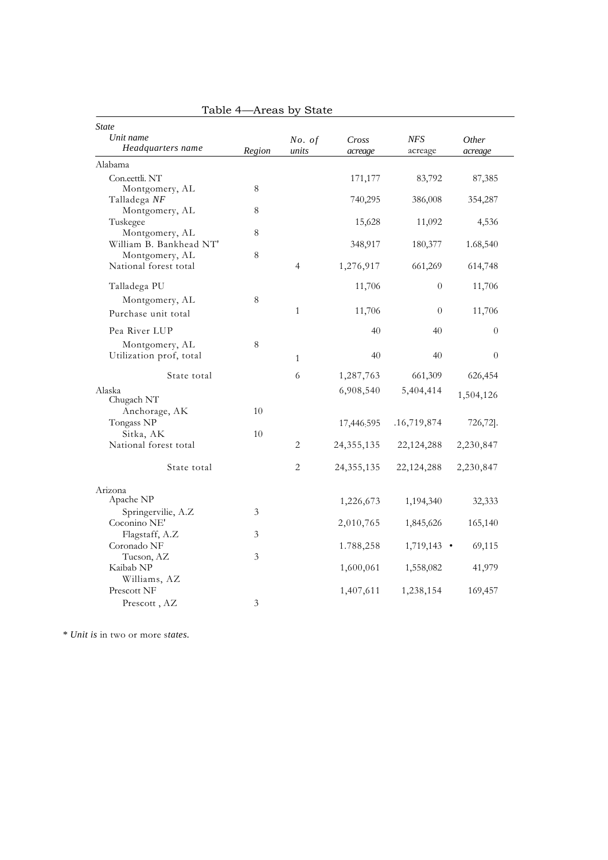| rapic +                 | -nicas by | plate        |              |               |                |
|-------------------------|-----------|--------------|--------------|---------------|----------------|
| <b>State</b>            |           |              |              |               |                |
| Unit name               |           | No. of       | Cross        | <b>NFS</b>    | Other          |
| Headquarters name       | Region    | units        | acreage      | acreage       | acreage        |
| Alabama                 |           |              |              |               |                |
| Con.eettli. NT          |           |              | 171,177      | 83,792        | 87,385         |
| Montgomery, AL          | 8         |              |              |               |                |
| Talladega NF            |           |              | 740,295      | 386,008       | 354,287        |
| Montgomery, AL          | $\,8\,$   |              |              |               |                |
| Tuskegee                |           |              | 15,628       | 11,092        | 4,536          |
| Montgomery, AL          | 8         |              |              |               |                |
| William B. Bankhead NT' |           |              | 348,917      | 180,377       | 1.68,540       |
| Montgomery, AL          | 8         |              |              |               |                |
| National forest total   |           | 4            | 1,276,917    | 661,269       | 614,748        |
| Talladega PU            |           |              | 11,706       | $\theta$      | 11,706         |
| Montgomery, AL          | 8         |              |              |               |                |
| Purchase unit total     |           | $\mathbf{1}$ | 11,706       | $\theta$      | 11,706         |
| Pea River LUP           |           |              | 40           | 40            | $\overline{0}$ |
| Montgomery, AL          | 8         |              |              |               |                |
| Utilization prof, total |           | $\mathbf{1}$ | 40           | 40            | $\theta$       |
| State total             |           | 6            | 1,287,763    | 661,309       | 626,454        |
| Alaska                  |           |              | 6,908,540    | 5,404,414     |                |
| Chugach NT              |           |              |              |               | 1,504,126      |
| Anchorage, AK           | 10        |              |              |               |                |
| Tongass NP              |           |              | 17,446:595   | .16,719,874   | 726,72].       |
| Sitka, AK               | 10        |              |              |               |                |
| National forest total   |           | 2            | 24, 355, 135 | 22,124,288    | 2,230,847      |
|                         |           |              |              |               |                |
| State total             |           | 2            | 24, 355, 135 | 22, 124, 288  | 2,230,847      |
| Arizona                 |           |              |              |               |                |
| Apache NP               |           |              | 1,226,673    | 1,194,340     | 32,333         |
| Springervilie, A.Z      | 3         |              |              |               |                |
| Coconino NE'            |           |              | 2,010,765    | 1,845,626     | 165,140        |
| Flagstaff, A.Z          | 3         |              |              |               |                |
| Coronado NF             |           |              | 1.788,258    | $1,719,143$ • | 69,115         |
| Tucson, AZ              | 3         |              |              |               |                |
| Kaibab NP               |           |              | 1,600,061    | 1,558,082     | 41,979         |
| Williams, AZ            |           |              |              |               |                |
| Prescott NF             |           |              | 1,407,611    | 1,238,154     | 169,457        |
| Prescott, AZ            | 3         |              |              |               |                |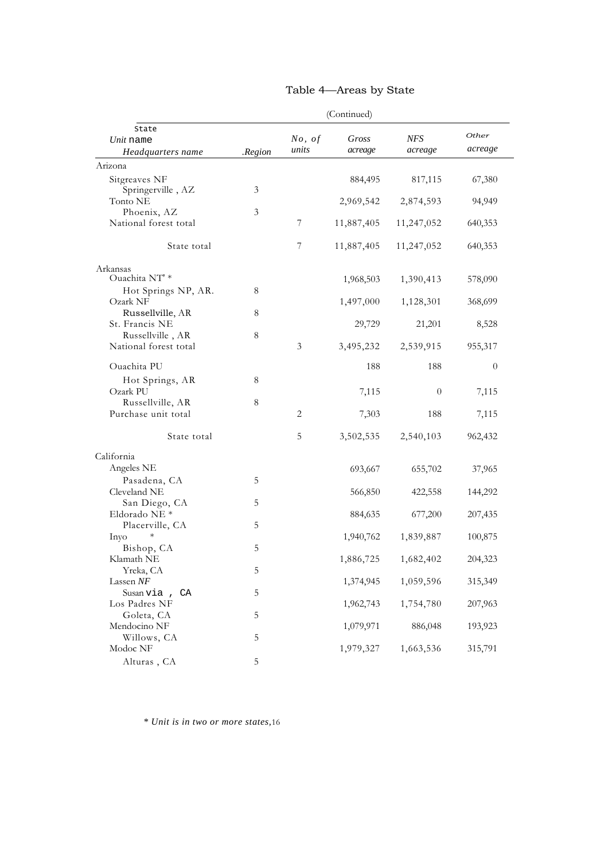|                                                |             |                 | (Continued)          |                       |                  |
|------------------------------------------------|-------------|-----------------|----------------------|-----------------------|------------------|
| State<br>Unit name<br>Headquarters name        | .Region     | No, of<br>units | Gross<br>acreage     | <b>NFS</b><br>acreage | Other<br>acreage |
| Arizona                                        |             |                 |                      |                       |                  |
| Sitgreaves NF<br>Springerville, AZ<br>Tonto NE | 3           |                 | 884,495<br>2,969,542 | 817,115<br>2,874,593  | 67,380<br>94,949 |
| Phoenix, AZ                                    | 3           |                 |                      |                       |                  |
| National forest total                          |             | 7               | 11,887,405           | 11,247,052            | 640,353          |
| State total                                    |             | 7               | 11,887,405           | 11,247,052            | 640,353          |
| Arkansas<br>Ouachita NT' *                     |             |                 |                      |                       |                  |
| Hot Springs NP, AR.                            | 8           |                 | 1,968,503            | 1,390,413             | 578,090          |
| Ozark NF                                       |             |                 | 1,497,000            | 1,128,301             | 368,699          |
| Russellville, AR<br>St. Francis NE             | 8           |                 | 29,729               | 21,201                | 8,528            |
| Russellville, AR<br>National forest total      | 8           | 3               | 3,495,232            | 2,539,915             | 955,317          |
| Ouachita PU                                    |             |                 | 188                  | 188                   | $\overline{0}$   |
| Hot Springs, AR                                | 8           |                 |                      |                       |                  |
| Ozark PU                                       |             |                 | 7,115                | $\theta$              | 7,115            |
| Russellville, AR<br>Purchase unit total        | 8           | 2               | 7,303                | 188                   | 7,115            |
| State total                                    |             | 5               | 3,502,535            | 2,540,103             | 962,432          |
| California                                     |             |                 |                      |                       |                  |
| Angeles NE                                     |             |                 | 693,667              | 655,702               | 37,965           |
| Pasadena, CA<br>Cleveland NE                   | 5           |                 | 566,850              | 422,558               | 144,292          |
| San Diego, CA                                  | 5           |                 |                      |                       |                  |
| Eldorado NE *<br>Placerville, CA               | 5           |                 | 884,635              | 677,200               | 207,435          |
| $\ast$<br>Inyo                                 |             |                 | 1,940,762            | 1,839,887             | 100,875          |
| Bishop, CA<br>Klamath NE                       | 5           |                 | 1,886,725            | 1,682,402             | 204,323          |
| Yreka, CA                                      | $\mathbf 5$ |                 |                      |                       |                  |
| Lassen NF<br>Susan via, CA                     | $\mathbf 5$ |                 | 1,374,945            | 1,059,596             | 315,349          |
| Los Padres NF                                  |             |                 | 1,962,743            | 1,754,780             | 207,963          |
| Goleta, CA                                     | $\mathbf 5$ |                 |                      |                       |                  |
| Mendocino NF<br>Willows, CA                    | $\mathbf 5$ |                 | 1,079,971            | 886,048               | 193,923          |
| Modoc NF                                       |             |                 | 1,979,327            | 1,663,536             | 315,791          |
| Alturas, CA                                    | 5           |                 |                      |                       |                  |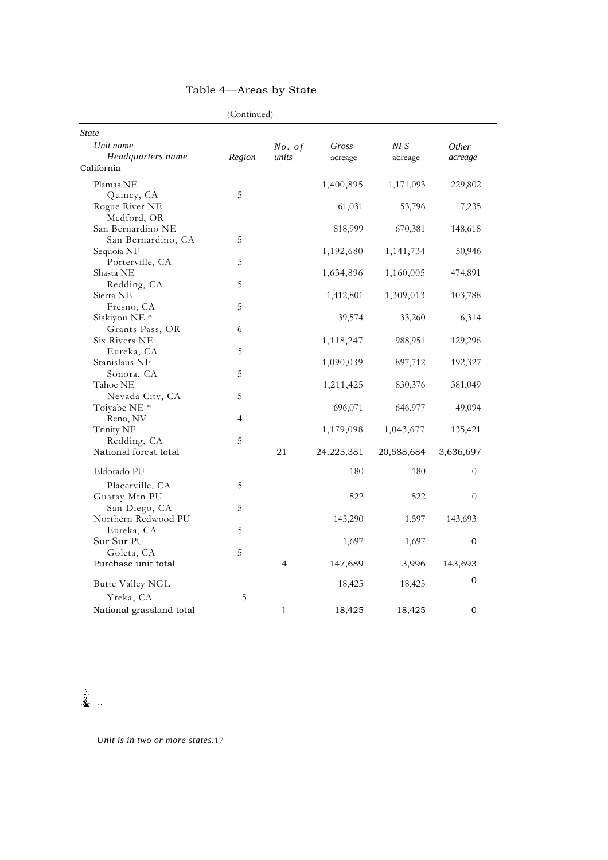|                                             | (Continued) |                |            |            |                |
|---------------------------------------------|-------------|----------------|------------|------------|----------------|
| <b>State</b><br>Unit name                   |             | No. of         | Gross      | NFS        | <i>Other</i>   |
| Headquarters name                           | Region      | units          | acreage    | acreage    | acreage        |
| California                                  |             |                |            |            |                |
| Plamas NE<br>Quincy, CA                     | 5           |                | 1,400,895  | 1,171,093  | 229,802        |
| Rogue River NE<br>Medford, OR               |             |                | 61,031     | 53,796     | 7,235          |
| San Bernardino NE<br>San Bernardino, CA     | 5           |                | 818,999    | 670,381    | 148,618        |
| Sequoia NF<br>Porterville, CA               | 5           |                | 1,192,680  | 1,141,734  | 50,946         |
| Shasta NE<br>Redding, CA                    | 5           |                | 1,634,896  | 1,160,005  | 474,891        |
| Sierra NE<br>Fresno, CA                     | 5           |                | 1,412,801  | 1,309,013  | 103,788        |
| Siskiyou NE <sup>*</sup><br>Grants Pass, OR | 6           |                | 39,574     | 33,260     | 6,314          |
| Six Rivers NE<br>Eureka, CA                 | 5           |                | 1,118,247  | 988,951    | 129,296        |
| Stanislaus NF<br>Sonora, CA                 | 5           |                | 1,090,039  | 897,712    | 192,327        |
| Tahoe NE<br>Nevada City, CA                 | 5           |                | 1,211,425  | 830,376    | 381,049        |
| Toiyabe NE <sup>*</sup><br>Reno, NV         | 4           |                | 696,071    | 646,977    | 49,094         |
| Trinity NF<br>Redding, CA                   | 5           |                | 1,179,098  | 1,043,677  | 135,421        |
| National forest total                       |             | 21             | 24,225,381 | 20,588,684 | 3,636,697      |
| Eldorado PU<br>Placerville, CA              | 5           |                | 180        | 180        | $\overline{0}$ |
| Guatay Mtn PU<br>San Diego, CA              | 5           |                | 522        | 522        | $\theta$       |
| Northern Redwood PU<br>Eureka, CA           | 5           |                | 145,290    | 1,597      | 143,693        |
| Sur Sur PU<br>Goleta, CA                    | 5           |                | 1,697      | 1,697      | 0              |
| Purchase unit total                         |             | $\overline{4}$ | 147,689    | 3,996      | 143,693        |
| Butte Valley NGL                            |             |                | 18,425     | 18,425     | $\mathbf{0}$   |
| Yreka, CA<br>National grassland total       | 5           | 1              | 18,425     | 18,425     | 0              |

Lander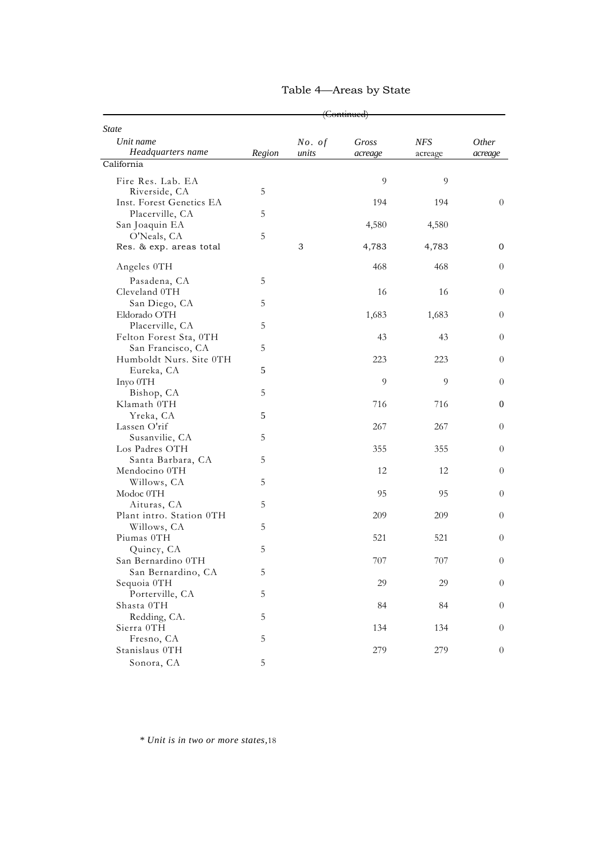|                                           | <del>(Continued)</del> |        |         |         |                  |
|-------------------------------------------|------------------------|--------|---------|---------|------------------|
| <b>State</b>                              |                        |        |         |         |                  |
| Unit name                                 |                        | No. of | Gross   | NFS     | Other            |
| Headquarters name<br>California           | Region                 | units  | acreage | acreage | acreage          |
|                                           |                        |        |         |         |                  |
| Fire Res. Lab. EA                         | 5                      |        | 9       | 9       |                  |
| Riverside, CA<br>Inst. Forest Genetics EA |                        |        | 194     | 194     | $\theta$         |
| Placerville, CA                           | 5                      |        |         |         |                  |
| San Joaquin EA                            |                        |        | 4,580   | 4,580   |                  |
| O'Neals, CA                               | 5                      |        |         |         |                  |
| Res. & exp. areas total                   |                        | 3      | 4,783   | 4,783   | $\mathbf{0}$     |
|                                           |                        |        |         |         |                  |
| Angeles 0TH                               |                        |        | 468     | 468     | $\theta$         |
| Pasadena, CA                              | 5                      |        |         |         |                  |
| Cleveland 0TH                             |                        |        | 16      | 16      | $\overline{0}$   |
| San Diego, CA                             | 5                      |        |         |         |                  |
| Eldorado OTH                              |                        |        | 1,683   | 1,683   | $\theta$         |
| Placerville, CA                           | 5                      |        |         |         |                  |
| Felton Forest Sta, 0TH                    |                        |        | 43      | 43      |                  |
| San Francisco, CA                         | 5                      |        |         |         |                  |
| Humboldt Nurs. Site 0TH                   |                        |        | 223     | 223     |                  |
| Eureka, CA                                | 5                      |        |         |         |                  |
| Inyo OTH                                  |                        |        | 9       | 9       |                  |
| Bishop, CA                                | 5                      |        |         |         |                  |
| Klamath 0TH                               |                        |        | 716     | 716     | 0                |
| Yreka, CA                                 | 5                      |        |         |         | $\overline{0}$   |
| Lassen O'rif                              |                        |        | 267     | 267     |                  |
| Susanvilie, CA                            | 5                      |        |         |         |                  |
| Los Padres OTH                            | 5                      |        | 355     | 355     |                  |
| Santa Barbara, CA<br>Mendocino 0TH        |                        |        | 12      | 12      |                  |
| Willows, CA                               | 5                      |        |         |         |                  |
| Modoc 0TH                                 |                        |        | 95      | 95      |                  |
| Aituras, CA                               | 5                      |        |         |         |                  |
| Plant intro. Station 0TH                  |                        |        | 209     | 209     |                  |
| Willows, CA                               | 5                      |        |         |         |                  |
| Piumas 0TH                                |                        |        | 521     | 521     |                  |
| Quincy, CA                                | 5                      |        |         |         |                  |
| San Bernardino 0TH                        |                        |        | 707     | 707     |                  |
| San Bernardino, CA                        | 5                      |        |         |         |                  |
| Sequoia 0TH                               |                        |        | 29      | 29      |                  |
| Porterville, CA                           | 5                      |        |         |         |                  |
| Shasta OTH                                |                        |        | 84      | 84      | $\overline{0}$   |
| Redding, CA.                              | 5                      |        |         |         |                  |
| Sierra OTH                                |                        |        | 134     | 134     |                  |
| Fresno, CA                                | 5                      |        |         |         |                  |
| Stanislaus OTH                            |                        |        | 279     | 279     | $\boldsymbol{0}$ |
| Sonora, CA                                | 5                      |        |         |         |                  |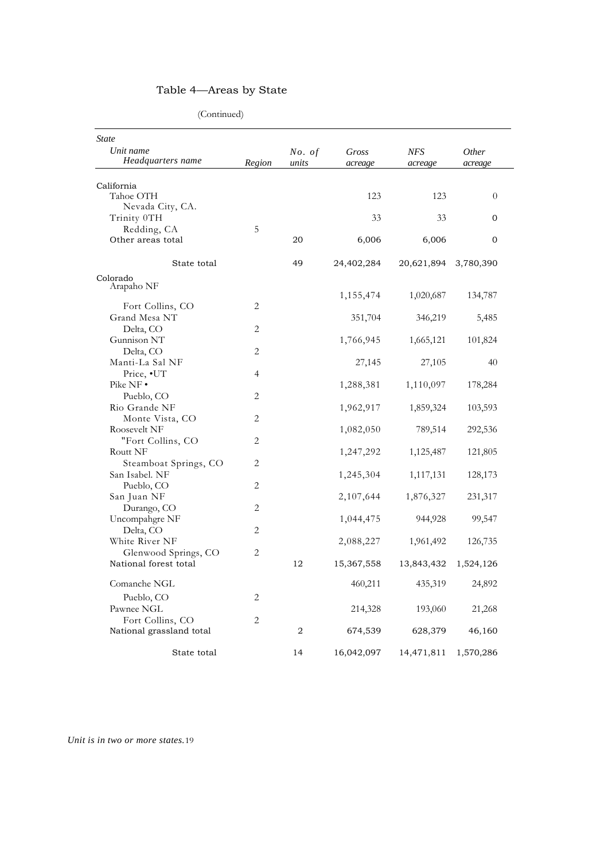(Continued)

| <b>State</b>                   |                |                 |                  |                |                  |
|--------------------------------|----------------|-----------------|------------------|----------------|------------------|
| Unit name<br>Headquarters name | Region         | No. of<br>units | Gross<br>acreage | NFS<br>acreage | Other<br>acreage |
|                                |                |                 |                  |                |                  |
| California                     |                |                 |                  |                |                  |
| Tahoe OTH<br>Nevada City, CA.  |                |                 | 123              | 123            | $\theta$         |
| Trinity 0TH                    |                |                 | 33               | 33             | $\mathbf{O}$     |
| Redding, CA                    | 5              |                 |                  |                |                  |
| Other areas total              |                | 20              | 6,006            | 6,006          | $\mathbf{0}$     |
|                                |                |                 |                  |                |                  |
| State total                    |                | 49              | 24,402,284       | 20,621,894     | 3,780,390        |
| Colorado                       |                |                 |                  |                |                  |
| Arapaho NF                     |                |                 | 1,155,474        | 1,020,687      | 134,787          |
| Fort Collins, CO               | 2              |                 |                  |                |                  |
| Grand Mesa NT                  |                |                 | 351,704          | 346,219        | 5,485            |
| Delta, CO                      | 2              |                 |                  |                |                  |
| Gunnison NT                    |                |                 | 1,766,945        | 1,665,121      | 101,824          |
| Delta, CO                      | 2              |                 |                  |                |                  |
| Manti-La Sal NF                |                |                 | 27,145           | 27,105         | 40               |
| Price, •UT                     | $\overline{4}$ |                 |                  |                |                  |
| Pike $NF \cdot$                |                |                 | 1,288,381        | 1,110,097      | 178,284          |
| Pueblo, CO                     | 2              |                 |                  |                |                  |
| Rio Grande NF                  |                |                 | 1,962,917        | 1,859,324      | 103,593          |
| Monte Vista, CO                | 2              |                 |                  |                |                  |
| Roosevelt NF                   |                |                 | 1,082,050        | 789,514        | 292,536          |
| "Fort Collins, CO              | 2              |                 |                  |                |                  |
| Routt NF                       |                |                 | 1,247,292        | 1,125,487      | 121,805          |
| Steamboat Springs, CO          | $\overline{2}$ |                 |                  |                |                  |
| San Isabel. NF                 |                |                 | 1,245,304        | 1,117,131      | 128,173          |
| Pueblo, CO                     | 2              |                 |                  |                |                  |
| San Juan NF                    |                |                 | 2,107,644        | 1,876,327      | 231,317          |
| Durango, CO                    | 2              |                 |                  |                |                  |
| Uncompahgre NF                 |                |                 | 1,044,475        | 944,928        | 99,547           |
| Delta, CO                      | 2              |                 |                  |                |                  |
| White River NF                 |                |                 | 2,088,227        | 1,961,492      | 126,735          |
| Glenwood Springs, CO           | $\overline{2}$ |                 |                  |                |                  |
| National forest total          |                | 12              | 15,367,558       | 13,843,432     | 1,524,126        |
| Comanche NGL                   |                |                 | 460,211          | 435,319        | 24,892           |
| Pueblo, CO                     | 2              |                 |                  |                |                  |
| Pawnee NGL                     |                |                 | 214,328          | 193,060        | 21,268           |
| Fort Collins, CO               | 2              |                 |                  |                |                  |
| National grassland total       |                | $\overline{2}$  | 674,539          | 628,379        | 46,160           |
|                                |                |                 |                  |                |                  |
| State total                    |                | 14              | 16,042,097       | 14,471,811     | 1,570,286        |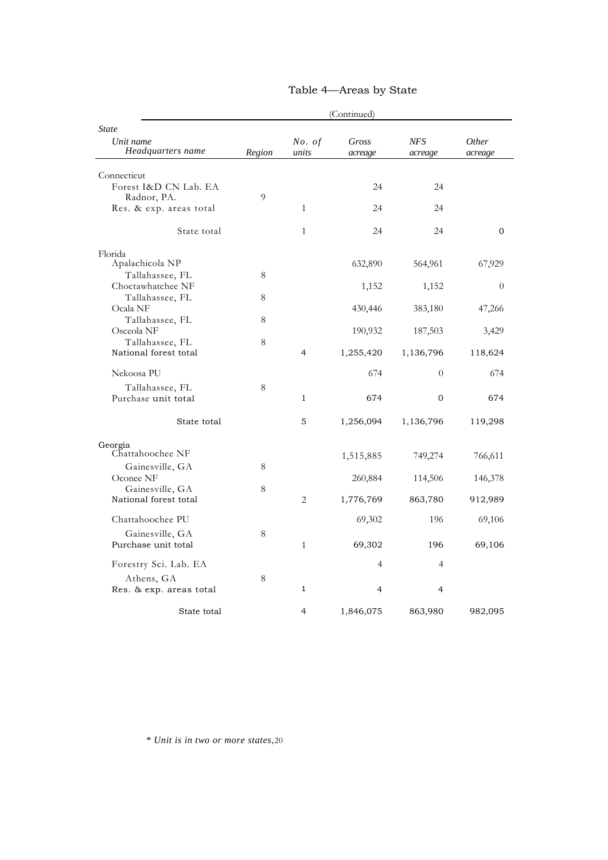|                                          | (Continued) |                 |                  |                |                  |
|------------------------------------------|-------------|-----------------|------------------|----------------|------------------|
| <b>State</b>                             |             |                 |                  |                |                  |
| Unit name<br>Headquarters name           | Region      | No. of<br>units | Gross<br>acreage | NFS<br>acreage | Other<br>acreage |
| Connecticut                              |             |                 |                  |                |                  |
| Forest I&D CN Lab. EA<br>Radnor, PA.     | 9           |                 | 24               | 24             |                  |
| Res. & exp. areas total                  |             | $\mathbf{1}$    | 24               | 24             |                  |
| State total                              |             | $\mathbf{1}$    | 24               | 24             | $\mathbf{0}$     |
| Florida<br>Apalachicola NP               |             |                 | 632,890          | 564,961        | 67,929           |
| Tallahassee, FL                          | 8           |                 |                  |                |                  |
| Choctawhatchee NF<br>Tallahassee, FL     | 8           |                 | 1,152            | 1,152          | $\theta$         |
| Ocala NF<br>Tallahassee, FL              | 8           |                 | 430,446          | 383,180        | 47,266           |
| Osceola NF                               |             |                 | 190,932          | 187,503        | 3,429            |
| Tallahassee, FL<br>National forest total | 8           | $\overline{4}$  | 1,255,420        | 1,136,796      | 118,624          |
| Nekoosa PU                               |             |                 | 674              | $\theta$       | 674              |
| Tallahassee, FL<br>Purchase unit total   | 8           | $\mathbf{1}$    | 674              | $\mathbf{0}$   | 674              |
| State total                              |             | 5               | 1,256,094        | 1,136,796      | 119,298          |
| Georgia                                  |             |                 |                  |                |                  |
| Chattahoochee NF<br>Gainesville, GA      | 8           |                 | 1,515,885        | 749,274        | 766,611          |
| Oconee NF                                |             |                 | 260,884          | 114,506        | 146,378          |
| Gainesville, GA<br>National forest total | 8           | $\overline{2}$  | 1,776,769        | 863,780        | 912,989          |
| Chattahoochee PU                         |             |                 | 69,302           | 196            | 69,106           |
| Gainesville, GA<br>Purchase unit total   | 8           | $\mathbf{1}$    | 69,302           | 196            | 69,106           |
| Forestry Sci. Lab. EA                    |             |                 | $\overline{4}$   | $\overline{4}$ |                  |
| Athens, GA                               | 8           |                 |                  |                |                  |
| Res. & exp. areas total                  |             | 1               | 4                | 4              |                  |
| State total                              |             | 4               | 1,846,075        | 863,980        | 982,095          |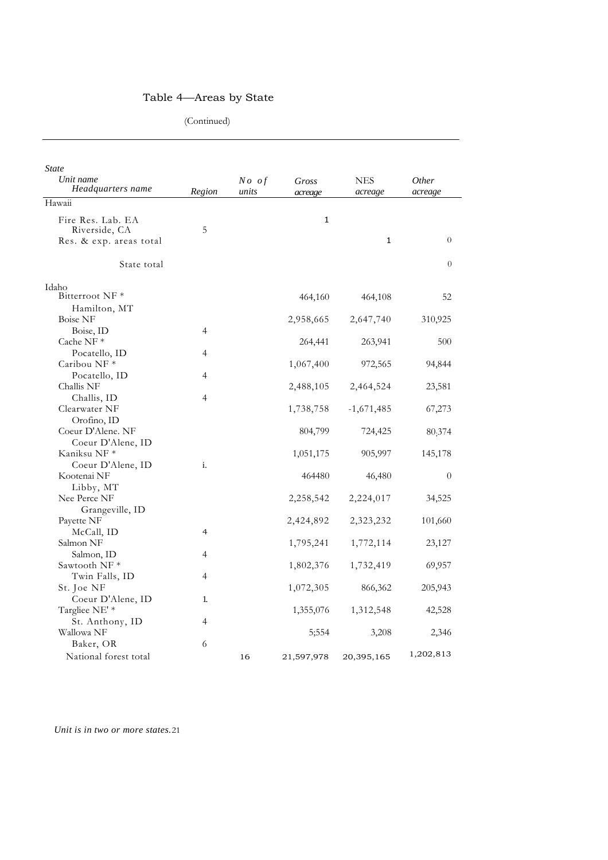(Continued)

| Hawaii<br>Fire Res. Lab. EA<br>1<br>Riverside, CA<br>5<br>$\overline{0}$<br>1<br>Res. & exp. areas total<br>State total<br>$\overline{0}$<br>Idaho<br>Bitterroot NF <sup>*</sup><br>464,160<br>464,108<br>52<br>Hamilton, MT | State<br>Unit name<br>Headquarters name | Region | $No$ of<br>units | Gross<br>acreage | NES<br>acreage | Other<br>acreage |
|------------------------------------------------------------------------------------------------------------------------------------------------------------------------------------------------------------------------------|-----------------------------------------|--------|------------------|------------------|----------------|------------------|
|                                                                                                                                                                                                                              |                                         |        |                  |                  |                |                  |
|                                                                                                                                                                                                                              |                                         |        |                  |                  |                |                  |
|                                                                                                                                                                                                                              |                                         |        |                  |                  |                |                  |
|                                                                                                                                                                                                                              |                                         |        |                  |                  |                |                  |
|                                                                                                                                                                                                                              |                                         |        |                  |                  |                |                  |
|                                                                                                                                                                                                                              | <b>Boise NF</b>                         |        |                  | 2,958,665        | 2,647,740      | 310,925          |
| Boise, ID<br>4                                                                                                                                                                                                               |                                         |        |                  |                  |                |                  |
| Cache NF*<br>264,441<br>263,941<br>500                                                                                                                                                                                       |                                         |        |                  |                  |                |                  |
| Pocatello, ID<br>4<br>Caribou NF <sup>*</sup><br>1,067,400<br>972,565<br>94,844                                                                                                                                              |                                         |        |                  |                  |                |                  |
| Pocatello, ID<br>4                                                                                                                                                                                                           |                                         |        |                  |                  |                |                  |
| Challis NF<br>2,464,524<br>23,581<br>2,488,105                                                                                                                                                                               |                                         |        |                  |                  |                |                  |
| Challis, ID<br>4                                                                                                                                                                                                             |                                         |        |                  |                  |                |                  |
| Clearwater NF<br>1,738,758<br>$-1,671,485$<br>67,273                                                                                                                                                                         |                                         |        |                  |                  |                |                  |
| Orofino, ID                                                                                                                                                                                                                  |                                         |        |                  |                  |                |                  |
| Coeur D'Alene. NF<br>804,799<br>724,425<br>80;374                                                                                                                                                                            |                                         |        |                  |                  |                |                  |
| Coeur D'Alene, ID<br>Kaniksu NF *<br>1,051,175<br>905,997<br>145,178                                                                                                                                                         |                                         |        |                  |                  |                |                  |
| Coeur D'Alene, ID<br>i.                                                                                                                                                                                                      |                                         |        |                  |                  |                |                  |
| Kootenai NF<br>464480<br>46,480<br>$\theta$                                                                                                                                                                                  |                                         |        |                  |                  |                |                  |
| Libby, MT                                                                                                                                                                                                                    |                                         |        |                  |                  |                |                  |
| Nee Perce NF<br>2,258,542<br>2,224,017<br>34,525                                                                                                                                                                             |                                         |        |                  |                  |                |                  |
| Grangeville, ID                                                                                                                                                                                                              |                                         |        |                  |                  |                |                  |
| Payette NF<br>2,424,892<br>2,323,232<br>101,660                                                                                                                                                                              |                                         |        |                  |                  |                |                  |
| McCall, ID<br>4                                                                                                                                                                                                              |                                         |        |                  |                  |                |                  |
| Salmon NF<br>1,795,241<br>1,772,114<br>23,127                                                                                                                                                                                |                                         |        |                  |                  |                |                  |
| Salmon, ID<br>4                                                                                                                                                                                                              |                                         |        |                  |                  |                |                  |
| Sawtooth NF*<br>1,802,376<br>1,732,419<br>69,957                                                                                                                                                                             |                                         |        |                  |                  |                |                  |
| Twin Falls, ID<br>4                                                                                                                                                                                                          |                                         |        |                  |                  |                |                  |
| St. Joe NF<br>1,072,305<br>866,362<br>205,943                                                                                                                                                                                |                                         |        |                  |                  |                |                  |
| Coeur D'Alene, ID<br>1.                                                                                                                                                                                                      |                                         |        |                  |                  |                |                  |
| Targliee NE' *<br>1,312,548<br>1,355,076<br>42,528                                                                                                                                                                           |                                         |        |                  |                  |                |                  |
| St. Anthony, ID<br>4<br>Wallowa NF                                                                                                                                                                                           |                                         |        |                  |                  |                |                  |
| 3,208<br>2,346<br>5;554<br>Baker, OR<br>6                                                                                                                                                                                    |                                         |        |                  |                  |                |                  |
| 1,202,813<br>National forest total<br>16<br>21,597,978<br>20,395,165                                                                                                                                                         |                                         |        |                  |                  |                |                  |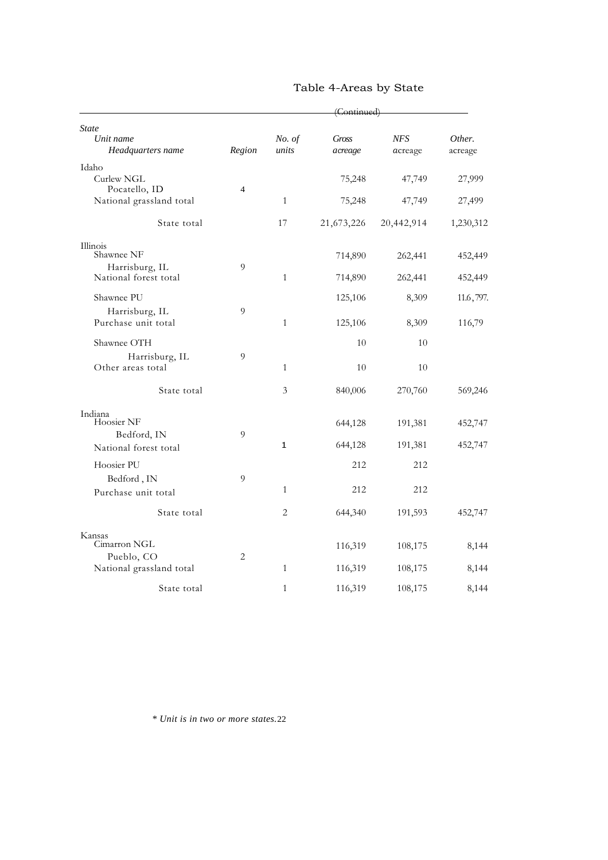|                                           | (Continued)              |                 |                  |                       |                   |
|-------------------------------------------|--------------------------|-----------------|------------------|-----------------------|-------------------|
| <b>State</b>                              |                          |                 |                  |                       |                   |
| Unit name<br>Headquarters name            | Region                   | No. of<br>units | Gross<br>acreage | <b>NFS</b><br>acreage | Other.<br>acreage |
| Idaho                                     |                          |                 |                  |                       |                   |
| Curlew NGL                                |                          |                 | 75,248           | 47,749                | 27,999            |
| Pocatello, ID<br>National grassland total | $\overline{\mathcal{L}}$ | $\mathbf{1}$    | 75,248           | 47,749                | 27,499            |
| State total                               |                          | 17              | 21,673,226       | 20,442,914            | 1,230,312         |
| Illinois                                  |                          |                 |                  |                       |                   |
| Shawnee NF                                | 9                        |                 | 714,890          | 262,441               | 452,449           |
| Harrisburg, IL<br>National forest total   |                          | $\mathbf{1}$    | 714,890          | 262,441               | 452,449           |
| Shawnee PU                                |                          |                 | 125,106          | 8,309                 | 11.6,797.         |
| Harrisburg, IL                            | 9                        |                 |                  |                       |                   |
| Purchase unit total                       |                          | $\mathbf{1}$    | 125,106          | 8,309                 | 116,79            |
| Shawnee OTH                               |                          |                 | 10               | 10                    |                   |
| Harrisburg, IL<br>Other areas total       | 9                        | $\mathbf{1}$    | 10               | 10                    |                   |
| State total                               |                          | 3               | 840,006          | 270,760               | 569,246           |
| Indiana<br>Hoosier NF                     |                          |                 |                  |                       |                   |
| Bedford, IN                               | 9                        |                 | 644,128          | 191,381               | 452,747           |
| National forest total                     |                          | $\mathbf{1}$    | 644,128          | 191,381               | 452,747           |
| Hoosier PU                                |                          |                 | 212              | 212                   |                   |
| Bedford, IN                               | 9                        |                 |                  |                       |                   |
| Purchase unit total                       |                          | $\mathbf{1}$    | 212              | 212                   |                   |
| State total                               |                          | $\overline{2}$  | 644,340          | 191,593               | 452,747           |
| Kansas                                    |                          |                 |                  |                       |                   |
| Cimarron NGL                              |                          |                 | 116,319          | 108,175               | 8,144             |
| Pueblo, CO<br>National grassland total    | $\overline{2}$           | $\mathbf{1}$    | 116,319          | 108,175               | 8,144             |
| State total                               |                          | $\mathbf{1}$    | 116,319          | 108,175               | 8,144             |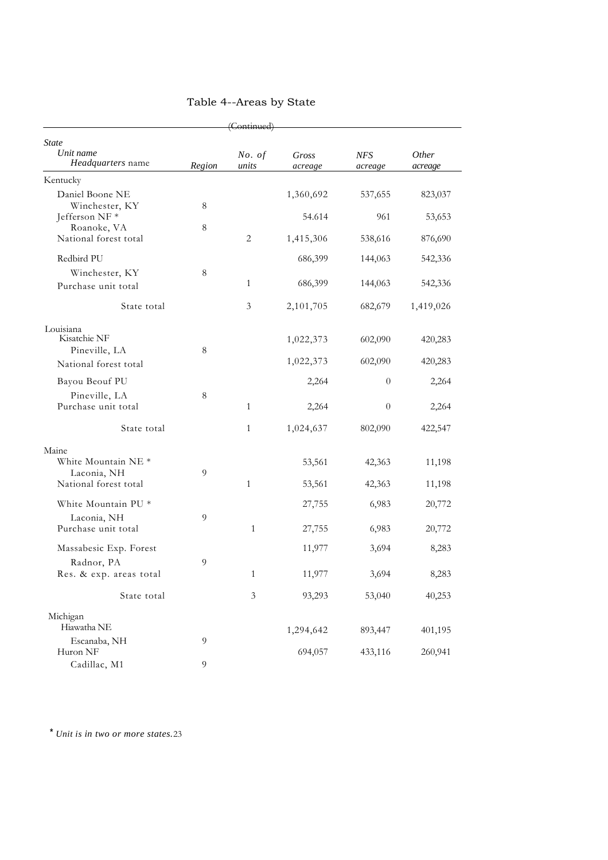| (Continued)                                                                     |                |                 |                  |                       |                  |
|---------------------------------------------------------------------------------|----------------|-----------------|------------------|-----------------------|------------------|
| <b>State</b><br>Unit name<br><i>Headquarters</i> name                           | Region         | No. of<br>units | Gross<br>acreage | <b>NFS</b><br>acreage | Other<br>acreage |
| Kentucky                                                                        |                |                 |                  |                       |                  |
| Daniel Boone NE<br>Winchester, KY                                               | 8              |                 | 1,360,692        | 537,655               | 823,037          |
| Jefferson NF *<br>Roanoke, VA                                                   | $\,8\,$        |                 | 54.614           | 961                   | 53,653           |
| National forest total                                                           |                | 2               | 1,415,306        | 538,616               | 876,690          |
| Redbird PU                                                                      |                |                 | 686,399          | 144,063               | 542,336          |
| Winchester, KY                                                                  | 8              |                 |                  |                       |                  |
| Purchase unit total                                                             |                | 1               | 686,399          | 144,063               | 542,336          |
| State total                                                                     |                | 3               | 2,101,705        | 682,679               | 1,419,026        |
| Louisiana<br>Kisatchie NF<br>Pineville, LA                                      | $\,8\,$        |                 | 1,022,373        | 602,090               | 420,283          |
| National forest total                                                           |                |                 | 1,022,373        | 602,090               | 420,283          |
| Bayou Beouf PU                                                                  |                |                 | 2,264            | $\overline{0}$        | 2,264            |
| Pineville, LA<br>Purchase unit total                                            | 8              | 1               | 2,264            | $\theta$              | 2,264            |
| State total                                                                     |                | 1               | 1,024,637        | 802,090               | 422,547          |
| Maine<br>White Mountain NE <sup>*</sup><br>Laconia, NH<br>National forest total | $\overline{9}$ | $\mathbf{1}$    | 53,561<br>53,561 | 42,363<br>42,363      | 11,198<br>11,198 |
| White Mountain PU *                                                             |                |                 | 27,755           | 6,983                 | 20,772           |
| Laconia, NH<br>Purchase unit total                                              | 9              | $\mathbf{1}$    | 27,755           | 6,983                 | 20,772           |
| Massabesic Exp. Forest                                                          |                |                 | 11,977           | 3,694                 | 8,283            |
| Radnor, PA<br>Res. & exp. areas total                                           | 9              | 1               | 11,977           | 3,694                 | 8,283            |
| State total                                                                     |                | $\mathfrak{Z}$  | 93,293           | 53,040                | 40,253           |
| Michigan<br>Hiawatha NE<br>Escanaba, NH                                         | 9              |                 | 1,294,642        | 893,447               | 401,195          |
| Huron NF<br>Cadillac, M1                                                        | 9              |                 | 694,057          | 433,116               | 260,941          |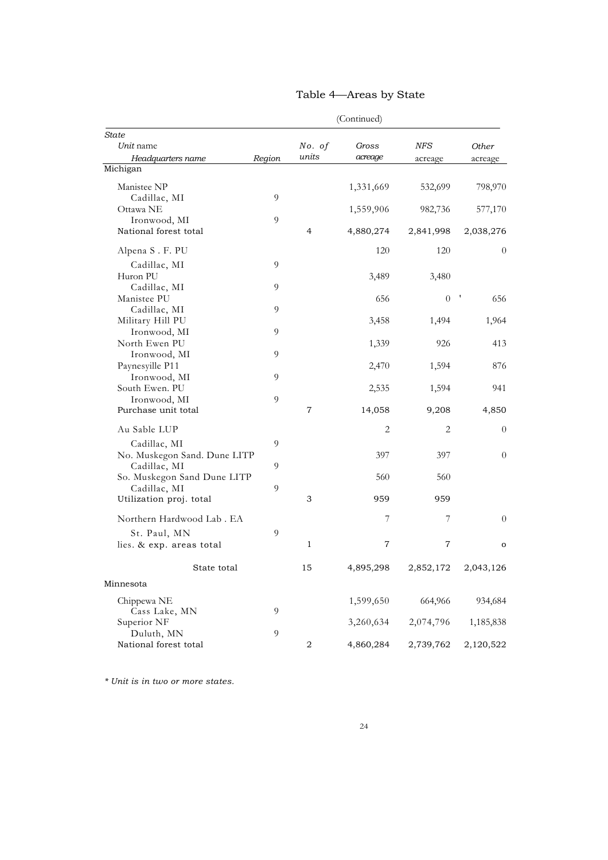|                              | (Continued)    |        |                |            |                |
|------------------------------|----------------|--------|----------------|------------|----------------|
| State                        |                |        |                |            |                |
| Unit name                    |                | No. of | Gross          | <b>NFS</b> | Other          |
| Headquarters name            | Region         | units  | acreage        | acreage    | acreage        |
| Michigan                     |                |        |                |            |                |
| Manistee NP                  |                |        | 1,331,669      | 532,699    | 798,970        |
| Cadillac, MI                 | 9              |        |                |            |                |
| Ottawa NE                    |                |        | 1,559,906      | 982,736    | 577,170        |
| Ironwood, MI                 | $\overline{9}$ |        |                |            |                |
| National forest total        |                | 4      | 4,880,274      | 2,841,998  | 2,038,276      |
| Alpena S. F. PU              |                |        | 120            | 120        | $\overline{0}$ |
| Cadillac, MI                 | 9              |        |                |            |                |
| Huron PU                     |                |        | 3,489          | 3,480      |                |
| Cadillac, MI                 | 9              |        |                |            |                |
| Manistee PU                  |                |        | 656            | $\theta$   | 656            |
| Cadillac, MI                 | 9              |        |                |            |                |
| Military Hill PU             |                |        | 3,458          | 1,494      | 1,964          |
| Ironwood, MI                 | 9              |        |                |            |                |
| North Ewen PU                |                |        | 1,339          | 926        | 413            |
| Ironwood, MI                 | 9              |        |                |            |                |
| Paynesyille P11              |                |        | 2,470          | 1,594      | 876            |
| Ironwood, MI                 | 9              |        |                |            |                |
| South Ewen. PU               |                |        | 2,535          | 1,594      | 941            |
| Ironwood, MI                 | 9              |        |                |            |                |
| Purchase unit total          |                | 7      | 14,058         | 9,208      | 4,850          |
| Au Sable LUP                 |                |        | 2              | 2          | 0              |
| Cadillac, MI                 | 9              |        |                |            |                |
| No. Muskegon Sand. Dune LITP |                |        | 397            | 397        | $\theta$       |
| Cadillac, MI                 | 9              |        |                |            |                |
| So. Muskegon Sand Dune LITP  |                |        | 560            | 560        |                |
| Cadillac, MI                 | 9              |        |                |            |                |
| Utilization proj. total      |                | 3      | 959            | 959        |                |
| Northern Hardwood Lab . EA   |                |        | 7              | 7          | 0              |
| St. Paul, MN                 | 9              |        |                |            |                |
| lies. & exp. areas total     |                | 1      | $\overline{7}$ | 7          | o              |
| State total                  |                | 15     | 4,895,298      | 2,852,172  | 2,043,126      |
| Minnesota                    |                |        |                |            |                |
| Chippewa NE                  |                |        | 1,599,650      | 664,966    | 934,684        |
| Cass Lake, MN                | 9              |        |                |            |                |
| Superior NF                  |                |        | 3,260,634      | 2,074,796  | 1,185,838      |
| Duluth, MN                   | 9              |        |                |            |                |
| National forest total        |                | 2      | 4,860,284      | 2,739,762  | 2,120,522      |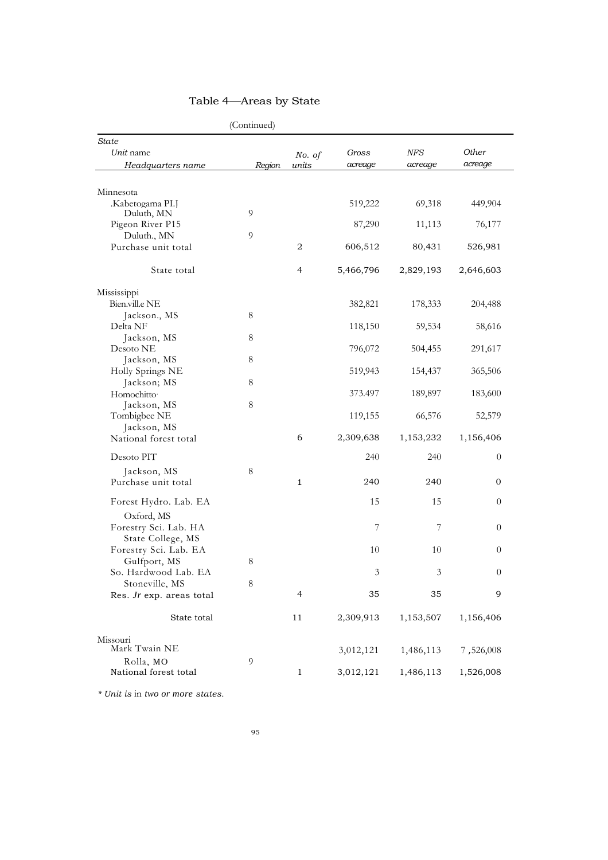|                                                          | (Continued)         |                      |                        |                        |                        |
|----------------------------------------------------------|---------------------|----------------------|------------------------|------------------------|------------------------|
| <b>State</b><br>Unit name<br>Headquarters name           | Region              | No. of<br>units      | Gross<br>acreage       | <b>NFS</b><br>acreage  | Other<br>acreage       |
| Minnesota<br>.Kabetogama PI.J                            |                     |                      | 519,222                | 69,318                 | 449,904                |
| Duluth, MN<br>Pigeon River P15<br>Duluth., MN            | $\overline{9}$<br>9 |                      | 87,290                 | 11,113                 | 76,177                 |
| Purchase unit total                                      |                     | 2                    | 606,512                | 80,431                 | 526,981                |
| State total                                              |                     | $\overline{4}$       | 5,466,796              | 2,829,193              | 2,646,603              |
| Mississippi<br>Bien.vill.e NE<br>Jackson., MS            | 8                   |                      | 382,821                | 178,333                | 204,488                |
| Delta NF<br>Jackson, MS                                  | 8                   |                      | 118,150                | 59,534                 | 58,616                 |
| Desoto NE<br>Jackson, MS<br>Holly Springs NE             | $\,8\,$             |                      | 796,072<br>519,943     | 504,455<br>154,437     | 291,617<br>365,506     |
| Jackson; MS<br>Homochitto <sup>.</sup>                   | $\,8\,$             |                      | 373.497                | 189,897                | 183,600                |
| Jackson, MS<br>Tombigbee NE<br>Jackson, MS               | $8\phantom{1}$      |                      | 119,155                | 66,576                 | 52,579                 |
| National forest total                                    |                     | 6                    | 2,309,638              | 1,153,232              | 1,156,406              |
| Desoto PIT<br>Jackson, MS<br>Purchase unit total         | 8                   | $\mathbf{1}$         | 240<br>240             | 240<br>240             | $\boldsymbol{0}$<br>0  |
| Forest Hydro. Lab. EA                                    |                     |                      | 15                     | 15                     | $\overline{0}$         |
| Oxford, MS<br>Forestry Sci. Lab. HA<br>State College, MS |                     |                      | 7                      | 7                      | $\theta$               |
| Forestry Sci. Lab. EA<br>Gulfport, MS                    | $8\phantom{1}$      |                      | 10                     | 10                     | $\theta$               |
| So. Hardwood Lab. EA<br>Stoneville, MS                   | $\,8\,$             |                      | 3                      | 3                      | $\boldsymbol{0}$       |
| Res. Jr exp. areas total<br>State total                  |                     | $\overline{4}$<br>11 | 35<br>2,309,913        | 35<br>1,153,507        | 9<br>1,156,406         |
| Missouri                                                 |                     |                      |                        |                        |                        |
| Mark Twain NE<br>Rolla, MO<br>National forest total      | 9                   | $\mathbf{1}$         | 3,012,121<br>3,012,121 | 1,486,113<br>1,486,113 | 7,526,008<br>1,526,008 |
|                                                          |                     |                      |                        |                        |                        |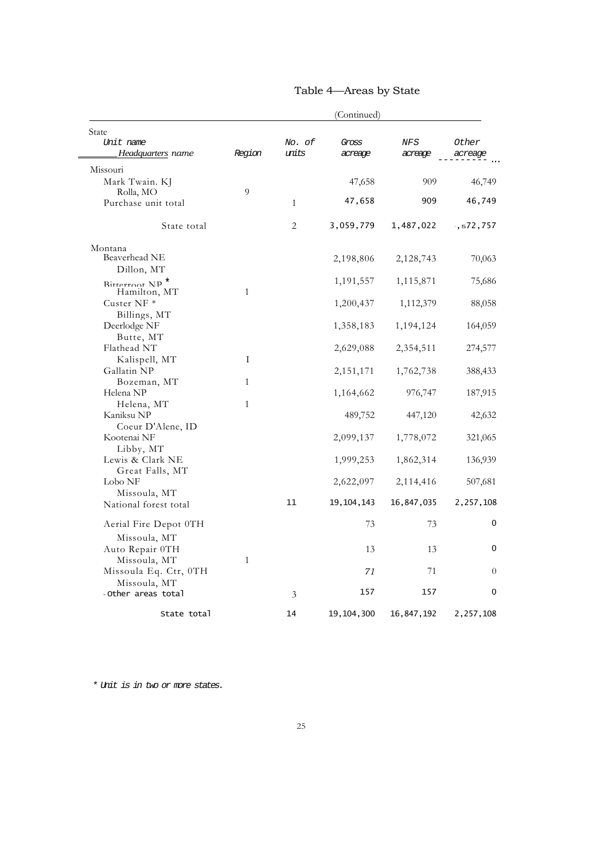|                                            | (Continued)  |              |              |            |            |
|--------------------------------------------|--------------|--------------|--------------|------------|------------|
| State<br>Unit name                         |              | No. of       | Gross        | <b>NFS</b> | Other      |
| Headquarters name                          | Region       | units        | acreage      | acreage    | acreage    |
| Missouri                                   |              |              |              |            |            |
| Mark Twain. KJ                             |              |              | 47,658       | 909        | 46,749     |
| Rolla, MO                                  | 9            |              |              |            |            |
| Purchase unit total                        |              | $\mathbf{1}$ | 47,658       | 909        | 46,749     |
| State total                                |              | 2            | 3,059,779    | 1,487,022  | , 572, 757 |
| Montana                                    |              |              |              |            |            |
| Beaverhead NE                              |              |              | 2,198,806    | 2,128,743  | 70,063     |
| Dillon, MT                                 |              |              |              |            |            |
| Bitterroot NP <sup>*</sup><br>Hamilton, MT | $\mathbf{1}$ |              | 1,191,557    | 1,115,871  | 75,686     |
| Custer NF $*$                              |              |              | 1,200,437    | 1,112,379  | 88,058     |
| Billings, MT                               |              |              |              |            |            |
| Deerlodge NF                               |              |              | 1,358,183    | 1,194,124  | 164,059    |
| Butte, MT                                  |              |              |              |            |            |
| Flathead NT                                |              |              | 2,629,088    | 2,354,511  | 274,577    |
| Kalispell, MT                              | Ι            |              |              |            |            |
| Gallatin NP                                |              |              | 2, 151, 171  | 1,762,738  | 388,433    |
| Bozeman, MT                                | $\mathbf{1}$ |              |              |            |            |
| Helena NP<br>Helena, MT                    | $\mathbf{1}$ |              | 1,164,662    | 976,747    | 187,915    |
| Kaniksu NP                                 |              |              | 489,752      | 447,120    | 42,632     |
| Coeur D'Alene, ID                          |              |              |              |            |            |
| Kootenai NF                                |              |              | 2,099,137    | 1,778,072  | 321,065    |
| Libby, MT                                  |              |              |              |            |            |
| Lewis & Clark NE                           |              |              | 1,999,253    | 1,862,314  | 136,939    |
| Great Falls, MT                            |              |              |              |            |            |
| Lobo NF                                    |              |              | 2,622,097    | 2,114,416  | 507,681    |
| Missoula, MT<br>National forest total      |              | 11           | 19,104,143   | 16,847,035 | 2,257,108  |
|                                            |              |              |              |            |            |
| Aerial Fire Depot 0TH                      |              |              | 73           | 73         | 0          |
| Missoula, MT                               |              |              |              |            |            |
| Auto Repair 0TH                            |              |              | 13           | 13         | 0          |
| Missoula, MT                               | $\mathbf{1}$ |              |              |            |            |
| Missoula Eq. Ctr, 0TH<br>Missoula, MT      |              |              | 71           | 71         | $\theta$   |
| - Other areas total                        |              | 3            | 157          | 157        | 0          |
|                                            |              |              |              |            |            |
| State total                                |              | 14           | 19, 104, 300 | 16,847,192 | 2,257,108  |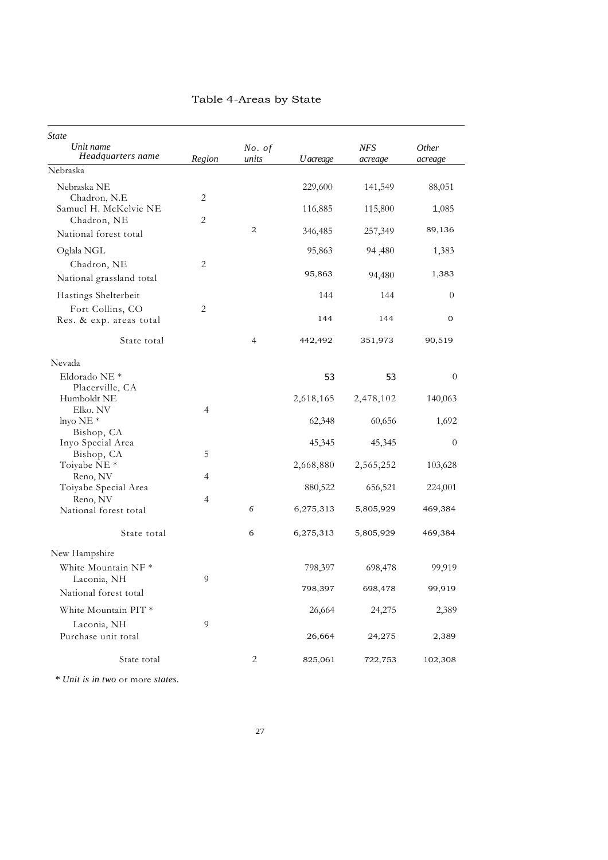| <b>State</b><br>Unit name<br>Headquarters name | Region         | No. of<br>units | U acreage | <b>NFS</b><br>acreage | Other<br>acreage |
|------------------------------------------------|----------------|-----------------|-----------|-----------------------|------------------|
| Nebraska                                       |                |                 |           |                       |                  |
| Nebraska NE<br>Chadron, N.E.                   | $\overline{2}$ |                 | 229,600   | 141,549               | 88,051           |
| Samuel H. McKelvie NE<br>Chadron, NE           | $\overline{2}$ |                 | 116,885   | 115,800               | 1,085            |
| National forest total                          |                | 2               | 346,485   | 257,349               | 89,136           |
| Oglala NGL                                     |                |                 | 95,863    | 94;480                | 1,383            |
| Chadron, NE<br>National grassland total        | 2              |                 | 95,863    | 94,480                | 1,383            |
| Hastings Shelterbeit                           |                |                 | 144       | 144                   | $\theta$         |
| Fort Collins, CO<br>Res. & exp. areas total    | $\overline{2}$ |                 | 144       | 144                   | $\mathbf 0$      |
| State total                                    |                | 4               | 442,492   | 351,973               | 90,519           |
| Nevada                                         |                |                 |           |                       |                  |
| Eldorado NE <sup>*</sup><br>Placerville, CA    |                |                 | 53        | 53                    | $\theta$         |
| Humboldt NE                                    |                |                 | 2,618,165 | 2,478,102             | 140,063          |
| Elko. NV<br>lnyo $NE*$                         | 4              |                 | 62,348    | 60,656                | 1,692            |
| Bishop, CA                                     |                |                 |           |                       |                  |
| Inyo Special Area                              |                |                 | 45,345    | 45,345                | $\theta$         |
| Bishop, CA<br>Toiyabe NE <sup>*</sup>          | 5              |                 | 2,668,880 | 2,565,252             | 103,628          |
| Reno, NV                                       | 4              |                 |           |                       |                  |
| Toiyabe Special Area<br>Reno, NV               | $\overline{4}$ |                 | 880,522   | 656,521               | 224,001          |
| National forest total                          |                | 6               | 6,275,313 | 5,805,929             | 469,384          |
| State total                                    |                | 6               | 6,275,313 | 5,805,929             | 469,384          |
| New Hampshire                                  |                |                 |           |                       |                  |
| White Mountain NF <sup>*</sup><br>Laconia, NH  | 9.             |                 | 798,397   | 698,478               | 99,919           |
| National forest total                          |                |                 | 798,397   | 698,478               | 99,919           |
| White Mountain PIT *                           |                |                 | 26,664    | 24,275                | 2,389            |
| Laconia, NH<br>Purchase unit total             | 9              |                 | 26,664    | 24,275                | 2,389            |
| State total                                    |                | 2               | 825,061   | 722,753               | 102,308          |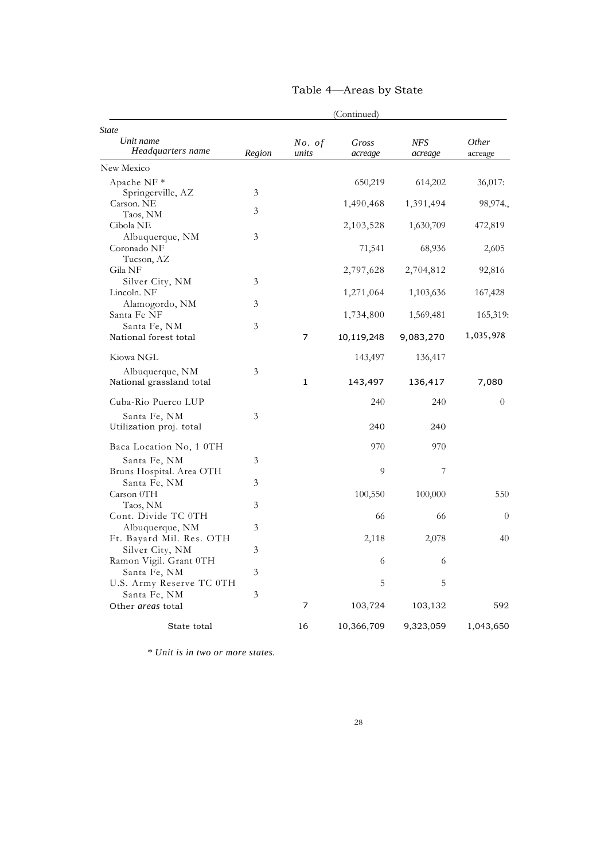|                                         |        |                 | (Continued)      |                       |                         |
|-----------------------------------------|--------|-----------------|------------------|-----------------------|-------------------------|
| State<br>Unit name<br>Headquarters name | Region | No. of<br>units | Gross<br>acreage | <b>NFS</b><br>acreage | <i>Other</i><br>acreage |
| New Mexico                              |        |                 |                  |                       |                         |
| Apache NF *                             |        |                 | 650,219          | 614,202               | 36,017:                 |
| Springerville, AZ                       | 3      |                 |                  |                       |                         |
| Carson. NE                              | 3      |                 | 1,490,468        | 1,391,494             | 98,974.,                |
| Taos, NM                                |        |                 |                  |                       |                         |
| Cibola NE                               |        |                 | 2,103,528        | 1,630,709             | 472,819                 |
| Albuquerque, NM                         | 3      |                 |                  |                       |                         |
| Coronado NF                             |        |                 | 71,541           | 68,936                | 2,605                   |
| Tucson, AZ<br>Gila NF                   |        |                 | 2,797,628        | 2,704,812             | 92,816                  |
| Silver City, NM                         | 3      |                 |                  |                       |                         |
| Lincoln. NF                             |        |                 | 1,271,064        | 1,103,636             | 167,428                 |
| Alamogordo, NM                          | 3      |                 |                  |                       |                         |
| Santa Fe NF                             |        |                 | 1,734,800        | 1,569,481             | 165,319:                |
| Santa Fe, NM                            | 3      |                 |                  |                       |                         |
| National forest total                   |        | 7               | 10,119,248       | 9,083,270             | 1,035,978               |
| Kiowa NGL                               |        |                 | 143,497          | 136,417               |                         |
| Albuquerque, NM                         | 3      |                 |                  |                       |                         |
| National grassland total                |        | $\mathbf 1$     | 143,497          | 136,417               | 7,080                   |
| Cuba-Rio Puerco LUP                     |        |                 | 240              | 240                   | $\overline{0}$          |
| Santa Fe, NM                            | 3      |                 |                  |                       |                         |
| Utilization proj. total                 |        |                 | 240              | 240                   |                         |
| Baca Location No, 1 0TH                 |        |                 | 970              | 970                   |                         |
| Santa Fe, NM                            | 3      |                 |                  |                       |                         |
| Bruns Hospital. Area OTH                |        |                 | 9                | 7                     |                         |
| Santa Fe, NM                            | 3      |                 |                  |                       |                         |
| Carson 0TH                              |        |                 | 100,550          | 100,000               | 550                     |
| Taos, NM                                | 3      |                 |                  |                       |                         |
| Cont. Divide TC 0TH                     |        |                 | 66               | 66                    | $\theta$                |
| Albuquerque, NM                         | 3      |                 |                  |                       |                         |
| Ft. Bayard Mil. Res. OTH                |        |                 | 2,118            | 2,078                 | 40                      |
| Silver City, NM                         | 3      |                 |                  |                       |                         |
| Ramon Vigil. Grant 0TH                  |        |                 | 6                | 6                     |                         |
| Santa Fe, NM                            | 3      |                 |                  |                       |                         |
| U.S. Army Reserve TC 0TH                |        |                 | 5                | 5                     |                         |
| Santa Fe, NM                            | 3      | 7               |                  |                       |                         |
| Other areas total                       |        |                 | 103,724          | 103,132               | 592                     |
| State total                             |        | 16              | 10,366,709       | 9,323,059             | 1,043,650               |

### Table 4—Areas by State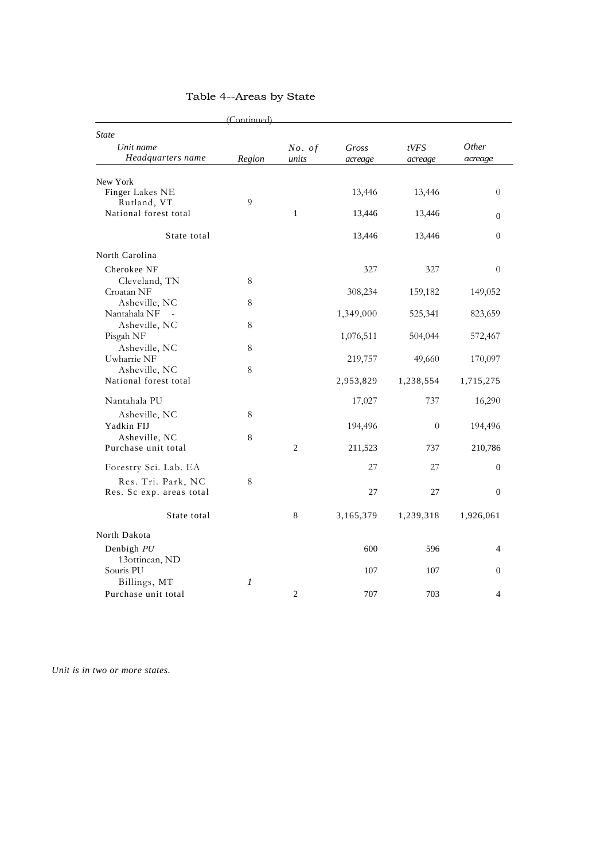|                                | (Continued) |                 |                  |                 |                         |
|--------------------------------|-------------|-----------------|------------------|-----------------|-------------------------|
| <b>State</b>                   |             |                 |                  |                 |                         |
| Unit name<br>Headquarters name | Region      | No. of<br>units | Gross<br>acreage | tVFS<br>acreage | <i>Other</i><br>acreage |
|                                |             |                 |                  |                 |                         |
| New York                       |             |                 |                  |                 |                         |
| Finger Lakes NE                |             |                 | 13,446           | 13,446          | $\overline{0}$          |
| Rutland, VT                    | 9           |                 |                  |                 |                         |
| National forest total          |             | $\mathbf{1}$    | 13,446           | 13,446          | $\overline{0}$          |
| State total                    |             |                 | 13,446           | 13,446          | $\mathbf{0}$            |
| North Carolina                 |             |                 |                  |                 |                         |
| Cherokee NF                    |             |                 | 327              | 327             | $\overline{0}$          |
| Cleveland, TN                  | 8           |                 |                  |                 |                         |
| Croatan NF                     |             |                 | 308,234          | 159,182         | 149,052                 |
| Asheville, NC                  | 8           |                 |                  |                 |                         |
| Nantahala NF<br>$\sim$         |             |                 | 1,349,000        | 525,341         | 823,659                 |
| Asheville, NC                  | 8           |                 |                  |                 |                         |
| Pisgah NF                      |             |                 | 1,076,511        | 504,044         | 572,467                 |
| Asheville, NC                  | 8           |                 |                  |                 |                         |
| Uwharrie NF                    |             |                 | 219,757          | 49,660          | 170,097                 |
| Asheville, NC                  | 8           |                 |                  |                 |                         |
| National forest total          |             |                 | 2,953,829        | 1,238,554       | 1,715,275               |
| Nantahala PU                   |             |                 | 17,027           | 737             | 16,290                  |
| Asheville, NC                  | 8           |                 |                  |                 |                         |
| Yadkin FIJ                     |             |                 | 194,496          | $\theta$        | 194,496                 |
| Asheville, NC                  | 8           |                 |                  |                 |                         |
| Purchase unit total            |             | $\overline{c}$  | 211,523          | 737             | 210,786                 |
| Forestry Sci. Lab. EA          |             |                 | 27               | 27              | $\mathbf{0}$            |
| Res. Tri. Park, NC             | 8           |                 |                  |                 |                         |
| Res. Sc exp. areas total       |             |                 | 27               | 27              | $\mathbf{0}$            |
| State total                    |             | 8               | 3,165,379        | 1,239,318       | 1,926,061               |
| North Dakota                   |             |                 |                  |                 |                         |
| Denbigh PU                     |             |                 | 600              | 596             | $\overline{4}$          |
| 13ottinean, ND                 |             |                 |                  |                 |                         |
| Souris PU                      |             |                 | 107              | 107             | $\mathbf{0}$            |
| Billings, MT                   | 1           |                 |                  |                 |                         |
| Purchase unit total            |             | $\mathfrak{2}$  | 707              | 703             | $\overline{4}$          |
|                                |             |                 |                  |                 |                         |

### Table 4--Areas by State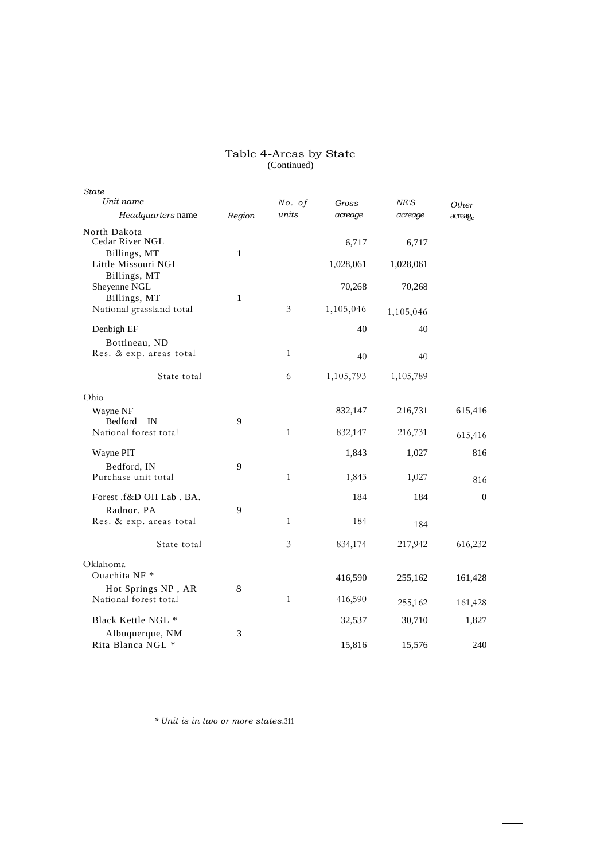| State<br>Unit name           |        | No. of         | Gross     | NE'S      | Other            |
|------------------------------|--------|----------------|-----------|-----------|------------------|
| <i>Headquarters</i> name     | Region | units          | acreage   | acreage   | acreag           |
| North Dakota                 |        |                |           |           |                  |
| Cedar River NGL              |        |                | 6,717     | 6,717     |                  |
| Billings, MT                 | 1      |                |           |           |                  |
| Little Missouri NGL          |        |                | 1,028,061 | 1,028,061 |                  |
| Billings, MT<br>Sheyenne NGL |        |                | 70,268    | 70,268    |                  |
| Billings, MT                 | 1      |                |           |           |                  |
| National grassland total     |        | $\mathfrak{Z}$ | 1,105,046 | 1,105,046 |                  |
|                              |        |                |           |           |                  |
| Denbigh EF                   |        |                | 40        | 40        |                  |
| Bottineau, ND                |        |                |           |           |                  |
| Res. & exp. areas total      |        | $\mathbf{1}$   | 40        | 40        |                  |
| State total                  |        | 6              | 1,105,793 | 1,105,789 |                  |
|                              |        |                |           |           |                  |
| Ohio                         |        |                |           |           |                  |
| Wayne NF                     |        |                | 832,147   | 216,731   | 615,416          |
| Bedford<br>IN                | 9      |                |           |           |                  |
| National forest total        |        | $\mathbf{1}$   | 832,147   | 216,731   | 615,416          |
| Wayne PIT                    |        |                | 1,843     | 1,027     | 816              |
| Bedford, IN                  | 9      |                |           |           |                  |
| Purchase unit total          |        | $\mathbf{1}$   | 1,843     | 1,027     | 816              |
|                              |        |                |           |           |                  |
| Forest .f&D OH Lab . BA.     |        |                | 184       | 184       | $\boldsymbol{0}$ |
| Radnor. PA                   | 9      |                |           |           |                  |
| Res. & exp. areas total      |        | $\mathbf{1}$   | 184       | 184       |                  |
| State total                  |        | $\mathfrak{Z}$ | 834,174   | 217,942   | 616,232          |
| Oklahoma                     |        |                |           |           |                  |
| Ouachita NF *                |        |                | 416,590   | 255,162   | 161,428          |
| Hot Springs NP, AR           | 8      |                |           |           |                  |
| National forest total        |        | $\mathbf{1}$   | 416,590   | 255,162   | 161,428          |
|                              |        |                |           |           |                  |
| Black Kettle NGL *           |        |                | 32,537    | 30,710    | 1,827            |
| Albuquerque, NM              | 3      |                |           |           |                  |
| Rita Blanca NGL *            |        |                | 15,816    | 15,576    | 240              |

#### Table 4-Areas by State (Continued)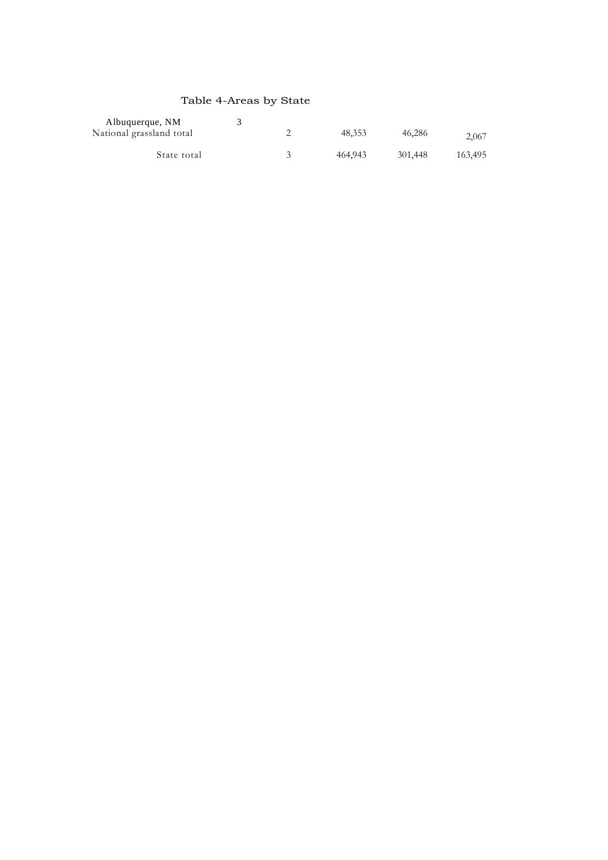### Table 4-Areas by State

| Albuquerque, NM          |  |         |         |         |
|--------------------------|--|---------|---------|---------|
| National grassland total |  | 48.353  | 46.286  | 2,067   |
| State total              |  | 464,943 | 301,448 | 163,495 |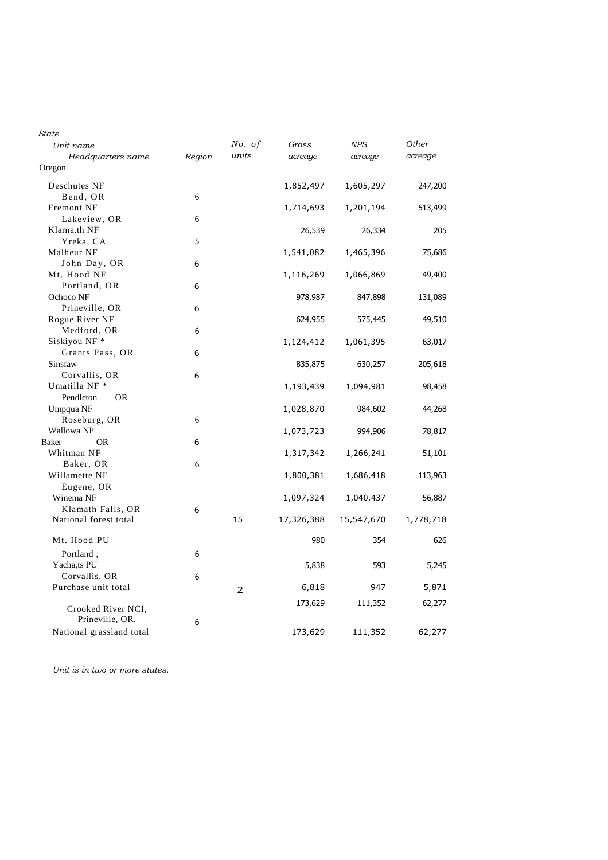| State                                      |        |                |            |            |           |
|--------------------------------------------|--------|----------------|------------|------------|-----------|
| Unit name                                  |        | No. of         | Gross      | <b>NPS</b> | Other     |
| Headquarters name                          | Region | units          | acreage    | acreage    | acreage   |
| Oregon                                     |        |                |            |            |           |
| Deschutes NF                               |        |                | 1,852,497  | 1,605,297  | 247,200   |
| Bend, OR                                   | 6      |                |            |            |           |
| Fremont NF                                 |        |                | 1,714,693  | 1,201,194  | 513,499   |
| Lakeview, OR                               | 6      |                |            |            |           |
| Klarna.th NF                               |        |                | 26,539     | 26,334     | 205       |
| Yreka, CA                                  | 5      |                |            |            |           |
| Malheur NF                                 |        |                | 1,541,082  | 1,465,396  | 75,686    |
| John Day, OR                               | 6      |                |            |            |           |
| Mt. Hood NF                                |        |                | 1,116,269  | 1,066,869  | 49,400    |
| Portland, OR                               | 6      |                |            |            |           |
| Ochoco NF                                  |        |                | 978,987    | 847,898    | 131,089   |
| Prineville, OR                             | 6      |                |            |            |           |
| Rogue River NF<br>Medford, OR              | 6      |                | 624,955    | 575,445    | 49,510    |
| Siskiyou NF *                              |        |                | 1,124,412  | 1,061,395  | 63,017    |
| Grants Pass, OR                            | 6      |                |            |            |           |
| Sinsfaw                                    |        |                | 835,875    | 630,257    | 205,618   |
| Corvallis, OR                              | 6      |                |            |            |           |
| Umatilla NF <sup>*</sup>                   |        |                | 1,193,439  | 1,094,981  | 98,458    |
| Pendleton<br><b>OR</b>                     |        |                |            |            |           |
| Umpqua NF                                  |        |                | 1,028,870  | 984,602    | 44,268    |
| Roseburg, OR                               | 6      |                |            |            |           |
| Wallowa NP                                 |        |                | 1,073,723  | 994,906    | 78,817    |
| Baker<br>OR                                | 6      |                |            |            |           |
| Whitman NF                                 |        |                | 1,317,342  | 1,266,241  | 51,101    |
| Baker, OR                                  | 6      |                |            |            |           |
| Willamette NI'                             |        |                | 1,800,381  | 1,686,418  | 113,963   |
| Eugene, OR                                 |        |                |            |            |           |
| Winema <sub>NF</sub>                       |        |                | 1,097,324  | 1,040,437  | 56,887    |
| Klamath Falls, OR<br>National forest total | 6      | 15             | 17,326,388 | 15,547,670 | 1,778,718 |
|                                            |        |                |            |            |           |
| Mt. Hood PU                                |        |                | 980        | 354        | 626       |
| Portland,                                  | 6      |                |            |            |           |
| Yacha,ts PU                                |        |                | 5,838      | 593        | 5,245     |
| Corvallis, OR                              | 6      |                |            |            |           |
| Purchase unit total                        |        | $\overline{a}$ | 6,818      | 947        | 5,871     |
|                                            |        |                |            |            |           |
| Crooked River NCI,                         |        |                | 173,629    | 111,352    | 62,277    |
| Prineville, OR.                            | 6      |                |            |            |           |
| National grassland total                   |        |                | 173,629    | 111,352    | 62,277    |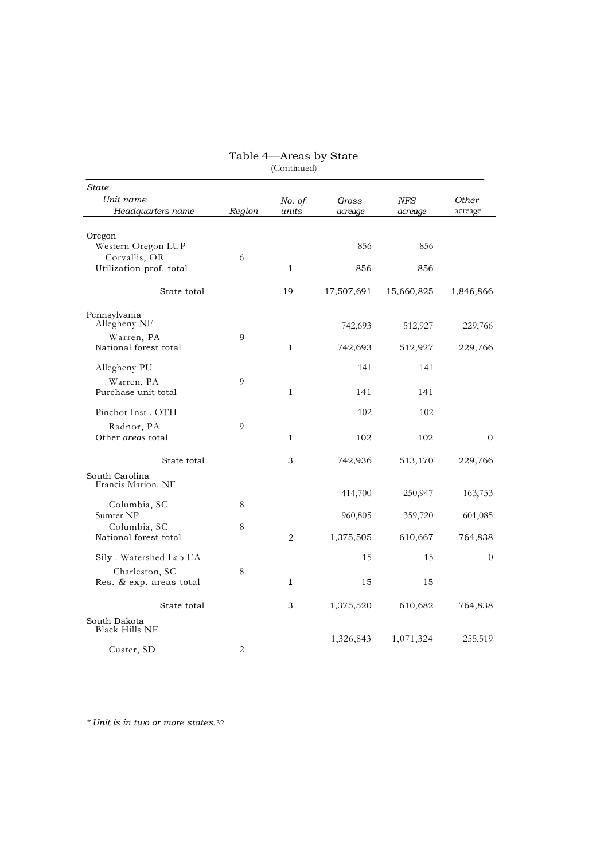|                                |        | $($ Comunica $)$ |            |            |              |
|--------------------------------|--------|------------------|------------|------------|--------------|
| <b>State</b>                   |        |                  |            |            |              |
| Unit name                      |        | No. of           | Gross      | NFS        | <b>Other</b> |
| Headquarters name              | Region | units            | acreage    | acreage    | acreage      |
|                                |        |                  |            |            |              |
| Oregon                         |        |                  |            |            |              |
| Western Oregon LUP             |        |                  | 856        | 856        |              |
| Corvallis, OR                  | 6      |                  |            |            |              |
| Utilization prof. total        |        | 1                | 856        | 856        |              |
| State total                    |        | 19               | 17,507,691 | 15,660,825 | 1,846,866    |
| Pennsylvania                   |        |                  |            |            |              |
| Allegheny NF                   |        |                  | 742,693    | 512,927    | 229,766      |
| Warren, PA                     | 9      |                  |            |            |              |
| National forest total          |        | $\mathbf{1}$     | 742,693    | 512,927    | 229,766      |
| Allegheny PU                   |        |                  | 141        | 141        |              |
| Warren, PA                     | 9      |                  |            |            |              |
| Purchase unit total            |        | $\mathbf{1}$     | 141        | 141        |              |
|                                |        |                  |            |            |              |
| Pinchot Inst . OTH             |        |                  | 102        | 102        |              |
| Radnor, PA                     | 9      |                  |            |            |              |
| Other areas total              |        | $\mathbf{1}$     | 102        | 102        | $\Omega$     |
| State total                    |        | 3                | 742,936    | 513,170    | 229,766      |
| South Carolina                 |        |                  |            |            |              |
| Francis Marion. NF             |        |                  |            |            |              |
| Columbia, SC                   | 8      |                  | 414,700    | 250,947    | 163,753      |
| Sumter NP                      |        |                  | 960,805    | 359,720    | 601,085      |
| Columbia, SC                   | 8      |                  |            |            |              |
| National forest total          |        | $\overline{2}$   | 1,375,505  | 610,667    | 764,838      |
| Sily . Watershed Lab EA        |        |                  | 15         | 15         | $\theta$     |
| Charleston, SC                 | 8      |                  |            |            |              |
| Res. & exp. areas total        |        | 1                | 15         | 15         |              |
|                                |        |                  |            |            |              |
| State total                    |        | 3                | 1,375,520  | 610,682    | 764,838      |
| South Dakota<br>Black Hills NF |        |                  |            |            |              |
|                                |        |                  | 1,326,843  | 1,071,324  | 255,519      |
| Custer, SD                     | 2      |                  |            |            |              |

#### Table 4—Areas by State (Continued)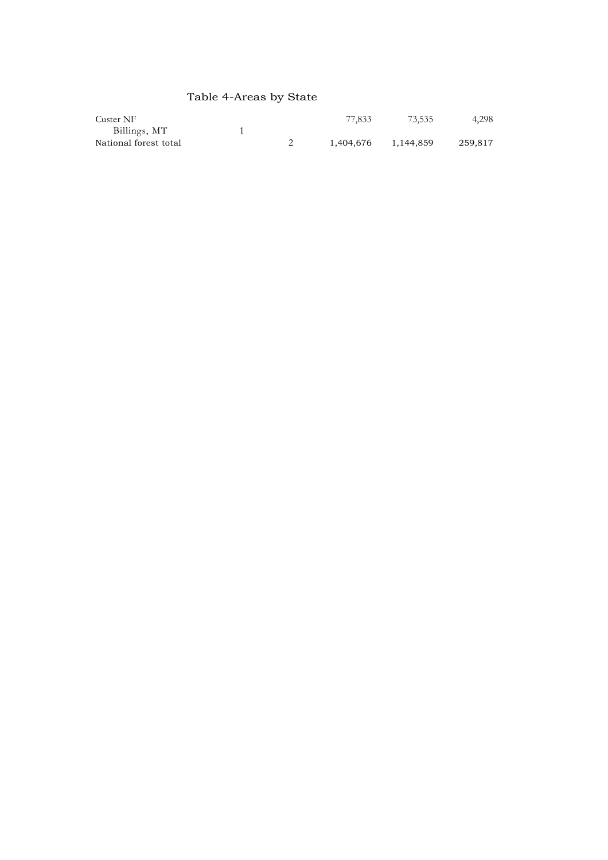# Table 4-Areas by State

| Custer NF             |  | 77.833    | 73.535    | 4.298   |
|-----------------------|--|-----------|-----------|---------|
| Billings, MT          |  |           |           |         |
| National forest total |  | 1.404.676 | 1.144.859 | 259.817 |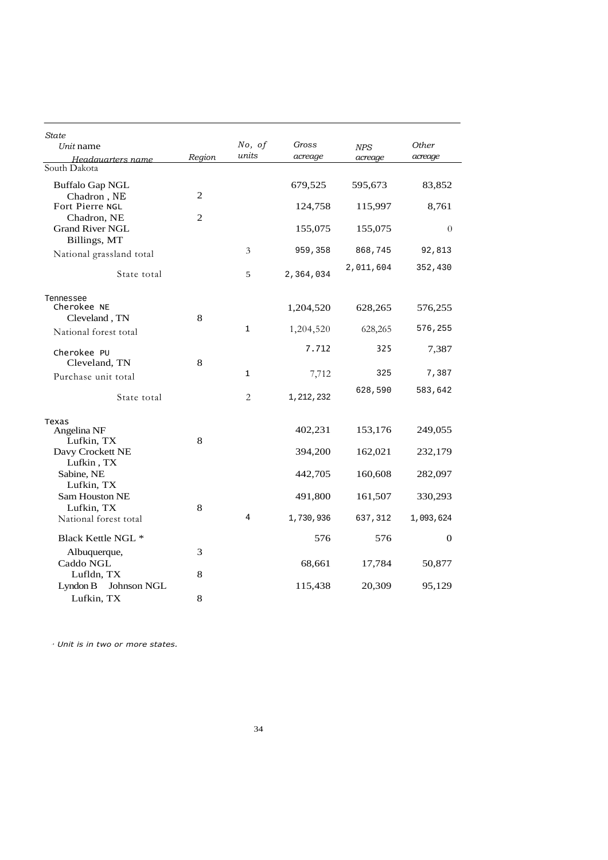| State<br>Unit name                     |        | No, of         | Gross     | $N\!P\!S$ | Other          |
|----------------------------------------|--------|----------------|-----------|-----------|----------------|
| Headauarters name                      | Region | units          | acreage   | acreage   | acreage        |
| South Dakota                           |        |                |           |           |                |
| <b>Buffalo Gap NGL</b><br>Chadron, NE  | 2      |                | 679,525   | 595,673   | 83,852         |
| Fort Pierre NGL<br>Chadron, NE         | 2      |                | 124,758   | 115,997   | 8,761          |
| <b>Grand River NGL</b><br>Billings, MT |        |                | 155,075   | 155,075   | $\theta$       |
| National grassland total               |        | 3              | 959,358   | 868,745   | 92,813         |
| State total                            |        | 5              | 2,364,034 | 2,011,604 | 352,430        |
| Tennessee<br>Cherokee NE               |        |                | 1,204,520 | 628,265   | 576,255        |
| Cleveland, TN                          | 8      | $\mathbf{1}$   | 1,204,520 | 628,265   | 576,255        |
| National forest total                  |        |                |           |           |                |
| Cherokee PU<br>Cleveland, TN           | 8      |                | 7.712     | 325       | 7,387          |
| Purchase unit total                    |        | 1              | 7,712     | 325       | 7,387          |
| State total                            |        | $\overline{2}$ | 1,212,232 | 628,590   | 583,642        |
| Texas<br>Angelina NF                   |        |                | 402,231   | 153,176   | 249,055        |
| Lufkin, TX<br>Davy Crockett NE         | 8      |                | 394,200   | 162,021   | 232,179        |
| Lufkin, TX<br>Sabine, NE<br>Lufkin, TX |        |                | 442,705   | 160,608   | 282,097        |
| Sam Houston NE<br>Lufkin, TX           | 8      |                | 491,800   | 161,507   | 330,293        |
| National forest total                  |        | 4              | 1,730,936 | 637,312   | 1,093,624      |
| Black Kettle NGL *                     |        |                | 576       | 576       | $\overline{0}$ |
| Albuquerque,<br>Caddo NGL              | 3      |                | 68,661    | 17,784    | 50,877         |
| Lufldn, TX<br>Lyndon B<br>Johnson NGL  | 8      |                | 115,438   | 20,309    | 95,129         |
| Lufkin, TX                             | 8      |                |           |           |                |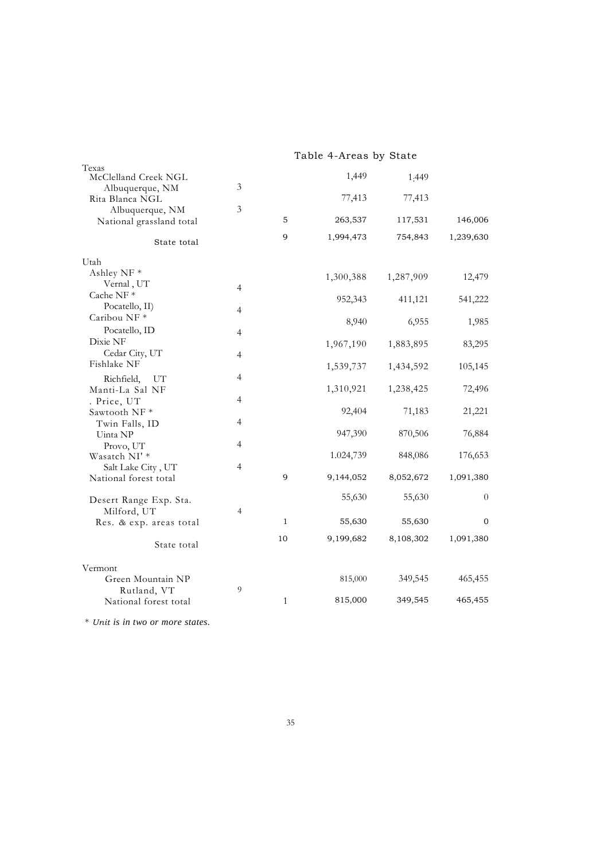|                                                  |                |              | Table 4-Areas by State |           |                |
|--------------------------------------------------|----------------|--------------|------------------------|-----------|----------------|
| Texas<br>McClelland Creek NGL<br>Albuquerque, NM | 3              |              | 1,449                  | 1:449     |                |
| Rita Blanca NGL                                  |                |              | 77,413                 | 77,413    |                |
| Albuquerque, NM<br>National grassland total      | 3              | 5            | 263,537                | 117,531   | 146,006        |
| State total                                      |                | 9            | 1,994,473              | 754,843   | 1,239,630      |
| Utah                                             |                |              |                        |           |                |
| Ashley NF <sup>*</sup>                           |                |              | 1,300,388              | 1,287,909 | 12,479         |
| Vernal, UT<br>Cache NF $*$                       | $\overline{4}$ |              |                        |           |                |
| Pocatello, II)                                   | $\overline{4}$ |              | 952,343                | 411,121   | 541,222        |
| Caribou NF <sup>*</sup>                          |                |              | 8,940                  | 6,955     | 1,985          |
| Pocatello, ID<br>Dixie NF                        | 4              |              | 1,967,190              | 1,883,895 | 83,295         |
| Cedar City, UT                                   | $\overline{4}$ |              |                        |           |                |
| Fishlake NF                                      |                |              | 1,539,737              | 1,434,592 | 105,145        |
| Richfield,<br>UT<br>Manti-La Sal NF              | 4              |              | 1,310,921              | 1,238,425 | 72,496         |
| . Price, UT                                      | 4              |              |                        |           |                |
| Sawtooth NF*<br>Twin Falls, ID                   | 4              |              | 92,404                 | 71,183    | 21,221         |
| Uinta NP                                         |                |              | 947,390                | 870,506   | 76,884         |
| Provo, UT                                        | 4              |              |                        |           |                |
| Wasatch NI'*<br>Salt Lake City, UT               | $\overline{4}$ |              | 1.024,739              | 848,086   | 176,653        |
| National forest total                            |                | 9            | 9,144,052              | 8,052,672 | 1,091,380      |
| Desert Range Exp. Sta.                           |                |              | 55,630                 | 55,630    | $\overline{0}$ |
| Milford, UT                                      | $\overline{4}$ |              |                        |           |                |
| Res. & exp. areas total                          |                | 1            | 55,630                 | 55,630    | 0              |
| State total                                      |                | 10           | 9,199,682              | 8,108,302 | 1,091,380      |
| Vermont                                          |                |              |                        |           |                |
| Green Mountain NP                                |                |              | 815,000                | 349,545   | 465,455        |
| Rutland, VT<br>National forest total             | 9              | $\mathbf{1}$ | 815,000                | 349,545   | 465,455        |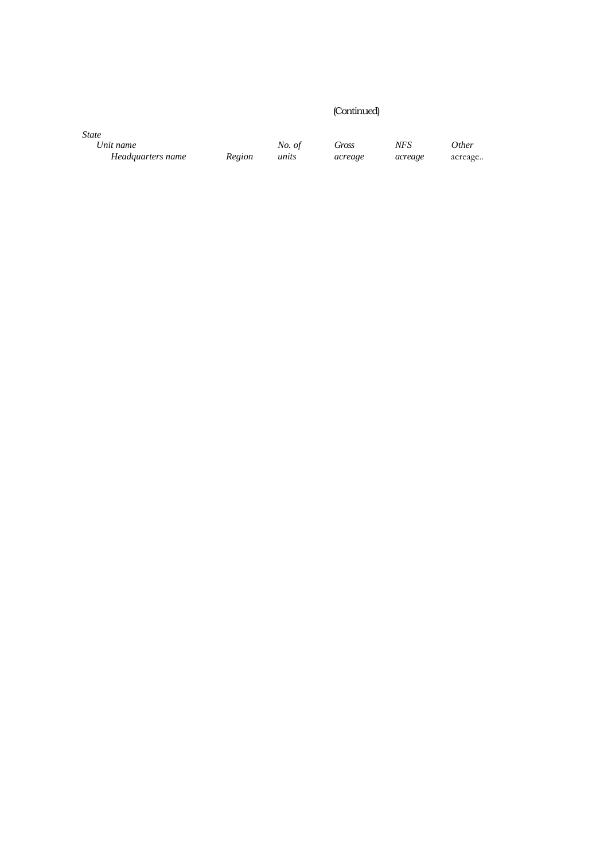### (Continued)

*State*

*Headquarters name* 

*Unit name No. of Gross NFS Other*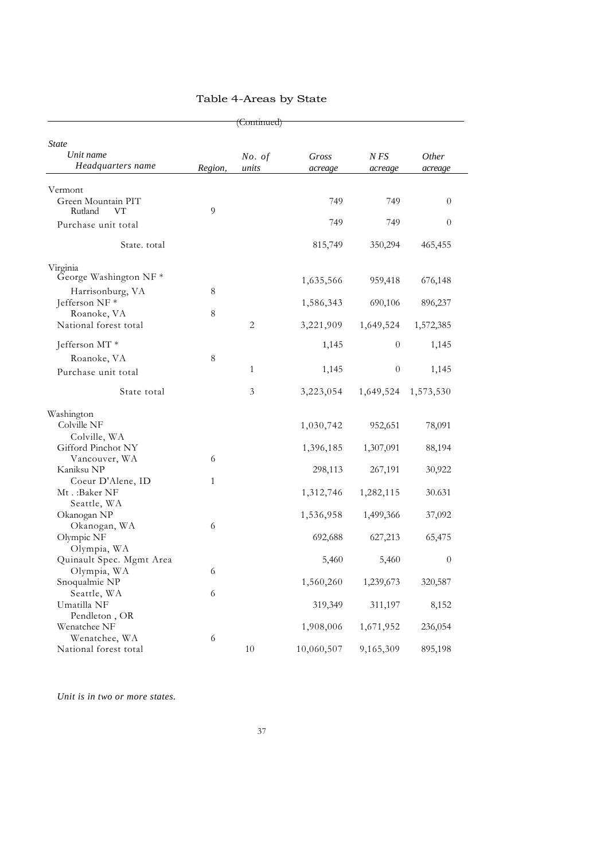|                                                |         | (Continued)     |                  |                  |                  |
|------------------------------------------------|---------|-----------------|------------------|------------------|------------------|
| <b>State</b><br>Unit name<br>Headquarters name | Region, | No. of<br>units | Gross<br>acreage | N FS<br>acreage  | Other<br>acreage |
| Vermont<br>Green Mountain PIT<br>Rutland<br>VT | 9       |                 | 749              | 749              | $\theta$         |
| Purchase unit total                            |         |                 | 749              | 749              | $\theta$         |
| State. total                                   |         |                 | 815,749          | 350,294          | 465,455          |
| Virginia<br>George Washington NF *             |         |                 | 1,635,566        | 959,418          | 676,148          |
| Harrisonburg, VA<br>Jefferson NF*              | 8       |                 | 1,586,343        | 690,106          | 896,237          |
| Roanoke, VA<br>National forest total           | 8       | 2               | 3,221,909        | 1,649,524        | 1,572,385        |
| Jefferson MT*                                  |         |                 | 1,145            | $\boldsymbol{0}$ | 1,145            |
| Roanoke, VA                                    | 8       |                 |                  |                  |                  |
| Purchase unit total                            |         | $\mathbf{1}$    | 1,145            | $\boldsymbol{0}$ | 1,145            |
| State total                                    |         | $\mathfrak{Z}$  | 3,223,054        | 1,649,524        | 1,573,530        |
| Washington<br>Colville NF<br>Colville, WA      |         |                 | 1,030,742        | 952,651          | 78,091           |
| Gifford Pinchot NY                             |         |                 | 1,396,185        | 1,307,091        | 88,194           |
| Vancouver, WA<br>Kaniksu NP                    | 6       |                 | 298,113          | 267,191          | 30,922           |
| Coeur D'Alene, ID<br>Mt.:Baker NF              | 1       |                 | 1,312,746        | 1,282,115        | 30.631           |
| Seattle, WA<br>Okanogan NP                     |         |                 | 1,536,958        | 1,499,366        | 37,092           |
| Okanogan, WA<br>Olympic NF<br>Olympia, WA      | 6       |                 | 692,688          | 627,213          | 65,475           |
| Quinault Spec. Mgmt Area                       |         |                 | 5,460            | 5,460            | $\overline{0}$   |
| Olympia, WA<br>Snoqualmie NP                   | 6       |                 | 1,560,260        | 1,239,673        | 320,587          |
| Seattle, WA<br>Umatilla NF                     | 6       |                 | 319,349          | 311,197          | 8,152            |
| Pendleton, OR<br>Wenatchee NF                  |         |                 | 1,908,006        | 1,671,952        | 236,054          |
| Wenatchee, WA<br>National forest total         | 6       | 10              | 10,060,507       | 9,165,309        | 895,198          |

### Table 4-Areas by State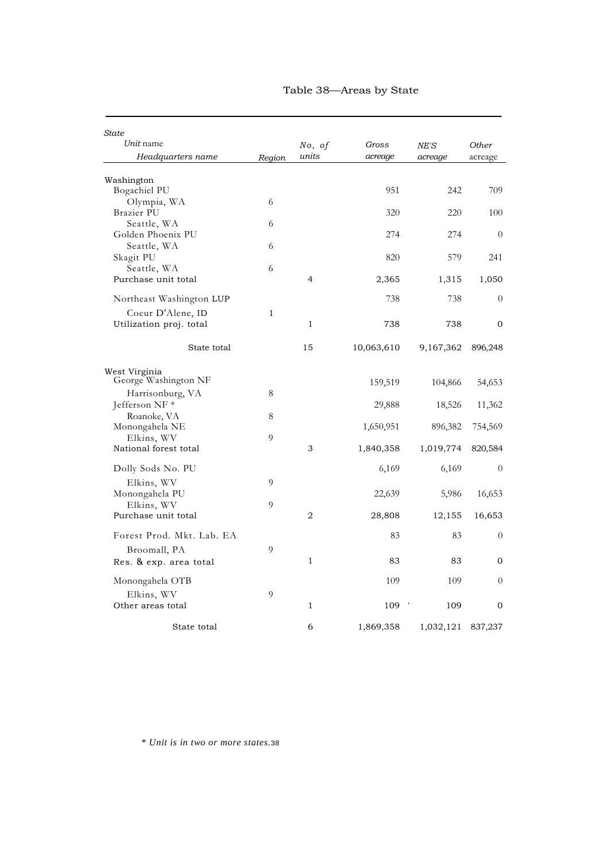| <b>State</b>                          |        |                |            |           |                |
|---------------------------------------|--------|----------------|------------|-----------|----------------|
| Unit name                             |        | No, of         | Gross      | NE'S      | Other          |
| Headquarters name                     | Region | units          | acreage    | acreage   | acreage        |
| Washington                            |        |                |            |           |                |
| Bogachiel PU                          |        |                | 951        | 242       | 709            |
| Olympia, WA                           | 6      |                |            |           |                |
| Brazier PU                            |        |                | 320        | 220       | 100            |
| Seattle, WA<br>Golden Phoenix PU      | 6      |                | 274        | 274       | $\theta$       |
| Seattle, WA                           | 6      |                |            |           |                |
| Skagit PU                             |        |                | 820        | 579       | 241            |
| Seattle, WA                           | 6      |                |            |           |                |
| Purchase unit total                   |        | 4              | 2,365      | 1,315     | 1,050          |
| Northeast Washington LUP              |        |                | 738        | 738       | $\overline{0}$ |
| Coeur D'Alene, ID                     | 1      |                |            |           |                |
| Utilization proj. total               |        | $\mathbf{1}$   | 738        | 738       | $\mathbf{0}$   |
| State total                           |        | 15             | 10,063,610 | 9,167,362 | 896,248        |
| West Virginia<br>George Washington NF |        |                | 159,519    | 104,866   | 54,653         |
| Harrisonburg, VA                      | 8      |                |            |           |                |
| Jefferson NF *                        |        |                | 29,888     | 18,526    | 11,362         |
| Roanoke, VA                           | 8      |                |            |           |                |
| Monongahela NE                        |        |                | 1,650,951  | 896,382   | 754,569        |
| Elkins, WV<br>National forest total   | 9      | 3              |            |           | 820,584        |
|                                       |        |                | 1,840,358  | 1,019,774 |                |
| Dolly Sods No. PU                     |        |                | 6,169      | 6,169     | $\theta$       |
| Elkins, WV                            | 9      |                |            |           |                |
| Monongahela PU                        |        |                | 22,639     | 5,986     | 16,653         |
| Elkins, WV                            | 9      |                |            |           |                |
| Purchase unit total                   |        | $\overline{2}$ | 28,808     | 12,155    | 16,653         |
| Forest Prod. Mkt. Lab. EA             |        |                | 83         | 83        | $\theta$       |
| Broomall, PA                          | 9      |                |            |           |                |
| Res. & exp. area total                |        | $\mathbf{1}$   | 83         | 83        | $\mathbf{0}$   |
| Monongahela OTB                       |        |                | 109        | 109       | $\Omega$       |
| Elkins, WV                            | 9      |                |            |           |                |
| Other areas total                     |        | $\mathbf{1}$   | 109        | 109       | $\Omega$       |
| State total                           |        | 6              | 1,869,358  | 1,032,121 | 837,237        |

#### Table 38—Areas by State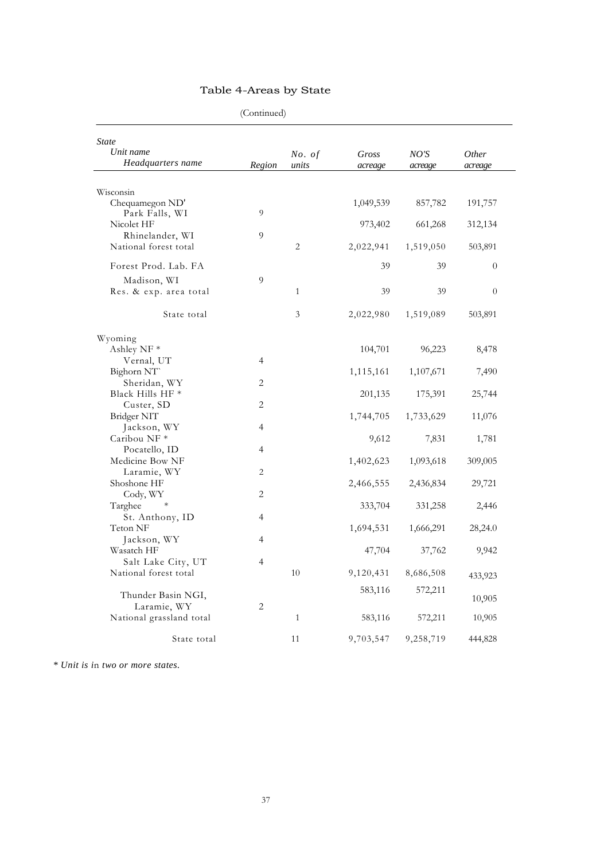|                                                | $($ Comunica $)$ |                 |                  |                 |                         |
|------------------------------------------------|------------------|-----------------|------------------|-----------------|-------------------------|
| <b>State</b><br>Unit name<br>Headquarters name | Region           | No. of<br>units | Gross<br>acreage | NO'S<br>acreage | <i>Other</i><br>acreage |
|                                                |                  |                 |                  |                 |                         |
| Wisconsin<br>Chequamegon ND'                   |                  |                 | 1,049,539        | 857,782         | 191,757                 |
| Park Falls, WI<br>Nicolet HF                   | 9                |                 | 973,402          | 661,268         | 312,134                 |
| Rhinelander, WI<br>National forest total       | 9                | 2               | 2,022,941        | 1,519,050       | 503,891                 |
| Forest Prod. Lab. FA                           |                  |                 | 39               | 39              | $\overline{0}$          |
| Madison, WI<br>Res. & exp. area total          | $\overline{9}$   | $\mathbf{1}$    | 39               | 39              | $\theta$                |
| State total                                    |                  | 3               | 2,022,980        | 1,519,089       | 503,891                 |
| Wyoming                                        |                  |                 |                  |                 |                         |
| Ashley NF*                                     |                  |                 | 104,701          | 96,223          | 8,478                   |
| Vernal, UT                                     | $\overline{4}$   |                 |                  |                 |                         |
| Bighorn NT                                     |                  |                 | 1,115,161        | 1,107,671       | 7,490                   |
| Sheridan, WY                                   | 2                |                 |                  |                 |                         |
| Black Hills HF <sup>*</sup>                    |                  |                 | 201,135          | 175,391         | 25,744                  |
| Custer, SD                                     | 2                |                 |                  |                 |                         |
| Bridger NIT                                    |                  |                 | 1,744,705        | 1,733,629       | 11,076                  |
| Jackson, WY                                    | $\overline{4}$   |                 |                  |                 |                         |
| Caribou NF <sup>*</sup>                        |                  |                 | 9,612            | 7,831           | 1,781                   |
| Pocatello, ID                                  | $\overline{4}$   |                 |                  |                 |                         |
| Medicine Bow NF                                |                  |                 | 1,402,623        | 1,093,618       | 309,005                 |
| Laramie, WY                                    | $\overline{c}$   |                 |                  |                 |                         |
| Shoshone HF                                    |                  |                 | 2,466,555        | 2,436,834       | 29,721                  |
| Cody, WY                                       | 2                |                 |                  |                 |                         |
| $\ast$<br>Targhee                              |                  |                 | 333,704          | 331,258         | 2,446                   |
| St. Anthony, ID                                | $\overline{4}$   |                 |                  |                 |                         |
| Teton NF                                       |                  |                 | 1,694,531        | 1,666,291       | 28,24.0                 |
| Jackson, WY                                    | $\overline{4}$   |                 |                  |                 |                         |
| Wasatch HF                                     |                  |                 | 47,704           | 37,762          | 9,942                   |
| Salt Lake City, UT                             | $\overline{4}$   |                 |                  |                 |                         |
| National forest total                          |                  | 10              | 9,120,431        | 8,686,508       |                         |
|                                                |                  |                 |                  |                 | 433,923                 |
| Thunder Basin NGI,                             |                  |                 | 583,116          | 572,211         |                         |
| Laramie, WY                                    | $\overline{2}$   |                 |                  |                 | 10,905                  |
|                                                |                  | $\mathbf{1}$    |                  |                 |                         |
| National grassland total                       |                  |                 | 583,116          | 572,211         | 10,905                  |
| State total                                    |                  | 11              | 9,703,547        | 9,258,719       | 444,828                 |

# Table 4-Areas by State

(Continued)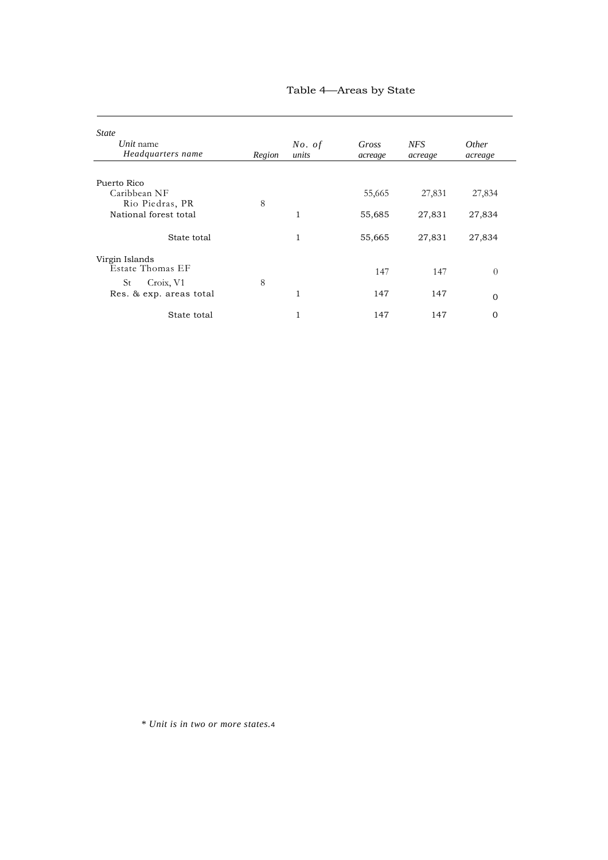| <b>State</b>                   |        |                 |                  |                       |                         |
|--------------------------------|--------|-----------------|------------------|-----------------------|-------------------------|
| Unit name<br>Headquarters name | Region | No. of<br>units | Gross<br>acreage | <b>NFS</b><br>acreage | <i>Other</i><br>acreage |
| Puerto Rico                    |        |                 |                  |                       |                         |
| Caribbean NF                   |        |                 | 55,665           | 27,831                | 27,834                  |
| Rio Piedras, PR                | 8      |                 |                  |                       |                         |
| National forest total          |        | 1               | 55,685           | 27,831                | 27,834                  |
| State total                    |        | 1               | 55,665           | 27,831                | 27,834                  |
| Virgin Islands                 |        |                 |                  |                       |                         |
| Estate Thomas EF               |        |                 | 147              | 147                   | $\Omega$                |
| St<br>Croix, V1                | 8      |                 |                  |                       |                         |
| Res. & exp. areas total        |        |                 | 147              | 147                   | $\Omega$                |
| State total                    |        |                 | 147              | 147                   | $\Omega$                |

### Table 4—Areas by State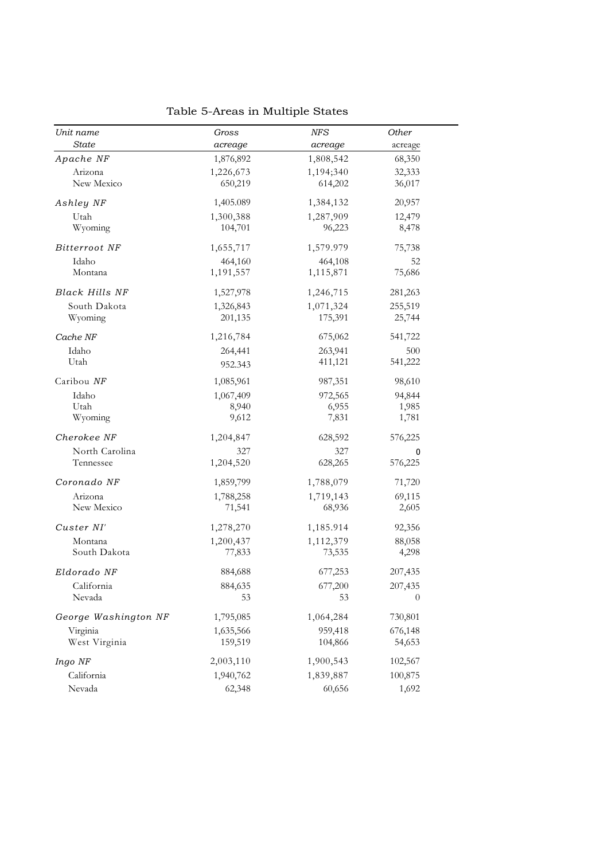| Unit name             | Gross     | <b>NFS</b> | Other   |
|-----------------------|-----------|------------|---------|
| <b>State</b>          | acreage   | acreage    | acreage |
| Apache NF             | 1,876,892 | 1,808,542  | 68,350  |
| Arizona               | 1,226,673 | 1,194;340  | 32,333  |
| New Mexico            | 650,219   | 614,202    | 36,017  |
| Ashley NF             | 1,405.089 | 1,384,132  | 20,957  |
| Utah                  | 1,300,388 | 1,287,909  | 12,479  |
| Wyoming               | 104,701   | 96,223     | 8,478   |
| Bitterroot NF         | 1,655,717 | 1,579.979  | 75,738  |
| Idaho                 | 464,160   | 464,108    | 52      |
| Montana               | 1,191,557 | 1,115,871  | 75,686  |
| <b>Black Hills NF</b> | 1,527,978 | 1,246,715  | 281,263 |
| South Dakota          | 1,326,843 | 1,071,324  | 255,519 |
| Wyoming               | 201,135   | 175,391    | 25,744  |
| Cache NF              | 1,216,784 | 675,062    | 541,722 |
| Idaho                 | 264,441   | 263,941    | 500     |
| Utah                  | 952.343   | 411,121    | 541,222 |
| Caribou NF            | 1,085,961 | 987,351    | 98,610  |
| Idaho                 | 1,067,409 | 972,565    | 94,844  |
| Utah                  | 8,940     | 6,955      | 1,985   |
| Wyoming               | 9,612     | 7,831      | 1,781   |
| Cherokee NF           | 1,204,847 | 628,592    | 576,225 |
| North Carolina        | 327       | 327        | 0       |
| Tennessee             | 1,204,520 | 628,265    | 576,225 |
| Coronado NF           | 1,859,799 | 1,788,079  | 71,720  |
| Arizona               | 1,788,258 | 1,719,143  | 69,115  |
| New Mexico            | 71,541    | 68,936     | 2,605   |
| Custer NI'            | 1,278,270 | 1,185.914  | 92,356  |
| Montana               | 1,200,437 | 1,112,379  | 88,058  |
| South Dakota          | 77,833    | 73,535     | 4,298   |
| Eldorado NF           | 884,688   | 677,253    | 207,435 |
| California            | 884,635   | 677,200    | 207,435 |
| Nevada                | 53        | 53         | 0       |
| George Washington NF  | 1,795,085 | 1,064,284  | 730,801 |
| Virginia              | 1,635,566 | 959,418    | 676,148 |
| West Virginia         | 159,519   | 104,866    | 54,653  |
| Ingo NF               | 2,003,110 | 1,900,543  | 102,567 |
| California            | 1,940,762 | 1,839,887  | 100,875 |
| Nevada                | 62,348    | 60,656     | 1,692   |

Table 5-Areas in Multiple States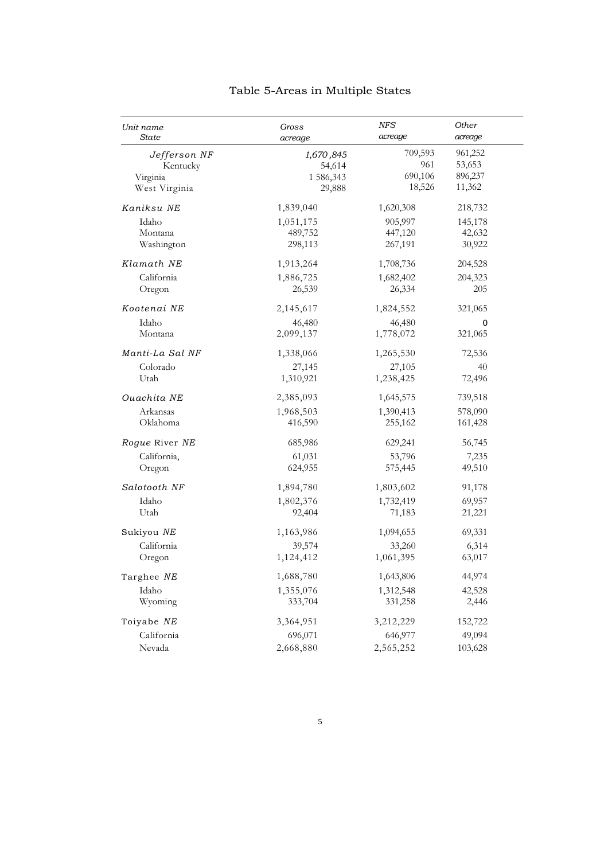| Unit name       | Gross     | <b>NFS</b> | Other       |
|-----------------|-----------|------------|-------------|
| <b>State</b>    | acreage   | acreage    | acreage     |
| Jefferson NF    | 1,670,845 | 709,593    | 961,252     |
| Kentucky        | 54,614    | 961        | 53,653      |
| Virginia        | 1 586,343 | 690,106    | 896,237     |
| West Virginia   | 29,888    | 18,526     | 11,362      |
| Kaniksu NE      | 1,839,040 | 1,620,308  | 218,732     |
| Idaho           | 1,051,175 | 905,997    | 145,178     |
| Montana         | 489,752   | 447,120    | 42,632      |
| Washington      | 298,113   | 267,191    | 30,922      |
| Klamath NE      | 1,913,264 | 1,708,736  | 204,528     |
| California      | 1,886,725 | 1,682,402  | 204,323     |
| Oregon          | 26,539    | 26,334     | 205         |
| Kootenai NE     | 2,145,617 | 1,824,552  | 321,065     |
| Idaho           | 46,480    | 46,480     | $\mathbf 0$ |
| Montana         | 2,099,137 | 1,778,072  | 321,065     |
| Manti-La Sal NF | 1,338,066 | 1,265,530  | 72,536      |
| Colorado        | 27,145    | 27,105     | 40          |
| Utah            | 1,310,921 | 1,238,425  | 72,496      |
| Ouachita NE     | 2,385,093 | 1,645,575  | 739,518     |
| Arkansas        | 1,968,503 | 1,390,413  | 578,090     |
| Oklahoma        | 416,590   | 255,162    | 161,428     |
| Rogue River NE  | 685,986   | 629,241    | 56,745      |
| California,     | 61,031    | 53,796     | 7,235       |
| Oregon          | 624,955   | 575,445    | 49,510      |
| Salotooth NF    | 1,894,780 | 1,803,602  | 91,178      |
| Idaho           | 1,802,376 | 1,732,419  | 69,957      |
| Utah            | 92,404    | 71,183     | 21,221      |
| Sukiyou NE      | 1,163,986 | 1,094,655  | 69,331      |
| California      | 39,574    | 33,260     | 6,314       |
| Oregon          | 1,124,412 | 1,061,395  | 63,017      |
| Targhee NE      | 1,688,780 | 1,643,806  | 44,974      |
| Idaho           | 1,355,076 | 1,312,548  | 42,528      |
| Wyoming         | 333,704   | 331,258    | 2,446       |
| Toiyabe NE      | 3,364,951 | 3,212,229  | 152,722     |
| California      | 696,071   | 646,977    | 49,094      |
| Nevada          | 2,668,880 | 2,565,252  | 103,628     |

# Table 5-Areas in Multiple States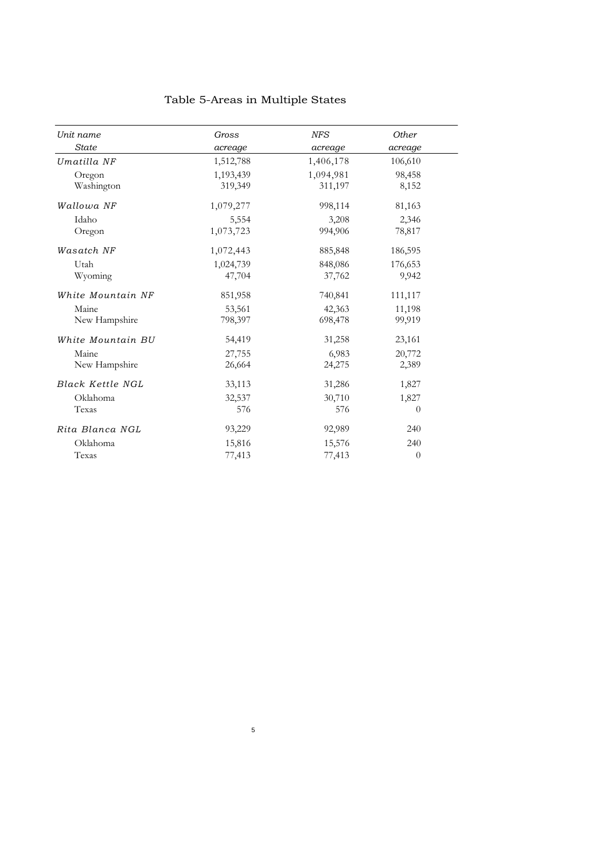| Unit name         | Gross     | <b>NFS</b> | Other          |
|-------------------|-----------|------------|----------------|
| <b>State</b>      | acreage   | acreage    | acreage        |
| Umatilla NF       | 1,512,788 | 1,406,178  | 106,610        |
| Oregon            | 1,193,439 | 1,094,981  | 98,458         |
| Washington        | 319,349   | 311,197    | 8,152          |
| Wallowa NF        | 1,079,277 | 998,114    | 81,163         |
| Idaho             | 5,554     | 3,208      | 2,346          |
| Oregon            | 1,073,723 | 994,906    | 78,817         |
| Wasatch NF        | 1,072,443 | 885,848    | 186,595        |
| Utah              | 1,024,739 | 848,086    | 176,653        |
| Wyoming           | 47,704    | 37,762     | 9,942          |
| White Mountain NF | 851,958   | 740,841    | 111,117        |
| Maine             | 53,561    | 42,363     | 11,198         |
| New Hampshire     | 798,397   | 698,478    | 99,919         |
| White Mountain BU | 54,419    | 31,258     | 23,161         |
| Maine             | 27,755    | 6,983      | 20,772         |
| New Hampshire     | 26,664    | 24,275     | 2,389          |
| Black Kettle NGL  | 33,113    | 31,286     | 1,827          |
| Oklahoma          | 32,537    | 30,710     | 1,827          |
| Texas             | 576       | 576        | $\theta$       |
| Rita Blanca NGL   | 93,229    | 92,989     | 240            |
| Oklahoma          | 15,816    | 15,576     | 240            |
| Texas             | 77,413    | 77,413     | $\overline{0}$ |

5

# Table 5-Areas in Multiple States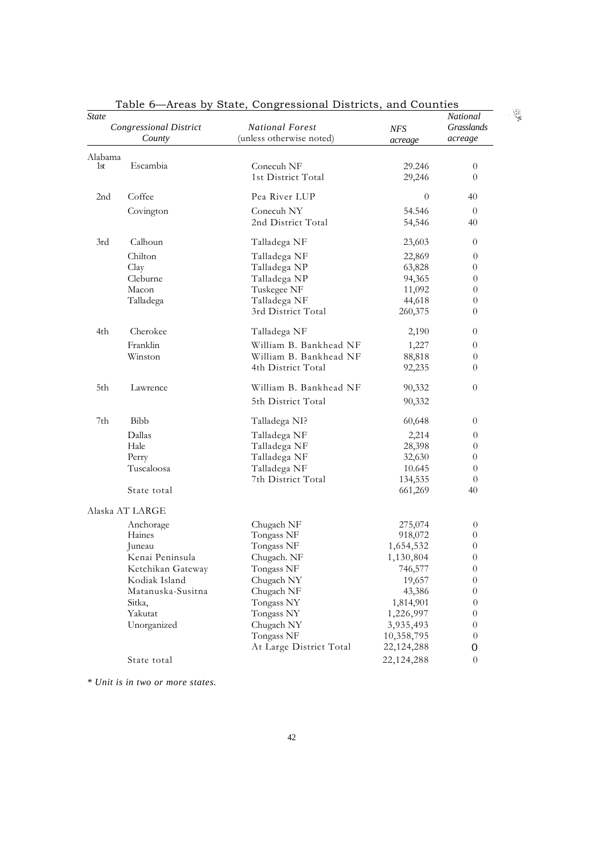| State           | $\frac{1}{2}$<br>Congressional District<br>County | baae, congressional Bistricts, and countres<br><b>National Forest</b><br>(unless otherwise noted) | <b>NFS</b><br>acreage | National<br>Grasslands<br>acreage |
|-----------------|---------------------------------------------------|---------------------------------------------------------------------------------------------------|-----------------------|-----------------------------------|
| Alabama         |                                                   |                                                                                                   |                       |                                   |
| 1st             | Escambia                                          | Conecuh NF                                                                                        | 29.246                | $\overline{0}$                    |
|                 |                                                   | 1st District Total                                                                                | 29,246                | $\theta$                          |
| 2 <sub>nd</sub> | Coffee                                            | Pea River LUP                                                                                     | $\theta$              | 40                                |
|                 | Covington                                         | Conecuh NY                                                                                        | 54.546                | $\overline{0}$                    |
|                 |                                                   | 2nd District Total                                                                                | 54,546                | 40                                |
| 3rd             | Calhoun                                           | Talladega NF                                                                                      | 23,603                | $\theta$                          |
|                 | Chilton                                           | Talladega NF                                                                                      | 22,869                | $\boldsymbol{0}$                  |
|                 | Clay                                              | Talladega NP                                                                                      | 63,828                | $\theta$                          |
|                 | Cleburne                                          | Talladega NP                                                                                      | 94,365                | $\theta$                          |
|                 | Macon                                             | Tuskegee NF                                                                                       | 11,092                | $\theta$                          |
|                 | Talladega                                         | Talladega NF                                                                                      | 44,618                | $\theta$                          |
|                 |                                                   | 3rd District Total                                                                                | 260,375               | $\theta$                          |
| 4th             | Cherokee                                          | Talladega NF                                                                                      | 2,190                 | $\theta$                          |
|                 | Franklin                                          | William B. Bankhead NF                                                                            | 1,227                 | $\theta$                          |
|                 | Winston                                           | William B. Bankhead NF                                                                            | 88,818                | $\theta$                          |
|                 |                                                   | 4th District Total                                                                                | 92,235                | 0                                 |
| 5th             | Lawrence                                          | William B. Bankhead NF                                                                            | 90,332                | $\theta$                          |
|                 |                                                   | 5th District Total                                                                                | 90,332                |                                   |
| 7th             | Bibb                                              | Talladega NI?                                                                                     | 60,648                | $\overline{0}$                    |
|                 | Dallas                                            | Talladega NF                                                                                      | 2,214                 | $\overline{0}$                    |
|                 | Hale                                              | Talladega NF                                                                                      | 28,398                | $\theta$                          |
|                 | Perry                                             | Talladega NF                                                                                      | 32,630                | $\theta$                          |
|                 | Tuscaloosa                                        | Talladega NF                                                                                      | 10.645                | $\theta$                          |
|                 |                                                   | 7th District Total                                                                                | 134,535               | $\theta$                          |
|                 | State total                                       |                                                                                                   | 661,269               | 40                                |
|                 | Alaska AT LARGE                                   |                                                                                                   |                       |                                   |
|                 | Anchorage                                         | Chugach NF                                                                                        | 275,074               | $\boldsymbol{0}$                  |
|                 | Haines                                            | Tongass NF                                                                                        | 918,072               | $\boldsymbol{0}$                  |
|                 | Juneau                                            | Tongass NF                                                                                        | 1,654,532             | $\boldsymbol{0}$                  |
|                 | Kenai Peninsula                                   | Chugach. NF                                                                                       | 1,130,804             | $\overline{0}$                    |
|                 | Ketchikan Gateway                                 | Tongass NF                                                                                        | 746,577               | $\theta$                          |
|                 | Kodiak Island                                     | Chugach NY                                                                                        | 19,657                | $\theta$                          |
|                 | Matanuska-Susitna                                 | Chugach NF                                                                                        | 43,386                | $\boldsymbol{0}$                  |
|                 | Sitka,                                            | Tongass NY                                                                                        | 1,814,901             | $\theta$                          |
|                 | Yakutat                                           | Tongass NY                                                                                        | 1,226,997             | $\boldsymbol{0}$                  |
|                 | Unorganized                                       | Chugach NY                                                                                        | 3,935,493             | $\boldsymbol{0}$                  |
|                 |                                                   | Tongass NF                                                                                        | 10,358,795            | $\theta$                          |
|                 |                                                   | At Large District Total                                                                           | 22, 124, 288          | 0                                 |
|                 | State total                                       |                                                                                                   | 22,124,288            | $\theta$                          |

Table 6—Areas by State, Congressional Districts, and Counties

 $\sim \frac{100}{3}$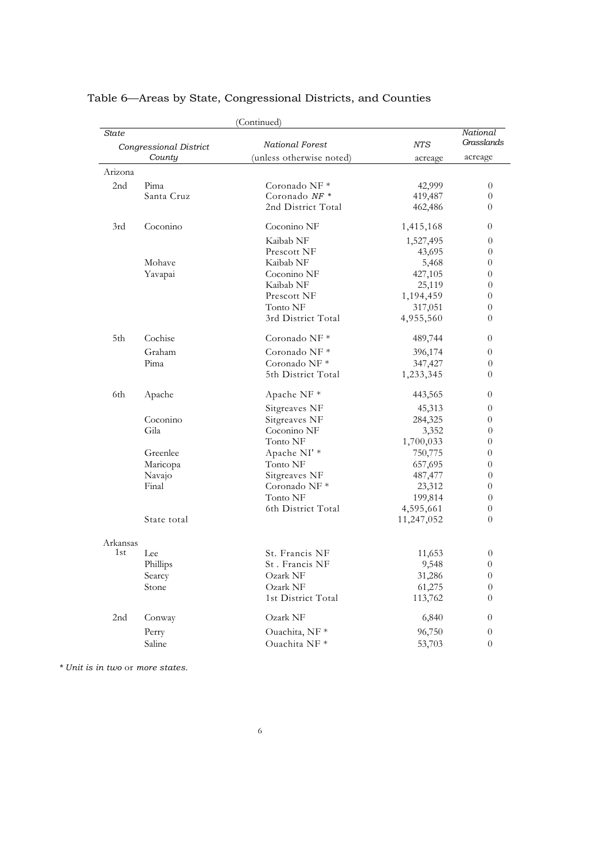|          |                        | (Continued)              |            |                        |
|----------|------------------------|--------------------------|------------|------------------------|
| State    | Congressional District | National Forest          | NTS        | National<br>Grasslands |
|          | County                 | (unless otherwise noted) | acreage    | acreage                |
| Arizona  |                        |                          |            |                        |
| 2nd      | Pima                   | Coronado NF <sup>*</sup> | 42,999     | $\boldsymbol{0}$       |
|          | Santa Cruz             | Coronado NF *            | 419,487    | $\theta$               |
|          |                        | 2nd District Total       | 462,486    | 0                      |
| 3rd      | Coconino               | Coconino NF              | 1,415,168  | $\theta$               |
|          |                        | Kaibab NF                | 1,527,495  | $\theta$               |
|          |                        | Prescott NF              | 43,695     | $\theta$               |
|          | Mohave                 | Kaibab NF                | 5,468      | 0                      |
|          | Yavapai                | Coconino NF              | 427,105    | 0                      |
|          |                        | Kaibab NF                | 25,119     | $\overline{0}$         |
|          |                        | Prescott NF              | 1,194,459  | 0                      |
|          |                        | Tonto NF                 | 317,051    | 0                      |
|          |                        | 3rd District Total       | 4,955,560  | 0                      |
| 5th      | Cochise                | Coronado NF *            | 489,744    | $\overline{0}$         |
|          | Graham                 | Coronado NF <sup>*</sup> | 396,174    | $\theta$               |
|          | Pima                   | Coronado NF*             | 347,427    | $\theta$               |
|          |                        | 5th District Total       | 1,233,345  | $\theta$               |
| 6th      | Apache                 | Apache NF *              | 443,565    | $\overline{0}$         |
|          |                        | Sitgreaves NF            | 45,313     | 0                      |
|          | Coconino               | Sitgreaves NF            | 284,325    | $\theta$               |
|          | Gila                   | Coconino NF              | 3,352      | $\theta$               |
|          |                        | Tonto NF                 | 1,700,033  | 0                      |
|          | Greenlee               | Apache NI' *             | 750,775    | 0                      |
|          | Maricopa               | Tonto NF                 | 657,695    | 0                      |
|          | Navajo                 | Sitgreaves NF            | 487,477    | $\theta$               |
|          | Final                  | Coronado NF *            | 23,312     | 0                      |
|          |                        | Tonto NF                 | 199,814    | $\theta$               |
|          |                        | 6th District Total       | 4,595,661  | 0                      |
|          | State total            |                          | 11,247,052 | $\theta$               |
| Arkansas |                        |                          |            |                        |
| 1st      | Lee                    | St. Francis NF           | 11,653     | $\boldsymbol{0}$       |
|          | Phillips               | St. Francis NF           | 9,548      | $\overline{0}$         |
|          | Searcy                 | Ozark NF                 | 31,286     | $\theta$               |
|          | Stone                  | Ozark NF                 | 61,275     | $\theta$               |
|          |                        | 1st District Total       | 113,762    | $\theta$               |
| 2nd      | Conway                 | Ozark NF                 | 6,840      | $\overline{0}$         |
|          | Perry                  | Ouachita, NF*            | 96,750     | $\overline{0}$         |
|          | Saline                 | Ouachita NF*             | 53,703     | $\overline{0}$         |
|          |                        |                          |            |                        |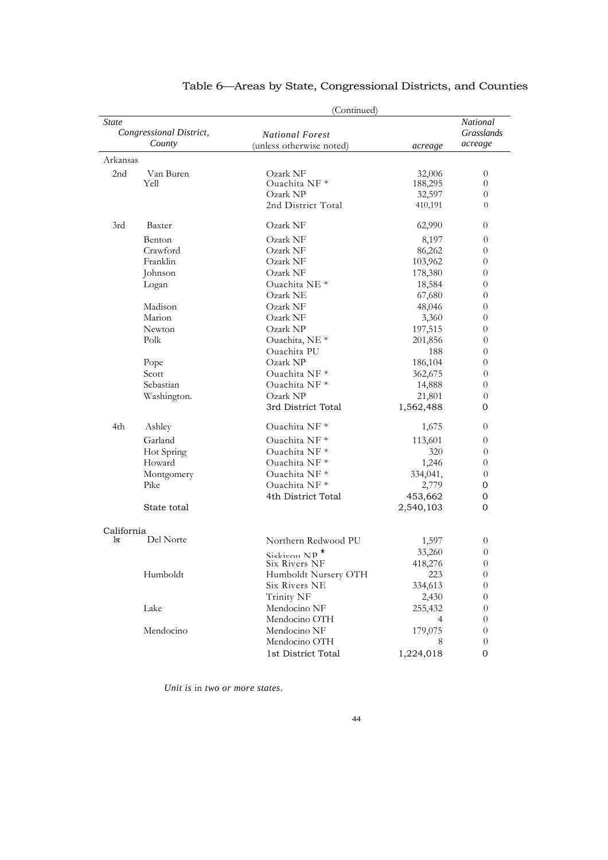|                                            |                   | (Continued)                                                |                                        |                                          |  |
|--------------------------------------------|-------------------|------------------------------------------------------------|----------------------------------------|------------------------------------------|--|
| State<br>Congressional District,<br>County |                   | <b>National Forest</b><br>(unless otherwise noted)         | acreage                                | National<br><b>Grasslands</b><br>acreage |  |
| Arkansas                                   |                   |                                                            |                                        |                                          |  |
| 2 <sub>nd</sub>                            | Van Buren<br>Yell | Ozark NF<br>Ouachita NF*<br>Ozark NP<br>2nd District Total | 32,006<br>188,295<br>32,597<br>410,191 | $\overline{0}$<br>0<br>0<br>$\theta$     |  |
| 3rd                                        | Baxter            | Ozark NF                                                   | 62,990                                 | 0                                        |  |
|                                            | Benton            | Ozark NF                                                   | 8,197                                  | $\overline{0}$                           |  |
|                                            | Crawford          | Ozark NF                                                   | 86,262                                 | 0                                        |  |
|                                            | Franklin          | Ozark NF                                                   | 103,962                                | 0                                        |  |
|                                            | Johnson           | Ozark NF                                                   | 178,380                                | 0                                        |  |
|                                            | Logan             | Ouachita NE <sup>*</sup>                                   | 18,584                                 | 0                                        |  |
|                                            |                   | Ozark NE                                                   | 67,680                                 | $\theta$                                 |  |
|                                            | Madison           | Ozark NF                                                   | 48,046                                 | 0                                        |  |
|                                            | Marion            | Ozark NF                                                   | 3,360                                  | $\theta$                                 |  |
|                                            | Newton            | Ozark NP                                                   | 197,515                                | 0                                        |  |
|                                            | Polk              | Ouachita, NE <sup>*</sup>                                  | 201,856                                | $\overline{0}$                           |  |
|                                            |                   | Ouachita PU                                                | 188                                    | $\theta$                                 |  |
|                                            | Pope              | Ozark NP                                                   | 186,104                                | $\theta$                                 |  |
|                                            | Scott             | Ouachita NF <sup>*</sup>                                   | 362,675                                | $\theta$                                 |  |
|                                            | Sebastian         | Ouachita NF <sup>*</sup>                                   | 14,888                                 | 0                                        |  |
|                                            | Washington.       | Ozark NP                                                   | 21,801                                 | $\theta$                                 |  |
|                                            |                   | 3rd District Total                                         | 1,562,488                              | 0                                        |  |
| 4th                                        | Ashley            | Ouachita NF <sup>*</sup>                                   | 1,675                                  | 0                                        |  |
|                                            | Garland           | Ouachita NF*                                               | 113,601                                | 0                                        |  |
|                                            | Hot Spring        | Ouachita NF <sup>*</sup>                                   | 320                                    | $\overline{0}$                           |  |
|                                            | Howard            | Ouachita NF <sup>*</sup>                                   | 1,246                                  | 0                                        |  |
|                                            | Montgomery        | Ouachita NF <sup>*</sup>                                   | 334,041,                               | $\overline{0}$                           |  |
|                                            | Pike              | Ouachita NF <sup>*</sup>                                   | 2,779                                  | 0                                        |  |
|                                            |                   | 4th District Total                                         | 453,662                                | 0                                        |  |
|                                            | State total       |                                                            | 2,540,103                              | 0                                        |  |
| California                                 |                   |                                                            |                                        |                                          |  |
| 1st                                        | Del Norte         | Northern Redwood PU                                        | 1,597                                  | $\theta$                                 |  |
|                                            |                   | Siskivon $NP$ <sup>*</sup>                                 | 33,260                                 | $\theta$                                 |  |
|                                            |                   | Six Rivers NF                                              | 418,276                                | $\theta$                                 |  |
|                                            | Humboldt          | Humboldt Nursery OTH                                       | 223                                    | 0                                        |  |
|                                            |                   | Six Rivers NE                                              | 334,613                                | $\theta$                                 |  |
|                                            |                   | Trinity NF                                                 | 2,430                                  | $\theta$                                 |  |
|                                            | Lake              | Mendocino NF                                               | 255,432                                | 0                                        |  |
|                                            |                   | Mendocino OTH                                              | 4                                      | $\theta$                                 |  |
|                                            | Mendocino         | Mendocino NF                                               | 179,075                                | 0                                        |  |
|                                            |                   | Mendocino OTH                                              | 8                                      | $\overline{0}$                           |  |
|                                            |                   | 1st District Total                                         | 1,224,018                              | 0                                        |  |
|                                            |                   |                                                            |                                        |                                          |  |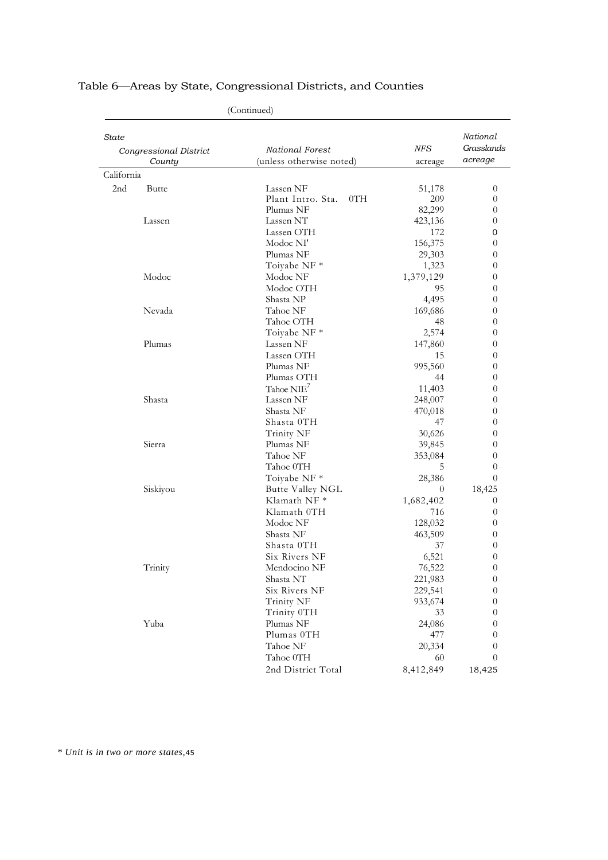| National<br>Grasslands<br>NFS<br>National Forest<br>Congressional District<br>acreage<br>County<br>(unless otherwise noted)<br>acreage<br>California<br>2 <sub>nd</sub><br>Lassen NF<br><b>Butte</b><br>51,178<br>$\overline{0}$<br>Plant Intro. Sta.<br>0TH<br>209<br>$\theta$<br>82,299<br>Plumas NF<br>0<br>Lassen NT<br>Lassen<br>423,136<br>0<br>Lassen OTH<br>172<br>0<br>Modoc NI'<br>156,375<br>$\theta$<br>Plumas NF<br>29,303<br>$\theta$<br>1,323<br>Toiyabe NF*<br>$\theta$<br>Modoc<br>Modoc NF<br>1,379,129<br>0<br>Modoc OTH<br>95<br>0<br>Shasta NP<br>4,495<br>$\theta$<br>Nevada<br>Tahoe NF<br>169,686<br>$\theta$<br>Tahoe OTH<br>48<br>$\theta$<br>Toiyabe NF *<br>2,574<br>0<br>Plumas<br>Lassen NF<br>147,860<br>$\theta$<br>Lassen OTH<br>15<br>0<br>Plumas NF<br>995,560<br>$\theta$<br>Plumas OTH<br>44<br>$\theta$<br>Tahoe $NIE7$<br>11,403<br>$\theta$<br>Shasta<br>Lassen NF<br>248,007<br>$\boldsymbol{0}$<br>Shasta NF<br>470,018<br>0<br>Shasta OTH<br>47<br>$\theta$<br>Trinity NF<br>30,626<br>$\theta$<br>Sierra<br>Plumas NF<br>39,845<br>0<br>Tahoe NF<br>353,084<br>0<br>Tahoe 0TH<br>5<br>$\overline{0}$<br>Toiyabe NF *<br>28,386<br>0<br>Siskiyou<br>Butte Valley NGL<br>$\theta$<br>18,425<br>Klamath NF <sup>*</sup><br>1,682,402<br>$\theta$<br>Klamath 0TH<br>716<br>$\theta$<br>Modoc NF<br>128,032<br>0<br>Shasta NF<br>463,509<br>0<br>Shasta OTH<br>37<br>0<br>Six Rivers NF<br>6,521<br>$\overline{0}$<br>Mendocino NF<br>76,522<br>Trinity<br>$\theta$<br>221,983<br>Shasta NT<br>$\theta$<br>Six Rivers NF<br>229,541<br>$\theta$<br>Trinity NF<br>933,674<br>$\theta$<br>Trinity 0TH<br>33<br>0<br>Yuba<br>Plumas NF<br>24,086<br>$\theta$<br>Plumas 0TH<br>477<br>$\theta$<br>Tahoe NF<br>20,334<br>$\theta$<br>Tahoe 0TH<br>60<br>$\theta$<br>2nd District Total<br>8,412,849<br>18,425 | (Continued) |  |  |  |
|-------------------------------------------------------------------------------------------------------------------------------------------------------------------------------------------------------------------------------------------------------------------------------------------------------------------------------------------------------------------------------------------------------------------------------------------------------------------------------------------------------------------------------------------------------------------------------------------------------------------------------------------------------------------------------------------------------------------------------------------------------------------------------------------------------------------------------------------------------------------------------------------------------------------------------------------------------------------------------------------------------------------------------------------------------------------------------------------------------------------------------------------------------------------------------------------------------------------------------------------------------------------------------------------------------------------------------------------------------------------------------------------------------------------------------------------------------------------------------------------------------------------------------------------------------------------------------------------------------------------------------------------------------------------------------------------------------------------------------------------------------------------------------------------------------------------------------------------------|-------------|--|--|--|
|                                                                                                                                                                                                                                                                                                                                                                                                                                                                                                                                                                                                                                                                                                                                                                                                                                                                                                                                                                                                                                                                                                                                                                                                                                                                                                                                                                                                                                                                                                                                                                                                                                                                                                                                                                                                                                                 | State       |  |  |  |
|                                                                                                                                                                                                                                                                                                                                                                                                                                                                                                                                                                                                                                                                                                                                                                                                                                                                                                                                                                                                                                                                                                                                                                                                                                                                                                                                                                                                                                                                                                                                                                                                                                                                                                                                                                                                                                                 |             |  |  |  |
|                                                                                                                                                                                                                                                                                                                                                                                                                                                                                                                                                                                                                                                                                                                                                                                                                                                                                                                                                                                                                                                                                                                                                                                                                                                                                                                                                                                                                                                                                                                                                                                                                                                                                                                                                                                                                                                 |             |  |  |  |
|                                                                                                                                                                                                                                                                                                                                                                                                                                                                                                                                                                                                                                                                                                                                                                                                                                                                                                                                                                                                                                                                                                                                                                                                                                                                                                                                                                                                                                                                                                                                                                                                                                                                                                                                                                                                                                                 |             |  |  |  |
|                                                                                                                                                                                                                                                                                                                                                                                                                                                                                                                                                                                                                                                                                                                                                                                                                                                                                                                                                                                                                                                                                                                                                                                                                                                                                                                                                                                                                                                                                                                                                                                                                                                                                                                                                                                                                                                 |             |  |  |  |
|                                                                                                                                                                                                                                                                                                                                                                                                                                                                                                                                                                                                                                                                                                                                                                                                                                                                                                                                                                                                                                                                                                                                                                                                                                                                                                                                                                                                                                                                                                                                                                                                                                                                                                                                                                                                                                                 |             |  |  |  |
|                                                                                                                                                                                                                                                                                                                                                                                                                                                                                                                                                                                                                                                                                                                                                                                                                                                                                                                                                                                                                                                                                                                                                                                                                                                                                                                                                                                                                                                                                                                                                                                                                                                                                                                                                                                                                                                 |             |  |  |  |
|                                                                                                                                                                                                                                                                                                                                                                                                                                                                                                                                                                                                                                                                                                                                                                                                                                                                                                                                                                                                                                                                                                                                                                                                                                                                                                                                                                                                                                                                                                                                                                                                                                                                                                                                                                                                                                                 |             |  |  |  |
|                                                                                                                                                                                                                                                                                                                                                                                                                                                                                                                                                                                                                                                                                                                                                                                                                                                                                                                                                                                                                                                                                                                                                                                                                                                                                                                                                                                                                                                                                                                                                                                                                                                                                                                                                                                                                                                 |             |  |  |  |
|                                                                                                                                                                                                                                                                                                                                                                                                                                                                                                                                                                                                                                                                                                                                                                                                                                                                                                                                                                                                                                                                                                                                                                                                                                                                                                                                                                                                                                                                                                                                                                                                                                                                                                                                                                                                                                                 |             |  |  |  |
|                                                                                                                                                                                                                                                                                                                                                                                                                                                                                                                                                                                                                                                                                                                                                                                                                                                                                                                                                                                                                                                                                                                                                                                                                                                                                                                                                                                                                                                                                                                                                                                                                                                                                                                                                                                                                                                 |             |  |  |  |
|                                                                                                                                                                                                                                                                                                                                                                                                                                                                                                                                                                                                                                                                                                                                                                                                                                                                                                                                                                                                                                                                                                                                                                                                                                                                                                                                                                                                                                                                                                                                                                                                                                                                                                                                                                                                                                                 |             |  |  |  |
|                                                                                                                                                                                                                                                                                                                                                                                                                                                                                                                                                                                                                                                                                                                                                                                                                                                                                                                                                                                                                                                                                                                                                                                                                                                                                                                                                                                                                                                                                                                                                                                                                                                                                                                                                                                                                                                 |             |  |  |  |
|                                                                                                                                                                                                                                                                                                                                                                                                                                                                                                                                                                                                                                                                                                                                                                                                                                                                                                                                                                                                                                                                                                                                                                                                                                                                                                                                                                                                                                                                                                                                                                                                                                                                                                                                                                                                                                                 |             |  |  |  |
|                                                                                                                                                                                                                                                                                                                                                                                                                                                                                                                                                                                                                                                                                                                                                                                                                                                                                                                                                                                                                                                                                                                                                                                                                                                                                                                                                                                                                                                                                                                                                                                                                                                                                                                                                                                                                                                 |             |  |  |  |
|                                                                                                                                                                                                                                                                                                                                                                                                                                                                                                                                                                                                                                                                                                                                                                                                                                                                                                                                                                                                                                                                                                                                                                                                                                                                                                                                                                                                                                                                                                                                                                                                                                                                                                                                                                                                                                                 |             |  |  |  |
|                                                                                                                                                                                                                                                                                                                                                                                                                                                                                                                                                                                                                                                                                                                                                                                                                                                                                                                                                                                                                                                                                                                                                                                                                                                                                                                                                                                                                                                                                                                                                                                                                                                                                                                                                                                                                                                 |             |  |  |  |
|                                                                                                                                                                                                                                                                                                                                                                                                                                                                                                                                                                                                                                                                                                                                                                                                                                                                                                                                                                                                                                                                                                                                                                                                                                                                                                                                                                                                                                                                                                                                                                                                                                                                                                                                                                                                                                                 |             |  |  |  |
|                                                                                                                                                                                                                                                                                                                                                                                                                                                                                                                                                                                                                                                                                                                                                                                                                                                                                                                                                                                                                                                                                                                                                                                                                                                                                                                                                                                                                                                                                                                                                                                                                                                                                                                                                                                                                                                 |             |  |  |  |
|                                                                                                                                                                                                                                                                                                                                                                                                                                                                                                                                                                                                                                                                                                                                                                                                                                                                                                                                                                                                                                                                                                                                                                                                                                                                                                                                                                                                                                                                                                                                                                                                                                                                                                                                                                                                                                                 |             |  |  |  |
|                                                                                                                                                                                                                                                                                                                                                                                                                                                                                                                                                                                                                                                                                                                                                                                                                                                                                                                                                                                                                                                                                                                                                                                                                                                                                                                                                                                                                                                                                                                                                                                                                                                                                                                                                                                                                                                 |             |  |  |  |
|                                                                                                                                                                                                                                                                                                                                                                                                                                                                                                                                                                                                                                                                                                                                                                                                                                                                                                                                                                                                                                                                                                                                                                                                                                                                                                                                                                                                                                                                                                                                                                                                                                                                                                                                                                                                                                                 |             |  |  |  |
|                                                                                                                                                                                                                                                                                                                                                                                                                                                                                                                                                                                                                                                                                                                                                                                                                                                                                                                                                                                                                                                                                                                                                                                                                                                                                                                                                                                                                                                                                                                                                                                                                                                                                                                                                                                                                                                 |             |  |  |  |
|                                                                                                                                                                                                                                                                                                                                                                                                                                                                                                                                                                                                                                                                                                                                                                                                                                                                                                                                                                                                                                                                                                                                                                                                                                                                                                                                                                                                                                                                                                                                                                                                                                                                                                                                                                                                                                                 |             |  |  |  |
|                                                                                                                                                                                                                                                                                                                                                                                                                                                                                                                                                                                                                                                                                                                                                                                                                                                                                                                                                                                                                                                                                                                                                                                                                                                                                                                                                                                                                                                                                                                                                                                                                                                                                                                                                                                                                                                 |             |  |  |  |
|                                                                                                                                                                                                                                                                                                                                                                                                                                                                                                                                                                                                                                                                                                                                                                                                                                                                                                                                                                                                                                                                                                                                                                                                                                                                                                                                                                                                                                                                                                                                                                                                                                                                                                                                                                                                                                                 |             |  |  |  |
|                                                                                                                                                                                                                                                                                                                                                                                                                                                                                                                                                                                                                                                                                                                                                                                                                                                                                                                                                                                                                                                                                                                                                                                                                                                                                                                                                                                                                                                                                                                                                                                                                                                                                                                                                                                                                                                 |             |  |  |  |
|                                                                                                                                                                                                                                                                                                                                                                                                                                                                                                                                                                                                                                                                                                                                                                                                                                                                                                                                                                                                                                                                                                                                                                                                                                                                                                                                                                                                                                                                                                                                                                                                                                                                                                                                                                                                                                                 |             |  |  |  |
|                                                                                                                                                                                                                                                                                                                                                                                                                                                                                                                                                                                                                                                                                                                                                                                                                                                                                                                                                                                                                                                                                                                                                                                                                                                                                                                                                                                                                                                                                                                                                                                                                                                                                                                                                                                                                                                 |             |  |  |  |
|                                                                                                                                                                                                                                                                                                                                                                                                                                                                                                                                                                                                                                                                                                                                                                                                                                                                                                                                                                                                                                                                                                                                                                                                                                                                                                                                                                                                                                                                                                                                                                                                                                                                                                                                                                                                                                                 |             |  |  |  |
|                                                                                                                                                                                                                                                                                                                                                                                                                                                                                                                                                                                                                                                                                                                                                                                                                                                                                                                                                                                                                                                                                                                                                                                                                                                                                                                                                                                                                                                                                                                                                                                                                                                                                                                                                                                                                                                 |             |  |  |  |
|                                                                                                                                                                                                                                                                                                                                                                                                                                                                                                                                                                                                                                                                                                                                                                                                                                                                                                                                                                                                                                                                                                                                                                                                                                                                                                                                                                                                                                                                                                                                                                                                                                                                                                                                                                                                                                                 |             |  |  |  |
|                                                                                                                                                                                                                                                                                                                                                                                                                                                                                                                                                                                                                                                                                                                                                                                                                                                                                                                                                                                                                                                                                                                                                                                                                                                                                                                                                                                                                                                                                                                                                                                                                                                                                                                                                                                                                                                 |             |  |  |  |
|                                                                                                                                                                                                                                                                                                                                                                                                                                                                                                                                                                                                                                                                                                                                                                                                                                                                                                                                                                                                                                                                                                                                                                                                                                                                                                                                                                                                                                                                                                                                                                                                                                                                                                                                                                                                                                                 |             |  |  |  |
|                                                                                                                                                                                                                                                                                                                                                                                                                                                                                                                                                                                                                                                                                                                                                                                                                                                                                                                                                                                                                                                                                                                                                                                                                                                                                                                                                                                                                                                                                                                                                                                                                                                                                                                                                                                                                                                 |             |  |  |  |
|                                                                                                                                                                                                                                                                                                                                                                                                                                                                                                                                                                                                                                                                                                                                                                                                                                                                                                                                                                                                                                                                                                                                                                                                                                                                                                                                                                                                                                                                                                                                                                                                                                                                                                                                                                                                                                                 |             |  |  |  |
|                                                                                                                                                                                                                                                                                                                                                                                                                                                                                                                                                                                                                                                                                                                                                                                                                                                                                                                                                                                                                                                                                                                                                                                                                                                                                                                                                                                                                                                                                                                                                                                                                                                                                                                                                                                                                                                 |             |  |  |  |
|                                                                                                                                                                                                                                                                                                                                                                                                                                                                                                                                                                                                                                                                                                                                                                                                                                                                                                                                                                                                                                                                                                                                                                                                                                                                                                                                                                                                                                                                                                                                                                                                                                                                                                                                                                                                                                                 |             |  |  |  |
|                                                                                                                                                                                                                                                                                                                                                                                                                                                                                                                                                                                                                                                                                                                                                                                                                                                                                                                                                                                                                                                                                                                                                                                                                                                                                                                                                                                                                                                                                                                                                                                                                                                                                                                                                                                                                                                 |             |  |  |  |
|                                                                                                                                                                                                                                                                                                                                                                                                                                                                                                                                                                                                                                                                                                                                                                                                                                                                                                                                                                                                                                                                                                                                                                                                                                                                                                                                                                                                                                                                                                                                                                                                                                                                                                                                                                                                                                                 |             |  |  |  |
|                                                                                                                                                                                                                                                                                                                                                                                                                                                                                                                                                                                                                                                                                                                                                                                                                                                                                                                                                                                                                                                                                                                                                                                                                                                                                                                                                                                                                                                                                                                                                                                                                                                                                                                                                                                                                                                 |             |  |  |  |
|                                                                                                                                                                                                                                                                                                                                                                                                                                                                                                                                                                                                                                                                                                                                                                                                                                                                                                                                                                                                                                                                                                                                                                                                                                                                                                                                                                                                                                                                                                                                                                                                                                                                                                                                                                                                                                                 |             |  |  |  |
|                                                                                                                                                                                                                                                                                                                                                                                                                                                                                                                                                                                                                                                                                                                                                                                                                                                                                                                                                                                                                                                                                                                                                                                                                                                                                                                                                                                                                                                                                                                                                                                                                                                                                                                                                                                                                                                 |             |  |  |  |
|                                                                                                                                                                                                                                                                                                                                                                                                                                                                                                                                                                                                                                                                                                                                                                                                                                                                                                                                                                                                                                                                                                                                                                                                                                                                                                                                                                                                                                                                                                                                                                                                                                                                                                                                                                                                                                                 |             |  |  |  |
|                                                                                                                                                                                                                                                                                                                                                                                                                                                                                                                                                                                                                                                                                                                                                                                                                                                                                                                                                                                                                                                                                                                                                                                                                                                                                                                                                                                                                                                                                                                                                                                                                                                                                                                                                                                                                                                 |             |  |  |  |
|                                                                                                                                                                                                                                                                                                                                                                                                                                                                                                                                                                                                                                                                                                                                                                                                                                                                                                                                                                                                                                                                                                                                                                                                                                                                                                                                                                                                                                                                                                                                                                                                                                                                                                                                                                                                                                                 |             |  |  |  |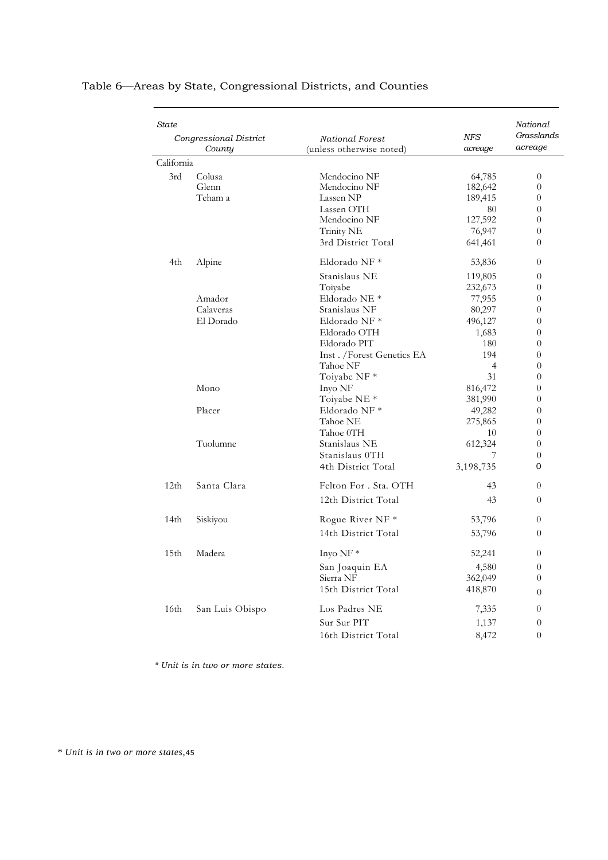| State      | Congressional District<br>County | <b>National Forest</b><br>(unless otherwise noted) | NFS<br>acreage                  | National<br>Grasslands<br>acreage    |
|------------|----------------------------------|----------------------------------------------------|---------------------------------|--------------------------------------|
| California |                                  |                                                    |                                 |                                      |
| 3rd        | Colusa<br>Glenn                  | Mendocino NF<br>Mendocino NF                       | 64,785<br>182,642               | 0<br>0                               |
|            | Teham a                          | Lassen NP<br>Lassen OTH<br>Mendocino NF            | 189,415<br>80<br>127,592        | 0<br>$\theta$<br>0                   |
|            |                                  | Trinity NE<br>3rd District Total                   | 76,947<br>641,461               | 0<br>0                               |
| 4th        | Alpine                           | Eldorado NF *                                      | 53,836                          | 0                                    |
|            |                                  | Stanislaus NE<br>Toiyabe                           | 119,805<br>232,673              | 0<br>0                               |
|            | Amador<br>Calaveras              | Eldorado NE <sup>*</sup><br>Stanislaus NF          | 77,955<br>80,297                | 0<br>0                               |
|            | El Dorado                        | Eldorado NF *<br>Eldorado OTH                      | 496,127<br>1,683                | 0<br>0                               |
|            |                                  | Eldorado PIT<br>Inst. /Forest Genetics EA          | 180<br>194                      | 0<br>0                               |
|            | Mono                             | Tahoe NF<br>Toiyabe NF *<br>Inyo NF                | $\overline{4}$<br>31<br>816,472 | 0<br>0<br>0                          |
|            | Placer                           | Toiyabe NE <sup>*</sup><br>Eldorado NF *           | 381,990<br>49,282               | 0<br>0                               |
|            |                                  | Tahoe NE<br>Tahoe 0TH                              | 275,865<br>10                   | 0<br>$\theta$                        |
|            | Tuolumne                         | Stanislaus NE<br>Stanislaus OTH                    | 612,324                         | 0<br>0                               |
|            |                                  | 4th District Total                                 | 3,198,735                       | 0                                    |
| 12th       | Santa Clara                      | Felton For . Sta. OTH<br>12th District Total       | 43<br>43                        | $\overline{0}$<br>$\theta$           |
| 14th       | Siskiyou                         | Rogue River NF *                                   | 53,796                          | 0                                    |
|            |                                  | 14th District Total                                | 53,796                          | 0                                    |
| 15th       | Madera                           | Inyo $NF *$                                        | 52,241                          | $\theta$                             |
|            |                                  | San Joaquin EA<br>Sierra NF<br>15th District Total | 4,580<br>362,049<br>418,870     | $\theta$<br>$\boldsymbol{0}$         |
| 16th       | San Luis Obispo                  | Los Padres NE                                      | 7,335                           | $\theta$<br>0                        |
|            |                                  | Sur Sur PIT<br>16th District Total                 | 1,137<br>8,472                  | $\boldsymbol{0}$<br>$\boldsymbol{0}$ |

*\* Unit is in two or more states.*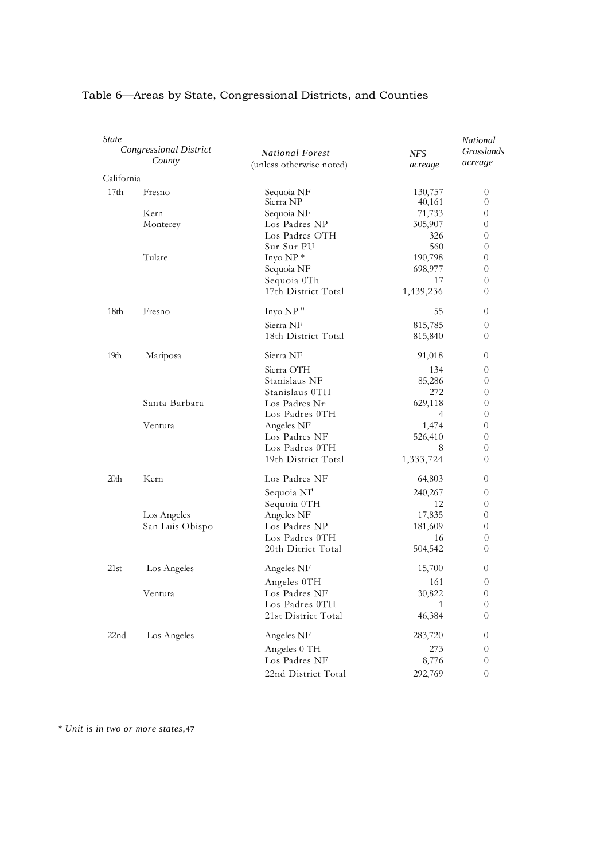| <b>State</b>     | <b>Congressional District</b><br>County | <b>National Forest</b><br>(unless otherwise noted) | NFS<br>acreage | National<br>Grasslands<br>acreage |
|------------------|-----------------------------------------|----------------------------------------------------|----------------|-----------------------------------|
| California       |                                         |                                                    |                |                                   |
| 17 <sub>th</sub> | Fresno                                  | Sequoia NF                                         | 130,757        | $\overline{0}$                    |
|                  |                                         | Sierra NP                                          | 40,161         | 0                                 |
|                  | Kern                                    | Sequoia NF                                         | 71,733         | $\overline{0}$                    |
|                  | Monterey                                | Los Padres NP                                      | 305,907        | 0                                 |
|                  |                                         | Los Padres OTH                                     | 326            | 0                                 |
|                  |                                         | Sur Sur PU                                         | 560            | 0                                 |
|                  | Tulare                                  | Inyo NP*                                           | 190,798        | 0                                 |
|                  |                                         | Sequoia NF                                         | 698,977        | 0                                 |
|                  |                                         | Sequoia 0Th                                        | 17             | 0                                 |
|                  |                                         | 17th District Total                                | 1,439,236      | 0                                 |
| 18 <sub>th</sub> | Fresno                                  | Inyo NP"                                           | 55             | $\theta$                          |
|                  |                                         | Sierra NF                                          | 815,785        | 0                                 |
|                  |                                         | 18th District Total                                | 815,840        | 0                                 |
| 19 <sub>th</sub> | Mariposa                                | Sierra NF                                          | 91,018         | $\theta$                          |
|                  |                                         | Sierra OTH                                         | 134            | $\theta$                          |
|                  |                                         | Stanislaus NF                                      | 85,286         | 0                                 |
|                  |                                         | Stanislaus 0TH                                     | 272            | 0                                 |
|                  | Santa Barbara                           | Los Padres $Nr$                                    | 629,118        | 0                                 |
|                  |                                         | Los Padres 0TH                                     | $\overline{4}$ | 0                                 |
|                  | Ventura                                 | Angeles NF                                         | 1,474          | 0                                 |
|                  |                                         | Los Padres NF                                      | 526,410        | $\theta$                          |
|                  |                                         | Los Padres 0TH                                     | 8              | 0                                 |
|                  |                                         | 19th District Total                                | 1,333,724      | 0                                 |
| 20th             | Kern                                    | Los Padres NF                                      | 64,803         | $\theta$                          |
|                  |                                         | Sequoia NI'                                        | 240,267        | $\overline{0}$                    |
|                  |                                         | Sequoia 0TH                                        | 12             | $\theta$                          |
|                  | Los Angeles                             | Angeles NF                                         | 17,835         | 0                                 |
|                  | San Luis Obispo                         | Los Padres NP                                      | 181,609        | 0                                 |
|                  |                                         | Los Padres 0TH                                     | 16             | $\overline{0}$                    |
|                  |                                         | 20th Ditrict Total                                 | 504,542        | 0                                 |
| 21st             | Los Angeles                             | Angeles NF                                         | 15,700         | 0                                 |
|                  |                                         | Angeles 0TH                                        | 161            | $\boldsymbol{0}$                  |
|                  | Ventura                                 | Los Padres NF                                      | 30,822         | 0                                 |
|                  |                                         | Los Padres 0TH                                     | 1              | $\theta$                          |
|                  |                                         | 21st District Total                                | 46,384         | 0                                 |
| 22 <sub>nd</sub> | Los Angeles                             | Angeles NF                                         | 283,720        | $\theta$                          |
|                  |                                         | Angeles 0 TH                                       | 273            | $\theta$                          |
|                  |                                         | Los Padres NF                                      | 8,776          | $\theta$                          |
|                  |                                         | 22nd District Total                                | 292,769        | $\boldsymbol{0}$                  |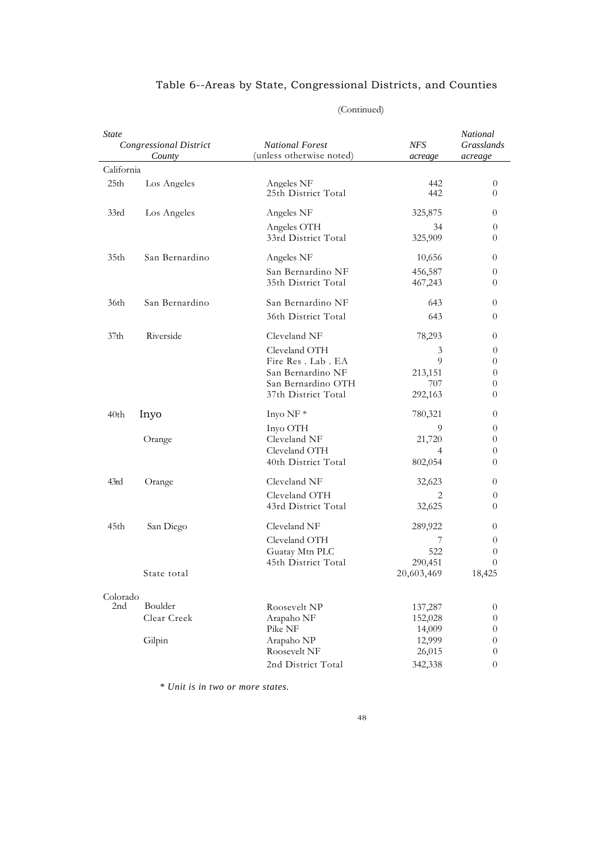| <i>State</i>     | <b>Congressional District</b><br>County | <b>National Forest</b><br>(unless otherwise noted) |            | National<br>Grasslands<br>acreage |
|------------------|-----------------------------------------|----------------------------------------------------|------------|-----------------------------------|
| California       |                                         |                                                    |            |                                   |
| 25 <sub>th</sub> | Los Angeles                             | Angeles NF<br>25th District Total                  | 442<br>442 | $\theta$<br>$\theta$              |
| 33rd             | Los Angeles                             | Angeles NF                                         | 325,875    | $\theta$                          |
|                  |                                         | Angeles OTH                                        | 34         | $\theta$                          |
|                  |                                         | 33rd District Total                                | 325,909    | $\theta$                          |
| 35th             | San Bernardino                          | Angeles NF                                         | 10,656     | $\theta$                          |
|                  |                                         | San Bernardino NF                                  | 456,587    | $\theta$                          |
|                  |                                         | 35th District Total                                | 467,243    | 0                                 |
| 36th             | San Bernardino                          | San Bernardino NF                                  | 643        | $\theta$                          |
|                  |                                         | 36th District Total                                | 643        | $\theta$                          |
| 37 <sub>th</sub> | Riverside                               | Cleveland NF                                       | 78,293     | $\theta$                          |
|                  |                                         | Cleveland OTH                                      | 3          | $\theta$                          |
|                  |                                         | Fire Res. Lab. EA                                  | 9          | $\theta$                          |
|                  |                                         | San Bernardino NF                                  | 213,151    | $\theta$                          |
|                  |                                         | San Bernardino OTH                                 | 707        | $\theta$                          |
|                  |                                         | 37th District Total                                | 292,163    | $\overline{0}$                    |
| 40th             | Inyo                                    | Inyo NF*                                           | 780,321    | $\theta$                          |
|                  |                                         | Inyo OTH                                           | 9          | $\theta$                          |
|                  | Orange                                  | Cleveland NF                                       | 21,720     | $\overline{0}$                    |
|                  |                                         | Cleveland OTH                                      | 4          | $\theta$                          |
|                  |                                         | 40th District Total                                | 802,054    | 0                                 |
| 43rd             | Orange                                  | Cleveland NF                                       | 32,623     | $\theta$                          |
|                  |                                         | Cleveland OTH                                      | 2          | $\theta$                          |
|                  |                                         | 43rd District Total                                | 32,625     | $\theta$                          |
| 45th             | San Diego                               | Cleveland NF                                       | 289,922    | $\theta$                          |
|                  |                                         | Cleveland OTH                                      | 7          | $\theta$                          |
|                  |                                         | Guatay Mtn PLC                                     | 522        | $\overline{0}$                    |
|                  |                                         | 45th District Total                                | 290,451    | $\Omega$                          |
|                  | State total                             |                                                    | 20,603,469 | 18,425                            |
| Colorado         |                                         |                                                    |            |                                   |
| 2nd              | Boulder                                 | Roosevelt NP                                       | 137,287    | $\overline{0}$                    |
|                  | Clear Creek                             | Arapaho NF                                         | 152,028    | $\theta$                          |
|                  |                                         | Pike NF                                            | 14,009     | $\boldsymbol{0}$                  |
|                  | Gilpin                                  | Arapaho NP                                         | 12,999     | $\boldsymbol{0}$                  |
|                  |                                         | Roosevelt NF                                       | 26,015     | $\overline{0}$                    |
|                  |                                         | 2nd District Total                                 | 342,338    | $\theta$                          |

#### (Continued)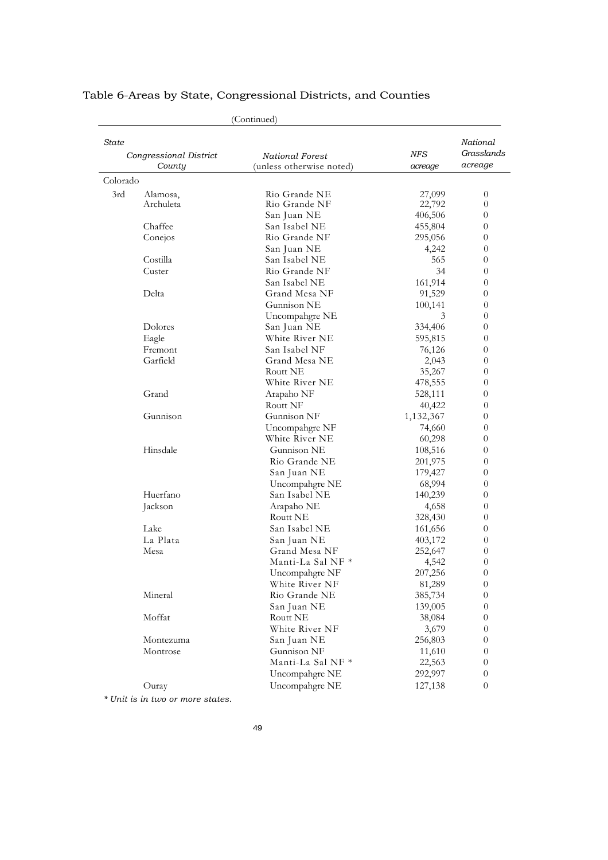| (Continued)                     |                            |           |                        |
|---------------------------------|----------------------------|-----------|------------------------|
| State<br>Congressional District | National Forest            | NFS       | National<br>Grasslands |
| County                          | (unless otherwise noted)   | acreage   | acreage                |
| Colorado                        |                            |           |                        |
| 3rd<br>Alamosa,                 | Rio Grande NE              | 27,099    | $\overline{0}$         |
| Archuleta                       | Rio Grande NF              | 22,792    | $\overline{0}$         |
|                                 | San Juan NE                | 406,506   | $\overline{0}$         |
| Chaffee                         | San Isabel NE              | 455,804   | $\theta$               |
| Conejos                         | Rio Grande NF              | 295,056   | $\theta$               |
|                                 | San Juan NE                | 4,242     | $\theta$               |
| Costilla                        | San Isabel NE              | 565       | $\theta$               |
| Custer                          | Rio Grande NF              | 34        | $\theta$               |
|                                 | San Isabel NE              | 161,914   | $\theta$               |
| Delta                           | Grand Mesa NF              | 91,529    | $\theta$               |
|                                 | Gunnison NE                | 100,141   | $\theta$               |
|                                 | Uncompahgre NE             | 3         | $\theta$               |
| Dolores                         | San Juan NE                | 334,406   | $\theta$               |
| Eagle                           | White River NE             | 595,815   | $\theta$               |
| Fremont                         | San Isabel NF              | 76,126    | $\theta$               |
| Garfield                        | Grand Mesa NE              | 2,043     | $\theta$               |
|                                 | Routt NE                   | 35,267    | $\theta$               |
|                                 | White River NE             | 478,555   | $\theta$               |
| Grand                           | Arapaho NF                 | 528,111   | $\theta$               |
|                                 | Routt NF                   | 40,422    | $\theta$               |
| Gunnison                        | Gunnison NF                | 1,132,367 | $\theta$               |
|                                 | Uncompahgre NF             | 74,660    | $\theta$               |
|                                 | White River NE             | 60,298    | $\theta$               |
| Hinsdale                        | Gunnison NE                | 108,516   | $\theta$               |
|                                 | Rio Grande NE              | 201,975   | $\theta$               |
|                                 | San Juan NE                | 179,427   | $\theta$               |
|                                 | Uncompahgre NE             | 68,994    | $\theta$               |
| Huerfano                        | San Isabel NE              | 140,239   | $\theta$               |
| Jackson                         | Arapaho NE                 | 4,658     | $\theta$               |
|                                 | Routt NE                   | 328,430   | $\theta$               |
| Lake                            | San Isabel NE              | 161,656   | $\theta$               |
| La Plata                        | San Juan NE                | 403,172   | $\theta$               |
| Mesa                            | Grand Mesa NF              | 252,647   | $\theta$               |
|                                 | Manti-La Sal NF *          | 4,542     | $\theta$               |
|                                 | Uncompahgre NF             | 207,256   | $\theta$               |
|                                 | White River NF             | 81,289    | $\theta$               |
| Mineral                         | Rio Grande NE              | 385,734   | $\boldsymbol{0}$       |
|                                 | San Juan NE                | 139,005   | $\theta$               |
| Moffat                          | Routt NE                   | 38,084    | $\boldsymbol{0}$       |
|                                 | White River NF             | 3,679     | $\theta$               |
| Montezuma                       | San Juan NE<br>Gunnison NF | 256,803   | $\theta$               |
| Montrose                        | Manti-La Sal NF *          | 11,610    | $\boldsymbol{0}$       |
|                                 |                            | 22,563    | $\boldsymbol{0}$       |
|                                 | Uncompahgre NE             | 292,997   | $\theta$               |
| Ouray                           | Uncompahgre NE             | 127,138   | $\boldsymbol{0}$       |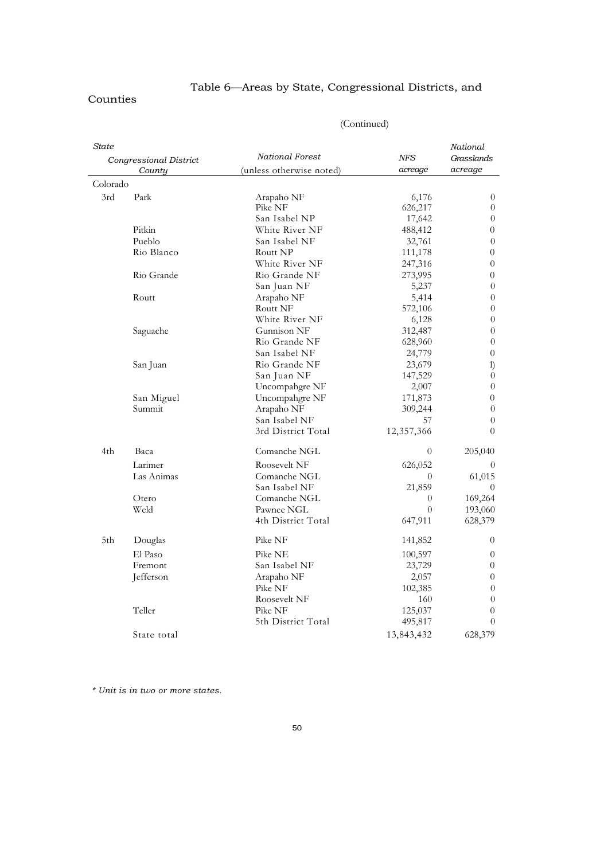#### Counties

| State    |                        |                          |                | National       |
|----------|------------------------|--------------------------|----------------|----------------|
|          | Congressional District | <b>National Forest</b>   | <b>NFS</b>     | Grasslands     |
|          | County                 | (unless otherwise noted) | acreage        | acreage        |
| Colorado |                        |                          |                |                |
| 3rd      | Park                   | Arapaho NF               | 6,176          | $\overline{0}$ |
|          |                        | Pike NF                  | 626,217        | $\theta$       |
|          |                        | San Isabel NP            | 17,642         | $\theta$       |
|          | Pitkin                 | White River NF           | 488,412        | $\theta$       |
|          | Pueblo                 | San Isabel NF            | 32,761         | $\theta$       |
|          | Rio Blanco             | Routt NP                 | 111,178        | $\theta$       |
|          |                        | White River NF           | 247,316        | $\theta$       |
|          | Rio Grande             | Rio Grande NF            | 273,995        | $\overline{0}$ |
|          |                        | San Juan NF              | 5,237          | $\theta$       |
|          | Routt                  | Arapaho NF               | 5,414          | $\theta$       |
|          |                        | Routt NF                 | 572,106        | $\theta$       |
|          |                        | White River NF           | 6,128          | $\theta$       |
|          | Saguache               | Gunnison NF              | 312,487        | $\overline{0}$ |
|          |                        | Rio Grande NF            | 628,960        | $\theta$       |
|          |                        | San Isabel NF            | 24,779         | $\theta$       |
|          | San Juan               | Rio Grande NF            | 23,679         | 1)             |
|          |                        | San Juan NF              | 147,529        | $\theta$       |
|          |                        | Uncompahgre NF           | 2,007          | $\overline{0}$ |
|          | San Miguel             | Uncompahgre NF           | 171,873        | $\theta$       |
|          | Summit                 | Arapaho NF               | 309,244        | $\theta$       |
|          |                        | San Isabel NF            | 57             | $\overline{0}$ |
|          |                        | 3rd District Total       | 12,357,366     | $\Omega$       |
| 4th      | Baca                   | Comanche NGL             | $\overline{0}$ | 205,040        |
|          | Larimer                | Roosevelt NF             | 626,052        | 0              |
|          | Las Animas             | Comanche NGL             | $\overline{0}$ | 61,015         |
|          |                        | San Isabel NF            | 21,859         | $\theta$       |
|          | Otero                  | Comanche NGL             | $\theta$       | 169,264        |
|          | Weld                   | Pawnee NGL               | $\theta$       | 193,060        |
|          |                        | 4th District Total       | 647,911        | 628,379        |
| 5th      | Douglas                | Pike NF                  | 141,852        | $\theta$       |
|          | El Paso                | Pike NE                  | 100,597        | $\theta$       |
|          | Fremont                | San Isabel NF            | 23,729         | $\theta$       |
|          | Jefferson              | Arapaho NF               | 2,057          | $\theta$       |
|          |                        | Pike NF                  | 102,385        | $\overline{0}$ |
|          |                        | Roosevelt NF             | 160            | $\theta$       |
|          | Teller                 | Pike NF                  | 125,037        | $\theta$       |
|          |                        | 5th District Total       | 495,817        | $\theta$       |
|          | State total            |                          | 13,843,432     | 628,379        |

### (Continued)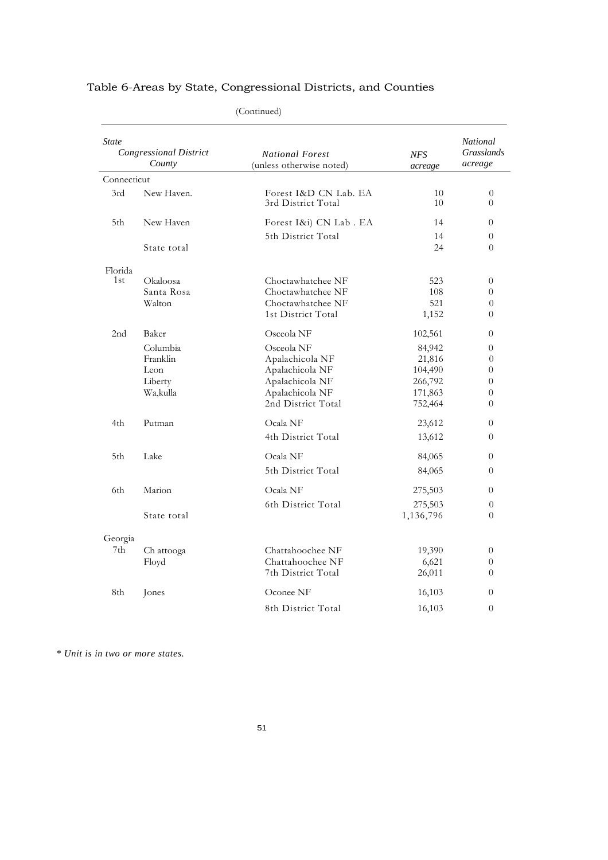|                 |                                                              | (Continued)                                                                                                                |                                                                         |                                                                                        |
|-----------------|--------------------------------------------------------------|----------------------------------------------------------------------------------------------------------------------------|-------------------------------------------------------------------------|----------------------------------------------------------------------------------------|
| <b>State</b>    | <b>Congressional District</b><br>County                      | <b>National Forest</b><br>(unless otherwise noted)                                                                         | <b>NFS</b><br>acreage                                                   | <b>National</b><br><b>Grasslands</b><br>acreage                                        |
| Connecticut     |                                                              |                                                                                                                            |                                                                         |                                                                                        |
| 3rd             | New Haven.                                                   | Forest I&D CN Lab. EA<br>3rd District Total                                                                                | 10<br>10                                                                | $\theta$<br>$\Omega$                                                                   |
| 5th             | New Haven                                                    | Forest I&i) CN Lab. EA                                                                                                     | 14                                                                      | $\theta$                                                                               |
|                 | State total                                                  | 5th District Total                                                                                                         | 14<br>24                                                                | 0<br>$\Omega$                                                                          |
| Florida<br>1st  | Okaloosa<br>Santa Rosa<br>Walton                             | Choctawhatchee NF<br>Choctawhatchee NF<br>Choctawhatchee NF<br>1st District Total                                          | 523<br>108<br>521<br>1,152                                              | 0<br>$\theta$<br>$\theta$<br>$\theta$                                                  |
| 2 <sub>nd</sub> | Baker<br>Columbia<br>Franklin<br>Leon<br>Liberty<br>Wa,kulla | Osceola NF<br>Osceola NF<br>Apalachicola NF<br>Apalachicola NF<br>Apalachicola NF<br>Apalachicola NF<br>2nd District Total | 102,561<br>84,942<br>21,816<br>104,490<br>266,792<br>171,863<br>752,464 | $\theta$<br>$\theta$<br>$\theta$<br>$\theta$<br>$\theta$<br>$\theta$<br>$\overline{0}$ |
| 4th             | Putman                                                       | Ocala NF<br>4th District Total                                                                                             | 23,612<br>13,612                                                        | $\theta$<br>$\theta$                                                                   |
| 5th             | Lake                                                         | Ocala NF<br>5th District Total                                                                                             | 84,065<br>84,065                                                        | $\theta$<br>$\theta$                                                                   |
| 6th.            | Marion<br>State total                                        | Ocala NF<br>6th District Total                                                                                             | 275,503<br>275,503<br>1,136,796                                         | $\Omega$<br>0<br>$\overline{0}$                                                        |
| Georgia<br>7th  | Ch attooga<br>Floyd                                          | Chattahoochee NF<br>Chattahoochee NF<br>7th District Total                                                                 | 19,390<br>6,621<br>26,011                                               | $\theta$<br>$\theta$<br>$\Omega$                                                       |
| 8th             | Jones                                                        | Oconee NF<br>8th District Total                                                                                            | 16,103<br>16,103                                                        | $\theta$<br>$\theta$                                                                   |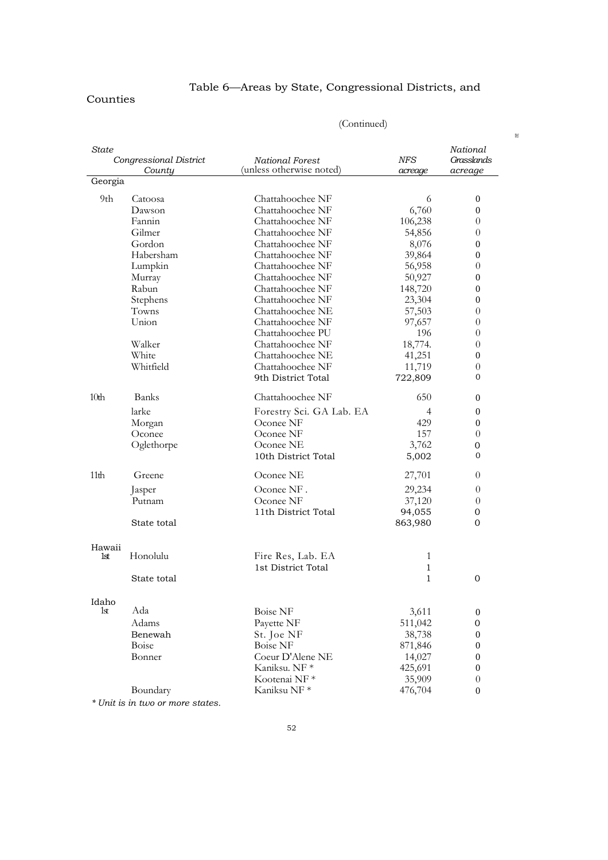#### Counties

# Table 6—Areas by State, Congressional Districts, and

| State            | Congressional District<br>County | <b>National Forest</b><br>(unless otherwise noted) | NFS<br>acreage | National<br>Grasslands<br>acreage |
|------------------|----------------------------------|----------------------------------------------------|----------------|-----------------------------------|
| Georgia          |                                  |                                                    |                |                                   |
| 9th              | Catoosa                          | Chattahoochee NF                                   | 6              | 0                                 |
|                  | Dawson                           | Chattahoochee NF                                   | 6,760          | 0                                 |
|                  | Fannin                           | Chattahoochee NF                                   | 106,238        | 0                                 |
|                  | Gilmer                           | Chattahoochee NF                                   | 54,856         | $\theta$                          |
|                  | Gordon                           | Chattahoochee NF                                   | 8,076          | 0                                 |
|                  | Habersham                        | Chattahoochee NF                                   | 39,864         | 0                                 |
|                  | Lumpkin                          | Chattahoochee NF                                   | 56,958         | 0                                 |
|                  | Murray                           | Chattahoochee NF                                   | 50,927         | 0                                 |
|                  | Rabun                            | Chattahoochee NF                                   | 148,720        | 0                                 |
|                  | Stephens                         | Chattahoochee NF                                   | 23,304         | 0                                 |
|                  | Towns                            | Chattahoochee NE                                   | 57,503         | $\theta$                          |
|                  | Union                            | Chattahoochee NF                                   | 97,657         | $\overline{0}$                    |
|                  |                                  | Chattahoochee PU                                   | 196            | 0                                 |
|                  | Walker                           | Chattahoochee NF                                   | 18,774.        | 0                                 |
|                  | White                            | Chattahoochee NE                                   | 41,251         | 0                                 |
|                  | Whitfield                        | Chattahoochee NF                                   | 11,719         | 0                                 |
|                  |                                  | 9th District Total                                 | 722,809        | 0                                 |
| 10 <sub>th</sub> | <b>Banks</b>                     | Chattahoochee NF                                   | 650            | 0                                 |
|                  | larke                            | Forestry Sci. GA Lab. EA                           | $\overline{4}$ | 0                                 |
|                  | Morgan                           | Oconee NF                                          | 429            | 0                                 |
|                  | Oconee                           | Oconee NF                                          | 157            | 0                                 |
|                  | Oglethorpe                       | Oconee NE                                          | 3,762          | 0                                 |
|                  |                                  | 10th District Total                                | 5,002          | 0                                 |
| 11 <sub>th</sub> | Greene                           | Oconee NE                                          | 27,701         | 0                                 |
|                  | Jasper                           | Oconee NF.                                         | 29,234         | $\theta$                          |
|                  | Putnam                           | Oconee NF                                          | 37,120         | 0                                 |
|                  |                                  | 11th District Total                                | 94,055         | 0                                 |
|                  | State total                      |                                                    | 863,980        | 0                                 |
| Hawaii           |                                  |                                                    |                |                                   |
| 1st              | Honolulu                         | Fire Res, Lab. EA                                  | 1              |                                   |
|                  |                                  | 1st District Total                                 | $\mathbf{1}$   |                                   |
|                  | State total                      |                                                    | 1              | 0                                 |
| Idaho            |                                  |                                                    |                |                                   |
| 1st              | Ada                              | <b>Boise NF</b>                                    | 3,611          | 0                                 |
|                  | Adams                            | Payette NF                                         | 511,042        | $\mathbf{0}$                      |
|                  | Benewah                          | St. Joe NF                                         | 38,738         | $\boldsymbol{0}$                  |
|                  | Boise                            | <b>Boise NF</b>                                    | 871,846        | $\boldsymbol{0}$                  |
|                  | Bonner                           | Coeur D'Alene NE                                   | 14,027         | $\boldsymbol{0}$                  |
|                  |                                  | Kaniksu. NF *                                      | 425,691        | $\boldsymbol{0}$                  |
|                  |                                  | Kootenai NF*                                       | 35,909         | $\theta$                          |
|                  | Boundary                         | Kaniksu NF <sup>*</sup>                            | 476,704        | $\boldsymbol{0}$                  |

(Continued)

 $\mathbb{R}^n$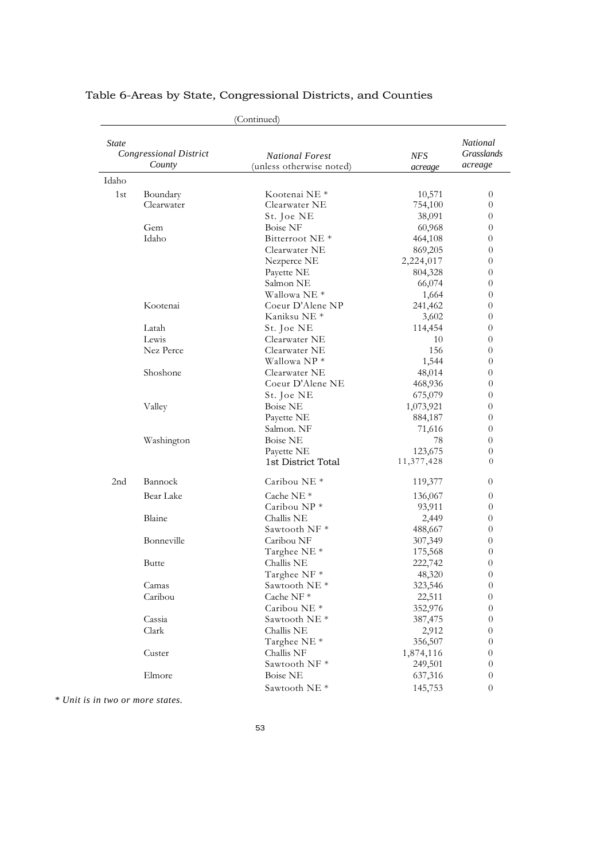|                 |                                         | (Continued)                                        |                       |                                   |
|-----------------|-----------------------------------------|----------------------------------------------------|-----------------------|-----------------------------------|
| <b>State</b>    | <b>Congressional District</b><br>County | <b>National Forest</b><br>(unless otherwise noted) | <b>NFS</b><br>acreage | National<br>Grasslands<br>acreage |
| Idaho           |                                         |                                                    |                       |                                   |
| 1st             | Boundary                                | Kootenai NE <sup>*</sup>                           | 10,571                | $\overline{0}$                    |
|                 | Clearwater                              | Clearwater NE                                      | 754,100               | $\theta$                          |
|                 |                                         | St. Joe NE                                         | 38,091                | 0                                 |
|                 | Gem                                     | <b>Boise NF</b>                                    | 60,968                | $\overline{0}$                    |
|                 | Idaho                                   | Bitterroot NE <sup>*</sup>                         | 464,108               | 0                                 |
|                 |                                         | Clearwater NE                                      | 869,205               | $\theta$                          |
|                 |                                         | Nezperce NE                                        | 2,224,017             | $\theta$                          |
|                 |                                         | Payette NE                                         | 804,328               | $\theta$                          |
|                 |                                         | Salmon NE                                          | 66,074                | $\theta$                          |
|                 |                                         | Wallowa NE <sup>*</sup>                            | 1,664                 | $\theta$                          |
|                 | Kootenai                                | Coeur D'Alene NP                                   | 241,462               | 0                                 |
|                 |                                         | Kaniksu NE <sup>*</sup>                            | 3,602                 | $\theta$                          |
|                 | Latah                                   | St. Joe NE                                         | 114,454               | 0                                 |
|                 | Lewis                                   | Clearwater NE                                      | 10                    | $\theta$                          |
|                 | Nez Perce                               | Clearwater NE                                      | 156                   | 0                                 |
|                 |                                         | Wallowa NP*                                        | 1,544                 | $\theta$                          |
|                 | Shoshone                                | Clearwater NE                                      | 48,014                | 0                                 |
|                 |                                         | Coeur D'Alene NE                                   | 468,936               | $\theta$                          |
|                 |                                         | St. Joe NE                                         | 675,079               | $\theta$                          |
|                 | Valley                                  | <b>Boise NE</b>                                    | 1,073,921             | 0                                 |
|                 |                                         | Payette NE                                         | 884,187               | $\theta$                          |
|                 |                                         | Salmon. NF                                         | 71,616                | $\theta$                          |
|                 | Washington                              | <b>Boise NE</b>                                    | 78                    | 0                                 |
|                 |                                         | Payette NE<br>1st District Total                   | 123,675<br>11,377,428 | $\theta$<br>$\Omega$              |
| 2 <sub>nd</sub> | Bannock                                 | Caribou NE <sup>*</sup>                            | 119,377               | 0                                 |
|                 | Bear Lake                               | Cache NE $*$                                       | 136,067               | $\theta$                          |
|                 |                                         | Caribou $NP^*$                                     | 93,911                | $\theta$                          |
|                 | Blaine                                  | Challis NE                                         | 2,449                 | 0                                 |
|                 |                                         | Sawtooth NF <sup>*</sup>                           | 488,667               | $\theta$                          |
|                 | Bonneville                              | Caribou NF                                         | 307,349               | 0                                 |
|                 |                                         | Targhee NE <sup>*</sup>                            | 175,568               | $\theta$                          |
|                 | Butte                                   | Challis NE                                         | 222,742               | $\theta$                          |
|                 |                                         | Targhee NF *                                       | 48,320                | $\theta$                          |
|                 | Camas                                   | Sawtooth NE <sup>*</sup>                           | 323,546               | $\theta$                          |
|                 | Caribou                                 | Cache NF*                                          | 22,511                | 0                                 |
|                 |                                         | Caribou NE <sup>*</sup>                            | 352,976               | $\overline{0}$                    |
|                 | Cassia                                  | Sawtooth NE <sup>*</sup>                           | 387,475               | $\theta$                          |
|                 | Clark                                   | Challis NE                                         | 2,912                 | $\boldsymbol{0}$                  |
|                 |                                         | Targhee NE <sup>*</sup>                            | 356,507               | $\theta$                          |
|                 | Custer                                  | Challis NF                                         | 1,874,116             | 0                                 |
|                 |                                         | Sawtooth NF*                                       | 249,501               | $\theta$                          |
|                 | Elmore                                  | <b>Boise NE</b>                                    | 637,316               | $\boldsymbol{0}$                  |
|                 |                                         | Sawtooth NE <sup>*</sup>                           | 145,753               | $\theta$                          |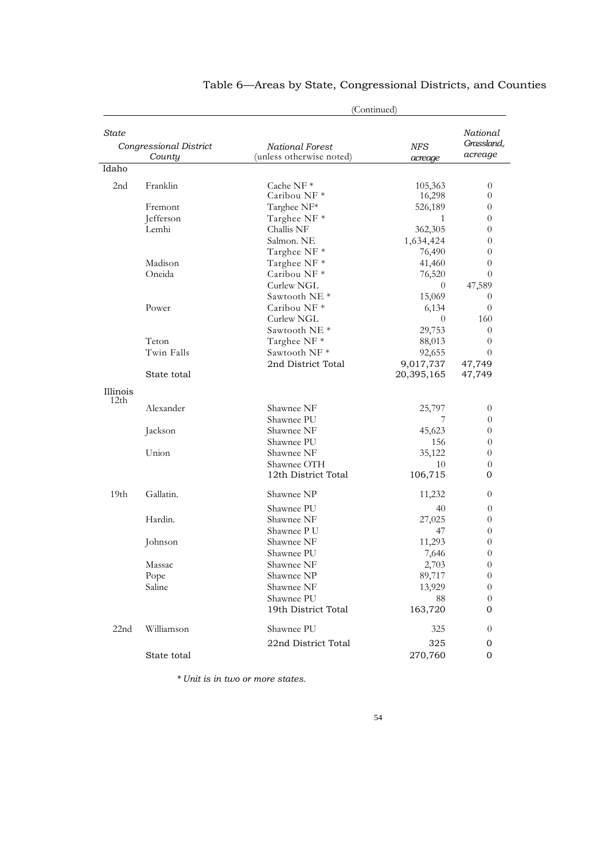|                  | (Continued)            |                          |              |                        |
|------------------|------------------------|--------------------------|--------------|------------------------|
| State            |                        |                          |              | National<br>Grassland, |
|                  | Congressional District | National Forest          | <b>NFS</b>   | acreage                |
| Idaho            | County                 | (unless otherwise noted) | acreage      |                        |
|                  |                        |                          |              |                        |
| 2 <sub>nd</sub>  | Franklin               | Cache NF $*$             | 105,363      | $\theta$               |
|                  |                        | Caribou NF*              | 16,298       | $\theta$               |
|                  | Fremont                | Targhee NF*              | 526,189      | $\theta$               |
|                  | Jefferson              | Targhee NF *             | 1            | $\theta$               |
|                  | Lemhi                  | Challis NF               | 362,305      | $\theta$               |
|                  |                        | Salmon. NE               | 1,634,424    | $\theta$               |
|                  |                        | Targhee NF *             | 76,490       | $\theta$               |
|                  | Madison                | Targhee NF *             | 41,460       | $\theta$               |
|                  | Oneida                 | Caribou NF*              | 76,520       | $\theta$               |
|                  |                        | Curlew NGL               | $\theta$     | 47,589                 |
|                  |                        | Sawtooth NE <sup>*</sup> | 15,069       | $\theta$               |
|                  | Power                  | Caribou NF <sup>*</sup>  | 6,134        | $\theta$               |
|                  |                        | Curlew NGL               | $\theta$     | 160                    |
|                  |                        | Sawtooth NE <sup>*</sup> | 29,753       | $\overline{0}$         |
|                  | Teton                  | Targhee NF *             | 88,013       | $\theta$               |
|                  | Twin Falls             | Sawtooth NF*             | 92,655       | $\theta$               |
|                  |                        | 2nd District Total       | 9,017,737    | 47,749                 |
|                  | State total            |                          | 20,395,165   | 47,749                 |
| Illinois         |                        |                          |              |                        |
| 12th             |                        |                          |              |                        |
|                  | Alexander              | Shawnee NF<br>Shawnee PU | 25,797       | $\theta$               |
|                  | Jackson                | Shawnee NF               | 45,623       | $\theta$<br>$\theta$   |
|                  |                        | Shawnee PU               | 156          |                        |
|                  | Union                  | Shawnee NF               |              | $\theta$               |
|                  |                        | Shawnee OTH              | 35,122<br>10 | $\theta$               |
|                  |                        | 12th District Total      | 106,715      | $\theta$<br>0          |
|                  |                        |                          |              |                        |
| 19 <sub>th</sub> | Gallatin.              | Shawnee NP               | 11,232       | $\theta$               |
|                  |                        | Shawnee PU               | 40           | $\theta$               |
|                  | Hardin.                | Shawnee NF               | 27,025       | $\theta$               |
|                  |                        | Shawnee P U              | 47           | $\overline{0}$         |
|                  | Johnson                | Shawnee NF               | 11,293       | $\theta$               |
|                  |                        | Shawnee PU               | 7,646        | $\theta$               |
|                  | $\rm Massac$           | Shawnee NF               | 2,703        | $\boldsymbol{0}$       |
|                  | Pope                   | Shawnee NP               | 89,717       | $\theta$               |
|                  | Saline                 | Shawnee NF               | 13,929       | $\theta$               |
|                  |                        | Shawnee PU               | 88           | $\theta$               |
|                  |                        | 19th District Total      | 163,720      | 0                      |
| 22nd             | Williamson             | Shawnee PU               | 325          | $\theta$               |
|                  |                        | 22nd District Total      | 325          | 0                      |
|                  | State total            |                          | 270,760      | 0                      |
|                  |                        |                          |              |                        |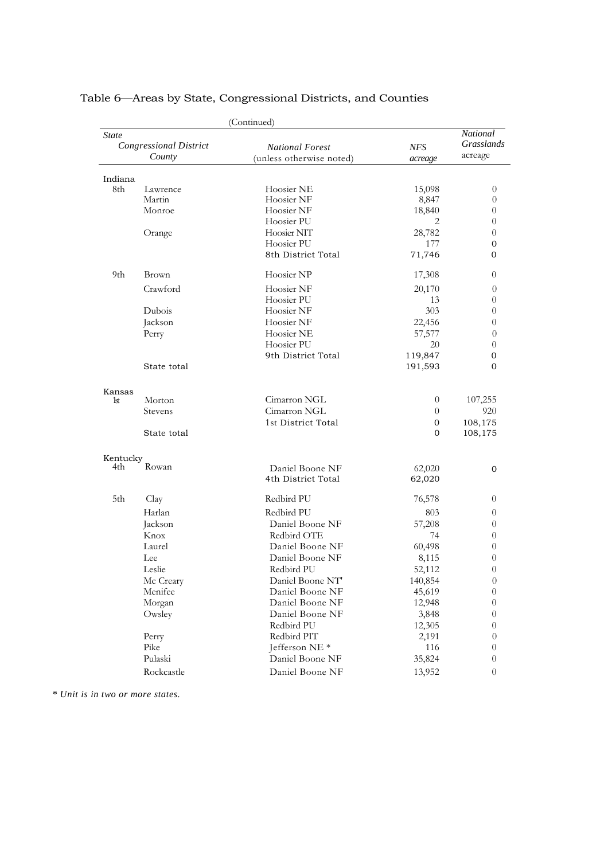|          |                                         | (Continued)               |                |                                          |
|----------|-----------------------------------------|---------------------------|----------------|------------------------------------------|
| State    | <b>Congressional District</b><br>County | <b>National Forest</b>    | <b>NFS</b>     | National<br><b>Grasslands</b><br>acreage |
|          |                                         | (unless otherwise noted)  | acreage        |                                          |
| Indiana  |                                         |                           |                |                                          |
| 8th      | Lawrence                                | Hoosier NE                | 15,098         | $\overline{0}$                           |
|          | Martin                                  | Hoosier NF                | 8,847          | $\theta$                                 |
|          | Monroe                                  | Hoosier NF                | 18,840         | $\theta$                                 |
|          |                                         | Hoosier PU                | 2              | $\theta$                                 |
|          | Orange                                  | Hoosier NIT               | 28,782         | $\theta$                                 |
|          |                                         | Hoosier PU                | 177            | $\mathbf{0}$                             |
|          |                                         | 8th District Total        | 71,746         | $\Omega$                                 |
| 9th      | Brown                                   | Hoosier NP                | 17,308         | $\theta$                                 |
|          | Crawford                                | Hoosier NF                | 20,170         | $\theta$                                 |
|          |                                         | Hoosier PU                | 13             | $\theta$                                 |
|          | Dubois                                  | Hoosier NF                | 303            | $\theta$                                 |
|          | Jackson                                 | Hoosier NF                | 22,456         | $\theta$                                 |
|          | Perry                                   | Hoosier NE                | 57,577         | $\theta$                                 |
|          |                                         | Hoosier PU                | 20             | $\theta$                                 |
|          |                                         | 9th District Total        | 119,847        | 0                                        |
|          | State total                             |                           | 191,593        | $\Omega$                                 |
| Kansas   |                                         |                           |                |                                          |
| 1st      | Morton                                  | Cimarron NGL              | $\overline{0}$ | 107,255                                  |
|          | Stevens                                 | Cimarron NGL              | $\theta$       | 920                                      |
|          |                                         | 1st District Total        | $\mathbf{0}$   | 108,175                                  |
|          | State total                             |                           | $\Omega$       | 108,175                                  |
| Kentucky |                                         |                           |                |                                          |
| 4th      | Rowan                                   | Daniel Boone NF           | 62,020         | $\mathbf{0}$                             |
|          |                                         | 4th District Total        | 62,020         |                                          |
| 5th      | Clay                                    | Redbird PU                | 76,578         | $\theta$                                 |
|          | Harlan                                  | Redbird PU                | 803            | $\theta$                                 |
|          | Jackson                                 | Daniel Boone NF           | 57,208         | 0                                        |
|          | Knox                                    | Redbird OTE               | 74             | $\theta$                                 |
|          | Laurel                                  | Daniel Boone NF           | 60,498         | 0                                        |
|          | Lee                                     | Daniel Boone NF           | 8,115          | $\theta$                                 |
|          | Leslie                                  | Redbird PU                | 52,112         | $\theta$                                 |
|          | Mc Creary                               | Daniel Boone NT           | 140,854        | $\overline{0}$                           |
|          | Menifee                                 | Daniel Boone NF           | 45,619         | $\theta$                                 |
|          | Morgan                                  | Daniel Boone NF           | 12,948         | $\overline{0}$                           |
|          | Owsley                                  | Daniel Boone NF           | 3,848          | $\theta$                                 |
|          |                                         | Redbird PU                | 12,305         | $\theta$                                 |
|          | Perry                                   | Redbird PIT               | 2,191          | $\theta$                                 |
|          | Pike                                    | Jefferson NE <sup>*</sup> | 116            | $\theta$                                 |
|          | Pulaski                                 | Daniel Boone NF           | 35,824         | $\theta$                                 |
|          | Rockcastle                              | Daniel Boone NF           | 13,952         | $\boldsymbol{0}$                         |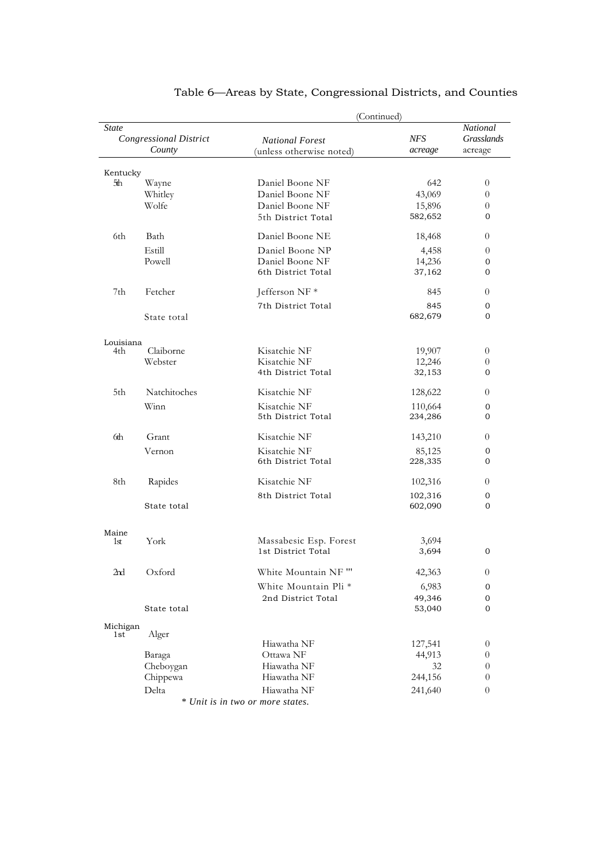|                  |                                         | (Continued)                                        |                       |                                      |  |  |
|------------------|-----------------------------------------|----------------------------------------------------|-----------------------|--------------------------------------|--|--|
| State            | <b>Congressional District</b><br>County | <b>National Forest</b><br>(unless otherwise noted) | <b>NFS</b><br>acreage | National<br>Grasslands<br>acreage    |  |  |
|                  |                                         |                                                    |                       |                                      |  |  |
| Kentucky         |                                         |                                                    |                       |                                      |  |  |
| 5th              | Wayne                                   | Daniel Boone NF                                    | 642                   | 0                                    |  |  |
|                  | Whitley<br>Wolfe                        | Daniel Boone NF<br>Daniel Boone NF                 | 43,069<br>15,896      | 0<br>0                               |  |  |
|                  |                                         | 5th District Total                                 | 582,652               | 0                                    |  |  |
|                  |                                         |                                                    |                       |                                      |  |  |
| 6th              | Bath                                    | Daniel Boone NE                                    | 18,468                | 0                                    |  |  |
|                  | Estill                                  | Daniel Boone NP                                    | 4,458                 | $\overline{0}$                       |  |  |
|                  | Powell                                  | Daniel Boone NF                                    | 14,236                | 0                                    |  |  |
|                  |                                         | 6th District Total                                 | 37,162                | 0                                    |  |  |
| 7th              | Fetcher                                 | Jefferson NF*                                      | 845                   | $\theta$                             |  |  |
|                  |                                         | 7th District Total                                 | 845                   | 0                                    |  |  |
|                  | State total                             |                                                    | 682,679               | 0                                    |  |  |
|                  |                                         |                                                    |                       |                                      |  |  |
| Louisiana<br>4th | Claiborne                               | Kisatchie NF                                       | 19,907                | 0                                    |  |  |
|                  | Webster                                 | Kisatchie NF                                       | 12,246                | 0                                    |  |  |
|                  |                                         | 4th District Total                                 | 32,153                | 0                                    |  |  |
| 5th              | Natchitoches                            | Kisatchie NF                                       | 128,622               | $\overline{0}$                       |  |  |
|                  | Winn                                    | Kisatchie NF                                       | 110,664               | 0                                    |  |  |
|                  |                                         | 5th District Total                                 | 234,286               | 0                                    |  |  |
| 6th              | Grant                                   | Kisatchie NF                                       | 143,210               | 0                                    |  |  |
|                  | Vernon                                  | Kisatchie NF                                       | 85,125                | 0                                    |  |  |
|                  |                                         | 6th District Total                                 | 228,335               | 0                                    |  |  |
| 8th              | Rapides                                 | Kisatchie NF                                       | 102,316               | 0                                    |  |  |
|                  |                                         | 8th District Total                                 | 102,316               | 0                                    |  |  |
|                  | State total                             |                                                    | 602,090               | 0                                    |  |  |
| Maine            |                                         |                                                    |                       |                                      |  |  |
| 1st              | York                                    | Massabesic Esp. Forest                             | 3,694                 |                                      |  |  |
|                  |                                         | 1st District Total                                 | 3,694                 | 0                                    |  |  |
| 2nd              | Oxford                                  | White Mountain NF "'                               | 42,363                | $\boldsymbol{0}$                     |  |  |
|                  |                                         | White Mountain Pli *                               | 6,983                 | 0                                    |  |  |
|                  |                                         | 2nd District Total                                 | 49,346                | 0                                    |  |  |
|                  | State total                             |                                                    | 53,040                | 0                                    |  |  |
| Michigan         |                                         |                                                    |                       |                                      |  |  |
| 1st              | Alger                                   |                                                    |                       |                                      |  |  |
|                  |                                         | Hiawatha NF                                        | 127,541               | $\boldsymbol{0}$                     |  |  |
|                  | Baraga                                  | Ottawa NF<br>Hiawatha NF                           | 44,913<br>32          | $\boldsymbol{0}$                     |  |  |
|                  | Cheboygan<br>Chippewa                   | Hiawatha NF                                        | 244,156               | $\boldsymbol{0}$<br>$\boldsymbol{0}$ |  |  |
|                  |                                         | Hiawatha NF                                        |                       |                                      |  |  |
|                  | Delta                                   | * Unit is in two or more states.                   | 241,640               | $\theta$                             |  |  |
|                  |                                         |                                                    |                       |                                      |  |  |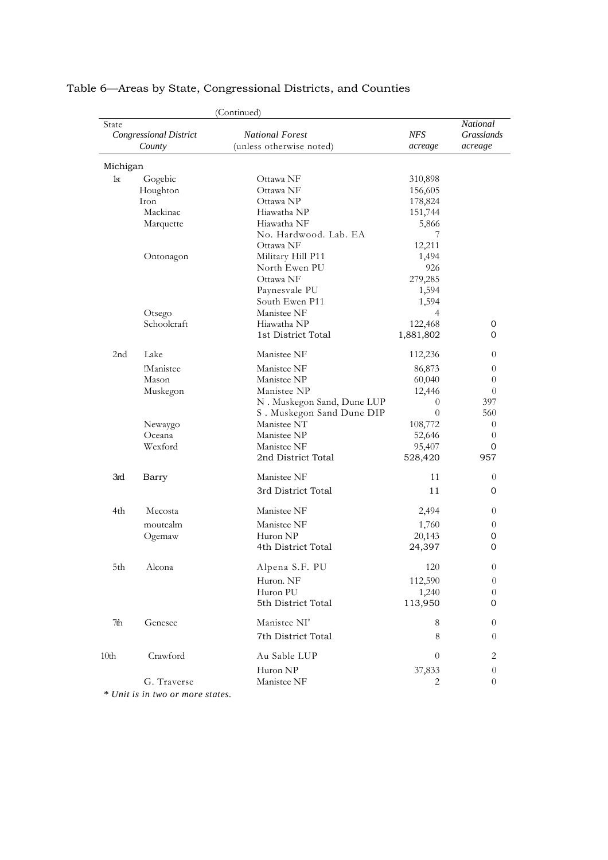|                  |                               | (Continued)                |            |                        |
|------------------|-------------------------------|----------------------------|------------|------------------------|
| State            | <b>Congressional District</b> | <b>National Forest</b>     | <b>NFS</b> | National<br>Grasslands |
|                  | County                        | (unless otherwise noted)   | acreage    | acreage                |
| Michigan         |                               |                            |            |                        |
| 1 <sub>st</sub>  | Gogebic                       | Ottawa NF                  | 310,898    |                        |
|                  | Houghton                      | Ottawa NF                  | 156,605    |                        |
|                  | Iron                          | Ottawa NP                  | 178,824    |                        |
|                  | Mackinac                      | Hiawatha NP                | 151,744    |                        |
|                  | Marquette                     | Hiawatha NF                | 5,866      |                        |
|                  |                               | No. Hardwood. Lab. EA      | 7          |                        |
|                  |                               | Ottawa NF                  | 12,211     |                        |
|                  | Ontonagon                     | Military Hill P11          | 1,494      |                        |
|                  |                               | North Ewen PU              | 926        |                        |
|                  |                               | Ottawa NF                  | 279,285    |                        |
|                  |                               | Paynesvale PU              | 1,594      |                        |
|                  |                               | South Ewen P11             | 1,594      |                        |
|                  | Otsego                        | Manistee NF                | 4          |                        |
|                  | Schoolcraft                   | Hiawatha NP                | 122,468    | 0                      |
|                  |                               | 1st District Total         | 1,881,802  | $\Omega$               |
|                  |                               |                            |            |                        |
| 2nd              | Lake                          | Manistee NF                | 112,236    | $\overline{0}$         |
|                  | !Manistee                     | Manistee NF                | 86,873     | $\overline{0}$         |
|                  | Mason                         | Manistee NP                | 60,040     | 0                      |
|                  | Muskegon                      | Manistee NP                | 12,446     | $\overline{0}$         |
|                  |                               | N. Muskegon Sand, Dune LUP | $\theta$   | 397                    |
|                  |                               | S. Muskegon Sand Dune DIP  | $\theta$   | 560                    |
|                  | Newaygo                       | Manistee NT                | 108,772    | $\theta$               |
|                  | Oceana                        | Manistee NP                | 52,646     | 0                      |
|                  | Wexford                       | Manistee NF                | 95,407     | 0                      |
|                  |                               | 2nd District Total         | 528,420    | 957                    |
| 3rd              | Barry                         | Manistee NF                | 11         | 0                      |
|                  |                               | 3rd District Total         | 11         | 0                      |
| 4th              | Mecosta                       | Manistee NF                | 2,494      | 0                      |
|                  | moutcalm                      | Manistee NF                | 1,760      | $\overline{0}$         |
|                  | Ogemaw                        | Huron NP                   | 20,143     | 0                      |
|                  |                               | 4th District Total         | 24,397     | 0                      |
| 5th              | Alcona                        | Alpena S.F. PU             | 120        | $\theta$               |
|                  |                               | Huron. NF                  | 112,590    | $\theta$               |
|                  |                               | Huron PU                   | 1,240      | $\overline{0}$         |
|                  |                               | 5th District Total         | 113,950    | 0                      |
|                  |                               |                            |            |                        |
| 7th              | Genesee                       | Manistee NI'               | 8          | $\overline{0}$         |
|                  |                               | 7th District Total         | 8          | $\theta$               |
| 10 <sub>th</sub> | Crawford                      | Au Sable LUP               | $\theta$   | 2                      |
|                  |                               | Huron NP                   | 37,833     | $\theta$               |
|                  | G. Traverse                   | Manistee NF                | 2          | 0                      |
|                  |                               |                            |            |                        |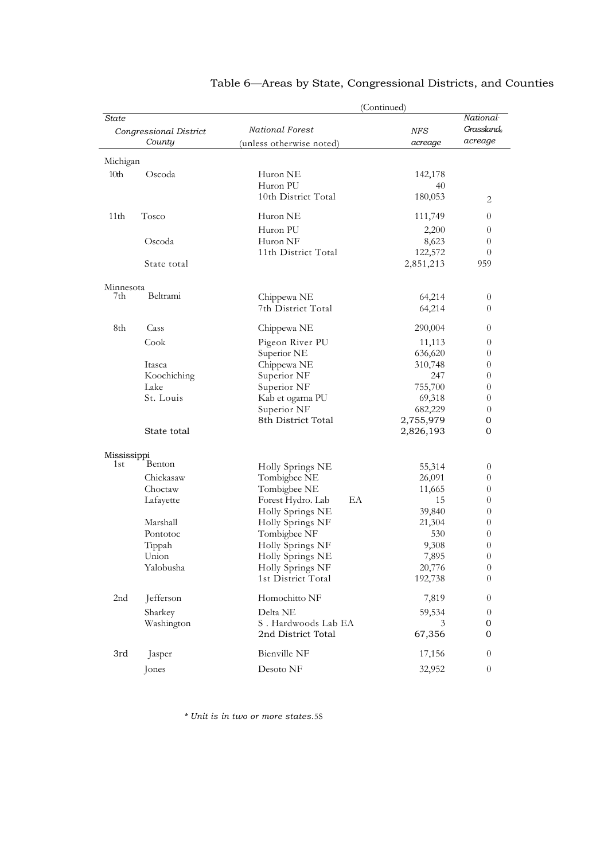|                  |                        |                                        | (Continued)       |                        |
|------------------|------------------------|----------------------------------------|-------------------|------------------------|
| <b>State</b>     | Congressional District | National Forest                        | <b>NFS</b>        | National<br>Grassland, |
|                  | County                 | (unless otherwise noted)               | acreage           | acreage                |
|                  |                        |                                        |                   |                        |
| Michigan<br>10th | Oscoda                 | Huron NE                               | 142,178           |                        |
|                  |                        | Huron PU                               | 40                |                        |
|                  |                        | 10th District Total                    | 180,053           |                        |
|                  |                        |                                        |                   | 2                      |
| 11 <sub>th</sub> | Tosco                  | Huron NE                               | 111,749           | $\theta$               |
|                  |                        | Huron PU                               | 2,200             | $\overline{0}$         |
|                  | Oscoda                 | Huron NF                               | 8,623             | $\theta$               |
|                  |                        | 11th District Total                    | 122,572           | $\theta$               |
|                  | State total            |                                        | 2,851,213         | 959                    |
| Minnesota        |                        |                                        |                   |                        |
| 7th              | Beltrami               | Chippewa NE                            | 64,214            | $\theta$               |
|                  |                        | 7th District Total                     | 64,214            | $\theta$               |
| 8th              | Cass                   | Chippewa NE                            | 290,004           | $\theta$               |
|                  | Cook                   | Pigeon River PU                        | 11,113            | $\theta$               |
|                  |                        | Superior NE                            | 636,620           | $\theta$               |
|                  | Itasca                 | Chippewa NE                            | 310,748           | $\theta$               |
|                  | Koochiching            | Superior NF                            | 247               | $\theta$               |
|                  | Lake                   | Superior NF                            | 755,700           | $\theta$               |
|                  | St. Louis              | Kab et ogarna PU                       | 69,318            | $\theta$               |
|                  |                        | Superior NF                            | 682,229           | $\theta$               |
|                  |                        | 8th District Total                     | 2,755,979         | 0                      |
|                  | State total            |                                        | 2,826,193         | 0                      |
| Mississippi      |                        |                                        |                   |                        |
| 1st              | Benton                 | Holly Springs NE                       | 55,314            | $\theta$               |
|                  | Chickasaw              | Tombigbee NE                           | 26,091            | $\theta$               |
|                  | Choctaw                | Tombigbee NE                           | 11,665            | $\theta$               |
|                  | Lafayette              | EA<br>Forest Hydro. Lab                | 15                | $\theta$               |
|                  |                        | Holly Springs NE                       | 39,840            | $\theta$               |
|                  | Marshall               | Holly Springs NF                       | 21,304            | $\theta$               |
|                  | Pontotoc               | Tombigbee NF                           | 530               | $\theta$               |
|                  | Tippah                 | Holly Springs NF                       | 9,308             | $\theta$               |
|                  | Union<br>Yalobusha     | Holly Springs NE                       | 7,895             | $\overline{0}$         |
|                  |                        | Holly Springs NF<br>1st District Total | 20,776<br>192,738 | $\theta$<br>$\theta$   |
| 2nd              | Jefferson              | Homochitto NF                          | 7,819             | $\theta$               |
|                  | Sharkey                | Delta NE                               | 59,534            | $\theta$               |
|                  | Washington             | S. Hardwoods Lab EA                    | 3                 | 0                      |
|                  |                        | 2nd District Total                     | 67,356            | 0                      |
| 3rd              | Jasper                 | Bienville NF                           | 17,156            | $\theta$               |
|                  | Jones                  | Desoto NF                              | 32,952            | $\boldsymbol{0}$       |
|                  |                        |                                        |                   |                        |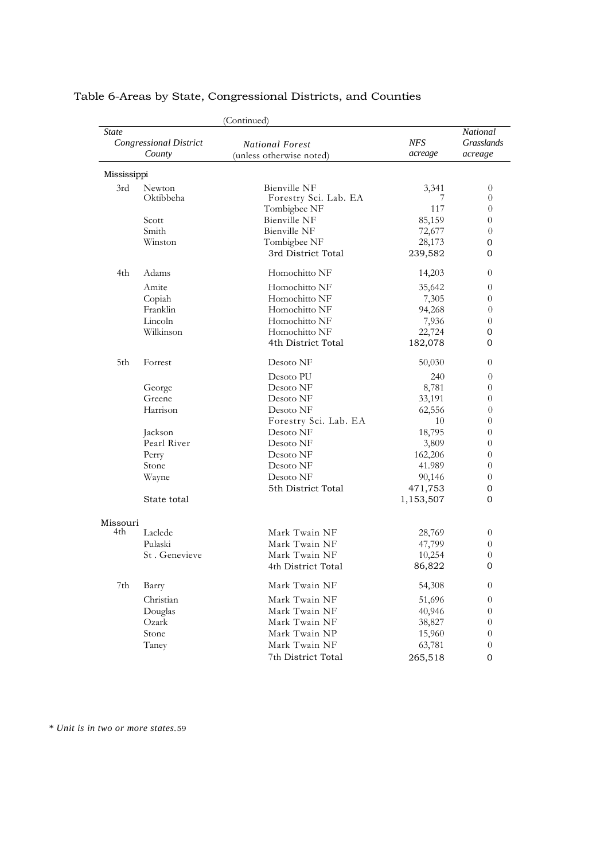|             |                                         | (Continued)                                        |                |                                          |
|-------------|-----------------------------------------|----------------------------------------------------|----------------|------------------------------------------|
| State       | <b>Congressional District</b><br>County | <b>National Forest</b><br>(unless otherwise noted) | NFS<br>acreage | National<br><b>Grasslands</b><br>acreage |
| Mississippi |                                         |                                                    |                |                                          |
| 3rd         | <b>Newton</b>                           | <b>Bienville NF</b>                                | 3,341          | $\theta$                                 |
|             | Oktibbeha                               | Forestry Sci. Lab. EA                              | 7              | $\theta$                                 |
|             |                                         | Tombigbee NF                                       | 117            | $\theta$                                 |
|             | Scott                                   | <b>Bienville NF</b>                                | 85,159         | 0                                        |
|             | Smith                                   | Bienville NF                                       | 72,677         | $\theta$                                 |
|             | Winston                                 | Tombigbee NF                                       | 28,173         | 0                                        |
|             |                                         | 3rd District Total                                 | 239,582        | 0                                        |
| 4th         | Adams                                   | Homochitto NF                                      | 14,203         | $\theta$                                 |
|             | Amite                                   | Homochitto NF                                      | 35,642         | 0                                        |
|             | Copiah                                  | Homochitto NF                                      | 7,305          | 0                                        |
|             | Franklin                                | Homochitto NF                                      | 94,268         | $\theta$                                 |
|             | Lincoln                                 | Homochitto NF                                      | 7,936          | $\theta$                                 |
|             | Wilkinson                               | Homochitto NF                                      | 22,724         | 0                                        |
|             |                                         | 4th District Total                                 | 182,078        | 0                                        |
| 5th         | Forrest                                 | Desoto NF                                          | 50,030         | $\theta$                                 |
|             |                                         | Desoto PU                                          | 240            | $\theta$                                 |
|             | George                                  | Desoto NF                                          | 8,781          | 0                                        |
|             | Greene                                  | Desoto NF                                          | 33,191         | 0                                        |
|             | Harrison                                | Desoto NF                                          | 62,556         | $\theta$                                 |
|             |                                         | Forestry Sci. Lab. EA                              | 10             | 0                                        |
|             | Jackson                                 | Desoto NF                                          | 18,795         | 0                                        |
|             | Pearl River                             | Desoto NF                                          | 3,809          | 0                                        |
|             | Perry                                   | Desoto NF                                          | 162,206        | $\theta$                                 |
|             | Stone                                   | Desoto NF                                          | 41.989         | $\theta$                                 |
|             | Wayne                                   | Desoto NF                                          | 90,146         | 0                                        |
|             |                                         | 5th District Total                                 | 471,753        | $\mathbf 0$                              |
|             | State total                             |                                                    | 1,153,507      | 0                                        |
| Missouri    |                                         |                                                    |                |                                          |
| 4th         | Laclede                                 | Mark Twain NF                                      | 28,769         | $\boldsymbol{0}$                         |
|             | Pulaski                                 | Mark Twain NF                                      | 47,799         | $\theta$                                 |
|             | St. Genevieve                           | Mark Twain NF                                      | 10,254         | 0                                        |
|             |                                         | 4th District Total                                 | 86,822         | $\mathbf{0}$                             |
| 7th         | Barry                                   | Mark Twain NF                                      | 54,308         | 0                                        |
|             | Christian                               | Mark Twain NF                                      | 51,696         | $\boldsymbol{0}$                         |
|             | Douglas                                 | Mark Twain NF                                      | 40,946         | $\boldsymbol{0}$                         |
|             | Ozark                                   | Mark Twain NF                                      | 38,827         | 0                                        |
|             | Stone                                   | Mark Twain NP                                      | 15,960         | $\boldsymbol{0}$                         |
|             | Taney                                   | Mark Twain NF                                      | 63,781         | $\theta$                                 |
|             |                                         | 7th District Total                                 | 265,518        | $\boldsymbol{0}$                         |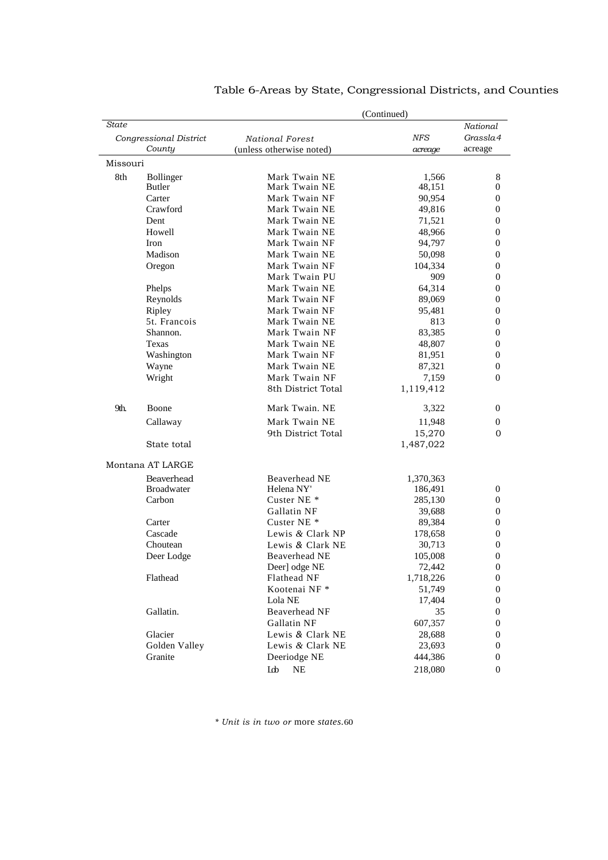| (Continued) |                        |                          |            |                  |
|-------------|------------------------|--------------------------|------------|------------------|
| State       |                        |                          |            | National         |
|             | Congressional District | <b>National Forest</b>   | <b>NFS</b> | Grassla4         |
|             | County                 | (unless otherwise noted) | acreage    | acreage          |
| Missouri    |                        |                          |            |                  |
| 8th         | <b>Bollinger</b>       | Mark Twain NE            | 1,566      | 8                |
|             | <b>Butler</b>          | Mark Twain NE            | 48,151     | 0                |
|             | Carter                 | Mark Twain NF            | 90,954     | $\boldsymbol{0}$ |
|             | Crawford               | Mark Twain NE            | 49,816     | 0                |
|             | Dent                   | Mark Twain NE            | 71,521     | 0                |
|             | Howell                 | Mark Twain NE            | 48,966     | $\overline{0}$   |
|             | Iron                   | Mark Twain NF            | 94,797     | $\boldsymbol{0}$ |
|             | Madison                | Mark Twain NE            | 50,098     | 0                |
|             | Oregon                 | Mark Twain NF            | 104,334    | 0                |
|             |                        | Mark Twain PU            | 909        | $\overline{0}$   |
|             | Phelps                 | Mark Twain NE            | 64,314     | $\overline{0}$   |
|             | Reynolds               | Mark Twain NF            | 89,069     | $\boldsymbol{0}$ |
|             | Ripley                 | Mark Twain NF            | 95,481     | $\overline{0}$   |
|             | 5t. Francois           | Mark Twain NE            | 813        | 0                |
|             | Shannon.               | Mark Twain NF            | 83,385     | 0                |
|             | Texas                  | Mark Twain NE            | 48,807     | $\overline{0}$   |
|             | Washington             | Mark Twain NF            | 81,951     | $\overline{0}$   |
|             | Wayne                  | Mark Twain NE            | 87,321     | $\boldsymbol{0}$ |
|             | Wright                 | Mark Twain NF            | 7,159      | $\overline{0}$   |
|             |                        | 8th District Total       | 1,119,412  |                  |
| 9th.        | Boone                  | Mark Twain, NE           | 3,322      | 0                |
|             | Callaway               | Mark Twain NE            | 11,948     | $\boldsymbol{0}$ |
|             |                        | 9th District Total       | 15,270     | 0                |
|             | State total            |                          | 1,487,022  |                  |
|             | Montana AT LARGE       |                          |            |                  |
|             | Beaverhead             | Beaverhead NE            | 1,370,363  |                  |
|             | <b>Broadwater</b>      | Helena NY'               | 186,491    | $\boldsymbol{0}$ |
|             | Carbon                 | Custer NE <sup>*</sup>   | 285,130    | $\boldsymbol{0}$ |
|             |                        | Gallatin NF              | 39,688     | 0                |
|             | Carter                 | Custer NE <sup>*</sup>   | 89,384     | 0                |
|             | Cascade                | Lewis & Clark NP         | 178,658    | 0                |
|             | Choutean               | Lewis & Clark NE         | 30,713     | $\overline{0}$   |
|             | Deer Lodge             | Beaverhead NE            | 105,008    | $\overline{0}$   |
|             |                        | Deer] odge NE            | 72,442     | $\boldsymbol{0}$ |
|             | Flathead               | Flathead NF              | 1,718,226  | $\boldsymbol{0}$ |
|             |                        | Kootenai NF*             | 51,749     | $\overline{0}$   |
|             |                        | Lola NE                  | 17,404     | $\boldsymbol{0}$ |
|             | Gallatin.              | Beaverhead NF            | 35         | $\boldsymbol{0}$ |
|             |                        | Gallatin NF              | 607,357    | 0                |
|             | Glacier                | Lewis & Clark NE         | 28,688     | $\boldsymbol{0}$ |
|             | Golden Valley          | Lewis & Clark NE         | 23,693     | $\overline{0}$   |
|             | Granite                | Deeriodge NE             | 444,386    | 0                |
|             |                        | $\rm NE$<br>Lob          | 218,080    | 0                |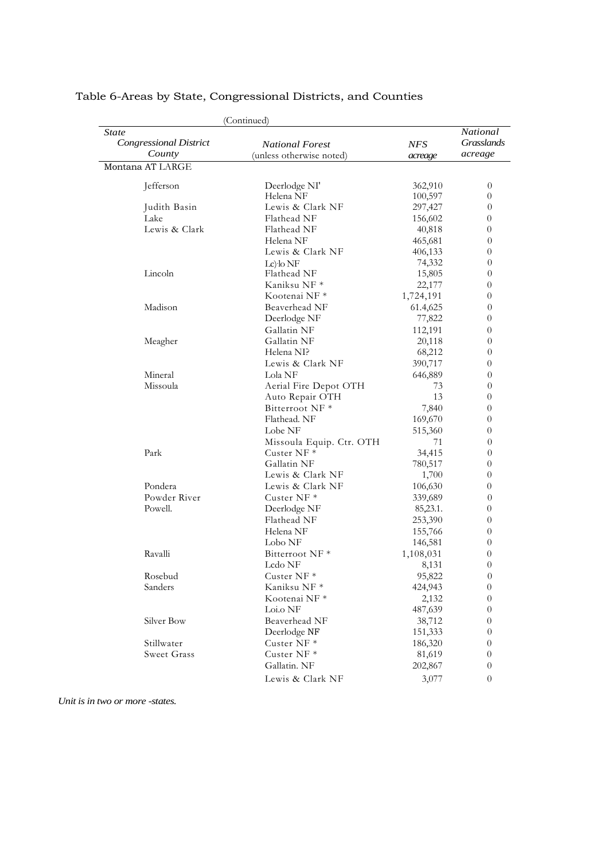| (Continued)                                      |                                                    |                       |                                          |  |
|--------------------------------------------------|----------------------------------------------------|-----------------------|------------------------------------------|--|
| State<br><b>Congressional District</b><br>County | <b>National Forest</b><br>(unless otherwise noted) | <b>NFS</b><br>acreage | National<br><b>Grasslands</b><br>acreage |  |
| Montana AT LARGE                                 |                                                    |                       |                                          |  |
| Jefferson                                        | Deerlodge NI'                                      | 362,910               | 0                                        |  |
|                                                  | Helena NF                                          | 100,597               | 0                                        |  |
| Judith Basin                                     | Lewis & Clark NF                                   | 297,427               | 0                                        |  |
| Lake                                             | Flathead NF                                        | 156,602               | 0                                        |  |
| Lewis & Clark                                    | Flathead NF                                        | 40,818                | 0                                        |  |
|                                                  | Helena NF                                          | 465,681               | 0                                        |  |
|                                                  | Lewis & Clark NF                                   | 406,133               | 0                                        |  |
|                                                  | Lc) lo NF                                          | 74,332                | 0                                        |  |
| Lincoln                                          | Flathead NF                                        | 15,805                | 0                                        |  |
|                                                  | Kaniksu NF *                                       | 22,177                | 0                                        |  |
|                                                  | Kootenai NF <sup>*</sup>                           | 1,724,191             | 0                                        |  |
| Madison                                          | Beaverhead NF                                      | 61.4,625              | 0                                        |  |
|                                                  | Deerlodge NF                                       | 77,822                | 0                                        |  |
|                                                  | Gallatin NF                                        | 112,191               | 0                                        |  |
| Meagher                                          | Gallatin NF                                        | 20,118                | 0                                        |  |
|                                                  | Helena NI?                                         | 68,212                | 0                                        |  |
|                                                  | Lewis & Clark NF                                   | 390,717               | 0                                        |  |
| Mineral                                          | Lola NF                                            | 646,889               | 0                                        |  |
| Missoula                                         | Aerial Fire Depot OTH                              | 73                    | 0                                        |  |
|                                                  | Auto Repair OTH                                    | 13                    | 0                                        |  |
|                                                  | Bitterroot NF <sup>*</sup>                         | 7,840                 | 0                                        |  |
|                                                  | Flathead. NF                                       | 169,670               | 0                                        |  |
|                                                  | Lobe NF                                            | 515,360               | 0                                        |  |
|                                                  | Missoula Equip. Ctr. OTH                           | 71                    | 0                                        |  |
| Park                                             | Custer $NF *$                                      | 34,415                | 0                                        |  |
|                                                  | Gallatin NF                                        | 780,517               | 0                                        |  |
|                                                  | Lewis & Clark NF                                   | 1,700                 | 0                                        |  |
| Pondera                                          | Lewis & Clark NF                                   | 106,630               | 0                                        |  |
| Powder River                                     | Custer NF <sup>*</sup>                             | 339,689               | 0                                        |  |
| Powell.                                          | Deerlodge NF                                       | 85, 23.1.             | 0                                        |  |
|                                                  | Flathead NF                                        | 253,390               | 0                                        |  |
|                                                  | Helena NF                                          | 155,766               | 0                                        |  |
|                                                  | Lobo NF                                            | 146,581               | 0                                        |  |
| Ravalli                                          | Bitterroot NF <sup>*</sup>                         | 1,108,031             | 0                                        |  |
|                                                  | Lcdo NF                                            | 8,131                 | 0                                        |  |
| Rosebud                                          | Custer NF*                                         | 95,822                | $\boldsymbol{0}$                         |  |
| Sanders                                          | Kaniksu NF *                                       | 424,943               | $\boldsymbol{0}$                         |  |
|                                                  | Kootenai NF*                                       | 2,132                 | 0                                        |  |
|                                                  | Loi.o NF                                           | 487,639               | 0                                        |  |
| Silver Bow                                       | Beaverhead NF                                      | 38,712                | 0                                        |  |
|                                                  | Deerlodge NF                                       | 151,333               | 0                                        |  |
| Stillwater                                       | Custer NF*                                         | 186,320               | 0                                        |  |
| Sweet Grass                                      | Custer NF <sup>*</sup>                             | 81,619                | 0                                        |  |
|                                                  | Gallatin. NF                                       | 202,867               | 0                                        |  |
|                                                  | Lewis & Clark NF                                   | 3,077                 | 0                                        |  |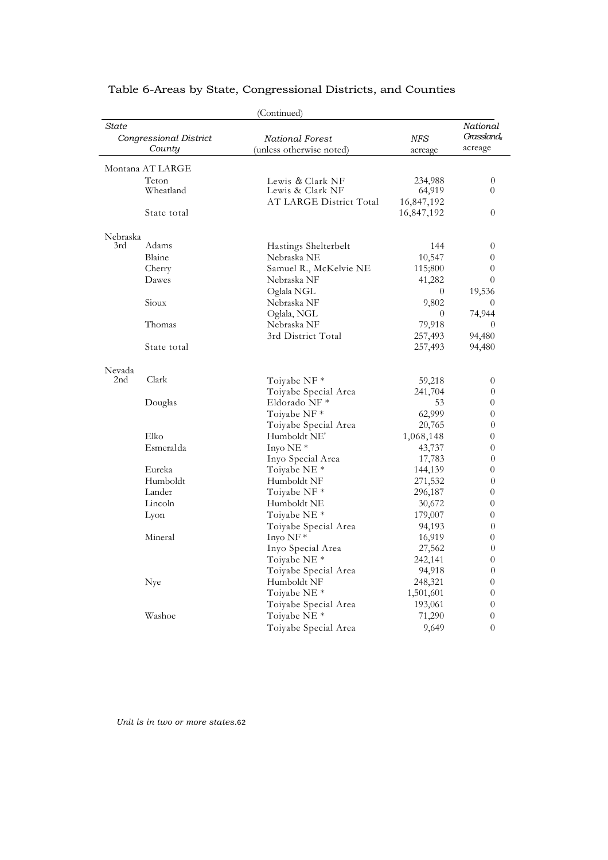| State                  |                  | (Continued)              |            | National         |  |
|------------------------|------------------|--------------------------|------------|------------------|--|
| Congressional District |                  | National Forest          | <b>NFS</b> | Grasslands       |  |
|                        | County           | (unless otherwise noted) | acreage    | acreage          |  |
|                        | Montana AT LARGE |                          |            |                  |  |
|                        | Teton            | Lewis & Clark NF         | 234,988    | $\theta$         |  |
|                        | Wheatland        | Lewis & Clark NF         | 64,919     | $\Omega$         |  |
|                        |                  | AT LARGE District Total  | 16,847,192 |                  |  |
|                        | State total      |                          | 16,847,192 | $\overline{0}$   |  |
| Nebraska               |                  |                          |            |                  |  |
| 3rd                    | Adams            | Hastings Shelterbelt     | 144        | $\theta$         |  |
|                        | Blaine           | Nebraska NE              | 10,547     | $\theta$         |  |
|                        | Cherry           | Samuel R., McKelvie NE   | 115;800    | $\overline{0}$   |  |
|                        | Dawes            | Nebraska NF              | 41,282     | $\theta$         |  |
|                        |                  | Oglala NGL               | $\theta$   | 19,536           |  |
|                        | Sioux            | Nebraska NF              | 9,802      | $\theta$         |  |
|                        |                  | Oglala, NGL              | $\theta$   | 74,944           |  |
|                        | Thomas           | Nebraska NF              | 79,918     | $\overline{0}$   |  |
|                        |                  | 3rd District Total       | 257,493    | 94,480           |  |
|                        | State total      |                          | 257,493    | 94,480           |  |
| Nevada                 |                  |                          |            |                  |  |
| 2nd                    | Clark            | Toiyabe NF *             | 59,218     | 0                |  |
|                        |                  | Toiyabe Special Area     | 241,704    | $\theta$         |  |
|                        | Douglas          | Eldorado NF *            | 53         | $\theta$         |  |
|                        |                  | Toiyabe NF *             | 62,999     | $\boldsymbol{0}$ |  |
|                        |                  | Toiyabe Special Area     | 20,765     | $\theta$         |  |
|                        | Elko             | Humboldt NE'             | 1,068,148  | $\theta$         |  |
|                        | Esmeralda        | Inyo NE *                | 43,737     | $\overline{0}$   |  |
|                        |                  | Inyo Special Area        | 17,783     | $\theta$         |  |
|                        | Eureka           | Toiyabe NE *             | 144,139    | $\theta$         |  |
|                        | Humboldt         | Humboldt NF              | 271,532    | $\theta$         |  |
|                        | Lander           | Toiyabe NF *             | 296,187    | $\overline{0}$   |  |
|                        | Lincoln          | Humboldt NE              | 30,672     | $\theta$         |  |
|                        | Lyon             | Toiyabe NE *             | 179,007    | 0                |  |
|                        |                  | Toiyabe Special Area     | 94,193     | $\theta$         |  |
|                        | Mineral          | Inyo NF *                | 16,919     | $\theta$         |  |
|                        |                  | Inyo Special Area        | 27,562     | $\theta$         |  |
|                        |                  | Toiyabe NE *             | 242,141    | 0                |  |
|                        |                  | Toiyabe Special Area     | 94,918     | $\theta$         |  |
|                        | Nye              | Humboldt NF              | 248,321    | 0                |  |
|                        |                  | Toiyabe NE *             | 1,501,601  | 0                |  |
|                        |                  | Toiyabe Special Area     | 193,061    | $\boldsymbol{0}$ |  |
|                        | Washoe           | Toiyabe NE *             | 71,290     | $\theta$         |  |
|                        |                  | Toiyabe Special Area     | 9,649      | $\overline{0}$   |  |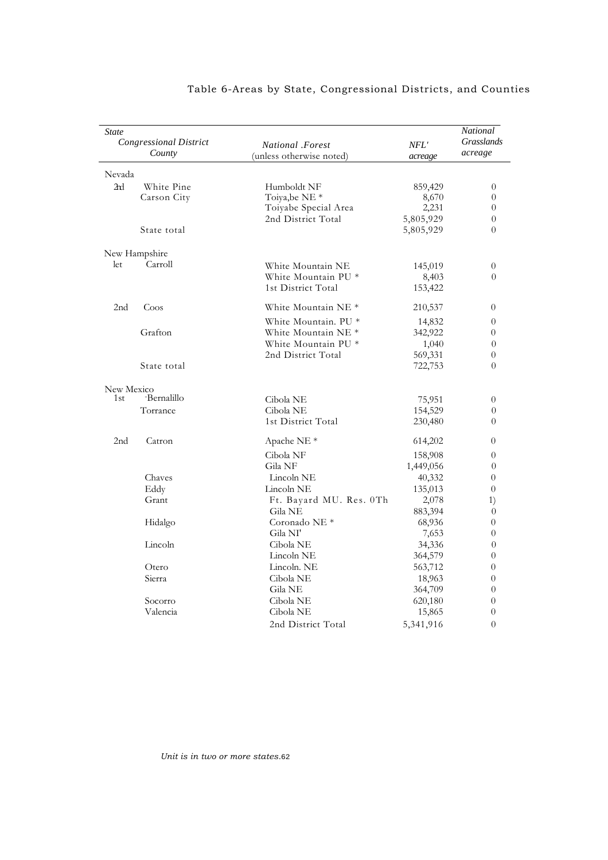| State<br><b>Congressional District</b><br>County |               | National .Forest<br>(unless otherwise noted) | NFL'<br>acreage | National<br>Grasslands<br>acreage |
|--------------------------------------------------|---------------|----------------------------------------------|-----------------|-----------------------------------|
| Nevada                                           |               |                                              |                 |                                   |
| 2 <sub>rd</sub>                                  | White Pine    | Humboldt NF                                  | 859,429         | $\theta$                          |
|                                                  | Carson City   | Toiya, be NE *                               | 8,670           | $\Omega$                          |
|                                                  |               | Toiyabe Special Area                         | 2,231           | $\theta$                          |
|                                                  |               | 2nd District Total                           | 5,805,929       | $\theta$                          |
|                                                  | State total   |                                              | 5,805,929       | $\theta$                          |
|                                                  | New Hampshire |                                              |                 |                                   |
| let                                              | Carroll       | White Mountain NE                            | 145,019         | $\theta$                          |
|                                                  |               | White Mountain PU *                          | 8,403           | $\theta$                          |
|                                                  |               | 1st District Total                           | 153,422         |                                   |
| 2nd                                              | Coos          | White Mountain NE <sup>*</sup>               | 210,537         | $\theta$                          |
|                                                  |               | White Mountain. PU *                         | 14,832          | $\theta$                          |
|                                                  | Grafton       | White Mountain NE <sup>*</sup>               | 342,922         | $\theta$                          |
|                                                  |               | White Mountain PU *                          | 1,040           | $\theta$                          |
|                                                  |               | 2nd District Total                           | 569,331         | $\theta$                          |
|                                                  | State total   |                                              | 722,753         | $\theta$                          |
| New Mexico                                       |               |                                              |                 |                                   |
| 1st                                              | -Bernalillo   | Cibola NE                                    | 75,951          | $\overline{0}$                    |
|                                                  | Torrance      | Cibola NE                                    | 154,529         | $\theta$                          |
|                                                  |               | 1st District Total                           | 230,480         | $\theta$                          |
| 2 <sub>nd</sub>                                  | Catron        | Apache NE <sup>*</sup>                       | 614,202         | $\theta$                          |
|                                                  |               | Cibola NF                                    | 158,908         | $\overline{0}$                    |
|                                                  |               | Gila NF                                      | 1,449,056       | $\theta$                          |
|                                                  | Chaves        | Lincoln NE                                   | 40,332          | $\overline{0}$                    |
|                                                  | Eddy          | Lincoln NE                                   | 135,013         | $\theta$                          |
|                                                  | Grant         | Ft. Bayard MU. Res. 0Th                      | 2,078           | 1)                                |
|                                                  |               | Gila NE                                      | 883,394         | $\theta$                          |
|                                                  | Hidalgo       | Coronado NE <sup>*</sup>                     | 68,936          | $\theta$                          |
|                                                  |               | Gila NI'                                     | 7,653           | $\overline{0}$                    |
|                                                  | Lincoln       | Cibola NE                                    | 34,336          | $\overline{0}$                    |
|                                                  |               | Lincoln NE                                   | 364,579         | $\theta$                          |
|                                                  | Otero         | Lincoln. NE                                  | 563,712         | $\theta$                          |
|                                                  | Sierra        | Cibola NE                                    | 18,963          | $\theta$                          |
|                                                  |               | Gila NE                                      | 364,709         | $\theta$                          |
|                                                  | Socorro       | Cibola NE                                    | 620,180         | $\overline{0}$                    |
|                                                  | Valencia      | Cibola NE                                    | 15,865          | $\overline{0}$                    |
|                                                  |               | 2nd District Total                           | 5,341,916       | $\overline{0}$                    |
|                                                  |               |                                              |                 |                                   |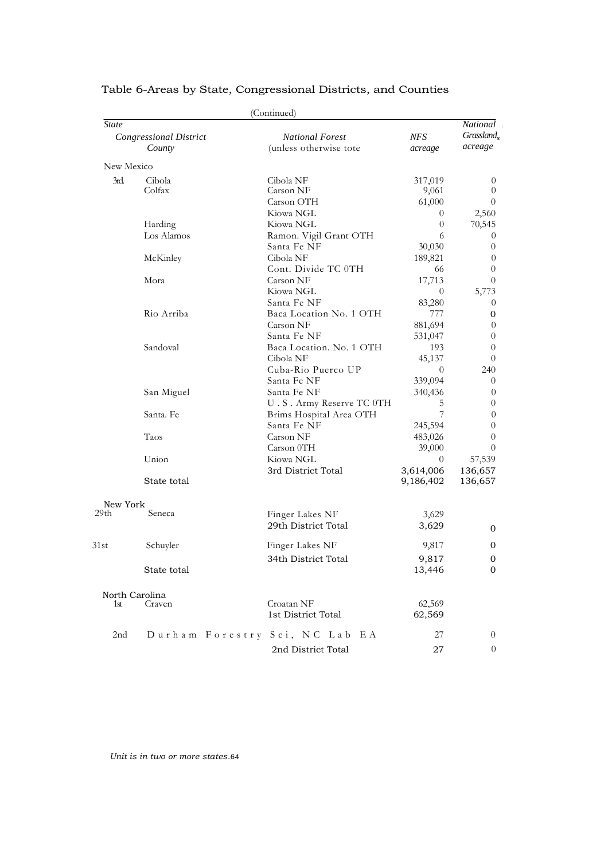|              |                               | (Continued)                    |                |                |
|--------------|-------------------------------|--------------------------------|----------------|----------------|
| <b>State</b> |                               |                                |                | National.      |
|              | <b>Congressional District</b> | <b>National Forest</b>         | <b>NFS</b>     | $Grassland_s$  |
|              | County                        | (unless otherwise tote         | acreage        | acreage        |
| New Mexico   |                               |                                |                |                |
| 3rd          | Cibola                        | Cibola NF                      | 317,019        | 0              |
|              | Colfax                        | Carson NF                      | 9,061          | $\theta$       |
|              |                               | Carson OTH                     | 61,000         | $\theta$       |
|              |                               | Kiowa NGL                      | $\overline{0}$ | 2,560          |
|              | Harding                       | Kiowa NGL                      | $\theta$       | 70,545         |
|              | Los Alamos                    | Ramon. Vigil Grant OTH         | 6              | 0              |
|              |                               | Santa Fe NF                    | 30,030         | $\sigma$       |
|              | McKinley                      | Cibola NF                      | 189,821        | 0              |
|              |                               | Cont. Divide TC 0TH            | 66             | $\theta$       |
|              | Mora                          | Carson NF                      | 17,713         | $\theta$       |
|              |                               | Kiowa NGL                      | $\theta$       | 5,773          |
|              |                               | Santa Fe NF                    | 83,280         | 0              |
|              | Rio Arriba                    | Baca Location No. 1 OTH        | 777            | 0              |
|              |                               | Carson NF                      | 881,694        | 0              |
|              |                               | Santa Fe NF                    | 531,047        | $\overline{0}$ |
|              | Sandoval                      | Baca Location. No. 1 OTH       | 193            | $\theta$       |
|              |                               | Cibola NF                      | 45,137         | $\sigma$       |
|              |                               | Cuba-Rio Puerco UP             | $\theta$       | 240            |
|              |                               | Santa Fe NF                    | 339,094        | $\sigma$       |
|              | San Miguel                    | Santa Fe NF                    | 340,436        | 0              |
|              |                               | U.S. Army Reserve TC 0TH       | 5              | 0              |
|              | Santa. Fe                     | Brims Hospital Area OTH        | 7              | $\theta$       |
|              |                               | Santa Fe NF                    | 245,594        | 0              |
|              | Taos                          | Carson NF                      | 483,026        | 0              |
|              |                               | Carson 0TH                     | 39,000         | $\sigma$       |
|              | Union                         | Kiowa NGL                      | $\theta$       | 57,539         |
|              |                               | 3rd District Total             | 3,614,006      | 136,657        |
|              | State total                   |                                | 9,186,402      | 136,657        |
| New York     |                               |                                |                |                |
| 29th         | Seneca                        | Finger Lakes NF                | 3,629          |                |
|              |                               | 29th District Total            | 3,629          | 0              |
|              |                               |                                |                |                |
| 31st         | Schuyler                      | Finger Lakes NF                | 9,817          | 0              |
|              |                               | 34th District Total            | 9,817          | 0              |
|              | State total                   |                                | 13,446         | 0              |
|              | North Carolina                |                                |                |                |
| 1st          | Craven                        | Croatan NF                     | 62,569         |                |
|              |                               | 1st District Total             | 62,569         |                |
| 2nd          |                               | Durham Forestry Sci, NC Lab EA | 27             | $\theta$       |
|              |                               | 2nd District Total             | 27             | 0              |
|              |                               |                                |                |                |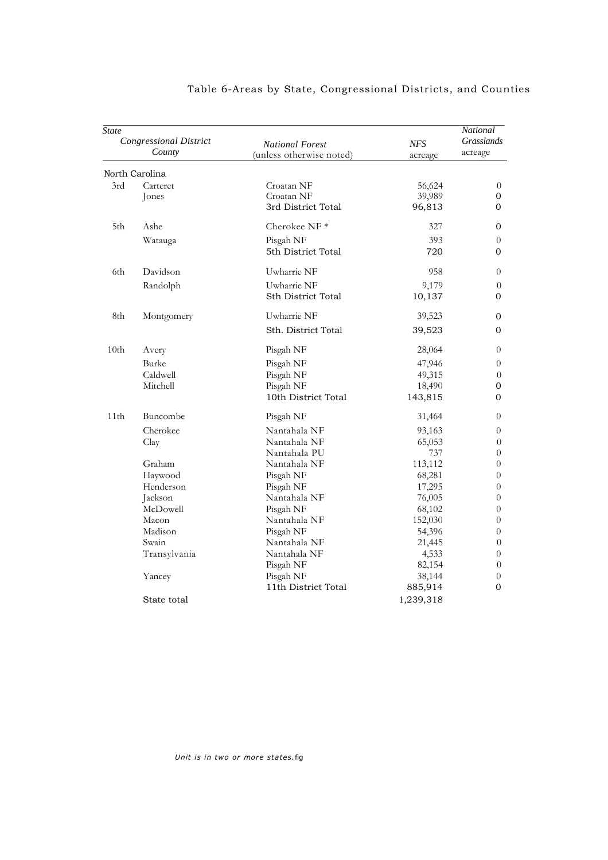| State            | <b>Congressional District</b><br>County | <b>National Forest</b><br>(unless otherwise noted)         | <b>NFS</b><br>acreage                 | National<br>Grasslands<br>acreage                      |
|------------------|-----------------------------------------|------------------------------------------------------------|---------------------------------------|--------------------------------------------------------|
|                  | North Carolina                          |                                                            |                                       |                                                        |
| 3rd              | Carteret<br>Jones                       | Croatan NF<br>Croatan NF<br>3rd District Total             | 56,624<br>39,989<br>96,813            | $\overline{0}$<br>0<br>0                               |
| 5th              | Ashe                                    | Cherokee NF $*$                                            | 327                                   | 0                                                      |
|                  | Watauga                                 | Pisgah NF<br>5th District Total                            | 393<br>720                            | $\theta$<br>0                                          |
| 6th              | Davidson                                | Uwharrie NF                                                | 958                                   | $\theta$                                               |
|                  | Randolph                                | Uwharrie NF<br><b>Sth District Total</b>                   | 9,179<br>10,137                       | $\overline{0}$<br>0                                    |
| 8th              | Montgomery                              | Uwharrie NF<br>Sth. District Total                         | 39,523<br>39,523                      | 0<br>0                                                 |
| 10 <sub>th</sub> | Avery                                   | Pisgah NF                                                  | 28,064                                | $\theta$                                               |
|                  | Burke<br>Caldwell<br>Mitchell           | Pisgah NF<br>Pisgah NF<br>Pisgah NF<br>10th District Total | 47,946<br>49,315<br>18,490<br>143,815 | $\theta$<br>$\theta$<br>0<br>0                         |
| 11th             | Buncombe                                | Pisgah NF                                                  | 31,464                                | $\theta$                                               |
|                  | Cherokee<br>Clay                        | Nantahala NF<br>Nantahala NF<br>Nantahala PU               | 93,163<br>65,053<br>737               | $\theta$<br>$\theta$<br>$\overline{0}$                 |
|                  | Graham<br>Haywood<br>Henderson          | Nantahala NF<br>Pisgah NF<br>Pisgah NF                     | 113,112<br>68,281<br>17,295           | $\overline{0}$<br>$\boldsymbol{0}$<br>$\boldsymbol{0}$ |
|                  | Jackson<br>McDowell                     | Nantahala NF<br>Pisgah NF                                  | 76,005<br>68,102                      | $\boldsymbol{0}$<br>$\theta$                           |
|                  | Macon<br>Madison<br>Swain               | Nantahala NF<br>Pisgah NF<br>Nantahala NF                  | 152,030<br>54,396<br>21,445           | $\theta$<br>$\theta$<br>$\overline{0}$                 |
|                  | Transylvania                            | Nantahala NF<br>Pisgah NF                                  | 4,533<br>82,154                       | $\boldsymbol{0}$<br>$\theta$                           |
|                  | Yancey                                  | Pisgah NF<br>11th District Total                           | 38,144<br>885,914                     | $\theta$<br>$\overline{0}$                             |
|                  | State total                             |                                                            | 1,239,318                             |                                                        |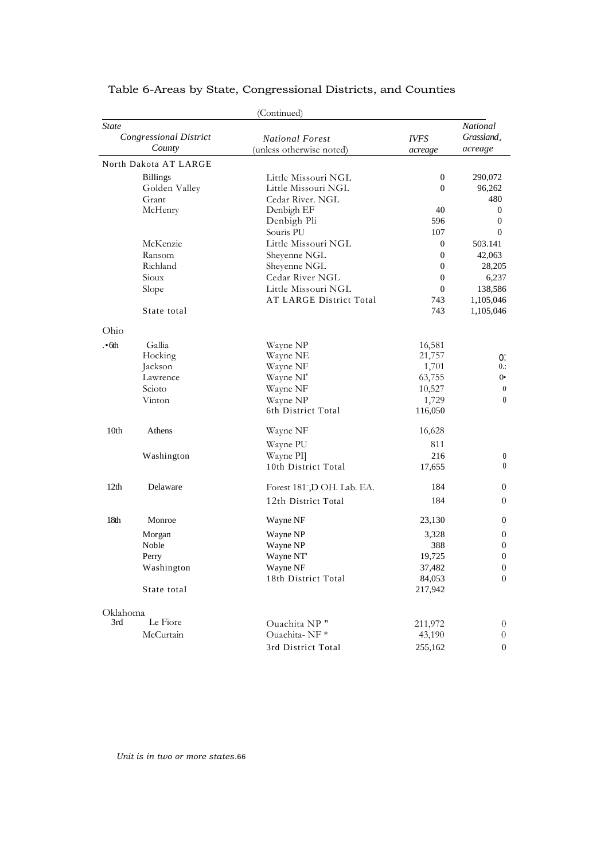|                               |                       | (Continued)                 |                  |                  |
|-------------------------------|-----------------------|-----------------------------|------------------|------------------|
| <b>State</b>                  |                       |                             |                  | National         |
| <b>Congressional District</b> |                       | <b>National Forest</b>      | <b>IVFS</b>      | Grassland,       |
|                               | County                | (unless otherwise noted)    | acreage          | acreage          |
|                               | North Dakota AT LARGE |                             |                  |                  |
|                               | <b>Billings</b>       | Little Missouri NGL         | $\boldsymbol{0}$ | 290,072          |
|                               | Golden Valley         | Little Missouri NGL         | $\mathbf{0}$     | 96,262           |
|                               | Grant                 | Cedar River. NGL            |                  | 480              |
|                               | McHenry               | Denbigh EF                  | 40               | $\boldsymbol{0}$ |
|                               |                       | Denbigh Pli                 | 596              | 0                |
|                               |                       | Souris PU                   | 107              | $\overline{0}$   |
|                               | McKenzie              | Little Missouri NGL         | $\mathbf{0}$     | 503.141          |
|                               | Ransom                | Sheyenne NGL                | $\mathbf{0}$     | 42,063           |
|                               | Richland              | Sheyenne NGL                | $\mathbf{0}$     | 28,205           |
|                               | Sioux                 | Cedar River NGL             | $\mathbf{0}$     | 6,237            |
|                               | Slope                 | Little Missouri NGL         | $\mathbf{0}$     | 138,586          |
|                               |                       | AT LARGE District Total     | 743              | 1,105,046        |
|                               | State total           |                             | 743              | 1,105,046        |
| Ohio                          |                       |                             |                  |                  |
| ·6th                          | Gallia                | Wayne NP                    | 16,581           |                  |
|                               | Hocking               | Wayne NE                    | 21,757           | 0.               |
|                               | Jackson               | Wayne NF                    | 1,701            | $0$ .:           |
|                               | Lawrence              | Wayne NI'                   | 63,755           | 0.               |
|                               | Scioto                | Wayne NF                    | 10,527           | $\boldsymbol{0}$ |
|                               | Vinton                | Wayne NP                    | 1,729            | 0                |
|                               |                       | 6th District Total          | 116,050          |                  |
| 10th                          | Athens                | Wayne NF                    | 16,628           |                  |
|                               |                       | Wayne PU                    | 811              |                  |
|                               | Washington            | Wayne PI                    | 216              | 0                |
|                               |                       | 10th District Total         | 17,655           | 0                |
| 12 <sub>th</sub>              | Delaware              | Forest 181-, D OH. Lab. EA. | 184              | $\boldsymbol{0}$ |
|                               |                       | 12th District Total         | 184              | $\overline{0}$   |
| 18th                          | Monroe                | Wayne NF                    | 23,130           | $\theta$         |
|                               | Morgan                | Wayne NP                    | 3,328            | $\mathbf{0}$     |
|                               | Noble                 | Wayne NP                    | 388              | 0                |
|                               | Perry                 | Wayne NT                    | 19,725           | $\boldsymbol{0}$ |
|                               | Washington            | Wayne NF                    | 37,482           | $\boldsymbol{0}$ |
|                               |                       | 18th District Total         | 84,053           | 0                |
|                               | State total           |                             | 217,942          |                  |
| Oklahoma                      |                       |                             |                  |                  |
| 3rd                           | Le Fiore              | Ouachita NP"                | 211,972          | $\theta$         |
|                               | McCurtain             | Ouachita-NF*                | 43,190           | $\overline{0}$   |
|                               |                       | 3rd District Total          | 255,162          | $\overline{0}$   |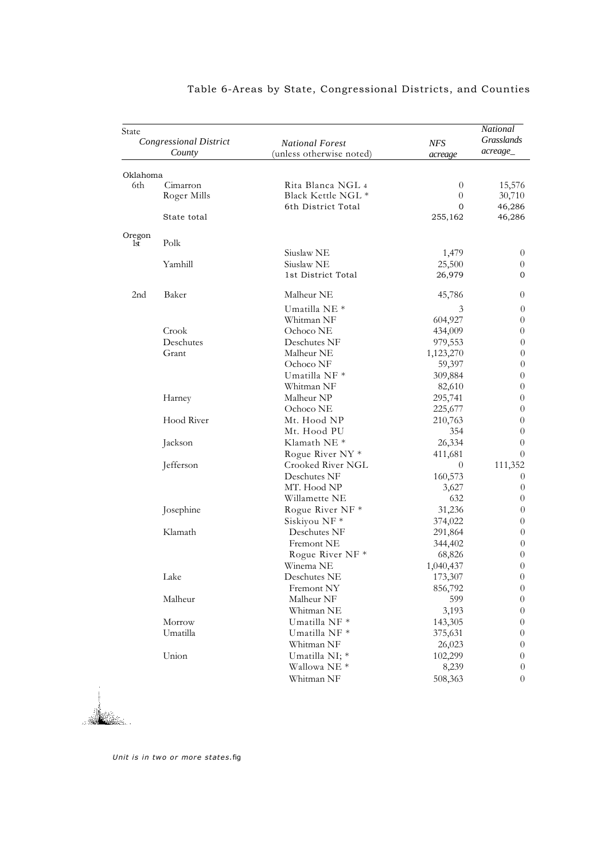| State           | <b>Congressional District</b><br>County | <b>National Forest</b><br>(unless otherwise noted)            | NFS<br>acreage                  | National<br>Grasslands<br>acreage_ |
|-----------------|-----------------------------------------|---------------------------------------------------------------|---------------------------------|------------------------------------|
|                 |                                         |                                                               |                                 |                                    |
| Oklahoma<br>6th | Cimarron<br>Roger Mills                 | Rita Blanca NGL 4<br>Black Kettle NGL *<br>6th District Total | $\theta$<br>$\overline{0}$<br>0 | 15,576<br>30,710<br>46,286         |
|                 | State total                             |                                                               | 255,162                         | 46,286                             |
| Oregon<br>1st   | Polk                                    |                                                               |                                 |                                    |
|                 | Yamhill                                 | Siuslaw NE<br>Siuslaw NE<br>1st District Total                | 1,479<br>25,500<br>26,979       | $\theta$<br>0<br>0                 |
|                 |                                         |                                                               |                                 |                                    |
| 2nd             | Baker                                   | Malheur NE                                                    | 45,786                          | 0                                  |
|                 |                                         | Umatilla NE <sup>*</sup>                                      | 3                               | $\overline{0}$                     |
|                 | Crook                                   | Whitman NF<br>Ochoco NE                                       | 604,927                         | $\boldsymbol{0}$                   |
|                 | Deschutes                               |                                                               | 434,009                         | 0                                  |
|                 |                                         | Deschutes NF                                                  | 979,553                         | $\overline{0}$                     |
|                 | Grant                                   | Malheur NE                                                    | 1,123,270                       | $\theta$                           |
|                 |                                         | Ochoco NF                                                     | 59,397                          | $\overline{0}$                     |
|                 |                                         | Umatilla NF *                                                 | 309,884                         | $\theta$                           |
|                 |                                         | Whitman NF                                                    | 82,610                          | $\boldsymbol{0}$                   |
|                 | Harney                                  | Malheur NP                                                    | 295,741                         | 0                                  |
|                 |                                         | Ochoco NE                                                     | 225,677                         | $\boldsymbol{0}$                   |
|                 | Hood River                              | Mt. Hood NP                                                   | 210,763                         | 0                                  |
|                 |                                         | Mt. Hood PU                                                   | 354                             | $\boldsymbol{0}$                   |
|                 | Jackson                                 | Klamath NE <sup>*</sup>                                       | 26,334                          | 0                                  |
|                 |                                         | Rogue River NY <sup>*</sup>                                   | 411,681                         | $\theta$                           |
|                 | Jefferson                               | Crooked River NGL                                             | $\theta$                        | 111,352                            |
|                 |                                         | Deschutes NF                                                  | 160,573                         | $\theta$                           |
|                 |                                         | MT. Hood NP                                                   | 3,627                           | $\theta$                           |
|                 |                                         | Willamette NE                                                 | 632                             | $\boldsymbol{0}$                   |
|                 | Josephine                               | Rogue River NF *                                              | 31,236                          | $\overline{0}$                     |
|                 |                                         | Siskiyou NF *                                                 | 374,022                         | $\overline{0}$                     |
|                 | Klamath                                 | Deschutes NF                                                  | 291,864                         | $\overline{0}$                     |
|                 |                                         | Fremont NE                                                    | 344,402                         | $\overline{0}$                     |
|                 |                                         | Rogue River NF *                                              | 68,826                          | $\overline{0}$                     |
|                 |                                         | Winema NE                                                     | 1,040,437                       | $\theta$                           |
|                 | Lake                                    | Deschutes NE                                                  | 173,307                         | 0                                  |
|                 |                                         | Fremont NY                                                    | 856,792                         | $\boldsymbol{0}$                   |
|                 | Malheur                                 | Malheur NF                                                    | 599                             | 0                                  |
|                 |                                         | Whitman NE                                                    | 3,193                           | 0                                  |
|                 | Morrow                                  | Umatilla NF *                                                 | 143,305                         | 0                                  |
|                 | Umatilla                                | Umatilla NF *                                                 | 375,631                         | 0                                  |
|                 |                                         | Whitman NF                                                    | 26,023                          | 0                                  |
|                 | Union                                   | Umatilla NI; *                                                | 102,299                         | 0                                  |
|                 |                                         | Wallowa NE *                                                  | 8,239                           | $\theta$                           |
|                 |                                         | Whitman NF                                                    | 508,363                         | 0                                  |

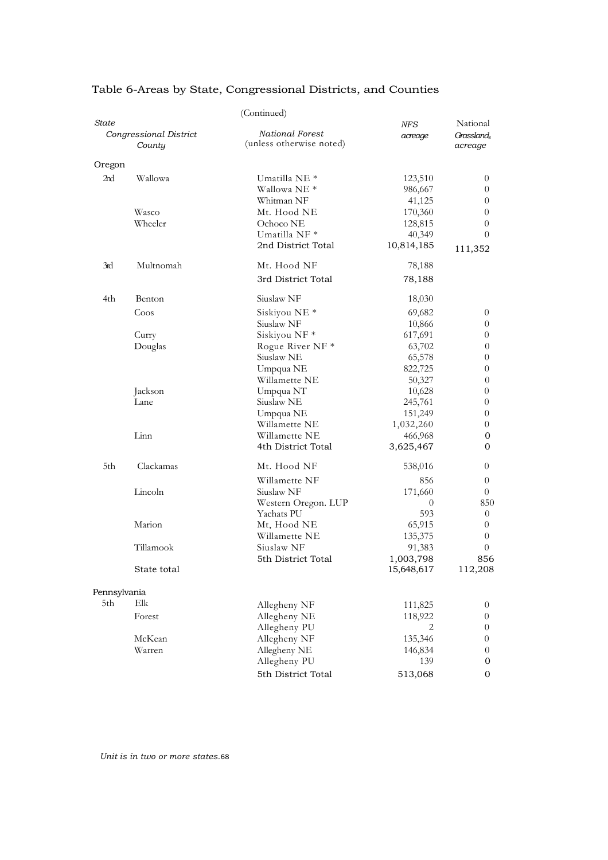|              |                                  | (Continued)                                         |                      |                                  |
|--------------|----------------------------------|-----------------------------------------------------|----------------------|----------------------------------|
| State        | Congressional District<br>County | National Forest<br>(unless otherwise noted)         | NFS<br>acreage       | National<br>Grassland<br>acreage |
| Oregon       |                                  |                                                     |                      |                                  |
| 2nd          | Wallowa                          | Umatilla NE <sup>*</sup><br>Wallowa NE <sup>*</sup> | 123,510<br>986,667   | $\theta$<br>$\overline{0}$       |
|              |                                  | Whitman NF                                          | 41,125               | 0                                |
|              | Wasco                            | Mt. Hood NE                                         | 170,360              | $\theta$                         |
|              | Wheeler                          | Ochoco NE<br>Umatilla NF *                          | 128,815              | 0<br>$\theta$                    |
|              |                                  | 2nd District Total                                  | 40,349<br>10,814,185 | 111,352                          |
| 3rd          | Multnomah                        | Mt. Hood NF                                         | 78,188               |                                  |
|              |                                  | 3rd District Total                                  | 78,188               |                                  |
| 4th          | Benton                           | Siuslaw <sub>NF</sub>                               | 18,030               |                                  |
|              | Coos                             | Siskiyou NE <sup>*</sup>                            | 69,682               | $\theta$                         |
|              |                                  | Siuslaw <sub>NF</sub>                               | 10,866               | $\overline{0}$                   |
|              | Curry                            | Siskiyou NF*                                        | 617,691              | $\overline{0}$                   |
|              | Douglas                          | Rogue River NF *                                    | 63,702               | 0                                |
|              |                                  | Siuslaw <sub>NE</sub>                               | 65,578               | $\overline{0}$                   |
|              |                                  | Umpqua NE                                           | 822,725              | $\boldsymbol{0}$                 |
|              |                                  | Willamette NE                                       | 50,327               | $\theta$                         |
|              | Jackson                          | Umpqua NT                                           | 10,628               | 0                                |
|              | Lane                             | Siuslaw NE                                          | 245,761              | 0                                |
|              |                                  | Umpqua NE                                           | 151,249              | $\theta$                         |
|              | Linn                             | Willamette NE<br>Willamette NE                      | 1,032,260            | 0                                |
|              |                                  | 4th District Total                                  | 466,968<br>3,625,467 | 0<br>$\mathbf{0}$                |
| 5th          | Clackamas                        | Mt. Hood NF                                         | 538,016              | $\theta$                         |
|              |                                  | Willamette NF                                       | 856                  | $\boldsymbol{0}$                 |
|              | Lincoln                          | Siuslaw <sub>NF</sub>                               | 171,660              | $\theta$                         |
|              |                                  | Western Oregon. LUP                                 | 0                    | 850                              |
|              |                                  | Yachats PU                                          | 593                  | $\theta$                         |
|              | Marion                           | Mt, Hood NE                                         | 65,915               | $\overline{0}$                   |
|              |                                  | Willamette NE                                       | 135,375              | $\overline{0}$                   |
|              | Tillamook                        | Siuslaw NF                                          | 91,383               | $\theta$                         |
|              |                                  | 5th District Total                                  | 1,003,798            | 856                              |
|              | State total                      |                                                     | 15,648,617           | 112,208                          |
| Pennsylvania |                                  |                                                     |                      |                                  |
| 5th          | Elk                              | Allegheny NF                                        | 111,825              | $\boldsymbol{0}$                 |
|              | Forest                           | Allegheny NE                                        | 118,922              | $\overline{0}$                   |
|              |                                  | Allegheny PU                                        | 2                    | $\overline{0}$                   |
|              | McKean                           | Allegheny NF                                        | 135,346              | $\theta$                         |
|              | Warren                           | Allegheny NE                                        | 146,834              | $\overline{0}$                   |
|              |                                  | Allegheny PU                                        | 139                  | $\mathbf{0}$                     |
|              |                                  | 5th District Total                                  | 513,068              | $\mathbf{0}$                     |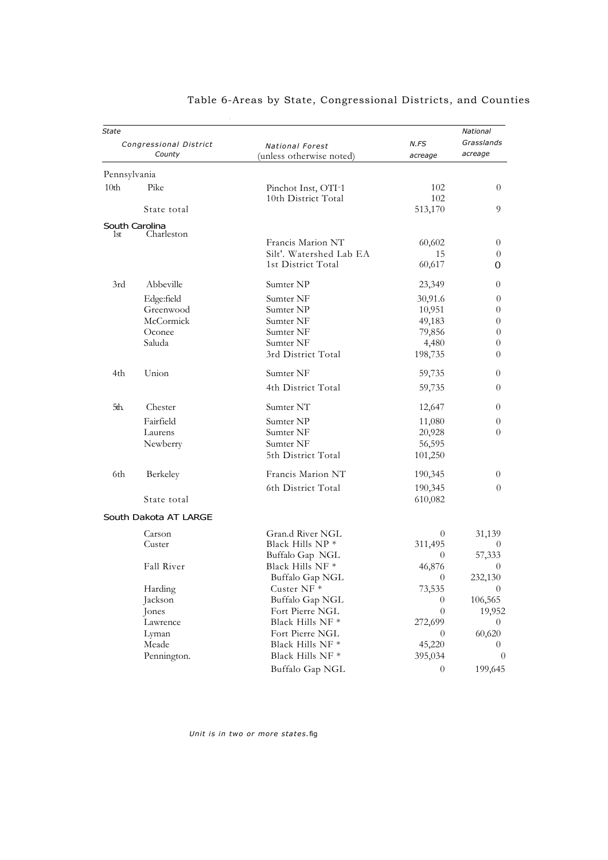| <b>State</b>     | Congressional District | <b>National Forest</b>                     | N.FS                     | National<br>Grasslands |
|------------------|------------------------|--------------------------------------------|--------------------------|------------------------|
|                  | County                 | (unless otherwise noted)                   | acreage                  | acreage                |
| Pennsylvania     |                        |                                            |                          |                        |
| 10 <sub>th</sub> | Pike                   | Pinchot Inst, OTI-1<br>10th District Total | 102<br>102               | $\theta$               |
|                  | State total            |                                            | 513,170                  | 9                      |
|                  | South Carolina         |                                            |                          |                        |
| 1st              | Charleston             | Francis Marion NT                          | 60,602                   | 0                      |
|                  |                        | Silt'. Watershed Lab EA                    | 15                       | 0                      |
|                  |                        | 1st District Total                         | 60,617                   | 0                      |
| 3rd              | Abbeville              | Sumter NP                                  | 23,349                   | 0                      |
|                  | Edge:field             | Sumter NF                                  | 30,91.6                  | 0                      |
|                  | Greenwood              | Sumter NP                                  | 10,951                   | 0                      |
|                  | McCormick              | Sumter NF                                  | 49,183                   | 0                      |
|                  | Oconee                 | Sumter NF                                  | 79,856                   | $\theta$               |
|                  | Saluda                 | Sumter NF                                  | 4,480                    | 0                      |
|                  |                        | 3rd District Total                         | 198,735                  | 0                      |
| 4th              | Union                  | Sumter NF                                  | 59,735                   | 0                      |
|                  |                        | 4th District Total                         | 59,735                   | $\theta$               |
| 5th.             | Chester                | Sumter NT                                  | 12,647                   | $\overline{0}$         |
|                  | Fairfield              | Sumter NP                                  | 11,080                   | 0                      |
|                  | Laurens                | Sumter NF                                  | 20,928                   | 0                      |
|                  | Newberry               | Sumter NF                                  | 56,595                   |                        |
|                  |                        | 5th District Total                         | 101,250                  |                        |
| 6th              | Berkeley               | Francis Marion NT                          | 190,345                  | $\theta$               |
|                  |                        | 6th District Total                         | 190,345                  | 0                      |
|                  | State total            |                                            | 610,082                  |                        |
|                  | South Dakota AT LARGE  |                                            |                          |                        |
|                  | Carson                 | Gran.d River NGL                           | 0                        | 31,139                 |
|                  | Custer                 | Black Hills NP <sup>*</sup>                | 311,495                  | $\theta$               |
|                  |                        | Buffalo Gap .NGL                           | $\Omega$                 | 57,333                 |
|                  | Fall River             | Black Hills NF <sup>*</sup>                | 46,876                   | 0                      |
|                  |                        | Buffalo Gap NGL                            | $\overline{0}$           | 232,130                |
|                  | Harding                | Custer NF*                                 | 73,535                   | $\theta$               |
|                  | Jackson                | Buffalo Gap NGL                            | 0                        | 106,565                |
|                  | Jones                  | Fort Pierre NGL                            | $\overline{0}$           | 19,952                 |
|                  | Lawrence               | Black Hills NF *<br>Fort Pierre NGL        | 272,699                  | 0                      |
|                  | Lyman<br>Meade         | Black Hills NF *                           | $\overline{0}$<br>45,220 | 60,620<br>0            |
|                  | Pennington.            | Black Hills NF $^\ast$                     | 395,034                  | $\theta$               |
|                  |                        |                                            |                          |                        |
|                  |                        | Buffalo Gap NGL                            | $\overline{0}$           | 199,645                |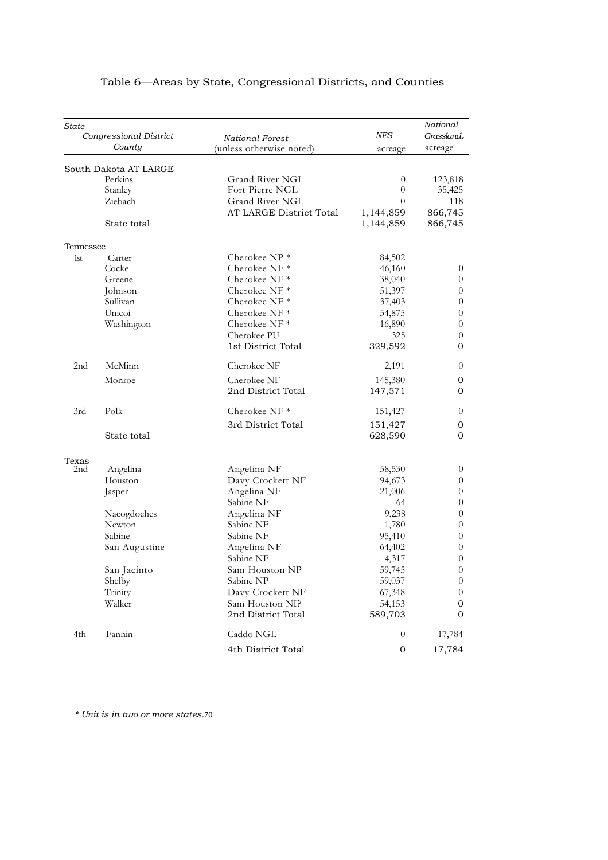| State     | Congressional District<br>County | National Forest<br>(unless otherwise noted) | NFS<br>acreage   | National<br>Grassland,<br>acreage |
|-----------|----------------------------------|---------------------------------------------|------------------|-----------------------------------|
|           | South Dakota AT LARGE            |                                             |                  |                                   |
|           | Perkins                          | Grand River NGL                             | $\theta$         | 123,818                           |
|           | Stanley                          | Fort Pierre NGL                             | $\overline{0}$   | 35,425                            |
|           | Ziebach                          | Grand River NGL                             | $\theta$         | 118                               |
|           |                                  | AT LARGE District Total                     | 1,144,859        | 866,745                           |
|           | State total                      |                                             | 1,144,859        | 866,745                           |
| Tennessee |                                  |                                             |                  |                                   |
| 1st       | Carter                           | Cherokee $NP *$                             | 84,502           |                                   |
|           | Cocke                            | Cherokee NF*                                | 46,160           | $\overline{0}$                    |
|           | Greene                           | Cherokee NF $*$                             | 38,040           | 0                                 |
|           | Johnson                          | Cherokee NF $*$                             | 51,397           | $\boldsymbol{0}$                  |
|           | Sullivan                         | Cherokee NF <sup>*</sup>                    | 37,403           | $\overline{0}$                    |
|           | Unicoi                           | Cherokee NF $*$                             | 54,875           | 0                                 |
|           | Washington                       | Cherokee NF $*$                             | 16,890           | 0                                 |
|           |                                  | Cherokee PU                                 | 325              | $\boldsymbol{0}$                  |
|           |                                  | 1st District Total                          | 329,592          | 0                                 |
| 2nd       | McMinn                           | Cherokee NF                                 | 2,191            | 0                                 |
| Monroe    |                                  | Cherokee NF                                 | 145,380          | 0                                 |
|           |                                  | 2nd District Total                          | 147,571          | 0                                 |
| 3rd       | Polk                             | Cherokee NF <sup>*</sup>                    | 151,427          | $\theta$                          |
|           |                                  | 3rd District Total                          | 151,427          | 0                                 |
|           | State total                      |                                             | 628,590          | 0                                 |
| Texas     |                                  |                                             |                  |                                   |
| 2nd       | Angelina                         | Angelina NF                                 | 58,530           | 0                                 |
|           | Houston                          | Davy Crockett NF                            | 94,673           | $\overline{0}$                    |
|           | Jasper                           | Angelina NF                                 | 21,006           | 0                                 |
|           |                                  | Sabine NF                                   | 64               | $\boldsymbol{0}$                  |
|           | Nacogdoches                      | Angelina NF                                 | 9,238            | $\overline{0}$                    |
|           | Newton                           | Sabine NF                                   | 1,780            | 0                                 |
|           | Sabine                           | Sabine NF                                   | 95,410           | 0                                 |
|           | San Augustine                    | Angelina NF                                 | 64,402           | $\boldsymbol{0}$                  |
|           |                                  | Sabine NF                                   | 4,317            | $\boldsymbol{0}$                  |
|           | San Jacinto                      | Sam Houston NP                              | 59,745           | 0                                 |
|           | Shelby                           | Sabine NP                                   | 59,037           | 0                                 |
|           | Trinity                          | Davy Crockett NF                            | 67,348           | 0                                 |
|           | Walker                           | Sam Houston NI?                             | 54,153           | 0                                 |
|           |                                  | 2nd District Total                          | 589,703          | 0                                 |
| 4th       | Fannin                           | Caddo NGL                                   | $\theta$         | 17,784                            |
|           |                                  | 4th District Total                          | $\boldsymbol{0}$ | 17,784                            |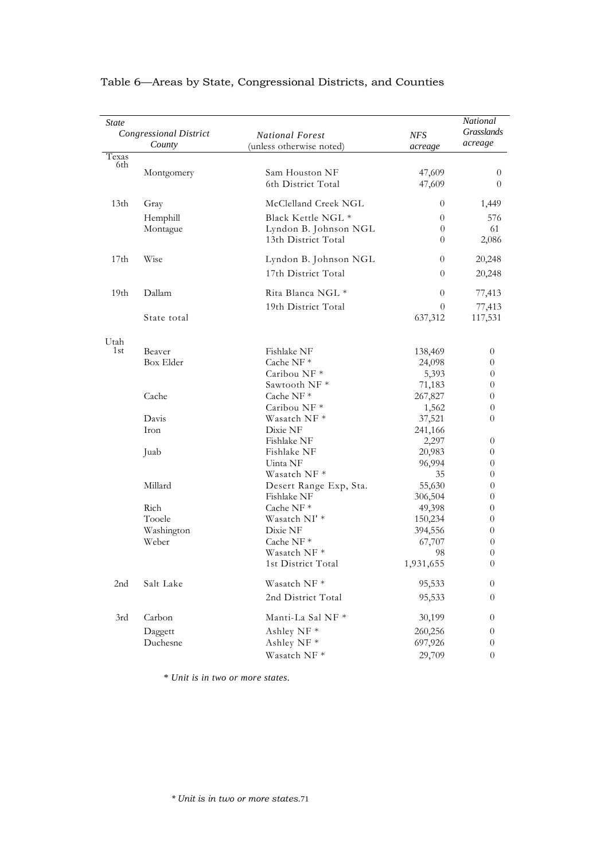| <i>State</i>     | <b>Congressional District</b><br>County | <b>National Forest</b><br>(unless otherwise noted) | <b>NFS</b><br>acreage | National<br><b>Grasslands</b><br>acreage |
|------------------|-----------------------------------------|----------------------------------------------------|-----------------------|------------------------------------------|
| Texas            |                                         |                                                    |                       |                                          |
| 6th              | Montgomery                              | Sam Houston NF<br>6th District Total               | 47,609<br>47,609      | 0<br>$\theta$                            |
| 13 <sub>th</sub> | Gray                                    | McClelland Creek NGL                               | $\theta$              | 1,449                                    |
|                  | Hemphill                                | Black Kettle NGL *                                 | $\theta$              | 576                                      |
|                  | Montague                                | Lyndon B. Johnson NGL<br>13th District Total       | $\theta$<br>$\theta$  | 61<br>2,086                              |
|                  |                                         |                                                    |                       |                                          |
| 17 <sub>th</sub> | Wise                                    | Lyndon B. Johnson NGL<br>17th District Total       | $\theta$<br>$\theta$  | 20,248<br>20,248                         |
|                  |                                         |                                                    |                       |                                          |
| 19 <sub>th</sub> | Dallam                                  | Rita Blanca NGL *                                  | $\theta$              | 77,413                                   |
|                  | State total                             | 19th District Total                                | 0<br>637,312          | 77,413<br>117,531                        |
| Utah             |                                         |                                                    |                       |                                          |
| 1st              | Beaver                                  | Fishlake NF                                        | 138,469               | 0                                        |
|                  | Box Elder                               | Cache NF*                                          | 24,098                | 0                                        |
|                  |                                         | Caribou NF*                                        | 5,393                 | $\overline{0}$                           |
|                  |                                         | Sawtooth NF <sup>*</sup>                           | 71,183                | $\theta$                                 |
|                  | Cache                                   | Cache NF $*$                                       | 267,827               | 0                                        |
|                  | Davis                                   | Caribou NF <sup>*</sup>                            | 1,562                 | $\theta$                                 |
|                  | Iron                                    | Wasatch NF *<br>Dixie NF                           | 37,521                | 0                                        |
|                  |                                         | Fishlake NF                                        | 241,166<br>2,297      | 0                                        |
|                  | Juab                                    | Fishlake NF                                        | 20,983                | 0                                        |
|                  |                                         | Uinta NF                                           | 96,994                | 0                                        |
|                  |                                         | Wasatch NF *                                       | 35                    | 0                                        |
|                  | Millard                                 | Desert Range Exp, Sta.                             | 55,630                | $\theta$                                 |
|                  |                                         | Fishlake NF                                        | 306,504               | $\theta$                                 |
|                  | Rich                                    | Cache NF*                                          | 49,398                | 0                                        |
|                  | Tooele                                  | Wasatch NI'*                                       | 150,234               | 0                                        |
|                  | Washington                              | Dixie NF                                           | 394,556               | 0                                        |
|                  | Weber                                   | Cache NF*                                          | 67,707                | 0                                        |
|                  |                                         | Wasatch NF *                                       | 98                    | $\theta$                                 |
|                  |                                         | 1st District Total                                 | 1,931,655             | $\theta$                                 |
| 2nd              | Salt Lake                               | Wasatch NF *                                       | 95,533                | 0                                        |
|                  |                                         | 2nd District Total                                 | 95,533                | $\theta$                                 |
| 3rd              | Carbon                                  | Manti-La Sal NF *                                  | 30,199                | 0                                        |
|                  | Daggett                                 | Ashley NF *                                        | 260,256               | 0                                        |
|                  | Duchesne                                | Ashley NF *                                        | 697,926               | 0                                        |
|                  |                                         | Wasatch NF*                                        | 29,709                | $\boldsymbol{0}$                         |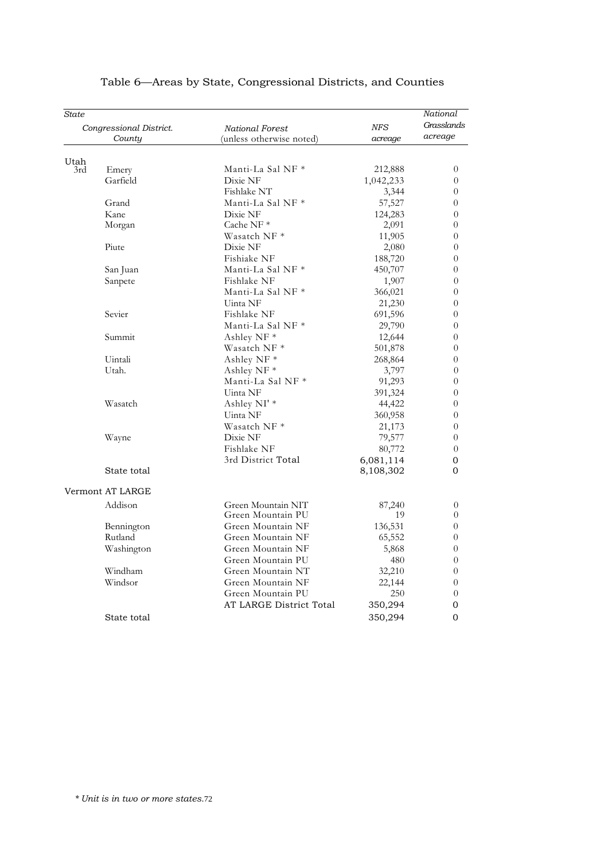| State       |                         |                          |                   | National       |
|-------------|-------------------------|--------------------------|-------------------|----------------|
|             | Congressional District. | National Forest          | <b>NFS</b>        | Grasslands     |
| County      |                         | (unless otherwise noted) | acreage           | acreage        |
|             |                         |                          |                   |                |
| Utah<br>3rd | Emery                   | Manti-La Sal NF *        | 212,888           | $\theta$       |
|             | Garfield                | Dixie NF                 | 1,042,233         | $\overline{0}$ |
|             |                         | Fishlake NT              | 3,344             | $\theta$       |
|             | Grand                   | Manti-La Sal NF *        | 57,527            | $\theta$       |
|             | Kane                    | Dixie NF                 | 124,283           | $\theta$       |
|             | Morgan                  | Cache NF <sup>*</sup>    | 2,091             | $\theta$       |
|             |                         | Wasatch NF *             | 11,905            | $\overline{0}$ |
|             | Piute                   | Dixie NF                 | 2,080             | $\theta$       |
|             |                         | Fishiake NF              | 188,720           | $\theta$       |
|             | San Juan                | Manti-La Sal NF *        | 450,707           | $\theta$       |
|             | Sanpete                 | Fishlake NF              | 1,907             | $\theta$       |
|             |                         | Manti-La Sal NF *        | 366,021           | $\theta$       |
|             |                         | Uinta NF                 | 21,230            | $\theta$       |
|             | Sevier                  | Fishlake NF              | 691,596           | $\theta$       |
|             |                         | Manti-La Sal NF *        | 29,790            | $\theta$       |
|             | Summit                  | Ashley NF <sup>*</sup>   | 12,644            | $\theta$       |
|             |                         | Wasatch NF *             | 501,878           | $\theta$       |
|             | Uintali                 | Ashley NF *              | 268,864           | $\theta$       |
|             | Utah.                   | Ashley NF *              | 3,797             | $\theta$       |
|             |                         | Manti-La Sal NF *        | 91,293            | $\theta$       |
|             |                         | Uinta NF                 |                   | $\theta$       |
|             | Wasatch                 | Ashley NI' *             | 391,324           | $\theta$       |
|             |                         | Uinta NF                 | 44,422<br>360,958 | $\theta$       |
|             |                         | Wasatch NF *             | 21,173            | $\theta$       |
|             |                         |                          |                   |                |
|             | Wayne                   | Dixie NF<br>Fishlake NF  | 79,577            | $\theta$       |
|             |                         |                          | 80,772            | $\theta$       |
|             |                         | 3rd District Total       | 6,081,114         | 0              |
|             | State total             |                          | 8,108,302         | 0              |
|             | Vermont AT LARGE        |                          |                   |                |
|             | Addison                 | Green Mountain NIT       | 87,240            | $\theta$       |
|             |                         | Green Mountain PU        | 19                | $\theta$       |
|             | Bennington              | Green Mountain NF        | 136,531           | $\overline{0}$ |
|             | Rutland                 | Green Mountain NF        | 65,552            | $\theta$       |
|             | Washington              | Green Mountain NF        | 5,868             | $\theta$       |
|             |                         | Green Mountain PU        | 480               | $\theta$       |
|             | Windham                 | Green Mountain NT        | 32,210            | $\theta$       |
|             | Windsor                 | Green Mountain NF        | 22,144            | $\theta$       |
|             |                         | Green Mountain PU        | 250               | $\theta$       |
|             |                         | AT LARGE District Total  | 350,294           | 0              |
|             |                         |                          | 350,294           |                |
|             | State total             |                          |                   | 0              |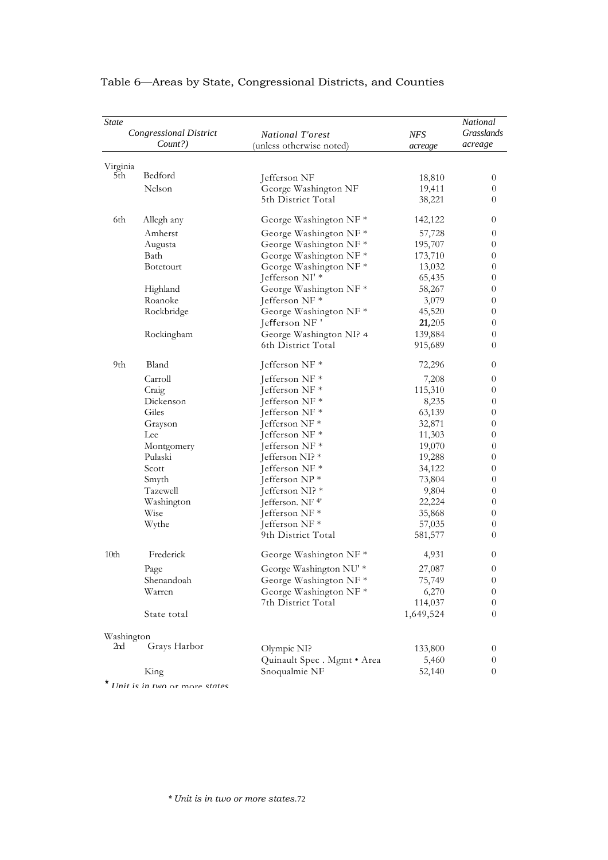| <b>State</b>     | <b>Congressional District</b> | National T'orest                  | <b>NFS</b> | National<br>Grasslands |
|------------------|-------------------------------|-----------------------------------|------------|------------------------|
|                  | Count?)                       | (unless otherwise noted)          | acreage    | acreage                |
| Virginia         |                               |                                   |            |                        |
| 5th              | Bedford                       | Jefferson NF                      | 18,810     | $\theta$               |
|                  | Nelson                        | George Washington NF              | 19,411     | $\boldsymbol{0}$       |
|                  |                               | 5th District Total                | 38,221     | 0                      |
| 6th              | Allegh any                    | George Washington NF <sup>*</sup> | 142,122    | $\boldsymbol{0}$       |
|                  | Amherst                       | George Washington NF*             | 57,728     | $\theta$               |
|                  | Augusta                       | George Washington NF*             | 195,707    | 0                      |
|                  | Bath                          | George Washington NF*             | 173,710    | 0                      |
|                  | <b>Botetourt</b>              | George Washington NF*             | 13,032     | $\boldsymbol{0}$       |
|                  |                               | Jefferson NI' *                   | 65,435     | 0                      |
|                  | Highland                      | George Washington NF*             | 58,267     | $\boldsymbol{0}$       |
|                  | Roanoke                       | Jefferson NF*                     | 3,079      | 0                      |
|                  | Rockbridge                    | George Washington NF*             | 45,520     | 0                      |
|                  |                               | Jefferson NF'                     | 21,205     | $\theta$               |
|                  | Rockingham                    | George Washington NI? 4           | 139,884    | $\boldsymbol{0}$       |
|                  |                               | 6th District Total                | 915,689    | 0                      |
| 9th              | Bland                         | Jefferson NF *                    | 72,296     | $\boldsymbol{0}$       |
|                  | Carroll                       | Jefferson NF*                     | 7,208      | $\theta$               |
|                  | Craig                         | Jefferson NF*                     | 115,310    | 0                      |
|                  | Dickenson                     | Jefferson NF *                    | 8,235      | $\boldsymbol{0}$       |
|                  | Giles                         | Jefferson NF $*$                  | 63,139     | $\theta$               |
|                  | Grayson                       | Jefferson NF*                     | 32,871     | 0                      |
|                  | Lee                           | Jefferson NF*                     | 11,303     | 0                      |
|                  | Montgomery                    | Jefferson NF <sup>*</sup>         | 19,070     | $\theta$               |
|                  | Pulaski                       | Jefferson NI? $*$                 | 19,288     | $\theta$               |
|                  | Scott                         | Jefferson NF*                     | 34,122     | $\boldsymbol{0}$       |
|                  | Smyth                         | Jefferson NP*                     | 73,804     | $\boldsymbol{0}$       |
|                  | Tazewell                      | Jefferson NI? *                   | 9,804      | $\boldsymbol{0}$       |
|                  | Washington                    | Jefferson. NF <sup>4'</sup>       | 22,224     | $\theta$               |
|                  | <b>Wise</b>                   | Jefferson NF <sup>*</sup>         | 35,868     | $\theta$               |
|                  | Wythe                         | Jefferson NF*                     | 57,035     | $\theta$               |
|                  |                               | 9th District Total                | 581,577    | 0                      |
| 10 <sub>th</sub> | Frederick                     | George Washington NF*             | 4,931      | $\boldsymbol{0}$       |
|                  | Page                          | George Washington NU' *           | 27,087     | $\boldsymbol{0}$       |
|                  | Shenandoah                    | George Washington NF*             | 75,749     | $\theta$               |
|                  | Warren                        | George Washington NF*             | 6,270      | $\boldsymbol{0}$       |
|                  |                               | 7th District Total                | 114,037    | $\boldsymbol{0}$       |
|                  | State total                   |                                   | 1,649,524  | $\theta$               |
| Washington       |                               |                                   |            |                        |
| 2nd              | Grays Harbor                  | Olympic NI?                       | 133,800    | $\theta$               |
|                  |                               | Quinault Spec . Mgmt . Area       | 5,460      | $\theta$               |
|                  | King                          | Snoqualmie NF                     | 52,140     | $\boldsymbol{0}$       |
|                  |                               |                                   |            |                        |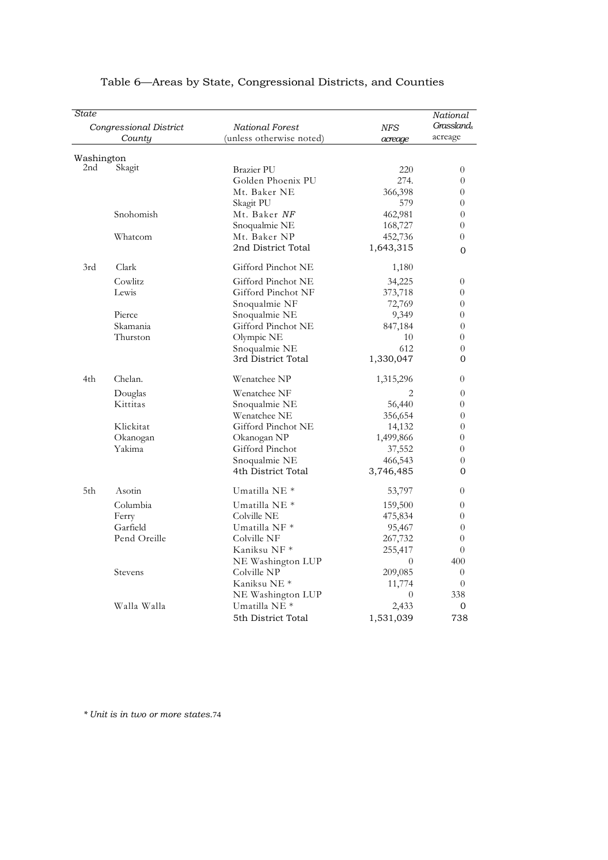| State      |                                  |                                             |                       | National<br><b>Grasslands</b> |
|------------|----------------------------------|---------------------------------------------|-----------------------|-------------------------------|
|            | Congressional District<br>County | National Forest<br>(unless otherwise noted) | <b>NFS</b><br>acreage | acreage                       |
| Washington |                                  |                                             |                       |                               |
| 2nd        | Skagit                           | <b>Brazier PU</b>                           | 220                   | $\theta$                      |
|            |                                  | Golden Phoenix PU                           | 274.                  | $\theta$                      |
|            |                                  | Mt. Baker NE                                | 366,398               | $\theta$                      |
|            |                                  | Skagit PU                                   | 579                   | $\theta$                      |
|            | Snohomish                        | Mt. Baker NF                                | 462,981               | $\theta$                      |
|            |                                  | Snoqualmie NE                               | 168,727               | $\overline{0}$                |
|            | Whatcom                          | Mt. Baker NP                                | 452,736               | $\theta$                      |
|            |                                  | 2nd District Total                          | 1,643,315             | $\Omega$                      |
| 3rd        | Clark                            | Gifford Pinchot NE                          | 1,180                 |                               |
|            | Cowlitz                          | Gifford Pinchot NE                          | 34,225                | $\theta$                      |
|            | Lewis                            | Gifford Pinchot NF                          | 373,718               | $\theta$                      |
|            |                                  | Snoqualmie NF                               | 72,769                | $\theta$                      |
|            | Pierce                           | Snoqualmie NE                               | 9,349                 | $\Omega$                      |
|            | Skamania                         | Gifford Pinchot NE                          | 847,184               | $\theta$                      |
|            | Thurston                         | Olympic NE                                  | 10                    | $\overline{0}$                |
|            |                                  | Snoqualmie NE                               | 612                   | $\theta$                      |
|            |                                  | 3rd District Total                          | 1,330,047             | 0                             |
| 4th        | Chelan.                          | Wenatchee NP                                | 1,315,296             | $\theta$                      |
|            | Douglas                          | Wenatchee NF                                | 2                     | $\theta$                      |
|            | Kittitas                         | Snoqualmie NE                               | 56,440                | $\theta$                      |
|            |                                  | Wenatchee NE                                | 356,654               | $\theta$                      |
|            | Klickitat                        | Gifford Pinchot NE                          | 14,132                | $\theta$                      |
|            | Okanogan                         | Okanogan NP                                 | 1,499,866             | $\theta$                      |
|            | Yakima                           | Gifford Pinchot                             | 37,552                | $\theta$                      |
|            |                                  | Snoqualmie NE                               | 466,543               | $\theta$                      |
|            |                                  | 4th District Total                          | 3,746,485             | 0                             |
| 5th        | Asotin                           | Umatilla NE <sup>*</sup>                    | 53,797                | $\theta$                      |
|            | Columbia                         | Umatilla NE <sup>*</sup>                    | 159,500               | $\theta$                      |
|            | Ferry                            | Colville NE                                 | 475,834               | $\theta$                      |
|            | Garfield                         | Umatilla NF *                               | 95,467                | $\overline{0}$                |
|            | Pend Oreille                     | Colville NF                                 | 267,732               | $\theta$                      |
|            |                                  | Kaniksu NF *                                | 255,417               | $\theta$                      |
|            |                                  | NE Washington LUP                           | $\Omega$              | 400                           |
|            | Stevens                          | Colville NP                                 | 209,085               | $\Omega$                      |
|            |                                  | Kaniksu NE *                                | 11,774                | $\theta$                      |
|            |                                  | NE Washington LUP                           | $\theta$              | 338                           |
|            | Walla Walla                      | Umatilla NE <sup>*</sup>                    | 2,433                 | $\mathbf{0}$                  |
|            |                                  | 5th District Total                          | 1,531,039             | 738                           |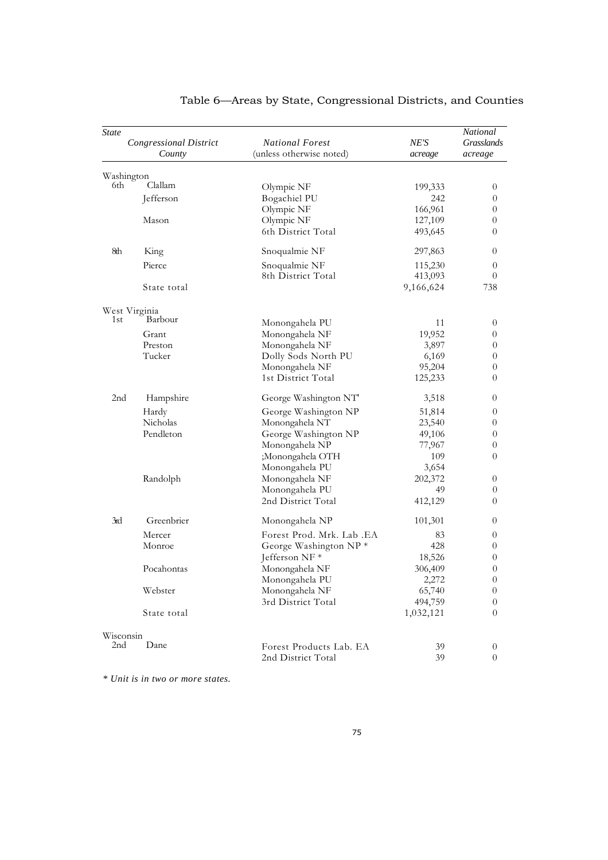| <b>State</b>    | Congressional District<br>County | <b>National Forest</b><br>(unless otherwise noted) | NE'S<br>acreage | National<br>Grasslands<br>acreage |
|-----------------|----------------------------------|----------------------------------------------------|-----------------|-----------------------------------|
|                 |                                  |                                                    |                 |                                   |
| 6th.            | Washington<br>Clallam            | Olympic NF                                         | 199,333         | $\overline{0}$                    |
|                 | Jefferson                        | Bogachiel PU                                       | 242             | $\theta$                          |
|                 |                                  | Olympic NF                                         | 166,961         | $\theta$                          |
|                 | Mason                            | Olympic NF                                         | 127,109         | 0                                 |
|                 |                                  | 6th District Total                                 | 493,645         | $\theta$                          |
| 8th             | King                             | Snoqualmie NF                                      | 297,863         | 0                                 |
|                 | Pierce                           | Snoqualmie NF                                      | 115,230         | $\overline{0}$                    |
|                 |                                  | 8th District Total                                 | 413,093         | $\theta$                          |
|                 | State total                      |                                                    | 9,166,624       | 738                               |
|                 | West Virginia                    |                                                    |                 |                                   |
| 1st             | Barbour                          | Monongahela PU                                     | 11              | $\theta$                          |
|                 | Grant                            | Monongahela NF                                     | 19,952          | 0                                 |
|                 | Preston                          | Monongahela NF                                     | 3,897           | $\theta$                          |
|                 | Tucker                           | Dolly Sods North PU                                | 6,169           | $\theta$                          |
|                 |                                  | Monongahela NF                                     | 95,204          | $\theta$                          |
|                 |                                  | 1st District Total                                 | 125,233         | $\theta$                          |
| 2 <sub>nd</sub> | Hampshire                        | George Washington NT                               | 3,518           | 0                                 |
|                 | Hardy                            | George Washington NP                               | 51,814          | $\overline{0}$                    |
|                 | Nicholas                         | Monongahela NT                                     | 23,540          | $\boldsymbol{0}$                  |
|                 | Pendleton                        | George Washington NP                               | 49,106          | $\theta$                          |
|                 |                                  | Monongahela NP                                     | 77,967          | $\theta$                          |
|                 |                                  | ;Monongahela OTH                                   | 109             | $\theta$                          |
|                 |                                  | Monongahela PU                                     | 3,654           |                                   |
|                 | Randolph                         | Monongahela NF                                     | 202,372         | $\overline{0}$                    |
|                 |                                  | Monongahela PU                                     | 49              | $\theta$                          |
|                 |                                  | 2nd District Total                                 | 412,129         | $\theta$                          |
| 3rd             | Greenbrier                       | Monongahela NP                                     | 101,301         | 0                                 |
|                 | Mercer                           | Forest Prod. Mrk. Lab. EA                          | 83              | 0                                 |
|                 | Monroe                           | George Washington NP*                              | 428             | 0                                 |
|                 |                                  | Jefferson NF*                                      | 18,526          | $\theta$                          |
|                 | Pocahontas                       | Monongahela NF                                     | 306,409         | $\theta$                          |
|                 |                                  | Monongahela PU                                     | 2,272           | $\boldsymbol{0}$                  |
|                 | Webster                          | Monongahela NF                                     | 65,740          | $\boldsymbol{0}$                  |
|                 |                                  | 3rd District Total                                 | 494,759         | $\theta$                          |
|                 | State total                      |                                                    | 1,032,121       | $\theta$                          |
| Wisconsin       |                                  |                                                    |                 |                                   |
| 2nd             | Dane                             | Forest Products Lab. EA                            | 39              | $\boldsymbol{0}$                  |
|                 |                                  | 2nd District Total                                 | 39              | $\theta$                          |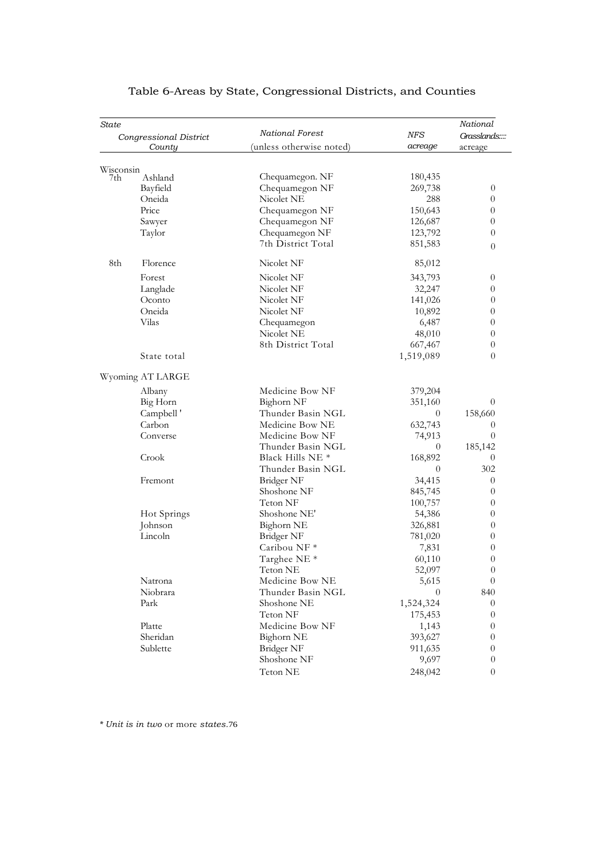| State     | Congressional District | <b>National Forest</b>      | NFS            | National<br>Grasslands::: |
|-----------|------------------------|-----------------------------|----------------|---------------------------|
|           | County                 | (unless otherwise noted)    | acreage        | acreage                   |
|           |                        |                             |                |                           |
| Wisconsin |                        |                             |                |                           |
| 7th       | Ashland                | Chequamegon. NF             | 180,435        |                           |
|           | Bayfield               | Chequamegon NF              | 269,738        | $\theta$                  |
|           | Oneida                 | Nicolet NE                  | 288            | $\theta$                  |
|           | Price                  | Chequamegon NF              | 150,643        | $\theta$                  |
|           | Sawyer                 | Chequamegon NF              | 126,687        | $\overline{0}$            |
|           | Taylor                 | Chequamegon NF              | 123,792        | $\theta$                  |
|           |                        | 7th District Total          | 851,583        | $\overline{0}$            |
| 8th       | Florence               | Nicolet NF                  | 85,012         |                           |
|           | Forest                 | Nicolet NF                  | 343,793        | $\theta$                  |
|           | Langlade               | Nicolet NF                  | 32,247         | $\theta$                  |
|           | Oconto                 | Nicolet NF                  | 141,026        | $\overline{0}$            |
|           | Oneida                 | Nicolet NF                  | 10,892         | $\theta$                  |
|           | Vilas                  | Chequamegon                 | 6,487          | $\theta$                  |
|           |                        | Nicolet NE                  | 48,010         | $\boldsymbol{0}$          |
|           |                        | 8th District Total          | 667,467        | $\theta$                  |
|           | State total            |                             | 1,519,089      | $\theta$                  |
|           |                        |                             |                |                           |
|           | Wyoming AT LARGE       |                             |                |                           |
|           | Albany                 | Medicine Bow NF             | 379,204        |                           |
|           | Big Horn               | Bighorn NF                  | 351,160        | $\theta$                  |
|           | Campbell'              | Thunder Basin NGL           | $\theta$       | 158,660                   |
|           | Carbon                 | Medicine Bow NE             | 632,743        | $\overline{0}$            |
|           | Converse               | Medicine Bow NF             | 74,913         | $\overline{0}$            |
|           |                        | Thunder Basin NGL           | $\theta$       | 185,142                   |
|           | Crook                  | Black Hills NE <sup>*</sup> | 168,892        | $\overline{0}$            |
|           |                        | Thunder Basin NGL           | $\overline{0}$ | 302                       |
|           | Fremont                | Bridger NF                  | 34,415         | $\theta$                  |
|           |                        | Shoshone NF                 | 845,745        | $\theta$                  |
|           |                        | Teton NF                    | 100,757        | 0                         |
|           | Hot Springs            | Shoshone NE'                | 54,386         | $\theta$                  |
|           | Johnson                | Bighorn NE                  | 326,881        | $\theta$                  |
|           | Lincoln                | Bridger NF                  | 781,020        | $\theta$                  |
|           |                        | Caribou NF <sup>*</sup>     | 7,831          | $\theta$                  |
|           |                        | Targhee NE <sup>*</sup>     | 60,110         | $\theta$                  |
|           |                        | Teton NE                    | 52,097         | $\boldsymbol{0}$          |
|           | Natrona                | Medicine Bow NE             | 5,615          | $\theta$                  |
|           | Niobrara               | Thunder Basin NGL           | $\theta$       | 840                       |
|           | Park                   | Shoshone NE                 | 1,524,324      | $\overline{0}$            |
|           |                        | Teton NF                    | 175,453        | $\theta$                  |
|           | Platte                 | Medicine Bow NF             | 1,143          | $\overline{0}$            |
|           | Sheridan               | Bighorn NE                  | 393,627        | $\theta$                  |
|           | Sublette               | Bridger NF                  |                | $\overline{0}$            |
|           |                        |                             | 911,635        |                           |
|           |                        | Shoshone NF                 | 9,697          | $\overline{0}$            |
|           |                        | Teton NE                    | 248,042        | $\overline{0}$            |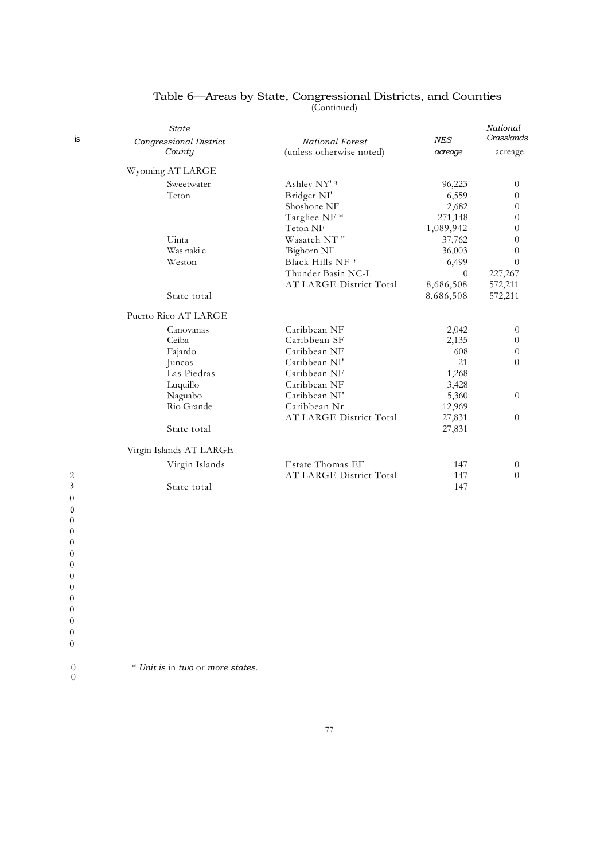| is             | State<br>Congressional District | National Forest          | NES       | National<br>Grasslands |
|----------------|---------------------------------|--------------------------|-----------|------------------------|
|                | County                          | (unless otherwise noted) | acreage   | acreage                |
|                | Wyoming AT LARGE                |                          |           |                        |
|                | Sweetwater                      | Ashley NY' *             | 96,223    | $\overline{0}$         |
|                | Teton                           | Bridger NI'              | 6,559     | $\theta$               |
|                |                                 | Shoshone NF              | 2,682     | $\theta$               |
|                |                                 | Targliee NF *            | 271,148   | $\overline{0}$         |
|                |                                 | Teton NF                 | 1,089,942 | $\Omega$               |
|                | Uinta                           | Wasatch NT"              | 37,762    | $\theta$               |
|                | Was naki e                      | 'Bighorn NI'             | 36,003    | $\theta$               |
|                | Weston                          | Black Hills NF *         | 6,499     | $\theta$               |
|                |                                 | Thunder Basin NC-L       | $\theta$  | 227,267                |
|                |                                 | AT LARGE District Total  | 8,686,508 | 572,211                |
|                | State total                     |                          | 8,686,508 | 572,211                |
|                |                                 |                          |           |                        |
|                | Puerto Rico AT LARGE            |                          |           |                        |
|                | Canovanas                       | Caribbean NF             | 2,042     | $\theta$               |
|                | Ceiba                           | Caribbean SF             | 2,135     | $\theta$               |
|                | Fajardo                         | Caribbean NF             | 608       | $\theta$               |
|                | Juncos                          | Caribbean NI'            | 21        | $\theta$               |
|                | Las Piedras                     | Caribbean NF             | 1,268     |                        |
|                | Luquillo                        | Caribbean NF             | 3,428     |                        |
|                | Naguabo                         | Caribbean NI'            | 5,360     | $\overline{0}$         |
|                | Rio Grande                      | Caribbean Nr             | 12,969    |                        |
|                |                                 | AT LARGE District Total  | 27,831    | $\overline{0}$         |
|                | State total                     |                          | 27,831    |                        |
|                | Virgin Islands AT LARGE         |                          |           |                        |
|                | Virgin Islands                  | <b>Estate Thomas EF</b>  | 147       | $\theta$               |
| $\overline{c}$ |                                 | AT LARGE District Total  | 147       | $\Omega$               |
| 3              | State total                     |                          | 147       |                        |
| $\theta$       |                                 |                          |           |                        |
| 0              |                                 |                          |           |                        |
| $\theta$       |                                 |                          |           |                        |
| $\theta$       |                                 |                          |           |                        |
| $\theta$       |                                 |                          |           |                        |
| $\overline{0}$ |                                 |                          |           |                        |
| $\overline{0}$ |                                 |                          |           |                        |

0 \* *Unit is* in *two* or *more states.*

 $\begin{matrix}0\\0\end{matrix}$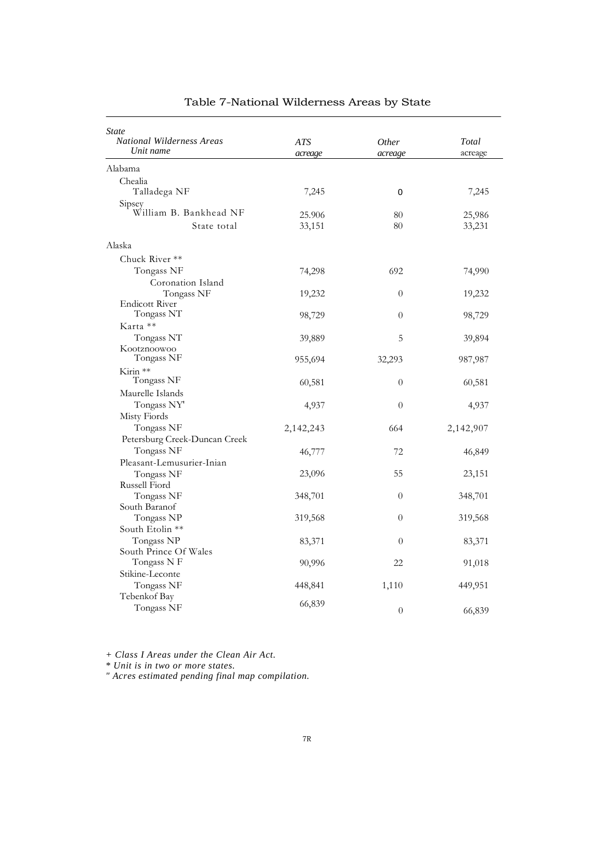| State<br>National Wilderness Areas<br>Unit name | <b>ATS</b><br>acreage | Other<br>acreage | Total<br>acreage |
|-------------------------------------------------|-----------------------|------------------|------------------|
| Alabama                                         |                       |                  |                  |
| Chealia                                         |                       |                  |                  |
| Talladega NF                                    | 7,245                 | 0                | 7,245            |
| Sipsey<br>William B. Bankhead NF                | 25.906                | 80               | 25,986           |
| State total                                     | 33,151                | 80               | 33,231           |
| Alaska                                          |                       |                  |                  |
| Chuck River **                                  |                       |                  |                  |
| Tongass NF                                      | 74,298                | 692              | 74,990           |
| Coronation Island                               |                       |                  |                  |
| Tongass NF                                      | 19,232                | $\theta$         | 19,232           |
| <b>Endicott River</b>                           |                       |                  |                  |
| Tongass NT                                      | 98,729                | $\overline{0}$   | 98,729           |
| Karta **                                        |                       |                  |                  |
| Tongass NT                                      | 39,889                | 5                | 39,894           |
| Kootznoowoo                                     |                       |                  |                  |
| Tongass NF                                      | 955,694               | 32,293           | 987,987          |
| Kirin **                                        |                       |                  |                  |
| Tongass NF                                      | 60,581                | $\theta$         | 60,581           |
| Maurelle Islands                                |                       |                  |                  |
| Tongass NY                                      | 4,937                 | $\boldsymbol{0}$ | 4,937            |
| Misty Fiords                                    |                       |                  |                  |
|                                                 |                       |                  |                  |
| Tongass NF                                      | 2,142,243             | 664              | 2,142,907        |
| Petersburg Creek-Duncan Creek                   |                       |                  |                  |
| Tongass NF                                      | 46,777                | 72               | 46,849           |
| Pleasant-Lemusurier-Inian                       |                       |                  |                  |
| Tongass NF                                      | 23,096                | 55               | 23,151           |
| Russell Fiord                                   |                       |                  |                  |
| Tongass NF                                      | 348,701               | $\boldsymbol{0}$ | 348,701          |
| South Baranof                                   |                       |                  |                  |
| Tongass NP                                      | 319,568               | $\boldsymbol{0}$ | 319,568          |
| South Etolin **                                 |                       |                  |                  |
| Tongass NP                                      | 83,371                | $\theta$         | 83,371           |
| South Prince Of Wales<br>Tongass N F            |                       |                  |                  |
|                                                 | 90,996                | 22               | 91,018           |
| Stikine-Leconte                                 |                       |                  |                  |
| Tongass NF                                      | 448,841               | 1,110            | 449,951          |
| Tebenkof Bay                                    | 66,839                |                  |                  |
| Tongass NF                                      |                       | $\theta$         | 66,839           |

*+ Class I Areas under the Clean Air Act.*

*\* Unit is in two or more states.*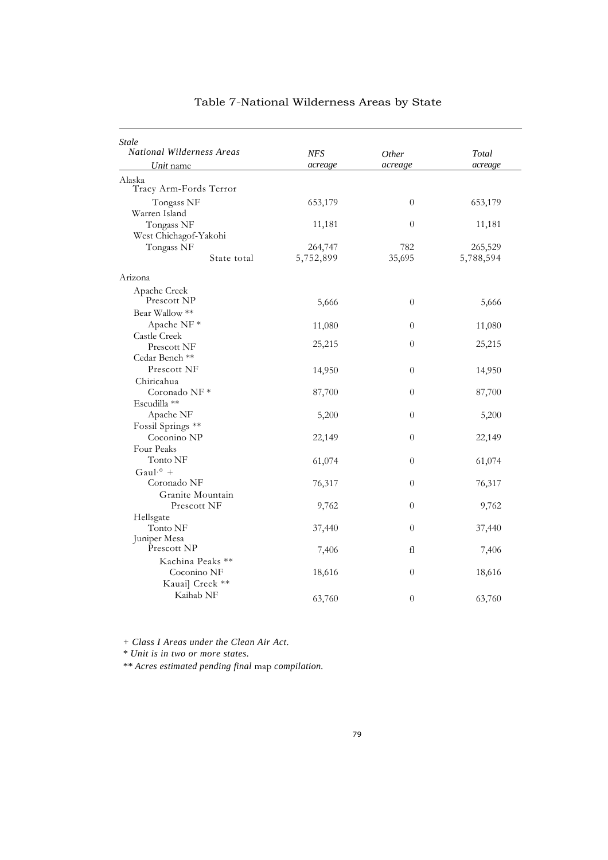| Stale<br><b>National Wilderness Areas</b> | <b>NFS</b> | <i>Other</i>     | Total     |
|-------------------------------------------|------------|------------------|-----------|
| Unit name                                 | acreage    | acreage          | acreage   |
| Alaska                                    |            |                  |           |
| Tracy Arm-Fords Terror                    |            |                  |           |
| Tongass NF                                | 653,179    | $\theta$         | 653,179   |
| Warren Island                             |            |                  |           |
| Tongass NF                                | 11,181     | $\overline{0}$   | 11,181    |
| West Chichagof-Yakohi                     |            |                  |           |
| Tongass NF                                | 264,747    | 782              | 265,529   |
| State total                               | 5,752,899  | 35,695           | 5,788,594 |
| Arizona                                   |            |                  |           |
| Apache Creek                              |            |                  |           |
| Prescott NP                               | 5,666      | $\theta$         | 5,666     |
| Bear Wallow **                            |            |                  |           |
| Apache NF $*$                             | 11,080     | $\theta$         | 11,080    |
| Castle Creek                              |            |                  |           |
| Prescott NF                               | 25,215     | $\theta$         | 25,215    |
| Cedar Bench <sup>**</sup>                 |            |                  |           |
| Prescott NF                               | 14,950     | $\theta$         | 14,950    |
| Chiricahua                                |            |                  |           |
| Coronado NF*                              | 87,700     | $\theta$         | 87,700    |
| Escudilla **                              |            |                  |           |
| Apache NF                                 | 5,200      | $\boldsymbol{0}$ | 5,200     |
| Fossil Springs **                         |            |                  |           |
| Coconino NP                               | 22,149     | $\theta$         | 22,149    |
| Four Peaks                                |            |                  |           |
| Tonto NF                                  | 61,074     | $\theta$         | 61,074    |
| Gaul. $\circ$ +                           |            |                  |           |
| Coronado NF                               | 76,317     | $\theta$         | 76,317    |
| Granite Mountain                          |            |                  |           |
| Prescott NF                               | 9,762      | 0                | 9,762     |
| Hellsgate                                 |            |                  |           |
| Tonto NF                                  | 37,440     | $\theta$         | 37,440    |
| Juniper Mesa                              |            |                  |           |
| Prescott NP                               | 7,406      | fl               | 7,406     |
| Kachina Peaks **                          |            |                  |           |
| Coconino NF                               | 18,616     | $\theta$         | 18,616    |
| Kauai] Creek **                           |            |                  |           |
| Kaihab NF                                 | 63,760     | $\overline{0}$   | 63,760    |
|                                           |            |                  |           |

*+ Class I Areas under the Clean Air Act.*

*\* Unit is in two or more states.*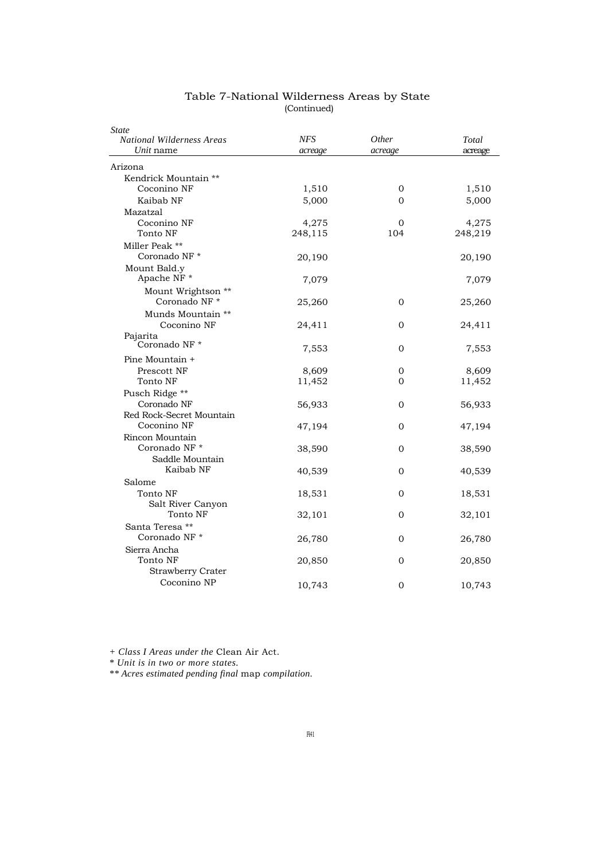| State<br><b>National Wilderness Areas</b> | NFS     | Other        | Total   |
|-------------------------------------------|---------|--------------|---------|
| Unit name                                 | acreage | acreage      | acreage |
| Arizona                                   |         |              |         |
| Kendrick Mountain **                      |         |              |         |
| Coconino NF                               | 1,510   | 0            | 1,510   |
| Kaibab NF                                 | 5,000   | $\Omega$     | 5,000   |
| Mazatzal                                  |         |              |         |
| Coconino NF                               | 4,275   | $\mathbf{0}$ | 4,275   |
| Tonto NF                                  | 248,115 | 104          | 248,219 |
| Miller Peak **                            |         |              |         |
| Coronado NF*                              | 20,190  |              | 20,190  |
| Mount Bald.y                              |         |              |         |
| Apache NF *                               | 7,079   |              | 7,079   |
| Mount Wrightson **                        |         |              |         |
| Coronado NF*                              | 25,260  | 0            | 25,260  |
| Munds Mountain **                         |         |              |         |
| Coconino NF                               | 24,411  | 0            | 24,411  |
| Pajarita                                  |         |              |         |
| Coronado NF*                              | 7,553   | 0            | 7,553   |
| Pine Mountain +                           |         |              |         |
| Prescott NF                               | 8,609   | 0            | 8,609   |
| Tonto NF                                  | 11,452  | 0            | 11,452  |
| Pusch Ridge **                            |         |              |         |
| Coronado NF                               | 56,933  | 0            | 56,933  |
| Red Rock-Secret Mountain                  |         |              |         |
| Coconino NF                               | 47,194  | 0            | 47,194  |
| Rincon Mountain                           |         |              |         |
| Coronado NF <sup>*</sup>                  | 38,590  | $\Omega$     | 38,590  |
| Saddle Mountain                           |         |              |         |
| Kaibab NF                                 | 40,539  | $\Omega$     | 40,539  |
| Salome                                    |         |              |         |
| Tonto NF                                  | 18,531  | $\mathbf{0}$ | 18,531  |
| Salt River Canyon                         |         |              |         |
| Tonto NF                                  | 32,101  | $\mathbf{0}$ | 32,101  |
| Santa Teresa **                           |         |              |         |
| Coronado NF*                              | 26,780  | 0            | 26,780  |
| Sierra Ancha                              |         |              |         |
| Tonto NF                                  | 20,850  | 0            | 20,850  |
| <b>Strawberry Crater</b>                  |         |              |         |
| Coconino NP                               | 10,743  | 0            | 10,743  |

#### Table 7-National Wilderness Areas by State (Continued)

*+ Class I Areas under the* Clean Air Act.

*\* Unit is in two or more states.*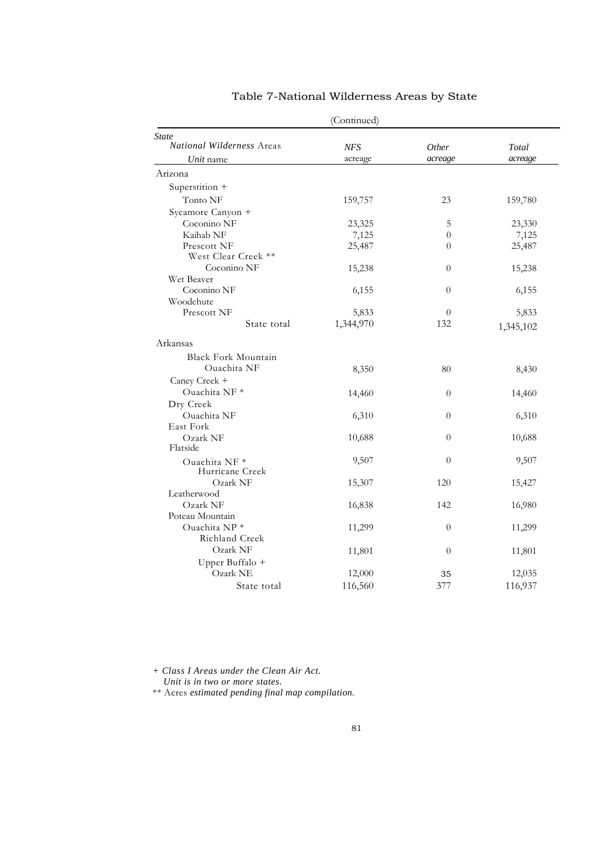| (Continued)                      |            |                |           |  |  |
|----------------------------------|------------|----------------|-----------|--|--|
| <b>State</b>                     |            |                |           |  |  |
| <i>National Wilderness Areas</i> | <b>NFS</b> | Other          | Total     |  |  |
| Unit name                        | acreage    | acreage        | acreage   |  |  |
| Arizona                          |            |                |           |  |  |
| Superstition +                   |            |                |           |  |  |
| Tonto NF                         | 159,757    | 23             | 159,780   |  |  |
| Sycamore Canyon +                |            |                |           |  |  |
| Coconino NF                      | 23,325     | 5              | 23,330    |  |  |
| Kaihab NF                        | 7,125      | $\theta$       | 7,125     |  |  |
| Prescott NF                      | 25,487     | $\overline{0}$ | 25,487    |  |  |
| West Clear Creek **              |            |                |           |  |  |
| Coconino NF                      | 15,238     | $\theta$       | 15,238    |  |  |
| Wet Beaver                       |            |                |           |  |  |
| Coconino NF                      | 6,155      | $\overline{0}$ | 6,155     |  |  |
| Woodchute                        |            |                |           |  |  |
| Prescott NF                      | 5,833      | $\Omega$       | 5,833     |  |  |
| State total                      | 1,344,970  | 132            | 1,345,102 |  |  |
| Arkansas                         |            |                |           |  |  |
| <b>Black Fork Mountain</b>       |            |                |           |  |  |
| Ouachita NF                      | 8,350      | 80             | 8,430     |  |  |
| Caney Creek +                    |            |                |           |  |  |
| Ouachita NF *                    | 14,460     | $\overline{0}$ | 14,460    |  |  |
| Dry Creek                        |            |                |           |  |  |
| Ouachita NF                      | 6,310      | $\theta$       | 6,310     |  |  |
| East Fork                        |            |                |           |  |  |
| Ozark NF                         | 10,688     | $\theta$       | 10,688    |  |  |
| Flatside                         |            |                |           |  |  |
| Ouachita NF *                    | 9,507      | $\overline{0}$ | 9,507     |  |  |
| Hurricane Creek                  |            |                |           |  |  |
| Ozark NF                         | 15,307     | 120            | 15,427    |  |  |
| Leatherwood                      |            |                |           |  |  |
| Ozark NF                         | 16,838     | 142            | 16,980    |  |  |
| Poteau Mountain                  |            |                |           |  |  |
| Ouachita NP*                     | 11,299     | $\theta$       | 11,299    |  |  |
| Richland Creek                   |            |                |           |  |  |
| Ozark NF                         | 11,801     | $\overline{0}$ | 11,801    |  |  |
| Upper Buffalo +                  |            |                |           |  |  |
| Ozark NE                         | 12,000     | 35             | 12,035    |  |  |
| State total                      | 116,560    | 377            | 116,937   |  |  |
|                                  |            |                |           |  |  |

*+ Class I Areas under the Clean Air Act.*

*Unit is in two or more states.*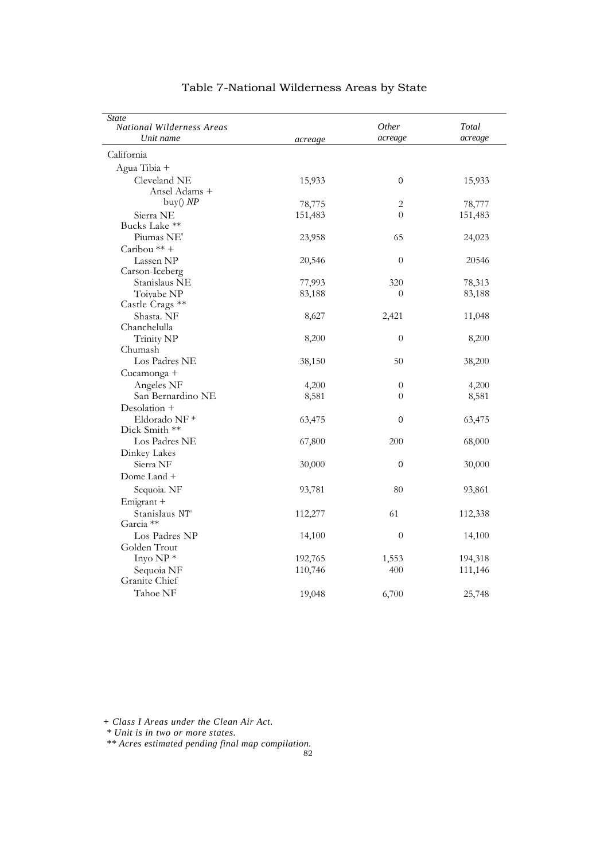| <b>State</b><br><b>National Wilderness Areas</b><br>Unit name | acreage | <i>Other</i><br>acreage | Total<br>acreage |
|---------------------------------------------------------------|---------|-------------------------|------------------|
| California                                                    |         |                         |                  |
| Agua Tibia +                                                  |         |                         |                  |
| Cleveland NE                                                  | 15,933  | 0                       | 15,933           |
| Ansel Adams +                                                 |         |                         |                  |
| buy() $NP$                                                    | 78,775  | $\overline{c}$          | 78,777           |
| Sierra NE                                                     | 151,483 | $\theta$                | 151,483          |
| Bucks Lake **                                                 |         |                         |                  |
| Piumas NE'                                                    | 23,958  | 65                      | 24,023           |
| Caribou <sup>**</sup> +                                       |         |                         |                  |
| Lassen NP                                                     | 20,546  | $\theta$                | 20546            |
| Carson-Iceberg                                                |         |                         |                  |
| Stanislaus NE                                                 | 77,993  | 320                     | 78,313           |
| Toivabe NP                                                    | 83,188  | $\theta$                | 83,188           |
| Castle Crags **                                               |         |                         |                  |
| Shasta. NF                                                    | 8,627   | 2,421                   | 11,048           |
| Chanchelulla                                                  |         |                         |                  |
| Trinity NP                                                    | 8,200   | $\theta$                | 8,200            |
| Chumash                                                       |         |                         |                  |
| Los Padres NE                                                 | 38,150  | 50                      | 38,200           |
| Cucamonga +                                                   |         |                         |                  |
| Angeles NF                                                    | 4,200   | $\theta$                | 4,200            |
| San Bernardino NE                                             | 8,581   | $\overline{0}$          | 8,581            |
| Desolation +                                                  |         |                         |                  |
| Eldorado NF*                                                  | 63,475  | 0                       | 63,475           |
| Dick Smith **                                                 |         |                         |                  |
| Los Padres NE                                                 | 67,800  | 200                     | 68,000           |
| Dinkey Lakes                                                  |         |                         |                  |
| Sierra NF                                                     | 30,000  | $\boldsymbol{0}$        | 30,000           |
| Dome Land +                                                   |         |                         |                  |
| Sequoia. NF                                                   | 93,781  | 80                      | 93,861           |
| Emigrant +                                                    |         |                         |                  |
| Stanislaus NT'                                                | 112,277 | 61                      | 112,338          |
| Garcia **                                                     |         |                         |                  |
| Los Padres NP                                                 | 14,100  | $\theta$                | 14,100           |
| Golden Trout                                                  |         |                         |                  |
| Inyo $NP *$                                                   | 192,765 | 1,553                   | 194,318          |
| Sequoia NF                                                    | 110,746 | 400                     | 111,146          |
| Granite Chief                                                 |         |                         |                  |
| Tahoe NF                                                      | 19,048  | 6,700                   | 25,748           |

*+ Class I Areas under the Clean Air Act.*

*\* Unit is in two or more states.*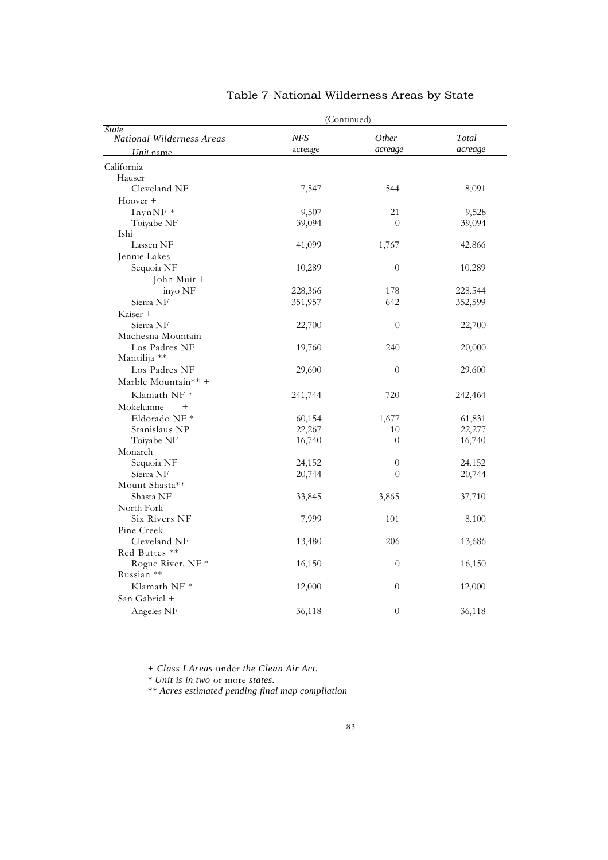|                                                  |                | (Continued)      |                  |
|--------------------------------------------------|----------------|------------------|------------------|
| <b>State</b><br><b>National Wilderness Areas</b> | NFS<br>acreage | Other<br>acreage | Total<br>acreage |
| Unit name                                        |                |                  |                  |
| California                                       |                |                  |                  |
| Hauser                                           |                |                  |                  |
| Cleveland NF                                     | 7,547          | 544              | 8,091            |
| $Hoover +$                                       |                |                  |                  |
| InynNF *                                         | 9,507          | 21               | 9,528            |
| Toiyabe NF                                       | 39,094         | $\theta$         | 39,094           |
| Ishi                                             |                |                  |                  |
| Lassen NF                                        | 41,099         | 1,767            | 42,866           |
| Jennie Lakes                                     |                |                  |                  |
| Sequoia NF                                       | 10,289         | $\theta$         | 10,289           |
| John Muir +                                      |                |                  |                  |
| inyo NF                                          | 228,366        | 178              | 228,544          |
| Sierra NF                                        | 351,957        | 642              | 352,599          |
| Kaiser +                                         |                |                  |                  |
| Sierra NF                                        | 22,700         | $\overline{0}$   | 22,700           |
| Machesna Mountain                                |                |                  |                  |
| Los Padres NF                                    | 19,760         | 240              | 20,000           |
| Mantilija **                                     |                |                  |                  |
| Los Padres NF                                    | 29,600         | $\theta$         | 29,600           |
| Marble Mountain** +                              |                |                  |                  |
| Klamath NF $*$                                   | 241,744        | 720              | 242,464          |
| Mokelumne<br>$^{+}$                              |                |                  |                  |
| Eldorado NF *                                    | 60,154         | 1,677            | 61,831           |
| Stanislaus NP                                    | 22,267         | 10               | 22,277           |
| Toiyabe NF                                       | 16,740         | $\theta$         | 16,740           |
| Monarch                                          |                |                  |                  |
| Sequoia NF                                       | 24,152         | $\boldsymbol{0}$ | 24,152           |
| Sierra NF                                        | 20,744         | $\overline{0}$   | 20,744           |
| Mount Shasta**                                   |                |                  |                  |
| Shasta NF                                        | 33,845         | 3,865            | 37,710           |
| North Fork                                       |                |                  |                  |
| Six Rivers NF                                    | 7,999          | 101              | 8,100            |
| Pine Creek                                       |                |                  |                  |
| Cleveland NF                                     | 13,480         | 206              | 13,686           |
| Red Buttes **                                    |                |                  |                  |
| Rogue River. NF *                                |                | 0                |                  |
| Russian **                                       | 16,150         |                  | 16,150           |
| Klamath NF <sup>*</sup>                          |                |                  |                  |
|                                                  | 12,000         | $\boldsymbol{0}$ | 12,000           |
| San Gabriel +                                    |                |                  |                  |
| Angeles NF                                       | 36,118         | $\theta$         | 36,118           |

*+ Class I Areas* under *the Clean Air Act.*

*\* Unit is in two* or more *states.*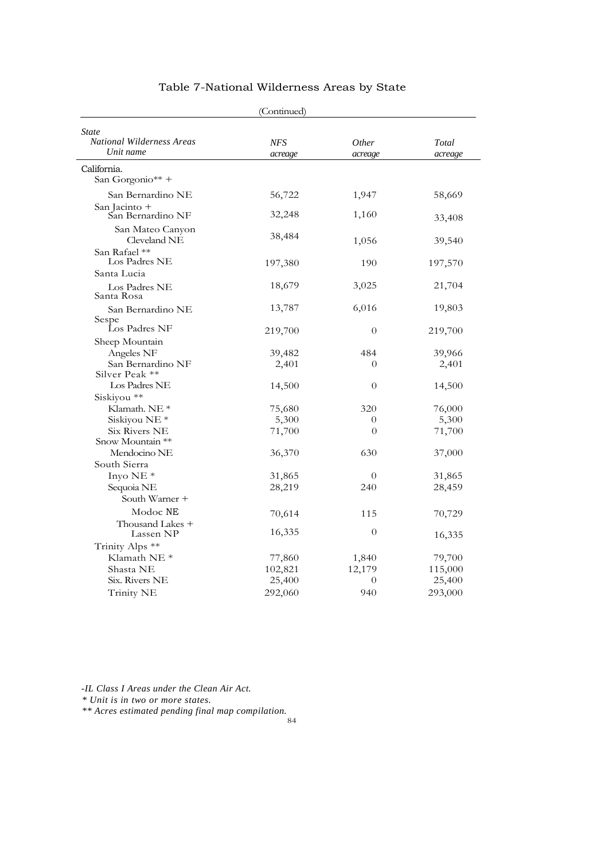|                                                        | (Continued)    |                         |                  |
|--------------------------------------------------------|----------------|-------------------------|------------------|
| <i>State</i><br>National Wilderness Areas<br>Unit name | NFS<br>acreage | <i>Other</i><br>acreage | Total<br>acreage |
| California.<br>San Gorgonio** +                        |                |                         |                  |
| San Bernardino NE                                      | 56,722         | 1,947                   | 58,669           |
| San Jacinto +<br>San Bernardino NF                     | 32,248         | 1,160                   | 33,408           |
| San Mateo Canyon<br>Cleveland NE                       | 38,484         | 1,056                   | 39,540           |
| San Rafael **<br>Los Padres NE<br>Santa Lucia          | 197,380        | 190                     | 197,570          |
| Los Padres NE<br>Santa Rosa                            | 18,679         | 3,025                   | 21,704           |
| San Bernardino NE<br>Sespe                             | 13,787         | 6,016                   | 19,803           |
| Los Padres NF                                          | 219,700        | $\theta$                | 219,700          |
| Sheep Mountain                                         |                |                         |                  |
| Angeles NF                                             | 39,482         | 484                     | 39,966           |
| San Bernardino NF<br>Silver Peak **                    | 2,401          | $\Omega$                | 2,401            |
| Los Padres NE                                          | 14,500         | $\theta$                | 14,500           |
| Siskiyou **                                            |                |                         |                  |
| Klamath. NE *                                          | 75,680         | 320                     | 76,000           |
| Siskiyou NE <sup>*</sup>                               | 5,300          | $\theta$                | 5,300            |
| <b>Six Rivers NE</b>                                   | 71,700         | $\theta$                | 71,700           |
| Snow Mountain **                                       |                |                         |                  |
| Mendocino NE                                           | 36,370         | 630                     | 37,000           |
| South Sierra                                           |                |                         |                  |
| Inyo NE <sup>*</sup>                                   | 31,865         | $\theta$                | 31,865           |
| Sequoia NE                                             | 28,219         | 240                     | 28,459           |
| South Warner +                                         |                |                         |                  |
| Modoc NE                                               | 70,614         | 115                     | 70,729           |
| Thousand Lakes +<br>Lassen NP                          | 16,335         | $\theta$                | 16,335           |
| Trinity Alps **                                        |                |                         |                  |
| Klamath NE <sup>*</sup>                                | 77,860         | 1,840                   | 79,700           |
| Shasta NE                                              | 102,821        | 12,179                  | 115,000          |
| Six. Rivers NE                                         | 25,400         | $\theta$                | 25,400           |
| Trinity NE                                             | 292,060        | 940                     | 293,000          |

*-IL Class I Areas under the Clean Air Act.*

*\* Unit is in two or more states.*

*\*\* Acres estimated pending final map compilation.*

84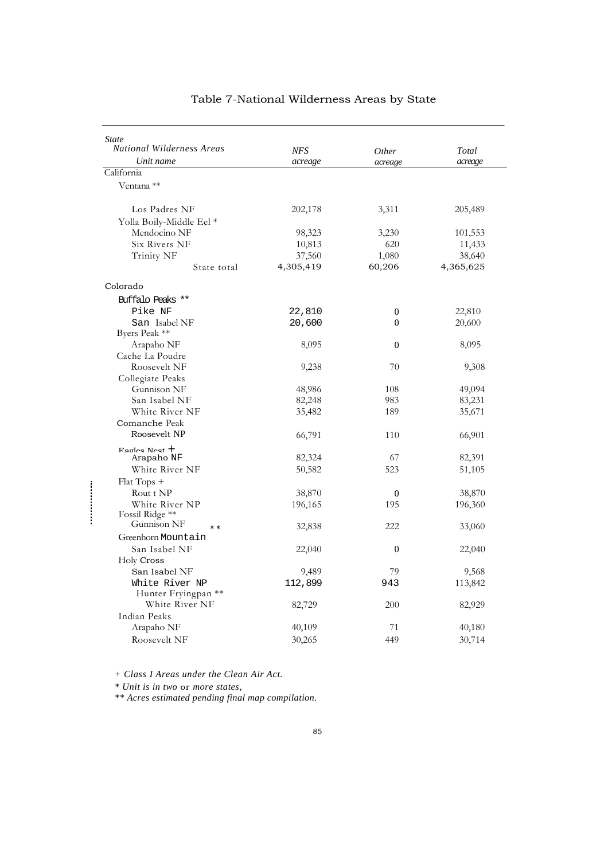| <i>State</i><br><b>National Wilderness Areas</b> | <b>NFS</b> | Other            | Total     |
|--------------------------------------------------|------------|------------------|-----------|
| Unit name                                        | acreage    | acreage          | acreage   |
| California                                       |            |                  |           |
| Ventana **                                       |            |                  |           |
|                                                  |            |                  |           |
| Los Padres NF                                    | 202,178    | 3,311            | 205,489   |
| Yolla Boily-Middle Eel *                         |            |                  |           |
| Mendocino NF                                     | 98,323     | 3,230            | 101,553   |
| Six Rivers NF                                    | 10,813     | 620              | 11,433    |
| Trinity NF                                       | 37,560     | 1,080            | 38,640    |
| State total                                      | 4,305,419  | 60,206           | 4,365,625 |
|                                                  |            |                  |           |
| Colorado                                         |            |                  |           |
| Buffalo Peaks **                                 |            |                  |           |
| Pike NF                                          | 22,810     | $\boldsymbol{0}$ | 22,810    |
| San Isabel NF                                    | 20,600     | $\overline{0}$   | 20,600    |
| Byers Peak **                                    |            |                  |           |
| Arapaho NF                                       | 8,095      | 0                | 8,095     |
| Cache La Poudre                                  |            |                  |           |
| Roosevelt NF                                     | 9,238      | 70               | 9,308     |
| Collegiate Peaks<br>Gunnison NF                  |            | 108              |           |
| San Isabel NF                                    | 48,986     | 983              | 49,094    |
| White River NF                                   | 82,248     | 189              | 83,231    |
| Comanche Peak                                    | 35,482     |                  | 35,671    |
| Roosevelt NP                                     | 66,791     | 110              |           |
|                                                  |            |                  | 66,901    |
| $F$ agles Nest $+$<br>Arapaho NF                 | 82,324     | 67               | 82,391    |
| White River NF                                   | 50,582     | 523              | 51,105    |
| Flat Tops +                                      |            |                  |           |
| Rout t NP                                        | 38,870     | $\overline{0}$   | 38,870    |
| White River NP                                   | 196,165    | 195              | 196,360   |
| Fossil Ridge **                                  |            |                  |           |
| Gunnison NF<br>$* *$                             | 32,838     | 222              | 33,060    |
| Greenhorn Mountain                               |            |                  |           |
| San Isabel NF                                    | 22,040     | $\boldsymbol{0}$ | 22,040    |
| Holy Cross                                       |            |                  |           |
| San Isabel NF                                    | 9,489      | 79               | 9,568     |
| White River NP                                   | 112,899    | 943              | 113,842   |
| Hunter Fryingpan **                              |            |                  |           |
| White River NF                                   | 82,729     | 200              | 82,929    |
| Indian Peaks                                     |            |                  |           |
| Arapaho NF                                       | 40,109     | 71               | 40,180    |
| Roosevelt NF                                     | 30,265     | 449              | 30,714    |

*+ Class I Areas under the Clean Air Act.*

*\* Unit is in two* or *more states,*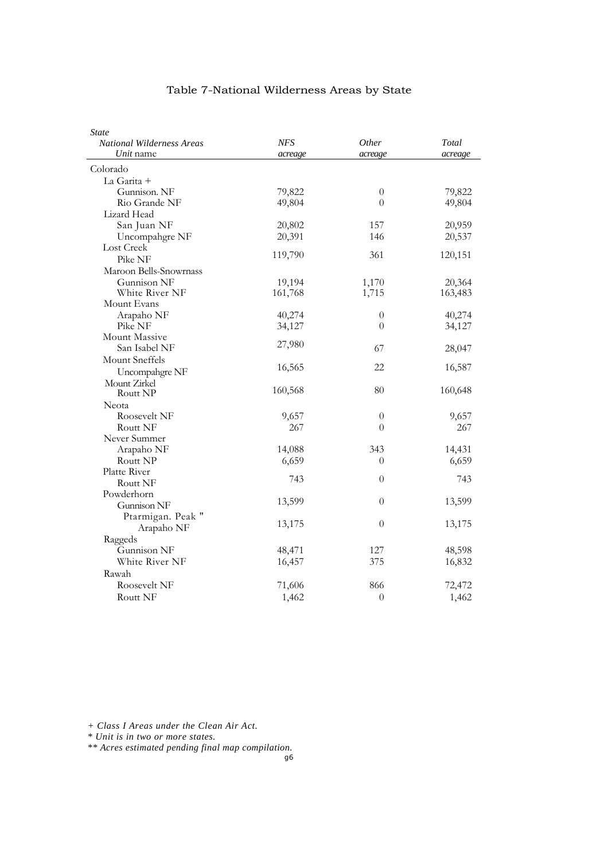| <b>State</b>                     |            |              |         |
|----------------------------------|------------|--------------|---------|
| <b>National Wilderness Areas</b> | <b>NFS</b> | <i>Other</i> | Total   |
| Unit name                        | acreage    | acreage      | acreage |
| Colorado                         |            |              |         |
| La Garita +                      |            |              |         |
| Gunnison. NF                     | 79,822     | $\theta$     | 79,822  |
| Rio Grande NF                    | 49,804     | $\theta$     | 49,804  |
| Lizard Head                      |            |              |         |
| San Juan NF                      | 20,802     | 157          | 20,959  |
| Uncompahgre NF                   | 20,391     | 146          | 20,537  |
| Lost Creek                       |            |              |         |
| Pike NF                          | 119,790    | 361          | 120,151 |
| Maroon Bells-Snowrnass           |            |              |         |
| Gunnison NF                      | 19,194     | 1,170        | 20,364  |
| White River NF                   | 161,768    | 1,715        | 163,483 |
| Mount Evans                      |            |              |         |
| Arapaho NF                       | 40,274     | $\theta$     | 40,274  |
| Pike NF                          | 34,127     | $\theta$     | 34,127  |
| Mount Massive                    |            |              |         |
| San Isabel NF                    | 27,980     | 67           | 28,047  |
| Mount Sneffels                   |            |              |         |
| Uncompahgre NF                   | 16,565     | 22           | 16,587  |
| Mount Zirkel                     |            |              |         |
| Routt NP                         | 160,568    | 80           | 160,648 |
| Neota                            |            |              |         |
| Roosevelt NF                     | 9,657      | $\theta$     | 9,657   |
| Routt NF                         | 267        | $\theta$     | 267     |
| Never Summer                     |            |              |         |
| Arapaho NF                       | 14,088     | 343          | 14,431  |
| Routt NP                         | 6,659      | $\theta$     | 6,659   |
| Platte River                     |            |              |         |
| Routt NF                         | 743        | $\theta$     | 743     |
| Powderhorn                       |            |              |         |
| Gunnison NF                      | 13,599     | $\theta$     | 13,599  |
| Ptarmigan. Peak "                |            |              |         |
| Arapaho NF                       | 13,175     | $\theta$     | 13,175  |
| Raggeds                          |            |              |         |
| Gunnison NF                      | 48,471     | 127          | 48,598  |
| White River NF                   | 16,457     | 375          | 16,832  |
| Rawah                            |            |              |         |
| Roosevelt NF                     | 71,606     | 866          | 72,472  |
| Routt NF                         | 1,462      | $\theta$     | 1,462   |
|                                  |            |              |         |

*+ Class I Areas under the Clean Air Act.*

*\* Unit is in two or more states.*

*\*\* Acres estimated pending final map compilation.*

g6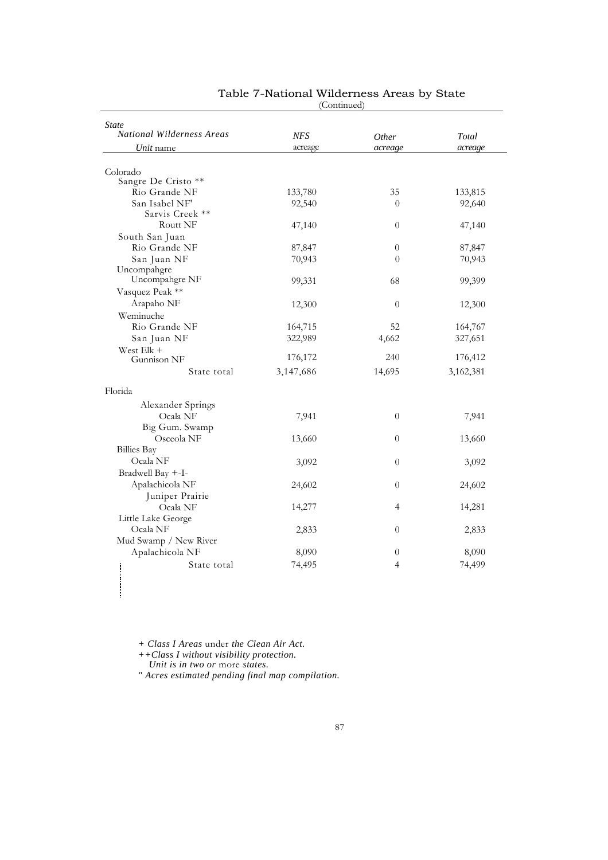|                                  | (Comunica) |                |           |
|----------------------------------|------------|----------------|-----------|
| <b>State</b>                     |            |                |           |
| <b>National Wilderness Areas</b> | <b>NFS</b> | Other          | Total     |
| Unit name                        | acreage    | acreage        | acreage   |
|                                  |            |                |           |
| Colorado                         |            |                |           |
| Sangre De Cristo **              |            |                |           |
| Rio Grande NF                    | 133,780    | 35             | 133,815   |
| San Isabel NF'                   | 92,540     | $\theta$       | 92,640    |
| Sarvis Creek **                  |            |                |           |
| Routt NF                         | 47,140     | $\theta$       | 47,140    |
| South San Juan                   |            |                |           |
| Rio Grande NF                    | 87,847     | $\theta$       | 87,847    |
| San Juan NF                      | 70,943     | $\theta$       | 70,943    |
| Uncompahgre<br>Uncompahgre NF    |            |                |           |
|                                  | 99,331     | 68             | 99,399    |
| Vasquez Peak **                  |            |                |           |
| Arapaho NF                       | 12,300     | $\theta$       | 12,300    |
| Weminuche                        |            |                |           |
| Rio Grande NF                    | 164,715    | 52             | 164,767   |
| San Juan NF                      | 322,989    | 4,662          | 327,651   |
| West Elk +                       | 176,172    | 240            | 176,412   |
| Gunnison NF                      |            |                |           |
| State total                      | 3,147,686  | 14,695         | 3,162,381 |
| Florida                          |            |                |           |
| Alexander Springs                |            |                |           |
| Ocala NF                         | 7,941      | $\theta$       | 7,941     |
| Big Gum. Swamp                   |            |                |           |
| Osceola NF                       | 13,660     | $\theta$       | 13,660    |
| <b>Billies Bay</b>               |            |                |           |
| Ocala NF                         | 3,092      | $\overline{0}$ | 3,092     |
| Bradwell Bay +-I-                |            |                |           |
| Apalachicola NF                  | 24,602     | $\overline{0}$ | 24,602    |
| Juniper Prairie                  |            |                |           |
| Ocala NF                         | 14,277     | 4              | 14,281    |
| Little Lake George               |            |                |           |
| Ocala NF                         | 2,833      | $\overline{0}$ | 2,833     |
| Mud Swamp / New River            |            |                |           |
| Apalachicola NF                  | 8,090      | $\theta$       | 8,090     |
| State total                      |            | $\overline{4}$ | 74,499    |
|                                  | 74,495     |                |           |

#### Table 7-National Wilderness Areas by State (Continued)

*+ Class I Areas* under *the Clean Air Act.*

*++Class I without visibility protection.*

*Unit is in two or* more *states.*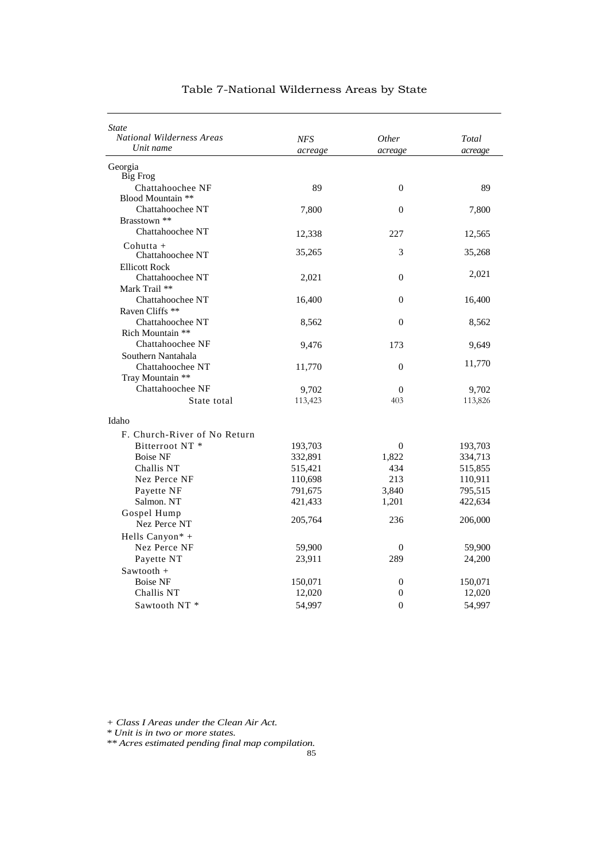| State                                |            |                       |         |
|--------------------------------------|------------|-----------------------|---------|
| <b>National Wilderness Areas</b>     | <b>NFS</b> | <i>Other</i>          | Total   |
| Unit name                            | acreage    | acreage               | acreage |
| Georgia                              |            |                       |         |
| <b>Big Frog</b>                      |            |                       |         |
| Chattahoochee NF                     | 89         | $\overline{0}$        | 89      |
| Blood Mountain **                    |            |                       |         |
| Chattahoochee NT                     | 7,800      | $\overline{0}$        | 7,800   |
| Brasstown **                         |            |                       |         |
| Chattahoochee NT                     | 12,338     | 227                   | 12,565  |
| $Cohutta +$                          |            |                       |         |
| Chattahoochee NT                     | 35,265     | 3                     | 35,268  |
| <b>Ellicott Rock</b>                 |            |                       | 2,021   |
| Chattahoochee NT                     | 2,021      | $\overline{0}$        |         |
| Mark Trail **                        |            |                       |         |
| Chattahoochee NT                     | 16,400     | $\overline{0}$        | 16,400  |
| Raven Cliffs <sup>**</sup>           |            |                       |         |
| Chattahoochee NT                     | 8,562      | $\overline{0}$        | 8,562   |
| Rich Mountain **                     |            |                       |         |
| Chattahoochee NF                     | 9,476      | 173                   | 9,649   |
| Southern Nantahala                   |            |                       | 11,770  |
| Chattahoochee NT<br>Tray Mountain ** | 11,770     | $\boldsymbol{0}$      |         |
| Chattahoochee NF                     |            |                       |         |
|                                      | 9,702      | $\overline{0}$<br>403 | 9,702   |
| State total                          | 113,423    |                       | 113,826 |
| Idaho                                |            |                       |         |
| F. Church-River of No Return         |            |                       |         |
| Bitterroot NT <sup>*</sup>           | 193,703    | $\boldsymbol{0}$      | 193,703 |
| <b>Boise NF</b>                      | 332,891    | 1,822                 | 334,713 |
| Challis NT                           | 515,421    | 434                   | 515,855 |
| Nez Perce NF                         | 110,698    | 213                   | 110,911 |
| Payette NF                           | 791,675    | 3,840                 | 795,515 |
| Salmon. NT                           | 421,433    | 1,201                 | 422,634 |
| Gospel Hump                          |            |                       |         |
| Nez Perce NT                         | 205,764    | 236                   | 206,000 |
| Hells Canyon* +                      |            |                       |         |
| Nez Perce NF                         | 59,900     | 0                     | 59,900  |
| Payette NT                           | 23,911     | 289                   | 24,200  |
| Sawtooth +                           |            |                       |         |
| <b>Boise NF</b>                      | 150,071    | $\boldsymbol{0}$      | 150,071 |
| Challis NT                           | 12,020     | $\theta$              | 12,020  |
| Sawtooth NT*                         | 54,997     | $\theta$              | 54,997  |
|                                      |            |                       |         |

*+ Class I Areas under the Clean Air Act.*

*\* Unit is in two or more states.*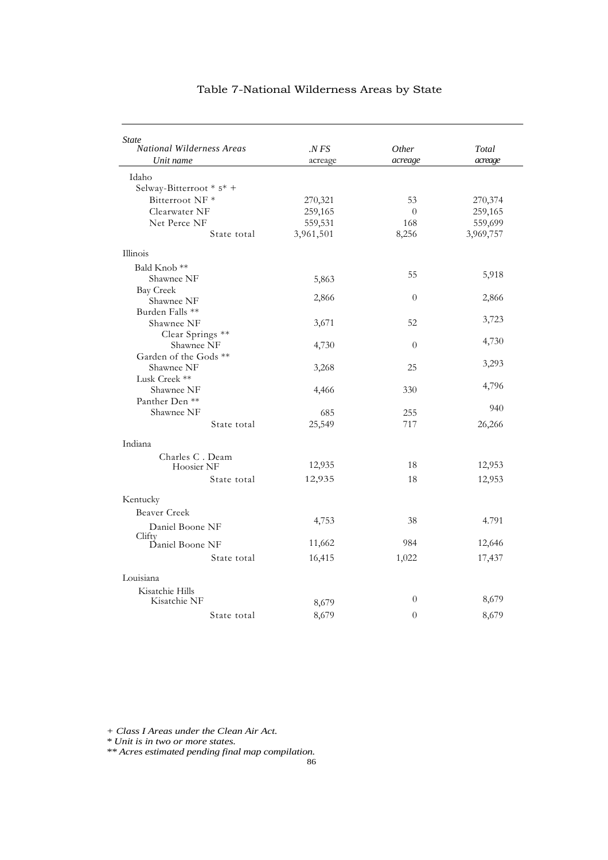| <b>State</b>                     |           |          |           |
|----------------------------------|-----------|----------|-----------|
| <b>National Wilderness Areas</b> | . NFS     | Other    | Total     |
| Unit name                        | acreage   | acreage  | acreage   |
| Idaho                            |           |          |           |
| Selway-Bitterroot * 5* +         |           |          |           |
| Bitterroot NF <sup>*</sup>       | 270,321   | 53       | 270,374   |
| Clearwater NF                    | 259,165   | $\theta$ | 259,165   |
| Net Perce NF                     | 559,531   | 168      | 559,699   |
| State total                      | 3,961,501 | 8,256    | 3,969,757 |
| Illinois                         |           |          |           |
| Bald Knob <sup>**</sup>          |           |          |           |
| Shawnee NF                       | 5,863     | 55       | 5,918     |
| <b>Bay Creek</b>                 |           |          |           |
| Shawnee NF                       | 2,866     | $\theta$ | 2,866     |
| Burden Falls **                  |           |          |           |
| Shawnee NF                       | 3,671     | 52       | 3,723     |
| Clear Springs **                 |           |          |           |
| Shawnee NF                       | 4,730     | $\theta$ | 4,730     |
| Garden of the Gods **            |           |          | 3,293     |
| Shawnee NF                       | 3,268     | 25       |           |
| Lusk Creek **                    |           |          | 4,796     |
| Shawnee NF                       | 4,466     | 330      |           |
| Panther Den <sup>**</sup>        |           |          | 940       |
| Shawnee NF                       | 685       | 255      |           |
| State total                      | 25,549    | 717      | 26,266    |
| Indiana                          |           |          |           |
| Charles C. Deam                  |           |          |           |
| Hoosier NF                       | 12,935    | 18       | 12,953    |
| State total                      | 12,935    | 18       | 12,953    |
| Kentucky                         |           |          |           |
| Beaver Creek                     |           |          |           |
| Daniel Boone NF                  | 4,753     | 38       | 4.791     |
| Clifty                           |           |          |           |
| Daniel Boone NF                  | 11,662    | 984      | 12,646    |
| State total                      | 16,415    | 1,022    | 17,437    |
| Louisiana                        |           |          |           |
| Kisatchie Hills                  |           |          |           |
| Kisatchie NF                     | 8,679     | $\theta$ | 8,679     |
| State total                      | 8,679     | $\theta$ | 8,679     |
|                                  |           |          |           |

*+ Class I Areas under the Clean Air Act.*

*\* Unit is in two or more states.*

*\*\* Acres estimated pending final map compilation.*

86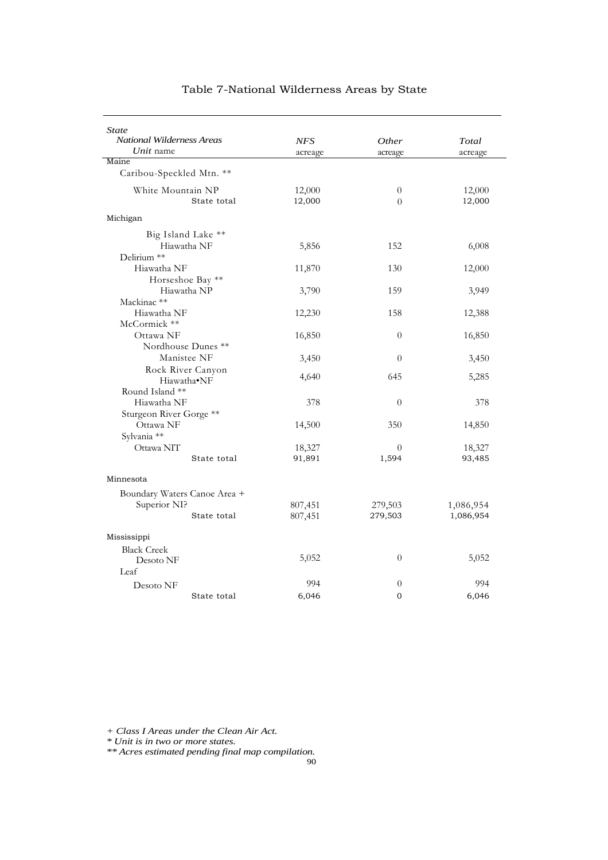| <i>State</i><br>National Wilderness Areas<br>Unit name      | <b>NFS</b><br>acreage | <i>Other</i><br>acreage | Total<br>acreage       |
|-------------------------------------------------------------|-----------------------|-------------------------|------------------------|
| Maine<br>Caribou-Speckled Mtn. **                           |                       |                         |                        |
| White Mountain NP<br>State total                            | 12,000<br>12,000      | $\theta$<br>$\Omega$    | 12,000<br>12,000       |
| Michigan                                                    |                       |                         |                        |
| Big Island Lake **<br>Hiawatha NF<br>Delirium **            | 5,856                 | 152                     | 6,008                  |
| Hiawatha NF                                                 | 11,870                | 130                     | 12,000                 |
| Horseshoe Bay **<br>Hiawatha NP<br>Mackinac **              | 3,790                 | 159                     | 3,949                  |
| Hiawatha NF<br>McCormick **                                 | 12,230                | 158                     | 12,388                 |
| Ottawa NF<br>Nordhouse Dunes **                             | 16,850                | $\theta$                | 16,850                 |
| Manistee NF                                                 | 3,450                 | $\theta$                | 3,450                  |
| Rock River Canyon<br>Hiawatha•NF                            | 4,640                 | 645                     | 5,285                  |
| Round Island **<br>Hiawatha NF<br>Sturgeon River Gorge **   | 378                   | $\theta$                | 378                    |
| Ottawa NF<br>Sylvania **                                    | 14,500                | 350                     | 14,850                 |
| Ottawa NIT<br>State total                                   | 18,327<br>91,891      | $\theta$<br>1,594       | 18,327<br>93,485       |
| Minnesota                                                   |                       |                         |                        |
| Boundary Waters Canoe Area +<br>Superior NI?<br>State total | 807,451<br>807,451    | 279,503<br>279,503      | 1,086,954<br>1,086,954 |
| Mississippi                                                 |                       |                         |                        |
| <b>Black Creek</b><br>Desoto NF                             | 5,052                 | $\overline{0}$          | 5,052                  |
| Leaf<br>Desoto NF                                           | 994                   | $\theta$                | 994                    |
| State total                                                 | 6,046                 | 0                       | 6,046                  |

*+ Class I Areas under the Clean Air Act.*

*\* Unit is in two or more states.*

*\*\* Acres estimated pending final map compilation.*

90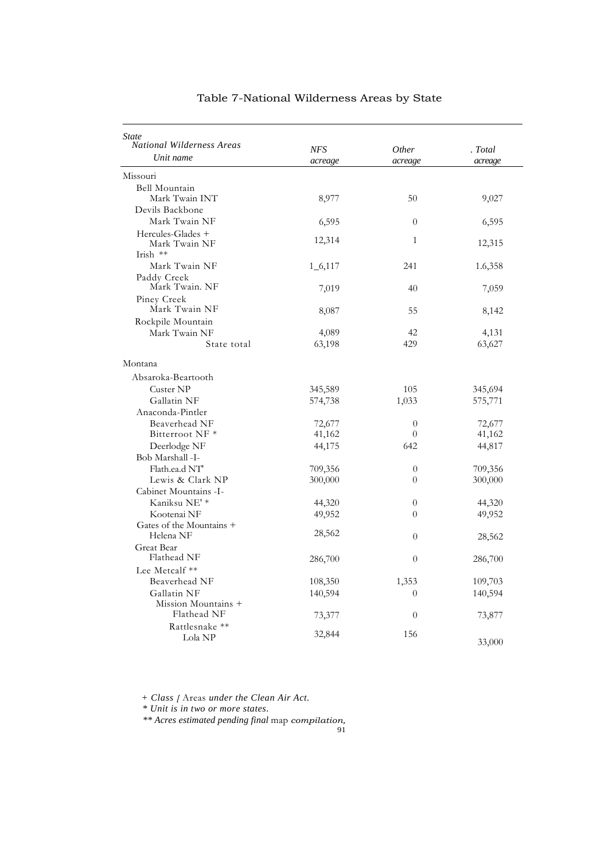| <b>National Wilderness Areas</b><br>Unit name | NFS<br>acreage | <i>Other</i><br>acreage | . Total |
|-----------------------------------------------|----------------|-------------------------|---------|
|                                               |                |                         |         |
|                                               |                |                         | acreage |
| Missouri                                      |                |                         |         |
| Bell Mountain                                 |                |                         |         |
| Mark Twain INT                                | 8,977          | 50                      | 9,027   |
| Devils Backbone                               |                |                         |         |
| Mark Twain NF                                 | 6,595          | $\theta$                | 6,595   |
| Hercules-Glades +<br>Mark Twain NF            | 12,314         | 1                       | 12,315  |
| Irish $**$                                    |                |                         |         |
| Mark Twain NF                                 | $1\_6,117$     | 241                     | 1.6,358 |
| Paddy Creek<br>Mark Twain. NF                 | 7,019          | 40                      | 7,059   |
| Piney Creek                                   |                |                         |         |
| Mark Twain NF                                 | 8,087          | 55                      | 8,142   |
| Rockpile Mountain                             |                |                         |         |
| Mark Twain NF                                 | 4,089          | 42                      | 4,131   |
| State total                                   | 63,198         | 429                     | 63,627  |
| Montana                                       |                |                         |         |
| Absaroka-Beartooth                            |                |                         |         |
| Custer NP                                     | 345,589        | 105                     | 345,694 |
| Gallatin NF                                   | 574,738        | 1,033                   | 575,771 |
| Anaconda-Pintler                              |                |                         |         |
| Beaverhead NF                                 | 72,677         | $\theta$                | 72,677  |
| Bitterroot NF <sup>*</sup>                    | 41,162         | $\theta$                | 41,162  |
| Deerlodge NF                                  | 44,175         | 642                     | 44,817  |
| Bob Marshall -I-                              |                |                         |         |
| Flath.ea.d NT                                 | 709,356        | $\theta$                | 709,356 |
| Lewis & Clark NP                              | 300,000        | $\theta$                | 300,000 |
| Cabinet Mountains -I-                         |                |                         |         |
| Kaniksu NE' *                                 | 44,320         | $\theta$                | 44,320  |
| Kootenai NF                                   | 49,952         | 0                       | 49,952  |
| Gates of the Mountains +                      |                |                         |         |
| Helena NF                                     | 28,562         | $\theta$                | 28,562  |
| Great Bear                                    |                |                         |         |
| Flathead NF                                   | 286,700        | $\theta$                | 286,700 |
| Lee Metcalf **                                |                |                         |         |
| Beaverhead NF                                 | 108,350        | 1,353                   | 109,703 |
| Gallatin NF<br>Mission Mountains +            | 140,594        | $\theta$                | 140,594 |
| Flathead NF                                   | 73,377         | $\theta$                | 73,877  |
| Rattlesnake **                                |                |                         |         |
| Lola NP                                       | 32,844         | 156                     | 33,000  |

*+ Class [* Areas *under the Clean Air Act.*

*\* Unit is in two or more states.*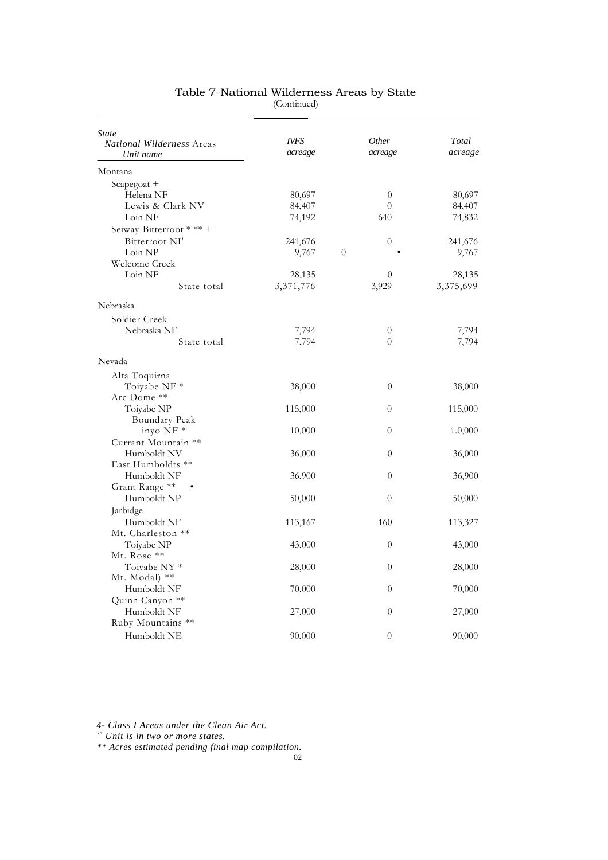| State<br><b>National Wilderness Areas</b> | IVFS      |          | Other          | Total     |
|-------------------------------------------|-----------|----------|----------------|-----------|
| Unit name                                 | acreage   |          | acreage        | acreage   |
| Montana                                   |           |          |                |           |
| Scapegoat +                               |           |          |                |           |
| Helena NF                                 | 80,697    |          | $\theta$       | 80,697    |
| Lewis & Clark NV                          | 84,407    |          | $\theta$       | 84,407    |
| Loin NF                                   | 74,192    |          | 640            | 74,832    |
| Seiway-Bitterroot * ** +                  |           |          |                |           |
| Bitterroot NI'                            | 241,676   |          | $\theta$       | 241,676   |
| Loin NP                                   | 9,767     | $\theta$ |                | 9,767     |
| Welcome Creek                             |           |          |                |           |
| Loin NF                                   | 28,135    |          | $\theta$       | 28,135    |
| State total                               | 3,371,776 |          | 3,929          | 3,375,699 |
| Nebraska                                  |           |          |                |           |
| Soldier Creek                             |           |          |                |           |
| Nebraska NF                               | 7,794     |          | $\overline{0}$ | 7,794     |
| State total                               | 7,794     |          | $\Omega$       | 7,794     |
| Nevada                                    |           |          |                |           |
| Alta Toquirna                             |           |          |                |           |
| Toiyabe NF *                              | 38,000    |          | $\overline{0}$ | 38,000    |
| Arc Dome **                               |           |          |                |           |
| Toiyabe NP                                | 115,000   |          | $\overline{0}$ | 115,000   |
| Boundary Peak                             |           |          |                |           |
| inyo NF *                                 | 10,000    |          | $\theta$       | 1.0,000   |
| Currant Mountain **                       |           |          |                |           |
| Humboldt NV                               | 36,000    |          | $\overline{0}$ | 36,000    |
| East Humboldts **                         |           |          |                |           |
| Humboldt NF                               | 36,900    |          | $\overline{0}$ | 36,900    |
| Grant Range **                            |           |          |                |           |
| Humboldt NP                               | 50,000    |          | $\theta$       | 50,000    |
| Jarbidge                                  |           |          |                |           |
| Humboldt NF                               | 113,167   |          | 160            | 113,327   |
| Mt. Charleston **                         |           |          |                |           |
| Toiyabe NP                                | 43,000    |          | $\theta$       | 43,000    |
| Mt. Rose **                               |           |          |                |           |
| Toivabe NY *                              | 28,000    |          | $\theta$       | 28,000    |
| Mt. Modal) **                             |           |          |                |           |
| Humboldt NF                               | 70,000    |          | $\theta$       | 70,000    |
| Quinn Canyon **                           |           |          |                |           |
| Humboldt NF                               | 27,000    |          | $\theta$       | 27,000    |
| Ruby Mountains **                         |           |          |                |           |
| Humboldt NE                               | 90.000    |          | $\overline{0}$ | 90,000    |

(Continued)

*4- Class I Areas under the Clean Air Act.*

*'` Unit is in two or more states.*

*\*\* Acres estimated pending final map compilation.*

02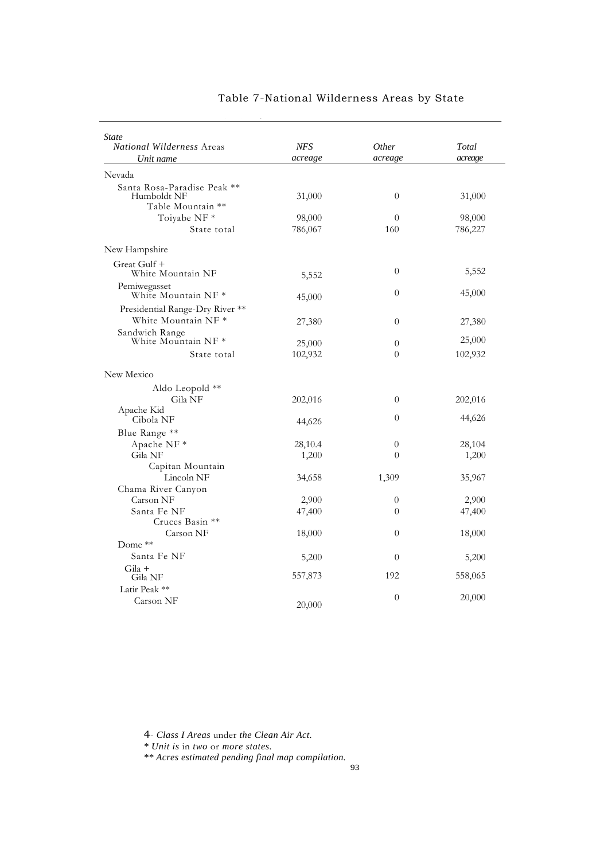| <b>NFS</b> | Other            | Total    |
|------------|------------------|----------|
| acreage    | acreage          | acreage  |
|            |                  |          |
| 31,000     | $\theta$         | 31,000   |
| 98,000     | $\overline{0}$   | 98,000   |
| 786,067    | 160              | 786,227  |
|            |                  |          |
| 5,552      | $\theta$         | 5,552    |
| 45,000     | $\theta$         | 45,000   |
| 27,380     | $\theta$         | 27,380   |
| 25,000     | $\theta$         | 25,000   |
| 102,932    | $\theta$         | 102,932  |
|            |                  |          |
|            |                  |          |
| 202,016    | $\theta$         | 202,016  |
|            | $\theta$         | 44,626   |
|            |                  |          |
| 28,10.4    | $\theta$         | 28,104   |
| 1,200      | $\Omega$         | 1,200    |
|            |                  |          |
| 34,658     | 1,309            | 35,967   |
|            |                  |          |
| 2,900      | $\theta$         | 2,900    |
| 47,400     | $\theta$         | 47,400   |
|            |                  |          |
|            |                  | 18,000   |
|            |                  |          |
| 5,200      | $\theta$         | 5,200    |
| 557,873    | 192              | 558,065  |
|            | $\theta$         |          |
|            |                  | 20,000   |
|            | 44,626<br>18,000 | $\theta$ |

4- *Class I Areas* under *the Clean Air Act.*

*\* Unit is* in *two* or *more states.*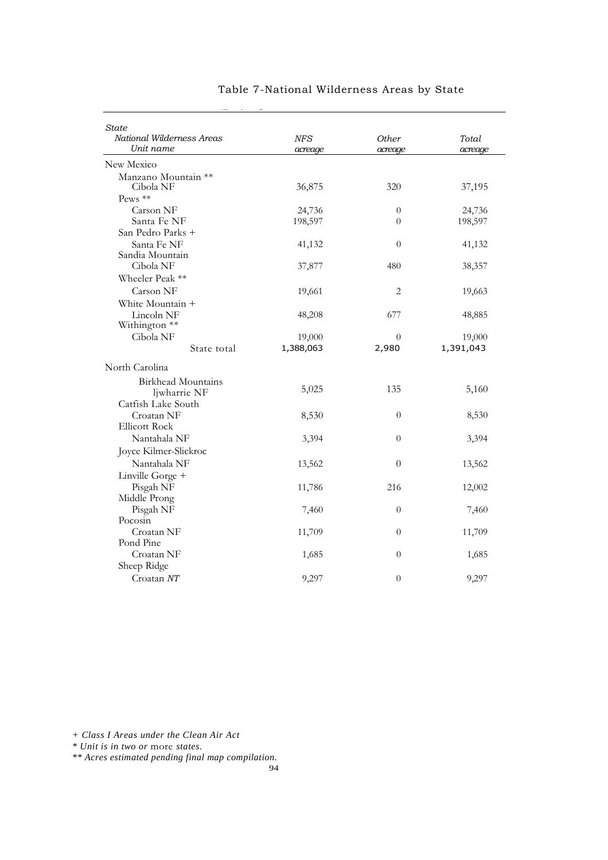| State<br>National Wilderness Areas | <b>NFS</b> | <b>Other</b>     | Total     |
|------------------------------------|------------|------------------|-----------|
| Unit name                          | acreage    | acreage          | acreage   |
| New Mexico                         |            |                  |           |
| Manzano Mountain **                |            |                  |           |
| Cibola NF                          | 36,875     | 320              | 37,195    |
| Pews **                            |            |                  |           |
| Carson NF                          | 24,736     | $\boldsymbol{0}$ | 24,736    |
| Santa Fe NF                        | 198,597    | $\theta$         | 198,597   |
| San Pedro Parks +                  |            |                  |           |
| Santa Fe NF                        | 41,132     | $\theta$         | 41,132    |
| Sandia Mountain                    |            |                  |           |
| Cibola NF                          | 37,877     | 480              | 38,357    |
| Wheeler Peak **                    |            |                  |           |
| Carson NF                          | 19,661     | $\sqrt{2}$       | 19,663    |
| White Mountain +                   |            |                  |           |
| Lincoln NF                         | 48,208     | 677              | 48,885    |
| Withington **                      |            |                  |           |
| Cibola NF                          | 19,000     | $\theta$         | 19,000    |
| State total                        | 1,388,063  | 2,980            | 1,391,043 |
| North Carolina                     |            |                  |           |
| <b>Birkhead Mountains</b>          |            |                  |           |
| ljwharrie NF                       | 5,025      | 135              | 5,160     |
| Catfish Lake South                 |            |                  |           |
| Croatan NF                         | 8,530      | $\boldsymbol{0}$ | 8,530     |
| <b>Ellicott Rock</b>               |            |                  |           |
| Nantahala NF                       | 3,394      | $\theta$         | 3,394     |
| Joyce Kilmer-Slickroc              |            |                  |           |
| Nantahala NF                       | 13,562     | 0                | 13,562    |
| Linville Gorge +                   |            |                  |           |
| Pisgah NF                          | 11,786     | 216              | 12,002    |
| Middle Prong                       |            |                  |           |
| Pisgah NF                          | 7,460      | $\theta$         | 7,460     |
| Pocosin                            |            |                  |           |
| Croatan NF                         | 11,709     | $\theta$         | 11,709    |
| Pond Pine                          |            |                  |           |
| Croatan NF                         | 1,685      | $\boldsymbol{0}$ | 1,685     |
| Sheep Ridge                        |            |                  |           |
| Croatan NT                         | 9,297      | $\theta$         | 9,297     |

*+ Class I Areas under the Clean Air Act*

*\* Unit is in two or* more *states.*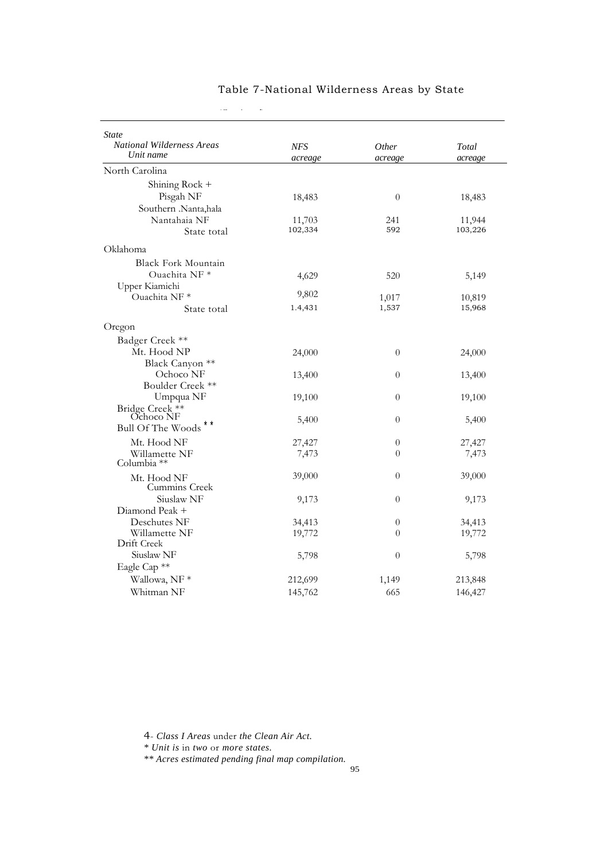| <b>State</b><br><b>National Wilderness Areas</b> | <b>NFS</b> | <i>Other</i>     | Total   |
|--------------------------------------------------|------------|------------------|---------|
| Unit name                                        | acreage    | acreage          | acreage |
| North Carolina                                   |            |                  |         |
| Shining Rock +                                   |            |                  |         |
| Pisgah NF                                        | 18,483     | $\theta$         | 18,483  |
| Southern .Nanta,hala                             |            |                  |         |
| Nantahaia NF                                     | 11,703     | 241              | 11,944  |
| State total                                      | 102,334    | 592              | 103,226 |
| Oklahoma                                         |            |                  |         |
| <b>Black Fork Mountain</b>                       |            |                  |         |
| Ouachita NF *                                    | 4,629      | 520              | 5,149   |
| Upper Kiamichi                                   |            |                  |         |
| Ouachita NF*                                     | 9,802      | 1,017            | 10,819  |
| State total                                      | 1.4,431    | 1,537            | 15,968  |
| Oregon                                           |            |                  |         |
| Badger Creek **                                  |            |                  |         |
| Mt. Hood NP                                      | 24,000     | $\theta$         | 24,000  |
| Black Canyon **                                  |            |                  |         |
| Ochoco NF                                        | 13,400     | $\theta$         | 13,400  |
| Boulder Creek **                                 |            |                  |         |
| Umpqua NF<br>Bridge Creek **                     | 19,100     | $\theta$         | 19,100  |
| Ochoco NF                                        | 5,400      | $\theta$         | 5,400   |
| <b>Bull Of The Woods</b>                         |            |                  |         |
| Mt. Hood NF                                      | 27,427     | $\overline{0}$   | 27,427  |
| Willamette NF<br>Columbia **                     | 7,473      | $\theta$         | 7,473   |
| Mt. Hood NF<br>Cummins Creek                     | 39,000     | $\overline{0}$   | 39,000  |
| Siuslaw NF                                       | 9,173      | $\theta$         | 9,173   |
| Diamond Peak +                                   |            |                  |         |
| Deschutes NF                                     | 34,413     | $\theta$         | 34,413  |
| Willamette NF                                    | 19,772     | $\theta$         | 19,772  |
| Drift Creek                                      |            |                  |         |
| Siuslaw <sub>NF</sub>                            | 5,798      | $\boldsymbol{0}$ | 5,798   |
| Eagle Cap <sup>**</sup>                          |            |                  |         |
| Wallowa, NF *                                    | 212,699    | 1,149            | 213,848 |
| Whitman NF                                       | 145,762    | 665              | 146,427 |

 $\zeta(\omega)$  (continued)

4- *Class I Areas* under *the Clean Air Act.*

*\* Unit is* in *two* or *more states.*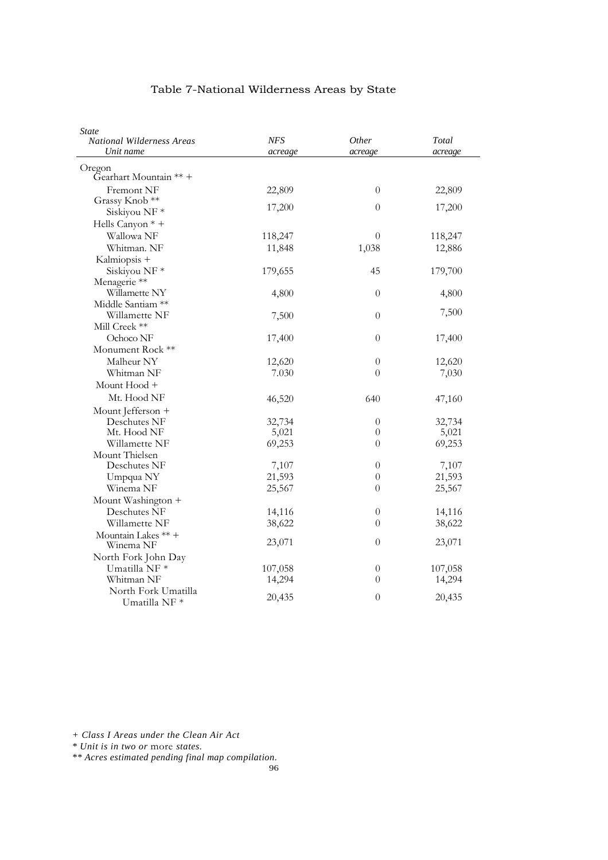| <b>State</b><br><b>National Wilderness Areas</b> | NFS     | <i>Other</i>     | Total   |
|--------------------------------------------------|---------|------------------|---------|
| Unit name                                        | acreage | acreage          | acreage |
| Oregon                                           |         |                  |         |
| Gearhart Mountain ** +                           |         |                  |         |
| Fremont NF                                       | 22,809  | $\theta$         | 22,809  |
| Grassy Knob **                                   |         |                  |         |
| Siskiyou NF*                                     | 17,200  | $\boldsymbol{0}$ | 17,200  |
| Hells Canyon * +                                 |         |                  |         |
| Wallowa NF                                       | 118,247 | $\theta$         | 118,247 |
| Whitman. NF                                      | 11,848  | 1,038            | 12,886  |
| Kalmiopsis +                                     |         |                  |         |
| Siskiyou NF <sup>*</sup>                         | 179,655 | 45               | 179,700 |
| Menagerie **                                     |         |                  |         |
| Willamette NY                                    | 4,800   | $\boldsymbol{0}$ | 4,800   |
| Middle Santiam **                                |         |                  |         |
| Willamette NF                                    | 7,500   | $\boldsymbol{0}$ | 7,500   |
| Mill Creek **                                    |         |                  |         |
| Ochoco NF                                        | 17,400  | $\overline{0}$   | 17,400  |
| Monument Rock **                                 |         |                  |         |
| Malheur NY                                       | 12,620  | $\theta$         | 12,620  |
| Whitman NF                                       | 7.030   | $\theta$         | 7,030   |
| Mount Hood +                                     |         |                  |         |
| Mt. Hood NF                                      | 46,520  | 640              | 47,160  |
| Mount Jefferson +                                |         |                  |         |
| Deschutes NF                                     | 32,734  | $\boldsymbol{0}$ | 32,734  |
| Mt. Hood NF                                      | 5,021   | $\theta$         | 5,021   |
| Willamette NF                                    | 69,253  | $\theta$         | 69,253  |
| Mount Thielsen                                   |         |                  |         |
| Deschutes NF                                     | 7,107   | $\theta$         | 7,107   |
| Umpqua NY                                        | 21,593  | 0                | 21,593  |
| Winema NF                                        | 25,567  | $\overline{0}$   | 25,567  |
| Mount Washington +                               |         |                  |         |
| Deschutes NF                                     | 14,116  | $\theta$         | 14,116  |
| Willamette NF                                    | 38,622  | $\theta$         | 38,622  |
| Mountain Lakes ** +                              |         |                  |         |
| Winema NF                                        | 23,071  | $\overline{0}$   | 23,071  |
| North Fork John Day                              |         |                  |         |
| Umatilla NF <sup>*</sup>                         | 107,058 | $\theta$         | 107,058 |
| Whitman NF                                       | 14,294  | $\theta$         | 14,294  |
| North Fork Umatilla<br>Umatilla NF *             | 20,435  | $\overline{0}$   | 20,435  |

*+ Class I Areas under the Clean Air Act*

*\* Unit is in two or* more *states.*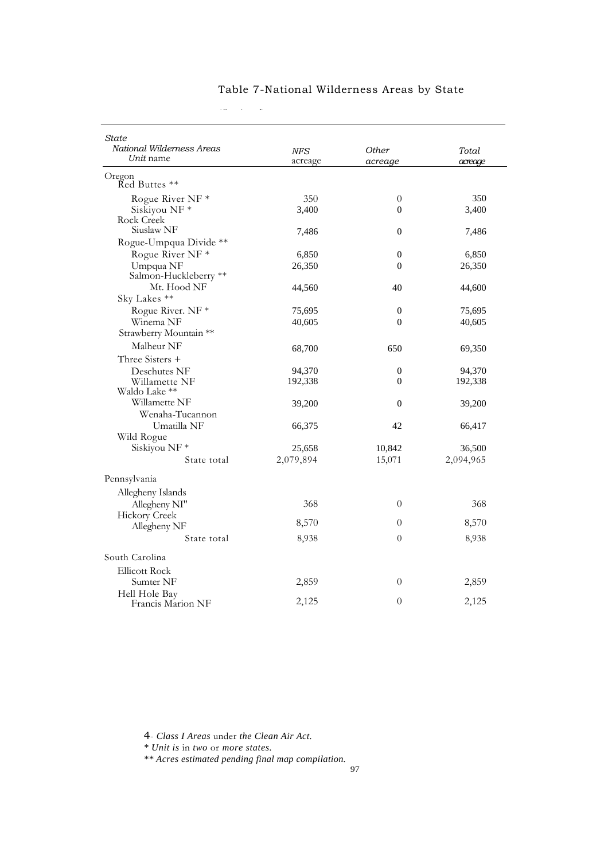| National Wilderness Areas<br>Unit name | <b>NFS</b><br>acreage | <b>Other</b><br>acreage | Total<br>acreage |
|----------------------------------------|-----------------------|-------------------------|------------------|
| Oregon<br>Red Buttes **                |                       |                         |                  |
| Rogue River NF <sup>*</sup>            | 350                   | $\theta$                | 350              |
| Siskiyou NF*                           | 3.400                 | $\theta$                | 3,400            |
| Rock Creek                             |                       |                         |                  |
| Siuslaw NF                             | 7,486                 | $\Omega$                | 7,486            |
| Rogue-Umpqua Divide **                 |                       |                         |                  |
| Rogue River NF <sup>*</sup>            | 6,850                 | $\mathbf{0}$            | 6,850            |
| Umpqua NF                              | 26,350                | $\overline{0}$          | 26,350           |
| Salmon-Huckleberry **<br>Mt. Hood NF   | 44,560                | 40                      | 44,600           |
| Sky Lakes **                           |                       |                         |                  |
| Rogue River. NF *                      | 75,695                | $\overline{0}$          | 75,695           |
| Winema NF                              | 40,605                | $\theta$                | 40,605           |
| Strawberry Mountain **                 |                       |                         |                  |
| Malheur NF                             |                       |                         |                  |
| Three Sisters +                        | 68,700                | 650                     | 69,350           |
| Deschutes NF                           | 94,370                | $\boldsymbol{0}$        | 94,370           |
| Willamette NF                          | 192,338               | $\overline{0}$          | 192,338          |
| Waldo Lake **                          |                       |                         |                  |
| Willamette NF                          | 39,200                | $\overline{0}$          | 39,200           |
| Wenaha-Tucannon                        |                       |                         |                  |
| Umatilla NF                            | 66,375                | 42                      | 66,417           |
| Wild Rogue                             |                       |                         |                  |
| Siskiyou NF*                           | 25,658                | 10,842                  | 36,500           |
| State total                            | 2,079,894             | 15,071                  | 2,094,965        |
| Pennsylvania                           |                       |                         |                  |
| Allegheny Islands                      |                       |                         |                  |
| Allegheny NI"                          | 368                   | $\theta$                | 368              |
| Hickory Creek                          |                       |                         |                  |
| Allegheny NF                           | 8,570                 | $\theta$                | 8,570            |
| State total                            | 8,938                 | $\theta$                | 8,938            |
| South Carolina                         |                       |                         |                  |
| <b>Ellicott Rock</b>                   |                       |                         |                  |
| Sumter NF                              | 2,859                 | $\theta$                | 2,859            |
| Hell Hole Bay                          |                       |                         |                  |
| Francis Marion NF                      | 2,125                 | $\theta$                | 2,125            |

 $\mathcal{C}(\omega)$  (  $\mathcal{C}(\omega)$ 

4- *Class I Areas* under *the Clean Air Act.*

*\* Unit is* in *two* or *more states.*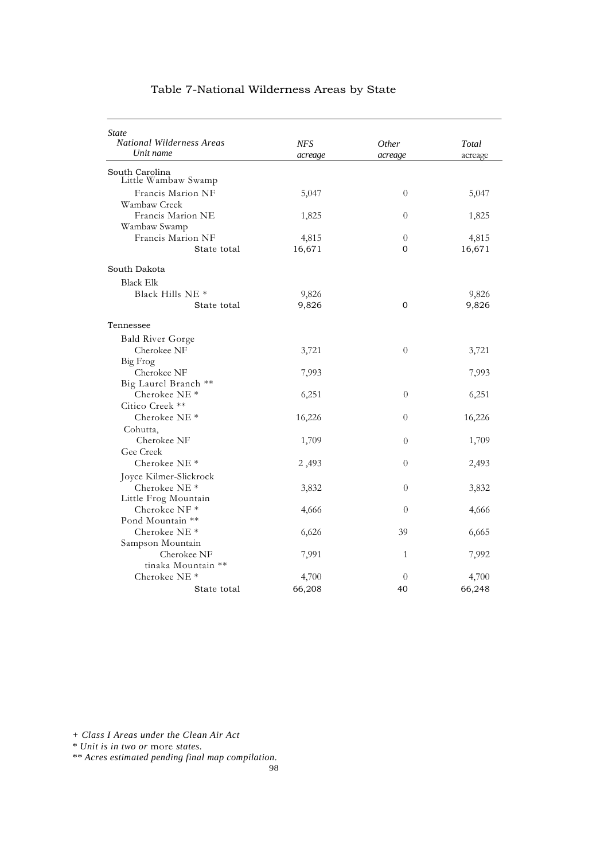| <b>State</b><br><b>National Wilderness Areas</b> | NFS             | <i>Other</i>     | Total           |
|--------------------------------------------------|-----------------|------------------|-----------------|
| Unit name                                        | acreage         | acreage          | acreage         |
| South Carolina<br>Little Wambaw Swamp            |                 |                  |                 |
| Francis Marion NF<br>Wambaw Creek                | 5,047           | $\theta$         | 5,047           |
| Francis Marion NE<br>Wambaw Swamp                | 1,825           | $\overline{0}$   | 1,825           |
| Francis Marion NF<br>State total                 | 4,815<br>16,671 | $\theta$<br>0    | 4,815<br>16,671 |
| South Dakota                                     |                 |                  |                 |
| <b>Black Elk</b>                                 |                 |                  |                 |
| Black Hills $NE*$                                | 9,826           |                  | 9,826           |
| State total                                      | 9,826           | $\Omega$         | 9,826           |
| Tennessee                                        |                 |                  |                 |
| <b>Bald River Gorge</b>                          |                 |                  |                 |
| Cherokee NF                                      | 3,721           | $\theta$         | 3,721           |
| Big Frog                                         |                 |                  |                 |
| Cherokee NF                                      | 7,993           |                  | 7,993           |
| Big Laurel Branch **                             |                 |                  |                 |
| Cherokee NE <sup>*</sup>                         | 6,251           | $\theta$         | 6,251           |
| Citico Creek **                                  |                 |                  |                 |
| Cherokee NE <sup>*</sup>                         | 16,226          | $\theta$         | 16,226          |
| Cohutta,                                         |                 |                  |                 |
| Cherokee NF                                      | 1,709           | $\overline{0}$   | 1,709           |
| Gee Creek                                        |                 |                  |                 |
| Cherokee NE $*$                                  | 2,493           | $\theta$         | 2,493           |
| Joyce Kilmer-Slickrock                           |                 |                  |                 |
| Cherokee NE <sup>*</sup>                         | 3,832           | $\boldsymbol{0}$ | 3,832           |
| Little Frog Mountain<br>Cherokee NF*             |                 | $\theta$         |                 |
| Pond Mountain **                                 | 4,666           |                  | 4,666           |
| Cherokee NE <sup>*</sup>                         | 6,626           | 39               | 6,665           |
| Sampson Mountain                                 |                 |                  |                 |
| Cherokee NF                                      | 7,991           | 1                | 7,992           |
| tinaka Mountain **                               |                 |                  |                 |
| Cherokee NE $*$                                  | 4,700           | $\theta$         | 4,700           |
| State total                                      | 66,208          | 40               | 66,248          |

 $\mathbb{C}^{\mathbb{C}}$  (Continued)

*+ Class I Areas under the Clean Air Act*

*\* Unit is in two or* more *states.*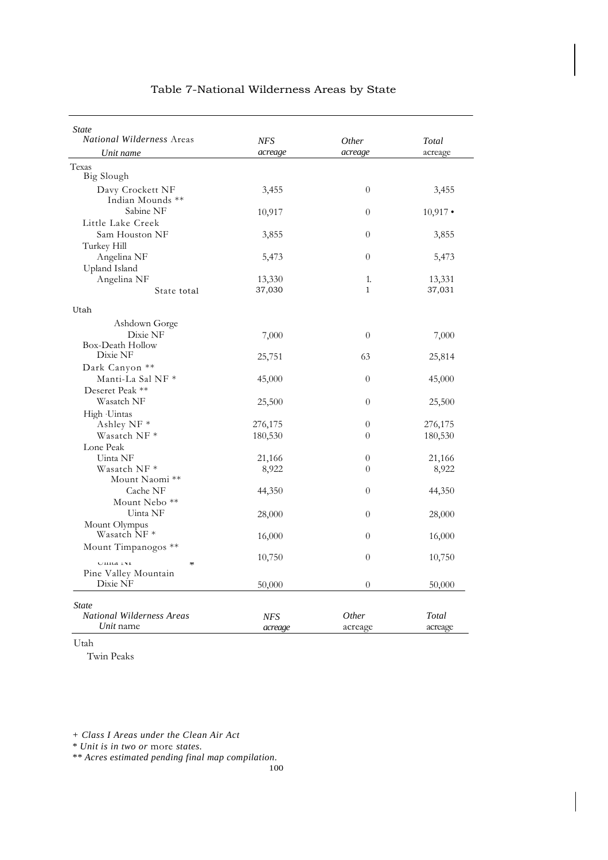| <b>State</b><br><b>National Wilderness Areas</b> | <b>NFS</b>            | Other                   | Total      |
|--------------------------------------------------|-----------------------|-------------------------|------------|
| Unit name                                        | acreage               | acreage                 | acreage    |
| Texas                                            |                       |                         |            |
| <b>Big Slough</b>                                |                       |                         |            |
| Davy Crockett NF                                 | 3,455                 | $\theta$                | 3,455      |
| Indian Mounds **                                 |                       |                         |            |
| Sabine NF                                        | 10,917                | $\theta$                | $10,917$ • |
| Little Lake Creek                                |                       |                         |            |
| Sam Houston NF                                   | 3,855                 | $\overline{0}$          | 3,855      |
| Turkey Hill                                      |                       |                         |            |
| Angelina NF                                      | 5,473                 | $\theta$                | 5,473      |
| Upland Island                                    |                       |                         |            |
| Angelina NF                                      | 13,330                | 1.                      | 13,331     |
| State total                                      | 37,030                | $\mathbf{1}$            | 37,031     |
|                                                  |                       |                         |            |
| Utah                                             |                       |                         |            |
| Ashdown Gorge                                    |                       |                         |            |
| Dixie NF                                         | 7,000                 | $\Omega$                | 7,000      |
| Box-Death Hollow<br>Dixie NF                     |                       |                         |            |
|                                                  | 25,751                | 63                      | 25,814     |
| Dark Canyon **                                   |                       |                         |            |
| Manti-La Sal NF *                                | 45,000                | $\theta$                | 45,000     |
| Deseret Peak **                                  |                       |                         |            |
| Wasatch NF                                       | 25,500                | $\theta$                | 25,500     |
| High Uintas                                      |                       |                         |            |
| Ashley NF <sup>*</sup>                           | 276,175               | $\overline{0}$          | 276,175    |
| Wasatch NF *                                     | 180,530               | $\Omega$                | 180,530    |
| Lone Peak                                        |                       |                         |            |
| Uinta NF                                         | 21,166                | $\overline{0}$          | 21,166     |
| Wasatch NF *                                     | 8,922                 | $\Omega$                | 8,922      |
| Mount Naomi **                                   |                       |                         |            |
| Cache NF                                         | 44,350                | $\theta$                | 44,350     |
| Mount Nebo <sup>**</sup>                         |                       |                         |            |
| Uinta NF                                         | 28,000                | $\theta$                | 28,000     |
| Mount Olympus<br>Wasatch NF *                    |                       |                         |            |
|                                                  | 16,000                | $\theta$                | 16,000     |
| Mount Timpanogos **                              |                       | $\theta$                |            |
| $U$ ilita 191<br>$\approx$                       | 10,750                |                         | 10,750     |
| Pine Valley Mountain                             |                       |                         |            |
| Dixie NF                                         | 50,000                | $\theta$                | 50,000     |
|                                                  |                       |                         |            |
| <b>State</b><br><b>National Wilderness Areas</b> |                       |                         | Total      |
| Unit name                                        | <b>NFS</b><br>acreage | <i>Other</i><br>acreage | acreage    |

Utah

Twin Peaks

*+ Class I Areas under the Clean Air Act*

*\* Unit is in two or* more *states.*

*\*\* Acres estimated pending final map compilation.*

100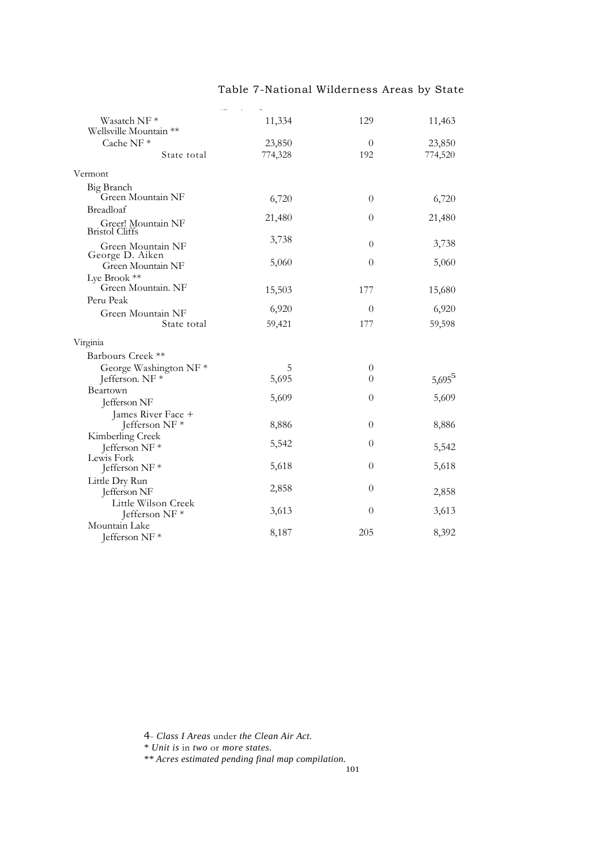| Wasatch NF*                                 | 11,334  | 129            | 11,463    |
|---------------------------------------------|---------|----------------|-----------|
| Wellsville Mountain **                      |         |                |           |
| Cache NF <sup>*</sup>                       | 23,850  | $\theta$       | 23,850    |
| State total                                 | 774,328 | 192            | 774,520   |
| Vermont                                     |         |                |           |
| Big Branch                                  |         |                |           |
| Green Mountain NF                           | 6,720   | $\theta$       | 6,720     |
| Breadloaf                                   |         |                |           |
| Greer! Mountain NF<br><b>Bristol Cliffs</b> | 21,480  | $\theta$       | 21,480    |
| Green Mountain NF<br>George D. Aiken        | 3,738   | $\theta$       | 3,738     |
| Green Mountain NF                           | 5,060   | $\overline{0}$ | 5,060     |
| Lye Brook **                                |         |                |           |
| Green Mountain. NF                          | 15,503  | 177            | 15,680    |
| Peru Peak                                   |         |                |           |
| Green Mountain NF                           | 6,920   | $\overline{0}$ | 6,920     |
| State total                                 | 59,421  | 177            | 59,598    |
| Virginia                                    |         |                |           |
| Barbours Creek **                           |         |                |           |
| George Washington NF*                       | 5       | $\theta$       |           |
| Jefferson. NF *                             | 5,695   | $\theta$       | $5,695^5$ |
| Beartown                                    |         |                |           |
| Jefferson NF                                | 5,609   | $\theta$       | 5,609     |
| James River Face +                          |         |                |           |
| Jefferson NF*                               | 8,886   | $\theta$       | 8,886     |
| Kimberling Creek                            |         |                |           |
| Jefferson NF <sup>*</sup>                   | 5,542   | $\overline{0}$ | 5,542     |
| Lewis Fork                                  |         |                |           |
| Jefferson NF*                               | 5,618   | $\overline{0}$ | 5,618     |
| Little Dry Run                              | 2,858   | $\theta$       |           |
| Jefferson NF                                |         |                | 2,858     |
| Little Wilson Creek                         | 3,613   | $\overline{0}$ | 3,613     |
| Jefferson NF*                               |         |                |           |
| Mountain Lake<br>Jefferson NF*              | 8,187   | 205            | 8,392     |

4- *Class I Areas* under *the Clean Air Act.*

*\* Unit is* in *two* or *more states.*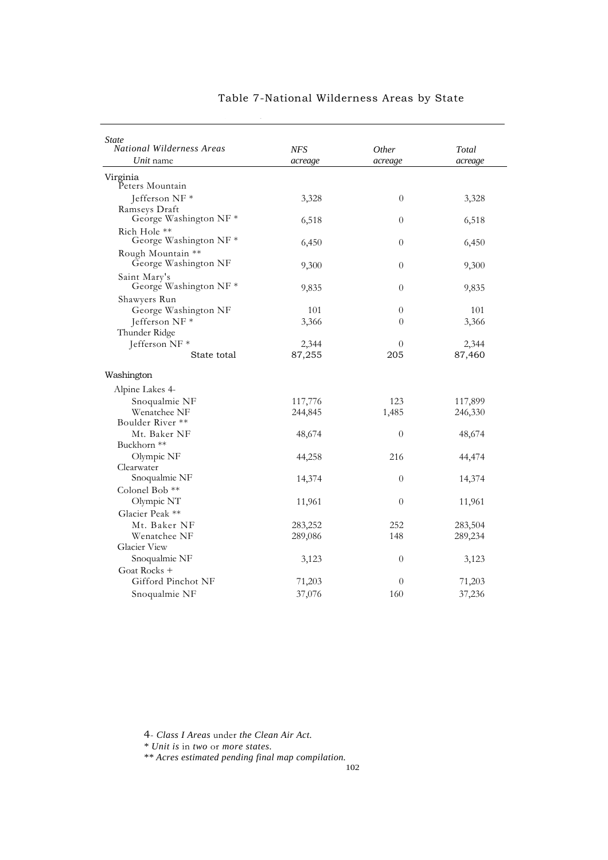| <i>State</i><br><b>National Wilderness Areas</b> | <b>NFS</b> | <i>Other</i>     | Total   |
|--------------------------------------------------|------------|------------------|---------|
| Unit name                                        | acreage    | acreage          | acreage |
| Virginia<br>Peters Mountain                      |            |                  |         |
| Jefferson NF *<br>Ramseys Draft                  | 3,328      | $\theta$         | 3,328   |
| George Washington $NF *$<br>Rich Hole **         | 6,518      | $\boldsymbol{0}$ | 6,518   |
| George Washington NF*                            | 6,450      | $\boldsymbol{0}$ | 6,450   |
| Rough Mountain **<br>George Washington NF        | 9,300      | $\boldsymbol{0}$ | 9,300   |
| Saint Mary's<br>George Washington NF*            | 9,835      | $\overline{0}$   | 9,835   |
| Shawyers Run                                     |            |                  |         |
| George Washington NF                             | 101        | $\overline{0}$   | 101     |
| Jefferson NF *                                   | 3,366      | $\theta$         | 3,366   |
| Thunder Ridge                                    |            |                  |         |
| Jefferson NF *                                   | 2,344      | 0                | 2,344   |
| State total                                      | 87,255     | 205              | 87,460  |
| Washington                                       |            |                  |         |
| Alpine Lakes 4-                                  |            |                  |         |
| Snoqualmie NF                                    | 117,776    | 123              | 117,899 |
| Wenatchee NF                                     | 244,845    | 1,485            | 246,330 |
| Boulder River **                                 |            |                  |         |
| Mt. Baker NF                                     | 48,674     | $\theta$         | 48,674  |
| Buckhorn **                                      |            |                  |         |
| Olympic NF                                       | 44,258     | 216              | 44,474  |
| Clearwater                                       |            |                  |         |
| Snoqualmie NF                                    | 14,374     | 0                | 14,374  |
| Colonel Bob **                                   |            |                  |         |
| Olympic NT                                       | 11,961     | 0                | 11,961  |
| Glacier Peak **                                  |            |                  |         |
| Mt. Baker NF                                     | 283,252    | 252              | 283,504 |
| Wenatchee NF                                     | 289,086    | 148              | 289,234 |
| Glacier View                                     |            |                  |         |
| Snoqualmie NF                                    | 3,123      | 0                | 3,123   |
| Goat Rocks +                                     |            |                  |         |
| Gifford Pinchot NF                               | 71,203     | $\theta$         | 71,203  |
| Snoqualmie NF                                    | 37,076     | 160              | 37,236  |

 $\zeta(\omega)$  (Continued)

4- *Class I Areas* under *the Clean Air Act.*

*\* Unit is* in *two* or *more states.*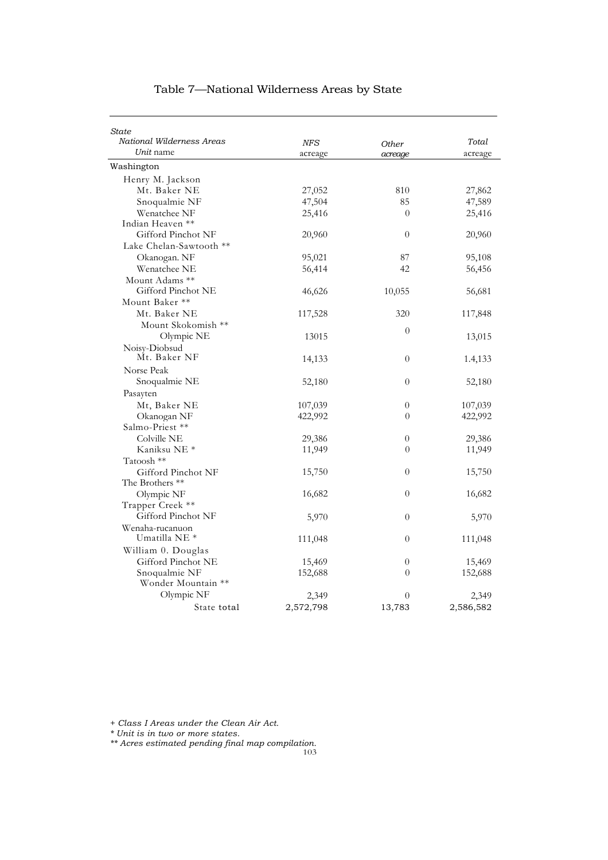| State<br>National Wilderness Areas |                       |                         |                  |
|------------------------------------|-----------------------|-------------------------|------------------|
| Unit name                          | <b>NFS</b><br>acreage | <b>Other</b><br>acreage | Total<br>acreage |
| Washington                         |                       |                         |                  |
| Henry M. Jackson                   |                       |                         |                  |
| Mt. Baker NE                       | 27,052                | 810                     | 27,862           |
| Snoqualmie NF                      | 47,504                | 85                      | 47,589           |
| Wenatchee NF                       | 25,416                | $\theta$                | 25,416           |
| Indian Heaven **                   |                       |                         |                  |
| Gifford Pinchot NF                 | 20,960                | $\overline{0}$          | 20,960           |
| Lake Chelan-Sawtooth **            |                       |                         |                  |
| Okanogan. NF                       | 95,021                | 87                      | 95,108           |
| Wenatchee NE                       | 56,414                | 42                      | 56,456           |
| Mount Adams **                     |                       |                         |                  |
| Gifford Pinchot NE                 | 46,626                | 10,055                  | 56,681           |
| Mount Baker **                     |                       |                         |                  |
| Mt. Baker NE                       | 117,528               | 320                     | 117,848          |
| Mount Skokomish **                 |                       |                         |                  |
| Olympic NE                         | 13015                 | $\theta$                | 13,015           |
| Noisy-Diobsud                      |                       |                         |                  |
| Mt. Baker NF                       | 14,133                | $\theta$                | 1.4,133          |
| Norse Peak                         |                       |                         |                  |
| Snoqualmie NE                      | 52,180                | $\overline{0}$          | 52,180           |
| Pasayten                           |                       |                         |                  |
| Mt, Baker NE                       | 107,039               | $\overline{0}$          | 107,039          |
| Okanogan NF                        | 422,992               | $\theta$                | 422,992          |
| Salmo-Priest **                    |                       |                         |                  |
| Colville NE                        | 29,386                | $\overline{0}$          | 29,386           |
| Kaniksu NE <sup>*</sup>            | 11,949                | $\theta$                | 11,949           |
| Tatoosh **                         |                       |                         |                  |
| Gifford Pinchot NF                 | 15,750                | $\theta$                | 15,750           |
| The Brothers **                    |                       |                         |                  |
| Olympic NF                         | 16,682                | $\overline{0}$          | 16,682           |
| Trapper Creek **                   |                       |                         |                  |
| Gifford Pinchot NF                 | 5,970                 | $\theta$                | 5,970            |
| Wenaha-rucanuon                    |                       |                         |                  |
| Umatilla NE *                      | 111,048               | $\theta$                | 111,048          |
| William 0. Douglas                 |                       |                         |                  |
| Gifford Pinchot NE                 | 15,469                | $\boldsymbol{0}$        | 15,469           |
| Snoqualmie NF                      | 152,688               | $\theta$                | 152,688          |
| Wonder Mountain **                 |                       |                         |                  |
| Olympic NF                         | 2,349                 | $\theta$                | 2,349            |
| State total                        | 2,572,798             | 13,783                  | 2,586,582        |

*+ Class I Areas under the Clean Air Act.*

*\* Unit is in two or more states.*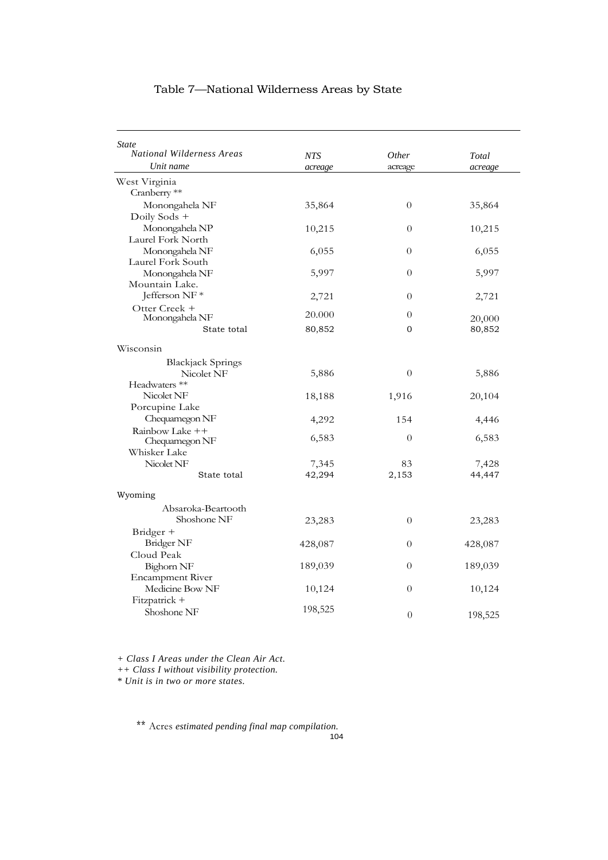| Table 7-National Wilderness Areas by State |  |  |
|--------------------------------------------|--|--|
|--------------------------------------------|--|--|

| <i>State</i><br><b>National Wilderness Areas</b> | <b>NTS</b> | <i>Other</i>   | Total   |
|--------------------------------------------------|------------|----------------|---------|
| Unit name                                        | acreage    | acreage        | acreage |
| West Virginia                                    |            |                |         |
| Cranberry **                                     |            |                |         |
| Monongahela NF                                   | 35,864     | $\theta$       | 35,864  |
| Doily Sods +                                     |            |                |         |
| Monongahela NP                                   | 10,215     | $\theta$       | 10,215  |
| Laurel Fork North                                |            |                |         |
| Monongahela NF                                   | 6,055      | 0              | 6,055   |
| Laurel Fork South                                |            |                |         |
| Monongahela NF                                   | 5,997      | $\theta$       | 5,997   |
| Mountain Lake.                                   |            |                |         |
| Jefferson NF*                                    | 2,721      | $\overline{0}$ | 2,721   |
| Otter Creek +                                    |            |                |         |
| Monongahela NF                                   | 20.000     | $\theta$       | 20,000  |
| State total                                      | 80,852     | 0              | 80,852  |
| Wisconsin                                        |            |                |         |
| <b>Blackjack Springs</b>                         |            |                |         |
| Nicolet NF                                       | 5,886      | $\overline{0}$ | 5,886   |
| Headwaters <sup>**</sup>                         |            |                |         |
| Nicolet NF                                       | 18,188     | 1,916          | 20,104  |
| Porcupine Lake                                   |            |                |         |
| Chequamegon NF                                   | 4,292      | 154            | 4,446   |
| Rainbow Lake ++                                  |            |                |         |
| Chequamegon NF                                   | 6,583      | $\overline{0}$ | 6,583   |
| Whisker Lake                                     |            |                |         |
| Nicolet NF                                       | 7,345      | 83             | 7,428   |
| State total                                      | 42,294     | 2,153          | 44,447  |
| Wyoming                                          |            |                |         |
| Absaroka-Beartooth                               |            |                |         |
| Shoshone NF                                      | 23,283     | $\theta$       | 23,283  |
| Bridger +                                        |            |                |         |
| Bridger NF                                       | 428,087    | $\theta$       | 428,087 |
| Cloud Peak                                       |            |                |         |
| Bighorn NF                                       | 189,039    | 0              | 189,039 |
| <b>Encampment River</b>                          |            |                |         |
| Medicine Bow NF                                  | 10,124     | $\theta$       | 10,124  |
| Fitzpatrick +                                    |            |                |         |
| Shoshone NF                                      | 198,525    | $\theta$       | 198,525 |

*+ Class I Areas under the Clean Air Act.*

*++ Class I without visibility protection.*

*\* Unit is in two or more states.*

\*\* Acres *estimated pending final map compilation.*

104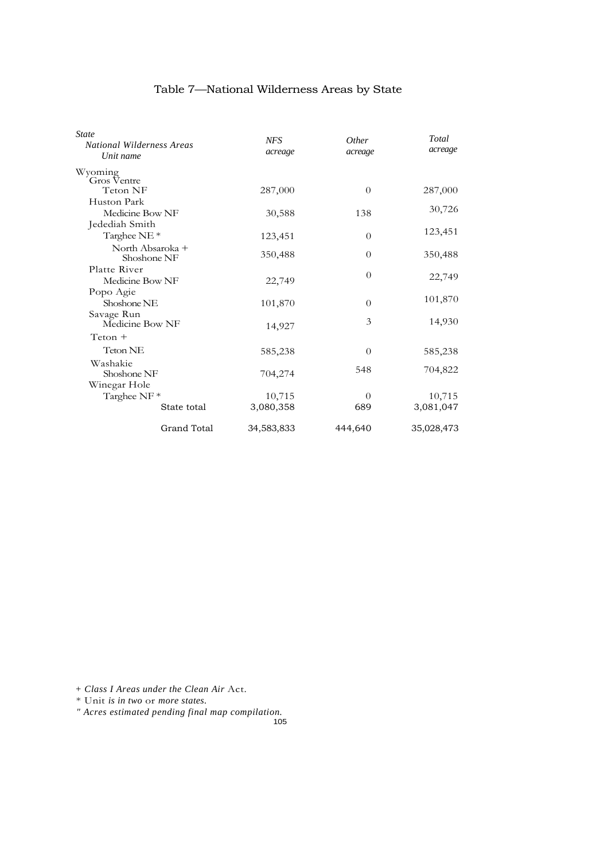| State<br><b>National Wilderness Areas</b><br>Unit name | <b>NFS</b><br>acreage | <i>Other</i><br>acreage | Total<br>acreage |
|--------------------------------------------------------|-----------------------|-------------------------|------------------|
| Wyoming<br>Gros Ventre                                 |                       |                         |                  |
| Teton NF                                               | 287,000               | $\theta$                | 287,000          |
| Huston Park                                            |                       |                         |                  |
| Medicine Bow NF                                        | 30,588                | 138                     | 30,726           |
| Jedediah Smith                                         |                       |                         |                  |
| Targhee NE <sup>*</sup>                                | 123,451               | $\theta$                | 123,451          |
| North Absaroka +<br>Shoshone NF                        | 350,488               | $\theta$                | 350,488          |
| Platte River                                           |                       | $\Omega$                |                  |
| Medicine Bow NF                                        | 22,749                |                         | 22,749           |
| Popo Agie                                              |                       |                         |                  |
| Shoshone NE                                            | 101,870               | $\overline{0}$          | 101,870          |
| Savage Run<br>Medicine Bow NF                          | 14,927                | 3                       | 14,930           |
| $Teton +$                                              |                       |                         |                  |
| Teton NE                                               | 585,238               | $\overline{0}$          | 585,238          |
| Washakie<br>Shoshone NF                                | 704,274               | 548                     | 704,822          |
| Winegar Hole                                           |                       |                         |                  |
| Targhee NF <sup>*</sup>                                | 10,715                | $\Omega$                | 10,715           |
| State total                                            | 3,080,358             | 689                     | 3,081,047        |
| <b>Grand Total</b>                                     | 34,583,833            | 444,640                 | 35,028,473       |

*+ Class I Areas under the Clean Air* Act.

\* Unit *is in two* or *more states.*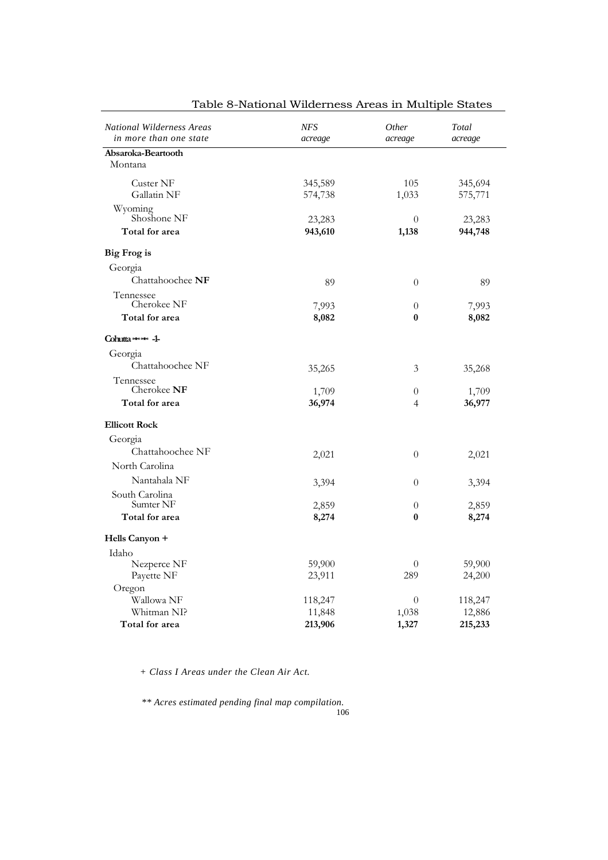| <b>National Wilderness Areas</b><br>in more than one state | NFS<br>acreage     | <i>Other</i><br>acreage | Total<br>acreage   |
|------------------------------------------------------------|--------------------|-------------------------|--------------------|
| Absaroka-Beartooth                                         |                    |                         |                    |
| Montana                                                    |                    |                         |                    |
| Custer NF<br>Gallatin NF                                   | 345,589<br>574,738 | 105<br>1,033            | 345,694<br>575,771 |
| Wyoming<br>Shoshone NF                                     | 23,283             | $\theta$                | 23,283             |
| Total for area                                             | 943,610            | 1,138                   | 944,748            |
| <b>Big Frog is</b>                                         |                    |                         |                    |
| Georgia                                                    |                    |                         |                    |
| Chattahoochee NF                                           | 89                 | $\theta$                | 89                 |
| Tennessee<br>Cherokee NF                                   | 7,993              | $\theta$                | 7,993              |
| Total for area                                             | 8,082              | 0                       | 8,082              |
| Cohutta ===== -1-                                          |                    |                         |                    |
| Georgia                                                    |                    |                         |                    |
| Chattahoochee NF                                           | 35,265             | 3                       | 35,268             |
| Tennessee<br>Cherokee NF                                   | 1,709              | $\theta$                | 1,709              |
| Total for area                                             | 36,974             | 4                       | 36,977             |
| <b>Ellicott Rock</b>                                       |                    |                         |                    |
| Georgia                                                    |                    |                         |                    |
| Chattahoochee NF                                           | 2,021              | $\theta$                | 2,021              |
| North Carolina                                             |                    |                         |                    |
| Nantahala NF                                               | 3,394              | $\theta$                | 3,394              |
| South Carolina<br>Sumter NF                                | 2,859              | $\overline{0}$          | 2,859              |
| Total for area                                             | 8,274              | 0                       | 8,274              |
| Hells Canyon +                                             |                    |                         |                    |
| Idaho                                                      |                    |                         |                    |
| Nezperce NF                                                | 59,900             | $\boldsymbol{0}$        | 59,900             |
| Payette NF                                                 | 23,911             | 289                     | 24,200             |
| Oregon                                                     |                    |                         |                    |
| Wallowa NF                                                 | 118,247            | $\theta$                | 118,247            |
| Whitman NI?                                                | 11,848             | 1,038                   | 12,886             |
| Total for area                                             | 213,906            | 1,327                   | 215,233            |

Table 8-National Wilderness Areas in Multiple States

*+ Class I Areas under the Clean Air Act.*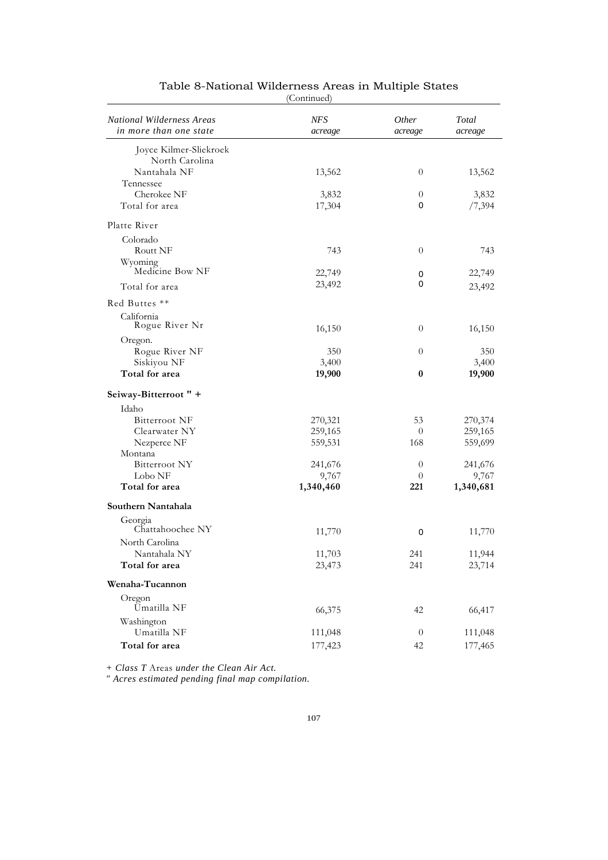| <b>National Wilderness Areas</b><br>in more than one state | <b>NFS</b><br>acreage | <i>Other</i><br>acreage | Total<br>acreage |
|------------------------------------------------------------|-----------------------|-------------------------|------------------|
| Joyce Kilmer-Sliekroek                                     |                       |                         |                  |
| North Carolina                                             |                       |                         |                  |
| Nantahala NF                                               | 13,562                | $\theta$                | 13,562           |
| Tennessee                                                  |                       |                         |                  |
| Cherokee NF                                                | 3,832                 | $\theta$                | 3,832            |
| Total for area                                             | 17,304                | 0                       | /7,394           |
| Platte River                                               |                       |                         |                  |
| Colorado                                                   |                       |                         |                  |
| <b>Routt NF</b>                                            | 743                   | $\theta$                | 743              |
| Wyoming                                                    |                       |                         |                  |
| Medicine Bow NF                                            | 22,749                | 0                       | 22,749           |
| Total for area                                             | 23,492                | 0                       | 23,492           |
|                                                            |                       |                         |                  |
| Red Buttes **                                              |                       |                         |                  |
| California                                                 |                       |                         |                  |
| Rogue River Nr                                             | 16,150                | $\overline{0}$          | 16,150           |
| Oregon.                                                    |                       |                         |                  |
| Rogue River NF                                             | 350                   | $\theta$                | 350              |
| Siskiyou NF                                                | 3,400                 |                         | 3,400            |
| Total for area                                             | 19,900                | $\bf{0}$                | 19,900           |
| Seiway-Bitterroot " +                                      |                       |                         |                  |
| Idaho                                                      |                       |                         |                  |
| Bitterroot NF                                              | 270,321               | 53                      | 270,374          |
| Clearwater NY                                              | 259,165               | $\overline{0}$          | 259,165          |
| Nezperce NF                                                | 559,531               | 168                     | 559,699          |
| Montana                                                    |                       |                         |                  |
| Bitterroot NY                                              | 241,676               | $\overline{0}$          | 241,676          |
| Lobo NF                                                    | 9,767                 | $\theta$                | 9,767            |
| Total for area                                             | 1,340,460             | 221                     | 1,340,681        |
| Southern Nantahala                                         |                       |                         |                  |
| Georgia                                                    |                       |                         |                  |
| Chattahoochee NY                                           | 11,770                | 0                       | 11,770           |
| North Carolina                                             |                       |                         |                  |
| Nantahala NY                                               | 11,703                | 241                     | 11,944           |
| Total for area                                             | 23,473                | 241                     | 23,714           |
| Wenaha-Tucannon                                            |                       |                         |                  |
| Oregon                                                     |                       |                         |                  |
| <b>Umatilla NF</b>                                         | 66,375                | 42                      | 66,417           |
| Washington                                                 |                       |                         |                  |
| Umatilla NF                                                | 111,048               | $\theta$                | 111,048          |
| Total for area                                             | 177,423               | 42                      | 177,465          |

#### Table 8-National Wilderness Areas in Multiple States

(Continued)

*+ Class T* Areas *under the Clean Air Act.*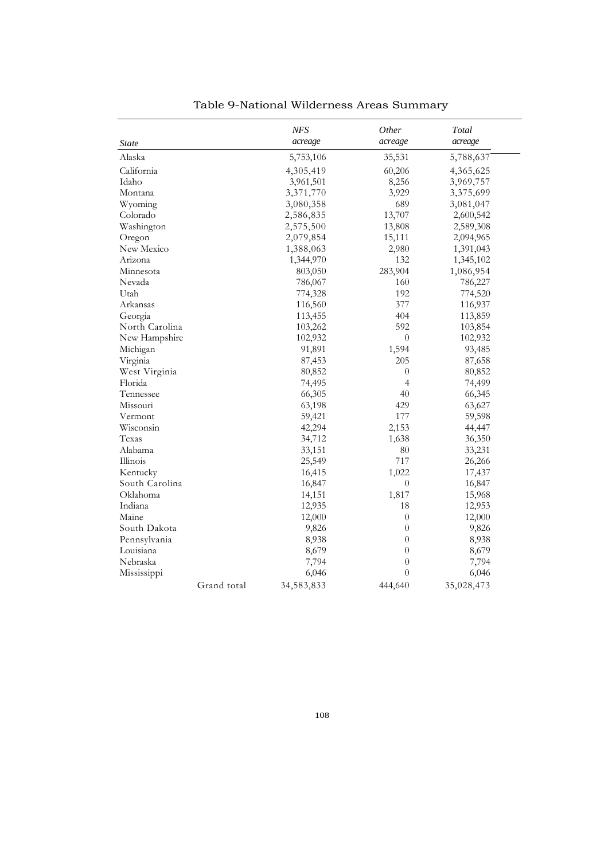|                |             | NFS        | Other            | Total      |
|----------------|-------------|------------|------------------|------------|
| <b>State</b>   |             | acreage    | acreage          | acreage    |
| Alaska         |             | 5,753,106  | 35,531           | 5,788,637  |
| California     |             | 4,305,419  | 60,206           | 4,365,625  |
| Idaho          |             | 3,961,501  | 8,256            | 3,969,757  |
| Montana        |             | 3,371,770  | 3,929            | 3,375,699  |
| Wyoming        |             | 3,080,358  | 689              | 3,081,047  |
| Colorado       |             | 2,586,835  | 13,707           | 2,600,542  |
| Washington     |             | 2,575,500  | 13,808           | 2,589,308  |
| Oregon         |             | 2,079,854  | 15,111           | 2,094,965  |
| New Mexico     |             | 1,388,063  | 2,980            | 1,391,043  |
| Arizona        |             | 1,344,970  | 132              | 1,345,102  |
| Minnesota      |             | 803,050    | 283,904          | 1,086,954  |
| Nevada         |             | 786,067    | 160              | 786,227    |
| Utah           |             | 774,328    | 192              | 774,520    |
| Arkansas       |             | 116,560    | 377              | 116,937    |
| Georgia        |             | 113,455    | 404              | 113,859    |
| North Carolina |             | 103,262    | 592              | 103,854    |
| New Hampshire  |             | 102,932    | $\theta$         | 102,932    |
| Michigan       |             | 91,891     | 1,594            | 93,485     |
| Virginia       |             | 87,453     | 205              | 87,658     |
| West Virginia  |             | 80,852     | $\theta$         | 80,852     |
| Florida        |             | 74,495     | $\overline{4}$   | 74,499     |
| Tennessee      |             | 66,305     | 40               | 66,345     |
| Missouri       |             | 63,198     | 429              | 63,627     |
| Vermont        |             | 59,421     | 177              | 59,598     |
| Wisconsin      |             | 42,294     | 2,153            | 44,447     |
| Texas          |             | 34,712     | 1,638            | 36,350     |
| Alabama        |             | 33,151     | 80               | 33,231     |
| Illinois       |             | 25,549     | 717              | 26,266     |
| Kentucky       |             | 16,415     | 1,022            | 17,437     |
| South Carolina |             | 16,847     | $\theta$         | 16,847     |
| Oklahoma       |             | 14,151     | 1,817            | 15,968     |
| Indiana        |             | 12,935     | 18               | 12,953     |
| Maine          |             | 12,000     | $\boldsymbol{0}$ | 12,000     |
| South Dakota   |             | 9,826      | $\theta$         | 9,826      |
| Pennsylvania   |             | 8,938      | $\theta$         | 8,938      |
| Louisiana      |             | 8,679      | $\theta$         | 8,679      |
| Nebraska       |             | 7,794      | $\theta$         | 7,794      |
| Mississippi    |             | 6,046      | $\overline{0}$   | 6,046      |
|                | Grand total | 34,583,833 | 444,640          | 35,028,473 |

Table 9-National Wilderness Areas Summary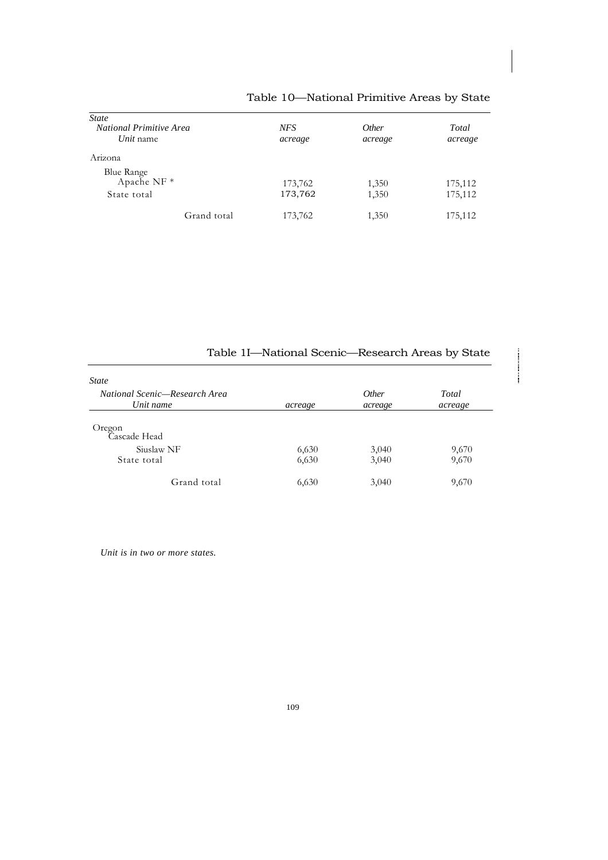| <b>State</b>              |         |              |         |
|---------------------------|---------|--------------|---------|
| National Primitive Area   | NFS     | <i>Other</i> | Total   |
| Unit name                 | acreage | acreage      | acreage |
| Arizona                   |         |              |         |
|                           |         |              |         |
| Blue Range<br>Apache NF * | 173,762 | 1,350        | 175,112 |
| State total               | 173,762 | 1,350        | 175,112 |
| Grand total               | 173,762 | 1,350        | 175,112 |

# Table 10—National Primitive Areas by State

| Table 1I-National Scenic-Research Areas by State |         |              |         |
|--------------------------------------------------|---------|--------------|---------|
| <b>State</b>                                     |         |              |         |
| National Scenic—Research Area                    |         | <i>Other</i> | Total   |
| Unit name                                        | acreage | acreage      | acreage |
| Oregon<br>Cascade Head                           |         |              |         |
| Siuslaw NF                                       | 6,630   | 3,040        | 9,670   |
| State total                                      | 6,630   | 3,040        | 9,670   |
| Grand total                                      | 6,630   | 3,040        | 9,670   |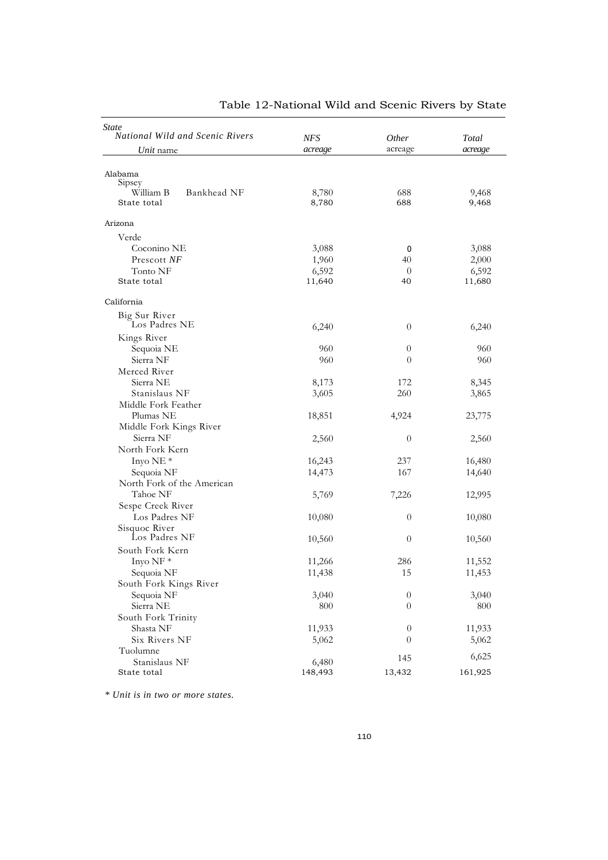| <b>State</b><br>National Wild and Scenic Rivers |            |                |         |
|-------------------------------------------------|------------|----------------|---------|
|                                                 | <b>NFS</b> | Other          | Total   |
| <i>Unit</i> name                                | acreage    | acreage        | acreage |
| Alabama                                         |            |                |         |
| Sipsey                                          |            |                |         |
| William B<br>Bankhead NF                        | 8,780      | 688            | 9,468   |
| State total                                     | 8,780      | 688            | 9,468   |
| Arizona                                         |            |                |         |
| Verde                                           |            |                |         |
| Coconino NE                                     | 3,088      | 0              | 3,088   |
| Prescott NF                                     | 1,960      | 40             | 2,000   |
| Tonto NF                                        | 6,592      | $\theta$       | 6,592   |
| State total                                     | 11,640     | 40             | 11,680  |
| California                                      |            |                |         |
| Big Sur River                                   |            |                |         |
| Los Padres NE                                   | 6,240      | $\theta$       | 6,240   |
| Kings River                                     |            |                |         |
| Sequoia NE                                      | 960        | $\theta$       | 960     |
| Sierra NF                                       | 960        | $\theta$       | 960     |
| Merced River                                    |            |                |         |
| Sierra NE                                       | 8,173      | 172            | 8,345   |
| Stanislaus NF                                   | 3,605      | 260            | 3,865   |
| Middle Fork Feather                             |            |                |         |
| Plumas NE                                       | 18,851     | 4,924          | 23,775  |
| Middle Fork Kings River                         |            |                |         |
| Sierra NF                                       | 2,560      | $\theta$       | 2,560   |
| North Fork Kern                                 |            |                |         |
| Inyo NE <sup>*</sup>                            | 16,243     | 237            | 16,480  |
| Sequoia NF                                      | 14,473     | 167            | 14,640  |
| North Fork of the American                      |            |                |         |
| Tahoe NF                                        | 5,769      | 7,226          | 12,995  |
| Sespe Creek River                               |            |                |         |
| Los Padres NF                                   | 10,080     | $\overline{0}$ | 10,080  |
| Sisquoc River                                   |            |                |         |
| Los Padres NF                                   | 10,560     | $\theta$       | 10,560  |
| South Fork Kern                                 |            |                |         |
| Inyo NF $*$                                     | 11,266     | 286            | 11,552  |
| Sequoia NF                                      | 11,438     | 15             | 11,453  |
| South Fork Kings River                          |            |                |         |
| Sequoia NF                                      | 3,040      | $\theta$       | 3,040   |
| Sierra NE                                       | 800        | $\theta$       | 800     |
| South Fork Trinity                              |            |                |         |
| Shasta NF                                       | 11,933     | $\overline{0}$ | 11,933  |
| Six Rivers NF                                   | 5,062      | $\theta$       | 5,062   |
| Tuolumne                                        |            |                |         |
| Stanislaus NF                                   | 6,480      | 145            | 6,625   |
| State total                                     | 148,493    | 13,432         | 161,925 |

## Table 12-National Wild and Scenic Rivers by State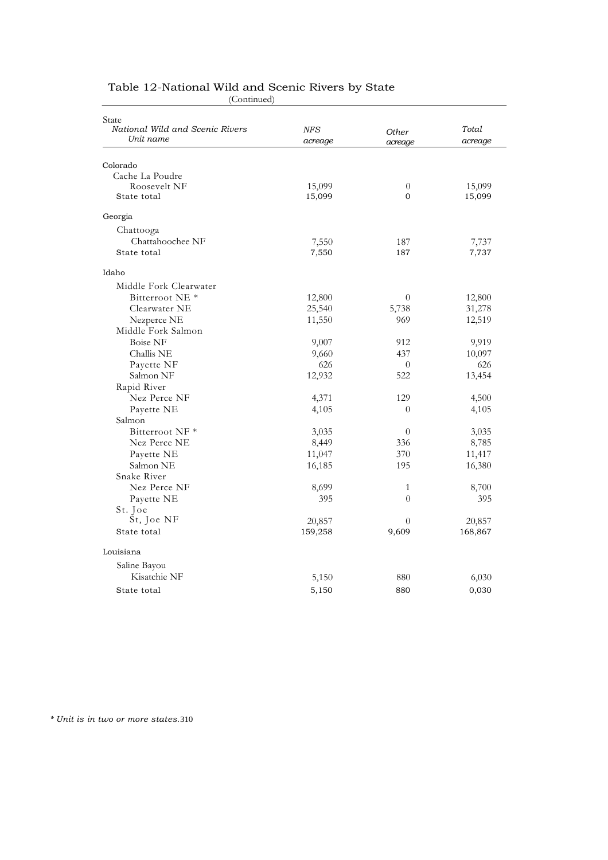| State                           |            |                |         |
|---------------------------------|------------|----------------|---------|
| National Wild and Scenic Rivers | <b>NFS</b> | Other          | Total   |
| Unit name                       | acreage    | acreage        | acreage |
|                                 |            |                |         |
| Colorado                        |            |                |         |
| Cache La Poudre                 |            |                |         |
| Roosevelt NF                    | 15,099     | $\theta$       | 15,099  |
| State total                     | 15,099     | $\mathbf{0}$   | 15,099  |
| Georgia                         |            |                |         |
| Chattooga                       |            |                |         |
| Chattahoochee NF                | 7,550      | 187            | 7,737   |
| State total                     | 7,550      | 187            | 7,737   |
| Idaho                           |            |                |         |
| Middle Fork Clearwater          |            |                |         |
| Bitterroot NE <sup>*</sup>      | 12,800     | $\theta$       | 12,800  |
| Clearwater NE                   | 25,540     | 5,738          | 31,278  |
| Nezperce NE                     | 11,550     | 969            | 12,519  |
| Middle Fork Salmon              |            |                |         |
| <b>Boise NF</b>                 | 9,007      | 912            | 9,919   |
| Challis NE                      | 9,660      | 437            | 10,097  |
| Payette NF                      | 626        | $\overline{0}$ | 626     |
| Salmon NF                       | 12,932     | 522            | 13,454  |
| Rapid River                     |            |                |         |
| Nez Perce NF                    | 4,371      | 129            | 4,500   |
| Payette NE                      | 4,105      | $\theta$       | 4,105   |
| Salmon                          |            |                |         |
| Bitterroot NF <sup>*</sup>      | 3,035      | $\overline{0}$ | 3,035   |
| Nez Perce NE                    | 8,449      | 336            | 8,785   |
| Payette NE                      | 11,047     | 370            | 11,417  |
| Salmon NE                       | 16,185     | 195            | 16,380  |
| Snake River                     |            |                |         |
| Nez Perce NF                    | 8,699      | $\mathbf{1}$   | 8,700   |
| Payette NE                      | 395        | $\theta$       | 395     |
| St. Joe                         |            |                |         |
| St, Joe NF                      | 20,857     | $\theta$       | 20,857  |
| State total                     | 159,258    | 9,609          | 168,867 |
| Louisiana                       |            |                |         |
| Saline Bayou                    |            |                |         |
| Kisatchie NF                    | 5,150      | 880            | 6,030   |
| State total                     | 5,150      | 880            | 0,030   |
|                                 |            |                |         |

#### Table 12-National Wild and Scenic Rivers by State (Continued)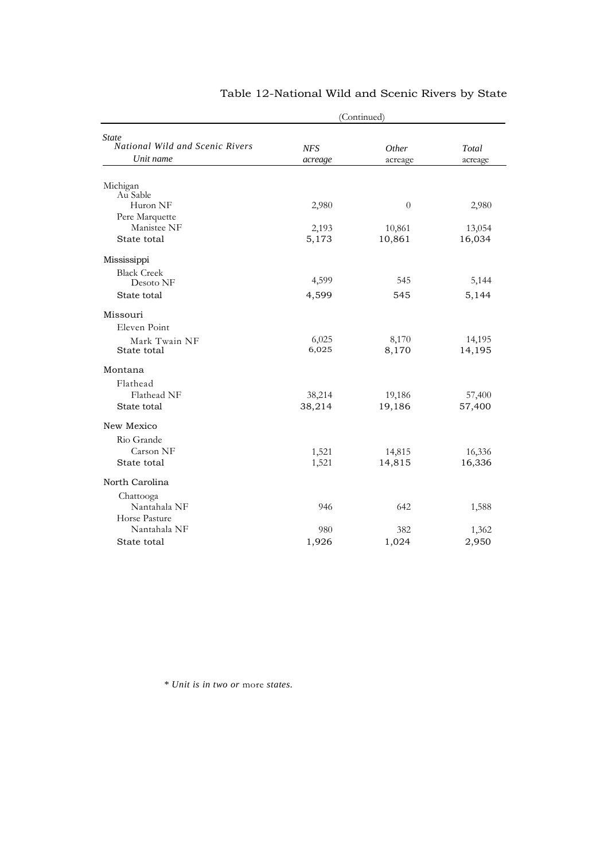| (Continued) |                                                    |                               |
|-------------|----------------------------------------------------|-------------------------------|
|             |                                                    |                               |
| <b>NFS</b>  | Other                                              | Total                         |
| acreage     | acreage                                            | acreage                       |
|             |                                                    |                               |
|             |                                                    |                               |
| 2,980       | $\theta$                                           | 2,980                         |
|             |                                                    |                               |
|             | 10,861                                             | 13,054                        |
|             |                                                    | 16,034                        |
|             |                                                    |                               |
|             |                                                    |                               |
|             |                                                    | 5,144                         |
|             |                                                    | 5,144                         |
|             |                                                    |                               |
|             |                                                    |                               |
| 6,025       | 8,170                                              | 14,195                        |
|             |                                                    | 14,195                        |
|             |                                                    |                               |
|             |                                                    |                               |
| 38,214      | 19,186                                             | 57,400                        |
| 38,214      | 19,186                                             | 57,400                        |
|             |                                                    |                               |
|             |                                                    |                               |
| 1,521       | 14,815                                             | 16,336                        |
| 1,521       | 14,815                                             | 16,336                        |
|             |                                                    |                               |
|             |                                                    |                               |
| 946         | 642                                                | 1,588                         |
|             |                                                    |                               |
| 980         | 382                                                | 1,362                         |
|             | 1,024                                              | 2,950                         |
|             | 2,193<br>5,173<br>4,599<br>4,599<br>6,025<br>1,926 | 10,861<br>545<br>545<br>8,170 |

## Table 12-National Wild and Scenic Rivers by State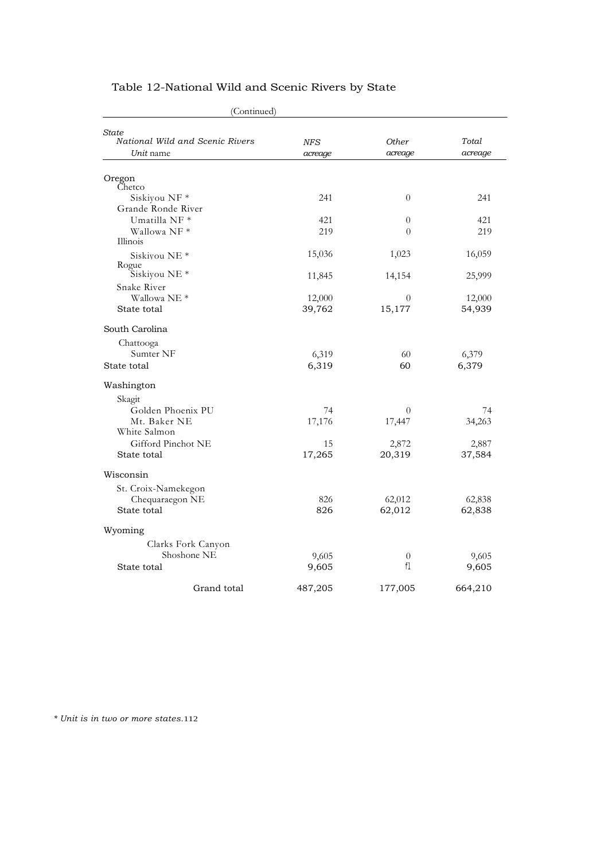| (Continued)                              |            |          |         |
|------------------------------------------|------------|----------|---------|
| State<br>National Wild and Scenic Rivers | <b>NFS</b> | Other    | Total   |
| Unit name                                | acreage    | acreage  | acreage |
| Oregon                                   |            |          |         |
| Chetco                                   |            |          |         |
| Siskiyou NF *                            | 241        | $\theta$ | 241     |
| Grande Ronde River                       |            |          |         |
| Umatilla NF <sup>*</sup>                 | 421        | $\theta$ | 421     |
| Wallowa NF*<br>Illinois                  | 219        | $\theta$ | 219     |
| Siskiyou NE <sup>*</sup>                 | 15,036     | 1,023    | 16,059  |
| Rogue<br>Siskiyou NE <sup>*</sup>        | 11,845     | 14,154   | 25,999  |
| Snake River                              |            |          |         |
| Wallowa NE <sup>*</sup>                  | 12,000     | 0        | 12,000  |
| State total                              | 39,762     | 15,177   | 54,939  |
| South Carolina                           |            |          |         |
| Chattooga                                |            |          |         |
| Sumter NF                                | 6,319      | 60       | 6,379   |
| State total                              | 6,319      | 60       | 6,379   |
| Washington                               |            |          |         |
| Skagit                                   |            |          |         |
| Golden Phoenix PU                        | 74         | $\theta$ | 74      |
| Mt. Baker NE                             | 17,176     | 17,447   | 34,263  |
| White Salmon                             |            |          |         |
| Gifford Pinchot NE                       | 15         | 2,872    | 2,887   |
| State total                              | 17,265     | 20,319   | 37,584  |
| Wisconsin                                |            |          |         |
| St. Croix-Namekegon                      |            |          |         |
| Chequaraegon NE                          | 826        | 62,012   | 62,838  |
| State total                              | 826        | 62,012   | 62,838  |
| Wyoming                                  |            |          |         |
| Clarks Fork Canyon.                      |            |          |         |
| Shoshone NE                              | 9,605      | $\theta$ | 9,605   |
| State total                              | 9,605      | f1       | 9,605   |
| Grand total                              | 487,205    | 177,005  | 664,210 |

# Table 12-National Wild and Scenic Rivers by State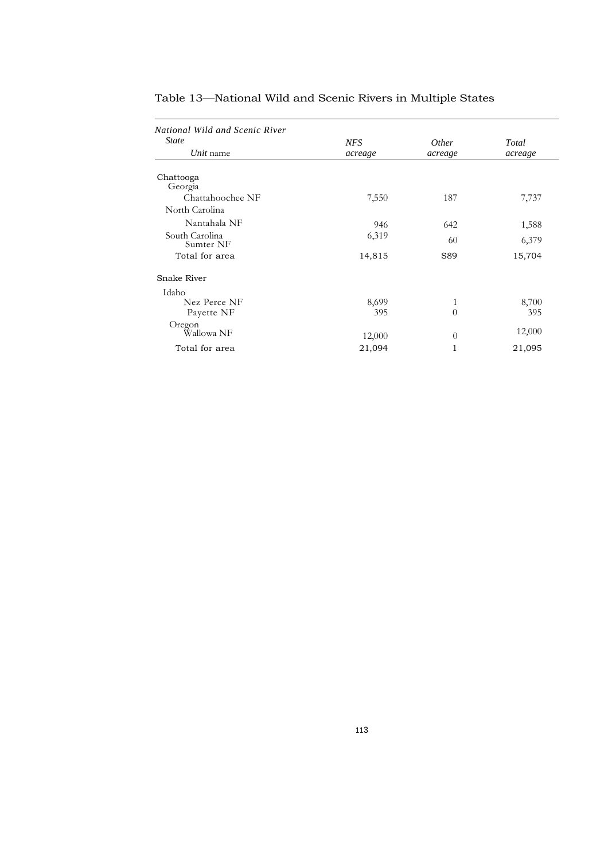| National Wild and Scenic River |            |              |         |
|--------------------------------|------------|--------------|---------|
| <b>State</b>                   | <b>NFS</b> | <i>Other</i> | Total   |
| Unit name                      | acreage    | acreage      | acreage |
|                                |            |              |         |
| Chattooga                      |            |              |         |
| Georgia                        |            |              |         |
| Chattahoochee NF               | 7,550      | 187          | 7,737   |
| North Carolina                 |            |              |         |
| Nantahala NF                   | 946        | 642          | 1,588   |
| South Carolina<br>Sumter NF    | 6,319      | 60           | 6,379   |
| Total for area                 | 14,815     | S89          | 15,704  |
| Snake River                    |            |              |         |
| Idaho                          |            |              |         |
| Nez Perce NF                   | 8,699      | 1            | 8,700   |
| Payette NF                     | 395        | $\theta$     | 395     |
| Oregon                         |            |              |         |
| Wallowa NF                     | 12,000     | $\theta$     | 12,000  |
| Total for area                 | 21,094     | 1            | 21,095  |

## Table 13—National Wild and Scenic Rivers in Multiple States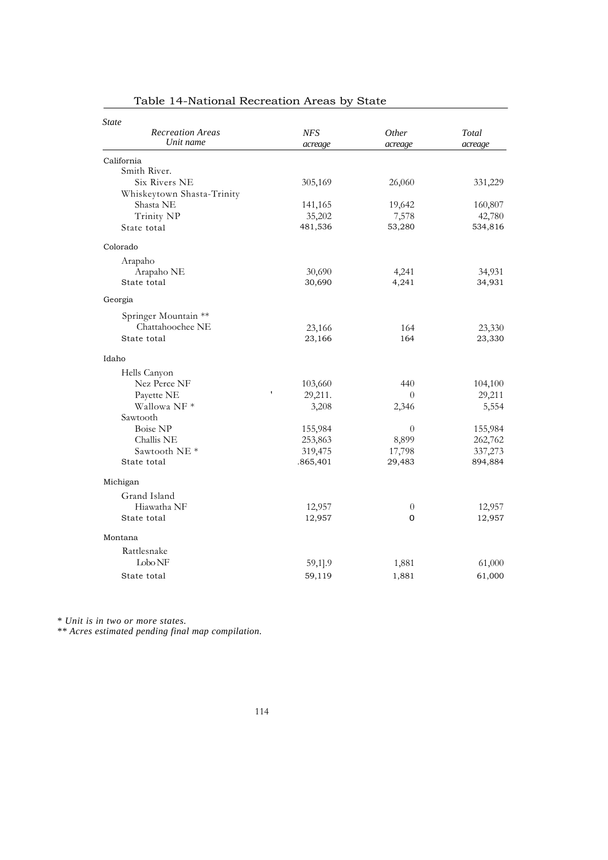| State                      |              |          |         |
|----------------------------|--------------|----------|---------|
| <b>Recreation Areas</b>    | <b>NFS</b>   | Other    | Total   |
| Unit name                  | acreage      | acreage  | acreage |
| California                 |              |          |         |
| Smith River.               |              |          |         |
| Six Rivers NE              | 305,169      | 26,060   | 331,229 |
| Whiskeytown Shasta-Trinity |              |          |         |
| Shasta NE                  | 141,165      | 19,642   | 160,807 |
| Trinity NP                 | 35,202       | 7,578    | 42,780  |
| State total                | 481,536      | 53,280   | 534,816 |
| Colorado                   |              |          |         |
| Arapaho                    |              |          |         |
| Arapaho NE                 | 30,690       | 4,241    | 34,931  |
| State total                | 30,690       | 4,241    | 34,931  |
| Georgia                    |              |          |         |
| Springer Mountain **       |              |          |         |
| Chattahoochee NE           | 23,166       | 164      | 23,330  |
| State total                | 23,166       | 164      | 23,330  |
| Idaho                      |              |          |         |
| Hells Canyon               |              |          |         |
| Nez Perce NF               | 103,660      | 440      | 104,100 |
| Payette NE                 | ,<br>29,211. | $\Omega$ | 29,211  |
| Wallowa NF <sup>*</sup>    | 3,208        | 2,346    | 5,554   |
| Sawtooth                   |              |          |         |
| Boise NP                   | 155,984      | $\theta$ | 155,984 |
| Challis NE                 | 253,863      | 8,899    | 262,762 |
| Sawtooth NE <sup>*</sup>   | 319,475      | 17,798   | 337,273 |
| State total                | .865,401     | 29,483   | 894,884 |
| Michigan                   |              |          |         |
| Grand Island               |              |          |         |
| Hiawatha NF                | 12,957       | $\theta$ | 12,957  |
| State total                | 12,957       | 0        | 12,957  |
| Montana                    |              |          |         |
| Rattlesnake                |              |          |         |
| $\text{Lobo} \text{NF}$    | 59,1].9      | 1,881    | 61,000  |
| State total                | 59,119       | 1,881    | 61,000  |

# Table 14-National Recreation Areas by State

*\* Unit is in two or more states.*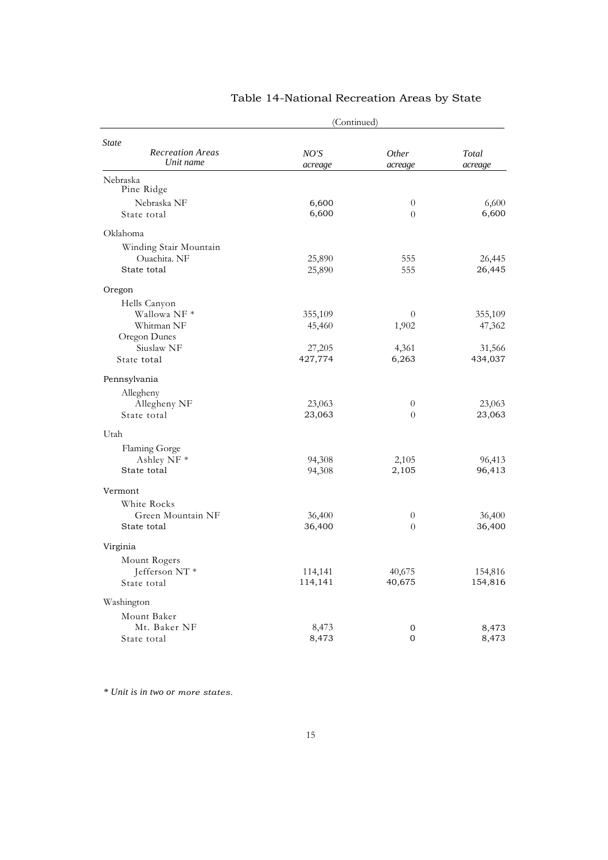|                           | (Continued) |                  |         |
|---------------------------|-------------|------------------|---------|
| <b>State</b>              |             |                  |         |
| <b>Recreation Areas</b>   | NO'S        | Other            | Total   |
| Unit name                 | acreage     | acreage          | acreage |
| Nebraska<br>Pine Ridge    |             |                  |         |
| Nebraska NF               | 6,600       | $\boldsymbol{0}$ | 6,600   |
| State total               | 6,600       | $\overline{0}$   | 6,600   |
| Oklahoma                  |             |                  |         |
| Winding Stair Mountain    |             |                  |         |
| Ouachita. NF              | 25,890      | 555              | 26,445  |
| State total               | 25,890      | 555              | 26,445  |
| Oregon                    |             |                  |         |
| Hells Canyon              |             |                  |         |
| Wallowa NF*               | 355,109     | 0                | 355,109 |
| Whitman NF                | 45,460      | 1,902            | 47,362  |
| Oregon Dunes              |             |                  |         |
| Siuslaw NF                | 27,205      | 4,361            | 31,566  |
| State total               | 427,774     | 6,263            | 434,037 |
| Pennsylvania              |             |                  |         |
| Allegheny                 |             |                  |         |
| Allegheny NF              | 23,063      | $\theta$         | 23,063  |
| State total               | 23,063      | $\overline{0}$   | 23,063  |
| Utah                      |             |                  |         |
| Flaming Gorge             |             |                  |         |
| Ashley NF <sup>*</sup>    | 94,308      | 2,105            | 96,413  |
| State total               | 94,308      | 2,105            | 96,413  |
| Vermont                   |             |                  |         |
| White Rocks               |             |                  |         |
| Green Mountain NF         | 36,400      | $\theta$         | 36,400  |
| State total               | 36,400      | $\overline{0}$   | 36,400  |
| Virginia                  |             |                  |         |
| Mount Rogers              |             |                  |         |
| Jefferson NT <sup>*</sup> | 114,141     | 40,675           | 154,816 |
| State total               | 114,141     | 40,675           | 154,816 |
| Washington                |             |                  |         |
| Mount Baker               |             |                  |         |
| Mt. Baker NF              | 8,473       | 0                | 8,473   |
| State total               | 8,473       | $\mathbf{0}$     | 8,473   |

## Table 14-National Recreation Areas by State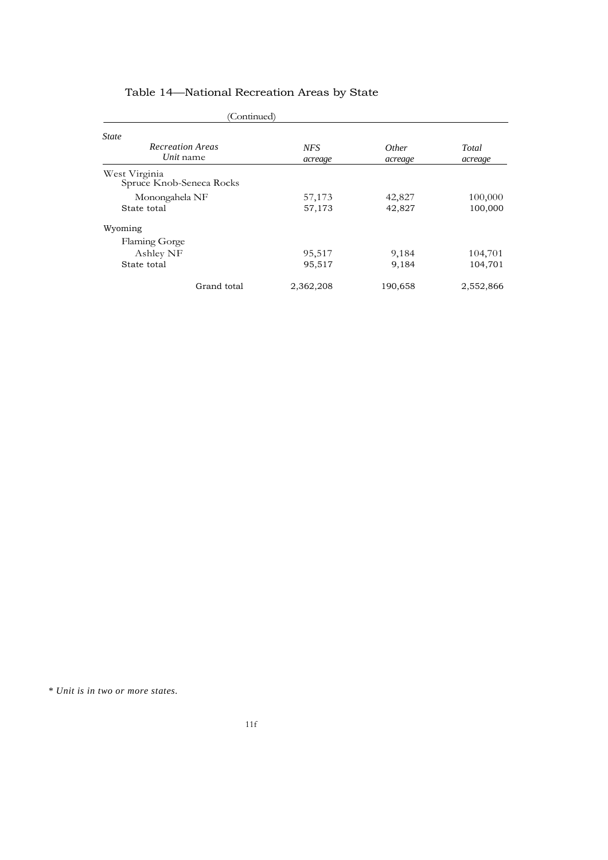| (Continued)                               |                       |                         |                  |
|-------------------------------------------|-----------------------|-------------------------|------------------|
| <b>State</b>                              |                       |                         |                  |
| <b>Recreation Areas</b><br>Unit name      | <b>NFS</b><br>acreage | <i>Other</i><br>acreage | Total<br>acreage |
| West Virginia<br>Spruce Knob-Seneca Rocks |                       |                         |                  |
| Monongahela NF                            | 57,173                | 42,827                  | 100,000          |
| State total                               | 57,173                | 42,827                  | 100,000          |
| Wyoming                                   |                       |                         |                  |
| Flaming Gorge                             |                       |                         |                  |
| Ashley NF                                 | 95,517                | 9,184                   | 104,701          |
| State total                               | 95,517                | 9,184                   | 104,701          |
| Grand total                               | 2,362,208             | 190,658                 | 2,552,866        |

# Table 14—National Recreation Areas by State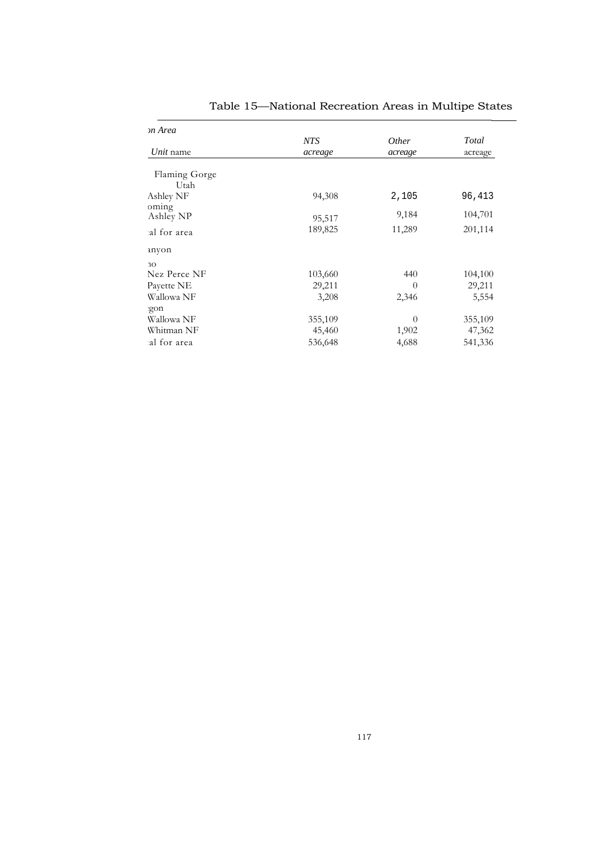| NTS     | Other    | Total   |
|---------|----------|---------|
| acreage | acreage  | acreage |
|         |          |         |
|         |          |         |
| 94,308  | 2,105    | 96,413  |
|         |          |         |
| 95,517  |          | 104,701 |
| 189,825 | 11,289   | 201,114 |
|         |          |         |
|         |          |         |
| 103,660 | 440      | 104,100 |
| 29,211  | $\theta$ | 29,211  |
| 3,208   | 2,346    | 5,554   |
|         |          |         |
| 355,109 | $\Omega$ | 355,109 |
| 45,460  | 1,902    | 47,362  |
| 536,648 | 4,688    | 541,336 |
|         |          | 9,184   |

Table 15—National Recreation Areas in Multipe States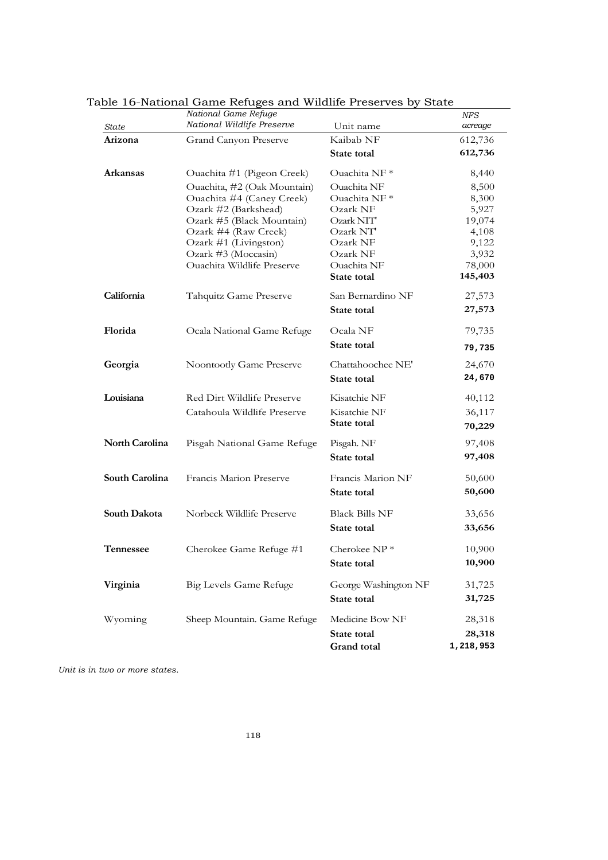|                  | National Game Refuge              |                          | NFS       |
|------------------|-----------------------------------|--------------------------|-----------|
| <b>State</b>     | National Wildlife Preserve        | Unit name                | acreage   |
| Arizona          | Grand Canyon Preserve             | Kaibab NF                | 612,736   |
|                  |                                   | State total              | 612,736   |
| <b>Arkansas</b>  | Ouachita #1 (Pigeon Creek)        | Ouachita NF <sup>*</sup> | 8,440     |
|                  | Ouachita, #2 (Oak Mountain)       | Ouachita NF              | 8,500     |
|                  | Ouachita #4 (Caney Creek)         | Ouachita NF <sup>*</sup> | 8,300     |
|                  | Ozark #2 (Barkshead)              | Ozark NF                 | 5,927     |
|                  | Ozark #5 (Black Mountain)         | Ozark NIT                | 19,074    |
|                  | Ozark #4 (Raw Creek)              | Ozark NT'                | 4,108     |
|                  | Ozark #1 (Livingston)             | Ozark NF                 | 9,122     |
|                  | Ozark #3 (Moccasin)               | Ozark NF                 | 3,932     |
|                  | <b>Ouachita Wildlife Preserve</b> | Ouachita NF              | 78,000    |
|                  |                                   | State total              | 145,403   |
| California       | Tahquitz Game Preserve            | San Bernardino NF        | 27,573    |
|                  |                                   | State total              | 27,573    |
| Florida          | Ocala National Game Refuge        | Ocala NF                 | 79,735    |
|                  |                                   | State total              | 79,735    |
| Georgia          | Noontootly Game Preserve          | Chattahoochee NE'        | 24,670    |
|                  |                                   | State total              | 24,670    |
| Louisiana        | Red Dirt Wildlife Preserve        | Kisatchie NF             | 40,112    |
|                  | Catahoula Wildlife Preserve       | Kisatchie NF             | 36,117    |
|                  |                                   | State total              | 70,229    |
| North Carolina   | Pisgah National Game Refuge       | Pisgah. NF               | 97,408    |
|                  |                                   | State total              | 97,408    |
| South Carolina   | Francis Marion Preserve           | Francis Marion NF        | 50,600    |
|                  |                                   | State total              | 50,600    |
| South Dakota     | Norbeck Wildlife Preserve         | <b>Black Bills NF</b>    | 33,656    |
|                  |                                   | State total              | 33,656    |
| <b>Tennessee</b> | Cherokee Game Refuge #1           | Cherokee $NP*$           | 10,900    |
|                  |                                   |                          |           |
|                  |                                   | State total              | 10,900    |
| Virginia         | Big Levels Game Refuge            | George Washington NF     | 31,725    |
|                  |                                   | State total              | 31,725    |
| Wyoming          | Sheep Mountain. Game Refuge       | Medicine Bow NF          | 28,318    |
|                  |                                   | State total              | 28,318    |
|                  |                                   | Grand total              | 1,218,953 |

Table 16-National Game Refuges and Wildlife Preserves by State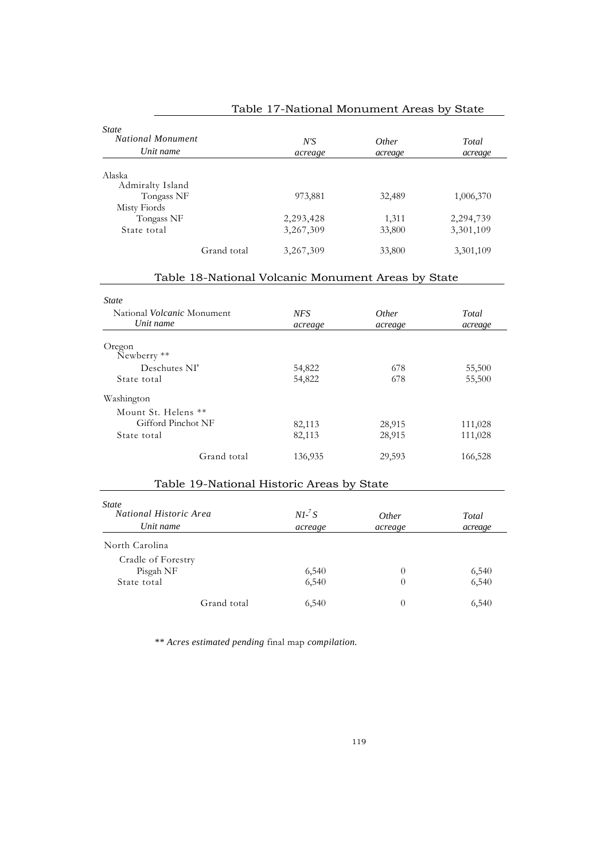| State<br><b>National Monument</b><br>Unit name |             | N'S<br>acreage | <i>Other</i><br>acreage | Total<br>acreage |
|------------------------------------------------|-------------|----------------|-------------------------|------------------|
|                                                |             |                |                         |                  |
| Alaska                                         |             |                |                         |                  |
| Admiralty Island                               |             |                |                         |                  |
| Tongass NF                                     |             | 973,881        | 32,489                  | 1,006,370        |
| Misty Fiords                                   |             |                |                         |                  |
| Tongass NF                                     |             | 2,293,428      | 1,311                   | 2,294,739        |
| State total                                    |             | 3,267,309      | 33,800                  | 3,301,109        |
|                                                | Grand total | 3,267,309      | 33,800                  | 3,301,109        |

# Table 17-National Monument Areas by State

## Table 18-National Volcanic Monument Areas by State

| <b>State</b>                              |            |              |         |
|-------------------------------------------|------------|--------------|---------|
| National <i>Volcanic</i> Monument         | <b>NFS</b> | <i>Other</i> | Total   |
| Unit name                                 | acreage    | acreage      | acreage |
| Oregon                                    |            |              |         |
| Newberry **                               |            |              |         |
| Deschutes NI'                             | 54,822     | 678          | 55,500  |
| State total                               | 54,822     | 678          | 55,500  |
| Washington                                |            |              |         |
| Mount St. Helens **                       |            |              |         |
| Gifford Pinchot NF                        | 82,113     | 28,915       | 111,028 |
| State total                               | 82,113     | 28,915       | 111,028 |
| Grand total                               | 136,935    | 29,593       | 166,528 |
| Table 19-National Historic Areas by State |            |              |         |
| <i>State</i>                              |            |              |         |

| State<br>National Historic Area<br>Unit name | $NI^{-7}S$<br>acreage | <i>Other</i><br>acreage | Total<br>acreage |
|----------------------------------------------|-----------------------|-------------------------|------------------|
| North Carolina                               |                       |                         |                  |
| Cradle of Forestry                           |                       |                         |                  |
| Pisgah NF                                    | 6,540                 | 0                       | 6,540            |
| State total                                  | 6,540                 | 0                       | 6,540            |
| Grand total                                  | 6,540                 | 0                       | 6,540            |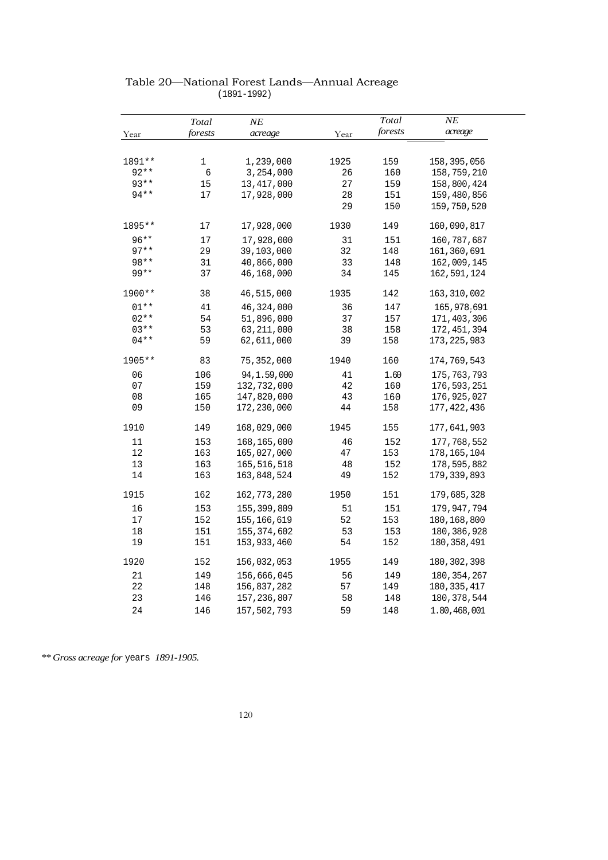|        | Total   | $N\!E$        |      | Total   | NE            |
|--------|---------|---------------|------|---------|---------------|
| Year   | forests | acreage       | Year | forests | acreage       |
| 1891** | 1       | 1,239,000     | 1925 | 159     | 158,395,056   |
| $92**$ | 6       | 3,254,000     | 26   | 160     | 158,759,210   |
| $93**$ | 15      | 13, 417, 000  | 27   | 159     | 158,800,424   |
| $94**$ | 17      | 17,928,000    | 28   | 151     | 159,480,856   |
|        |         |               | 29   | 150     | 159,750,520   |
| 1895** | 17      | 17,928,000    | 1930 | 149     | 160,090,817   |
| $96**$ | 17      | 17,928,000    | 31   | 151     | 160, 787, 687 |
| $97**$ | 29      | 39,103,000    | 32   | 148     | 161, 360, 691 |
| $98**$ | 31      | 40,866,000    | 33   | 148     | 162,009,145   |
| $99**$ | 37      | 46,168,000    | 34   | 145     | 162,591,124   |
| 1900** | 38      | 46,515,000    | 1935 | 142     | 163, 310, 002 |
| $01**$ | 41      | 46, 324, 000  | 36   | 147     | 165, 978, 691 |
| $02**$ | 54      | 51,896,000    | 37   | 157     | 171,403,306   |
| $03**$ | 53      | 63, 211, 000  | 38   | 158     | 172, 451, 394 |
| $04**$ | 59      | 62,611,000    | 39   | 158     | 173, 225, 983 |
| 1905** | 83      | 75,352,000    | 1940 | 160     | 174,769,543   |
| 06     | 106     | 94, 1.59, 000 | 41   | 1.60    | 175, 763, 793 |
| 07     | 159     | 132,732,000   | 42   | 160     | 176, 593, 251 |
| 08     | 165     | 147,820,000   | 43   | 160     | 176,925,027   |
| 09     | 150     | 172,230,000   | 44   | 158     | 177, 422, 436 |
| 1910   | 149     | 168,029,000   | 1945 | 155     | 177,641,903   |
| 11     | 153     | 168, 165, 000 | 46   | 152     | 177,768,552   |
| 12     | 163     | 165,027,000   | 47   | 153     | 178, 165, 104 |
| 13     | 163     | 165, 516, 518 | 48   | 152     | 178,595,882   |
| 14     | 163     | 163,848,524   | 49   | 152     | 179, 339, 893 |
| 1915   | 162     | 162,773,280   | 1950 | 151     | 179,685,328   |
| 16     | 153     | 155, 399, 809 | 51   | 151     | 179,947,794   |
| 17     | 152     | 155, 166, 619 | 52   | 153     | 180, 168, 800 |
| 18     | 151     | 155, 374, 602 | 53   | 153     | 180, 386, 928 |
| 19     | 151     | 153,933,460   | 54   | 152     | 180,358,491   |
| 1920   | 152     | 156,032,053   | 1955 | 149     | 180, 302, 398 |
| 21     | 149     | 156,666,045   | 56   | 149     | 180, 354, 267 |
| 22     | 148     | 156,837,282   | 57   | 149     | 180, 335, 417 |
| 23     | 146     | 157,236,807   | 58   | 148     | 180, 378, 544 |
| 24     | 146     | 157,502,793   | 59   | 148     | 1.80,468,001  |

#### Table 20—National Forest Lands—Annual Acreage (1891-1992)

*\*\* Gross acreage for* years *1891-1905.*